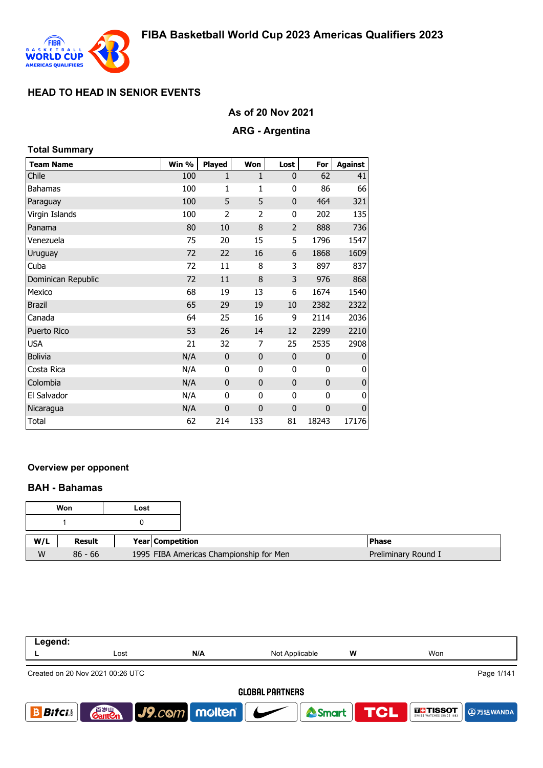

# **As of 20 Nov 2021**

## **ARG - Argentina**

| <b>Total Summary</b> |       |                |                |                |             |                |
|----------------------|-------|----------------|----------------|----------------|-------------|----------------|
| <b>Team Name</b>     | Win % | <b>Played</b>  | Won            | Lost           | For         | <b>Against</b> |
| Chile                | 100   | 1              | 1              | $\mathbf{0}$   | 62          | 41             |
| <b>Bahamas</b>       | 100   | 1              | 1              | 0              | 86          | 66             |
| Paraguay             | 100   | 5              | 5              | $\mathbf{0}$   | 464         | 321            |
| Virgin Islands       | 100   | $\overline{2}$ | $\overline{2}$ | 0              | 202         | 135            |
| Panama               | 80    | 10             | 8              | $\overline{2}$ | 888         | 736            |
| Venezuela            | 75    | 20             | 15             | 5              | 1796        | 1547           |
| Uruguay              | 72    | 22             | 16             | 6              | 1868        | 1609           |
| Cuba                 | 72    | 11             | 8              | 3              | 897         | 837            |
| Dominican Republic   | 72    | 11             | 8              | 3              | 976         | 868            |
| Mexico               | 68    | 19             | 13             | 6              | 1674        | 1540           |
| <b>Brazil</b>        | 65    | 29             | 19             | 10             | 2382        | 2322           |
| Canada               | 64    | 25             | 16             | 9              | 2114        | 2036           |
| Puerto Rico          | 53    | 26             | 14             | 12             | 2299        | 2210           |
| <b>USA</b>           | 21    | 32             | 7              | 25             | 2535        | 2908           |
| <b>Bolivia</b>       | N/A   | $\mathbf{0}$   | $\mathbf{0}$   | $\mathbf 0$    | $\mathbf 0$ | $\mathbf 0$    |
| Costa Rica           | N/A   | 0              | 0              | 0              | 0           | 0              |
| Colombia             | N/A   | $\mathbf 0$    | $\mathbf{0}$   | $\mathbf 0$    | $\mathbf 0$ | $\pmb{0}$      |
| El Salvador          | N/A   | 0              | 0              | 0              | 0           | 0              |
| Nicaragua            | N/A   | 0              | $\mathbf 0$    | $\mathbf 0$    | $\mathbf 0$ | $\mathbf 0$    |
| <b>Total</b>         | 62    | 214            | 133            | 81             | 18243       | 17176          |

## **Overview per opponent**

### **BAH - Bahamas**

|     | Won       | Lost |                                         |                     |
|-----|-----------|------|-----------------------------------------|---------------------|
|     |           |      |                                         |                     |
| W/L | Result    |      | <b>Year Competition</b>                 | <b>Phase</b>        |
| W   | $86 - 66$ |      | 1995 FIBA Americas Championship for Men | Preliminary Round I |

| Legend:                | Lost                               | N/A                             | Not Applicable | w          | Won           |
|------------------------|------------------------------------|---------------------------------|----------------|------------|---------------|
|                        |                                    |                                 |                |            |               |
|                        | Created on 20 Nov 2021 00:26 UTC   |                                 |                |            | Page 1/141    |
| <b>GLOBAL PARTNERS</b> |                                    |                                 |                |            |               |
| <b>Bifci</b> .         | 音 <sub>岁Ⅲ</sub><br>Gant <b>C</b> n | $ $ J9. $com$ molten $ $ $\sim$ | Smart          | <b>TCL</b> | <b>THESOT</b> |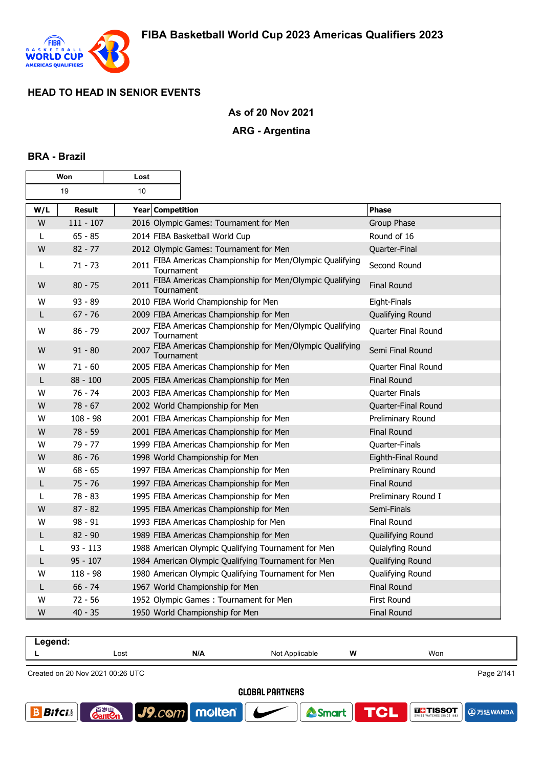

## **As of 20 Nov 2021**

## **ARG - Argentina**

### **BRA - Brazil**

| Won |               | Lost             |                                                                     |                     |
|-----|---------------|------------------|---------------------------------------------------------------------|---------------------|
|     | 19            | 10               |                                                                     |                     |
| W/L | <b>Result</b> | Year Competition |                                                                     | <b>Phase</b>        |
| W   | $111 - 107$   |                  | 2016 Olympic Games: Tournament for Men                              | Group Phase         |
| L   | $65 - 85$     |                  | 2014 FIBA Basketball World Cup                                      | Round of 16         |
| W   | $82 - 77$     |                  | 2012 Olympic Games: Tournament for Men                              | Quarter-Final       |
| L   | $71 - 73$     | 2011             | FIBA Americas Championship for Men/Olympic Qualifying<br>Tournament | Second Round        |
| W   | $80 - 75$     | 2011             | FIBA Americas Championship for Men/Olympic Qualifying<br>Tournament | <b>Final Round</b>  |
| W   | $93 - 89$     |                  | 2010 FIBA World Championship for Men                                | Eight-Finals        |
| L   | $67 - 76$     |                  | 2009 FIBA Americas Championship for Men                             | Qualifying Round    |
| W   | $86 - 79$     | 2007             | FIBA Americas Championship for Men/Olympic Qualifying<br>Tournament | Quarter Final Round |
| W   | $91 - 80$     | 2007             | FIBA Americas Championship for Men/Olympic Qualifying<br>Tournament | Semi Final Round    |
| W   | $71 - 60$     |                  | 2005 FIBA Americas Championship for Men                             | Quarter Final Round |
| L   | $88 - 100$    |                  | 2005 FIBA Americas Championship for Men                             | <b>Final Round</b>  |
| W   | $76 - 74$     |                  | 2003 FIBA Americas Championship for Men                             | Quarter Finals      |
| W   | $78 - 67$     |                  | 2002 World Championship for Men                                     | Quarter-Final Round |
| W   | $108 - 98$    |                  | 2001 FIBA Americas Championship for Men                             | Preliminary Round   |
| W   | $78 - 59$     |                  | 2001 FIBA Americas Championship for Men                             | <b>Final Round</b>  |
| W   | $79 - 77$     |                  | 1999 FIBA Americas Championship for Men                             | Quarter-Finals      |
| W   | $86 - 76$     |                  | 1998 World Championship for Men                                     | Eighth-Final Round  |
| W   | $68 - 65$     |                  | 1997 FIBA Americas Championship for Men                             | Preliminary Round   |
| L   | $75 - 76$     |                  | 1997 FIBA Americas Championship for Men                             | <b>Final Round</b>  |
| L   | $78 - 83$     |                  | 1995 FIBA Americas Championship for Men                             | Preliminary Round I |
| W   | $87 - 82$     |                  | 1995 FIBA Americas Championship for Men                             | Semi-Finals         |
| W   | $98 - 91$     |                  | 1993 FIBA Americas Champioship for Men                              | <b>Final Round</b>  |
| L   | $82 - 90$     |                  | 1989 FIBA Americas Championship for Men                             | Quailifying Round   |
| L   | $93 - 113$    |                  | 1988 American Olympic Qualifying Tournament for Men                 | Quialyfing Round    |
| L   | $95 - 107$    |                  | 1984 American Olympic Qualifying Tournament for Men                 | Qualifying Round    |
| W   | $118 - 98$    |                  | 1980 American Olympic Qualifying Tournament for Men                 | Qualifying Round    |
| L   | $66 - 74$     |                  | 1967 World Championship for Men                                     | <b>Final Round</b>  |
| W   | $72 - 56$     |                  | 1952 Olympic Games: Tournament for Men                              | First Round         |
| W   | $40 - 35$     |                  | 1950 World Championship for Men                                     | <b>Final Round</b>  |

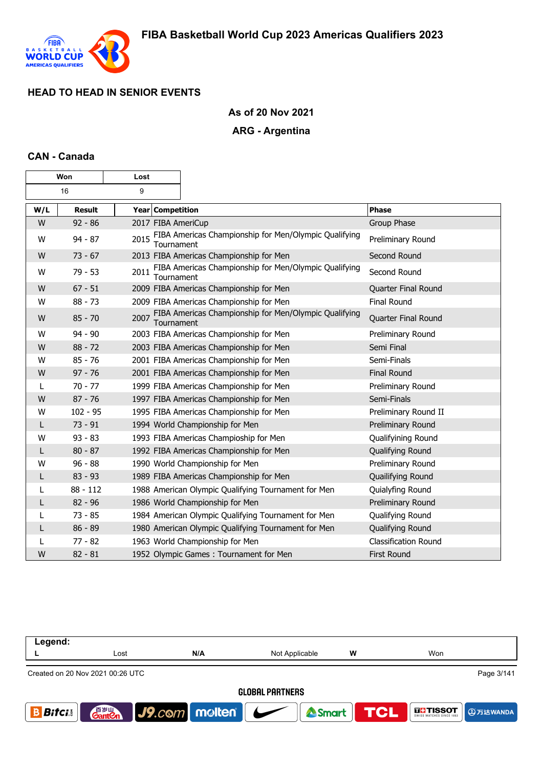

## **As of 20 Nov 2021**

### **ARG - Argentina**

### **CAN - Canada**

г

| Won |               | Lost                    |                                                       |                             |
|-----|---------------|-------------------------|-------------------------------------------------------|-----------------------------|
|     | 16            | 9                       |                                                       |                             |
| W/L | <b>Result</b> | <b>Year Competition</b> |                                                       | <b>Phase</b>                |
| W   | $92 - 86$     | 2017 FIBA AmeriCup      |                                                       | Group Phase                 |
| W   | $94 - 87$     | 2015<br>Tournament      | FIBA Americas Championship for Men/Olympic Qualifying | Preliminary Round           |
| W   | $73 - 67$     |                         | 2013 FIBA Americas Championship for Men               | Second Round                |
| W   | $79 - 53$     | 2011<br>Tournament      | FIBA Americas Championship for Men/Olympic Qualifying | Second Round                |
| W   | $67 - 51$     |                         | 2009 FIBA Americas Championship for Men               | Quarter Final Round         |
| W   | $88 - 73$     |                         | 2009 FIBA Americas Championship for Men               | <b>Final Round</b>          |
| W   | $85 - 70$     | 2007<br>Tournament      | FIBA Americas Championship for Men/Olympic Qualifying | Quarter Final Round         |
| W   | $94 - 90$     |                         | 2003 FIBA Americas Championship for Men               | Preliminary Round           |
| W   | $88 - 72$     |                         | 2003 FIBA Americas Championship for Men               | Semi Final                  |
| W   | $85 - 76$     |                         | 2001 FIBA Americas Championship for Men               | Semi-Finals                 |
| W   | $97 - 76$     |                         | 2001 FIBA Americas Championship for Men               | <b>Final Round</b>          |
| L   | $70 - 77$     |                         | 1999 FIBA Americas Championship for Men               | Preliminary Round           |
| W   | $87 - 76$     |                         | 1997 FIBA Americas Championship for Men               | Semi-Finals                 |
| W   | $102 - 95$    |                         | 1995 FIBA Americas Championship for Men               | Preliminary Round II        |
| L   | $73 - 91$     |                         | 1994 World Championship for Men                       | Preliminary Round           |
| W   | $93 - 83$     |                         | 1993 FIBA Americas Champioship for Men                | Qualifyining Round          |
| L   | $80 - 87$     |                         | 1992 FIBA Americas Championship for Men               | Qualifying Round            |
| W   | $96 - 88$     |                         | 1990 World Championship for Men                       | Preliminary Round           |
| L   | $83 - 93$     |                         | 1989 FIBA Americas Championship for Men               | Quailifying Round           |
| L   | $88 - 112$    |                         | 1988 American Olympic Qualifying Tournament for Men   | Quialyfing Round            |
| L   | $82 - 96$     |                         | 1986 World Championship for Men                       | Preliminary Round           |
| L   | $73 - 85$     |                         | 1984 American Olympic Qualifying Tournament for Men   | Qualifying Round            |
| L   | $86 - 89$     |                         | 1980 American Olympic Qualifying Tournament for Men   | Qualifying Round            |
|     | $77 - 82$     |                         | 1963 World Championship for Men                       | <b>Classification Round</b> |
| W   | $82 - 81$     |                         | 1952 Olympic Games: Tournament for Men                | <b>First Round</b>          |

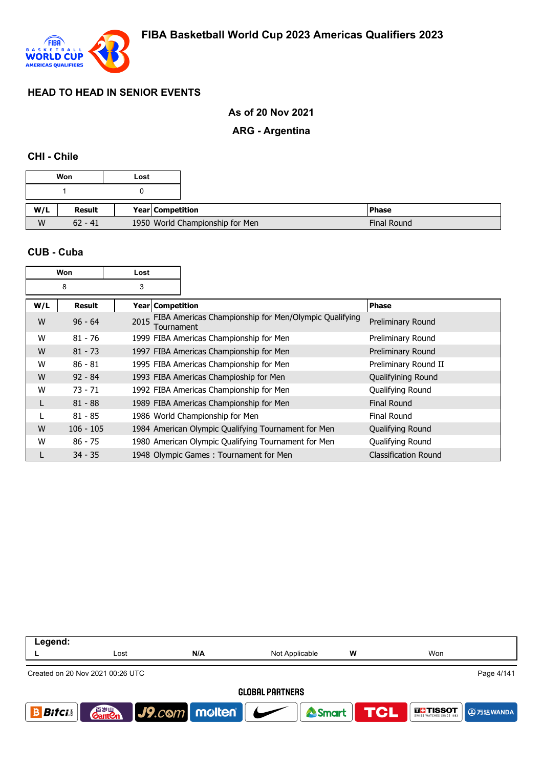

## **As of 20 Nov 2021**

## **ARG - Argentina**

#### **CHI - Chile**

|     | Won       | Lost |                                 |                    |
|-----|-----------|------|---------------------------------|--------------------|
|     |           |      |                                 |                    |
| W/L | Result    |      | Year Competition                | <b>IPhase</b>      |
| W   | $62 - 41$ |      | 1950 World Championship for Men | <b>Final Round</b> |

#### **CUB - Cuba**

|     | Won           | Lost               |                                                       |                             |
|-----|---------------|--------------------|-------------------------------------------------------|-----------------------------|
|     | 8             | 3                  |                                                       |                             |
| W/L | <b>Result</b> | Year   Competition |                                                       | <b>Phase</b>                |
| W   | $96 - 64$     | 2015<br>Tournament | FIBA Americas Championship for Men/Olympic Qualifying | Preliminary Round           |
| W   | $81 - 76$     |                    | 1999 FIBA Americas Championship for Men               | Preliminary Round           |
| W   | $81 - 73$     |                    | 1997 FIBA Americas Championship for Men               | Preliminary Round           |
| W   | $86 - 81$     |                    | 1995 FIBA Americas Championship for Men               | Preliminary Round II        |
| W   | $92 - 84$     |                    | 1993 FIBA Americas Champioship for Men                | Qualifyining Round          |
| W   | $73 - 71$     |                    | 1992 FIBA Americas Championship for Men               | Qualifying Round            |
|     | $81 - 88$     |                    | 1989 FIBA Americas Championship for Men               | <b>Final Round</b>          |
|     | $81 - 85$     |                    | 1986 World Championship for Men                       | <b>Final Round</b>          |
| W   | $106 - 105$   |                    | 1984 American Olympic Qualifying Tournament for Men   | Qualifying Round            |
| W   | $86 - 75$     |                    | 1980 American Olympic Qualifying Tournament for Men   | Qualifying Round            |
|     | $34 - 35$     |                    | 1948 Olympic Games: Tournament for Men                | <b>Classification Round</b> |

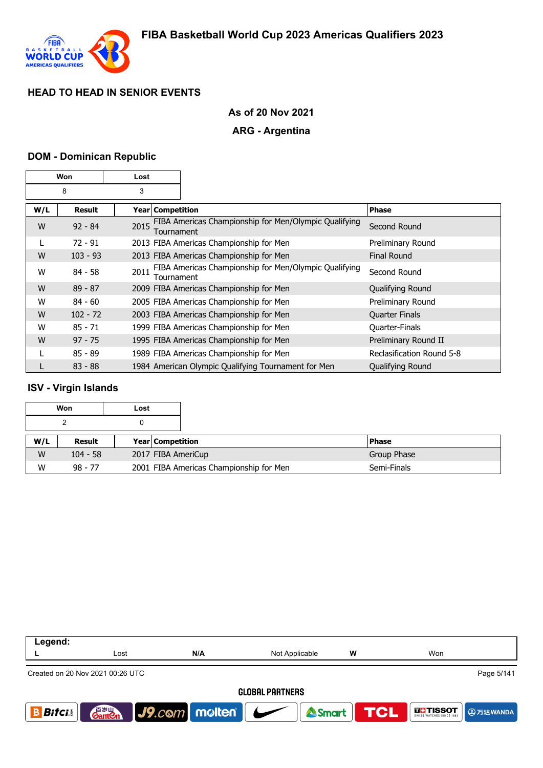

## **As of 20 Nov 2021**

### **ARG - Argentina**

### **DOM - Dominican Republic**

|     | Won        | Lost               |                                                       |                           |
|-----|------------|--------------------|-------------------------------------------------------|---------------------------|
|     | 8          | 3                  |                                                       |                           |
| W/L | Result     | Year Competition   |                                                       | <b>Phase</b>              |
| W   | $92 - 84$  | 2015<br>Tournament | FIBA Americas Championship for Men/Olympic Qualifying | Second Round              |
| L   | $72 - 91$  |                    | 2013 FIBA Americas Championship for Men               | Preliminary Round         |
| W   | $103 - 93$ |                    | 2013 FIBA Americas Championship for Men               | <b>Final Round</b>        |
| W   | $84 - 58$  | 2011<br>Tournament | FIBA Americas Championship for Men/Olympic Qualifying | Second Round              |
| W   | $89 - 87$  |                    | 2009 FIBA Americas Championship for Men               | Qualifying Round          |
| W   | $84 - 60$  |                    | 2005 FIBA Americas Championship for Men               | Preliminary Round         |
| W   | $102 - 72$ |                    | 2003 FIBA Americas Championship for Men               | <b>Quarter Finals</b>     |
| W   | $85 - 71$  |                    | 1999 FIBA Americas Championship for Men               | Quarter-Finals            |
| W   | $97 - 75$  |                    | 1995 FIBA Americas Championship for Men               | Preliminary Round II      |
|     | $85 - 89$  |                    | 1989 FIBA Americas Championship for Men               | Reclasification Round 5-8 |
|     | $83 - 88$  |                    | 1984 American Olympic Qualifying Tournament for Men   | Qualifying Round          |

## **ISV - Virgin Islands**

|     | Won        | Lost |                    |              |
|-----|------------|------|--------------------|--------------|
|     |            |      |                    |              |
| W/L | Result     |      | Year Competition   | <b>Phase</b> |
|     |            |      |                    |              |
| W   | $104 - 58$ |      | 2017 FIBA AmeriCup | Group Phase  |

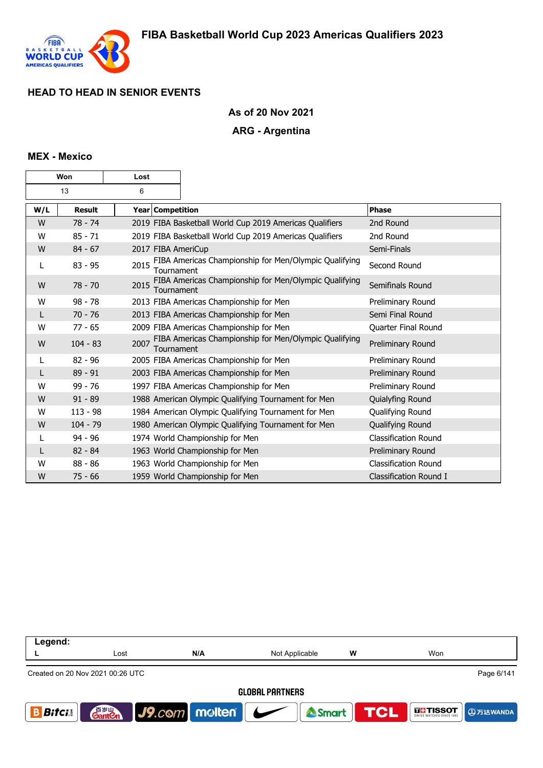

## **As of 20 Nov 2021**

### **ARG - Argentina**

## **MEX - Mexico**

| Won |               | Lost |                                                                     |                             |
|-----|---------------|------|---------------------------------------------------------------------|-----------------------------|
|     | 13            | 6    |                                                                     |                             |
| W/L | <b>Result</b> |      | <b>Year Competition</b>                                             | Phase                       |
| W   | $78 - 74$     |      | 2019 FIBA Basketball World Cup 2019 Americas Qualifiers             | 2nd Round                   |
| W   | $85 - 71$     |      | 2019 FIBA Basketball World Cup 2019 Americas Qualifiers             | 2nd Round                   |
| W   | $84 - 67$     |      | 2017 FIBA AmeriCup                                                  | Semi-Finals                 |
| L   | $83 - 95$     | 2015 | FIBA Americas Championship for Men/Olympic Qualifying<br>Tournament | Second Round                |
| W   | $78 - 70$     | 2015 | FIBA Americas Championship for Men/Olympic Qualifying<br>Tournament | Semifinals Round            |
| W   | $98 - 78$     |      | 2013 FIBA Americas Championship for Men                             | Preliminary Round           |
| L   | $70 - 76$     |      | 2013 FIBA Americas Championship for Men                             | Semi Final Round            |
| W   | $77 - 65$     |      | 2009 FIBA Americas Championship for Men                             | Quarter Final Round         |
| W   | $104 - 83$    | 2007 | FIBA Americas Championship for Men/Olympic Qualifying<br>Tournament | Preliminary Round           |
| L   | $82 - 96$     |      | 2005 FIBA Americas Championship for Men                             | Preliminary Round           |
| L   | $89 - 91$     |      | 2003 FIBA Americas Championship for Men                             | Preliminary Round           |
| W   | $99 - 76$     |      | 1997 FIBA Americas Championship for Men                             | Preliminary Round           |
| W   | $91 - 89$     |      | 1988 American Olympic Qualifying Tournament for Men                 | Quialyfing Round            |
| W   | $113 - 98$    |      | 1984 American Olympic Qualifying Tournament for Men                 | Qualifying Round            |
| W   | $104 - 79$    |      | 1980 American Olympic Qualifying Tournament for Men                 | Qualifying Round            |
| L   | $94 - 96$     |      | 1974 World Championship for Men                                     | <b>Classification Round</b> |
| L   | $82 - 84$     |      | 1963 World Championship for Men                                     | Preliminary Round           |
| W   | $88 - 86$     |      | 1963 World Championship for Men                                     | Classification Round        |
| W   | $75 - 66$     |      | 1959 World Championship for Men                                     | Classification Round I      |

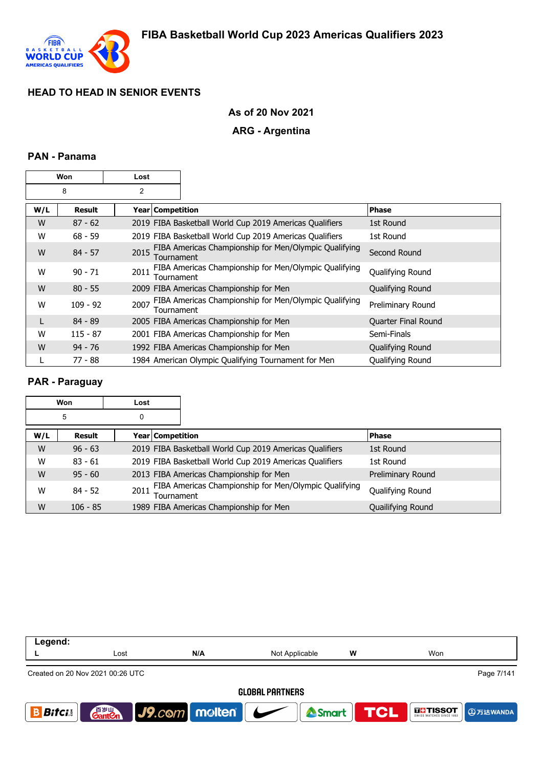

## **As of 20 Nov 2021**

## **ARG - Argentina**

## **PAN - Panama**

|     | Won        | Lost               |                                                         |                     |
|-----|------------|--------------------|---------------------------------------------------------|---------------------|
|     | 8          | 2                  |                                                         |                     |
| W/L | Result     | Year   Competition |                                                         | <b>Phase</b>        |
| W   | $87 - 62$  |                    | 2019 FIBA Basketball World Cup 2019 Americas Qualifiers | 1st Round           |
| W   | $68 - 59$  |                    | 2019 FIBA Basketball World Cup 2019 Americas Qualifiers | 1st Round           |
| W   | $84 - 57$  | 2015<br>Tournament | FIBA Americas Championship for Men/Olympic Qualifying   | Second Round        |
| W   | $90 - 71$  | 2011<br>Tournament | FIBA Americas Championship for Men/Olympic Qualifying   | Qualifying Round    |
| W   | $80 - 55$  |                    | 2009 FIBA Americas Championship for Men                 | Qualifying Round    |
| W   | $109 - 92$ | 2007<br>Tournament | FIBA Americas Championship for Men/Olympic Qualifying   | Preliminary Round   |
| L   | $84 - 89$  |                    | 2005 FIBA Americas Championship for Men                 | Quarter Final Round |
| W   | $115 - 87$ |                    | 2001 FIBA Americas Championship for Men                 | Semi-Finals         |
| W   | $94 - 76$  |                    | 1992 FIBA Americas Championship for Men                 | Qualifying Round    |
|     | $77 - 88$  |                    | 1984 American Olympic Qualifying Tournament for Men     | Qualifying Round    |

## **PAR - Paraguay**

|     | Won        | Lost                    |                                                         |                   |
|-----|------------|-------------------------|---------------------------------------------------------|-------------------|
|     | 5          | 0                       |                                                         |                   |
| W/L | Result     | <b>Year Competition</b> |                                                         | <b>Phase</b>      |
| W   | $96 - 63$  |                         | 2019 FIBA Basketball World Cup 2019 Americas Qualifiers | 1st Round         |
| W   | $83 - 61$  |                         | 2019 FIBA Basketball World Cup 2019 Americas Qualifiers | 1st Round         |
| W   | $95 - 60$  |                         | 2013 FIBA Americas Championship for Men                 | Preliminary Round |
| W   | $84 - 52$  | 2011<br>Tournament      | FIBA Americas Championship for Men/Olympic Qualifying   | Qualifying Round  |
| W   | $106 - 85$ |                         | 1989 FIBA Americas Championship for Men                 | Quailifying Round |

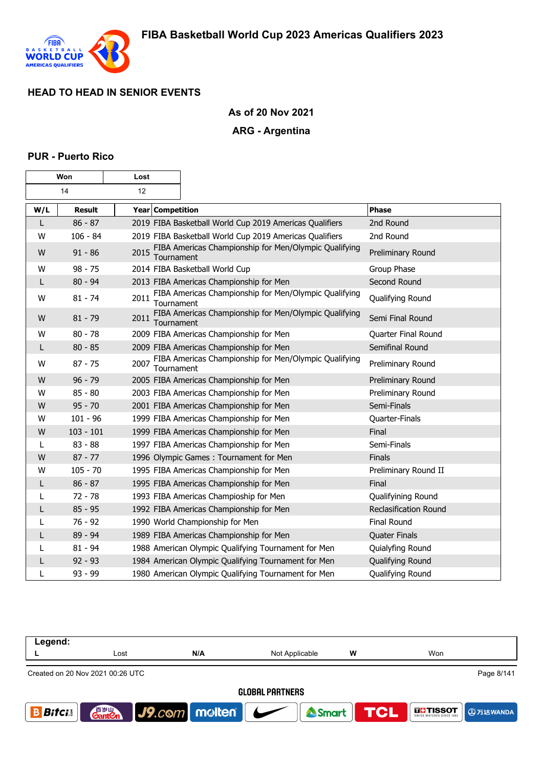

7

# **As of 20 Nov 2021**

# **ARG - Argentina**

### **PUR - Puerto Rico**

|     | Won           | Lost               |                                                         |                              |
|-----|---------------|--------------------|---------------------------------------------------------|------------------------------|
|     | 14            | 12                 |                                                         |                              |
| W/L | <b>Result</b> | Year Competition   |                                                         | <b>Phase</b>                 |
| L   | $86 - 87$     |                    | 2019 FIBA Basketball World Cup 2019 Americas Qualifiers | 2nd Round                    |
| W   | $106 - 84$    |                    | 2019 FIBA Basketball World Cup 2019 Americas Qualifiers | 2nd Round                    |
| W   | $91 - 86$     | 2015<br>Tournament | FIBA Americas Championship for Men/Olympic Qualifying   | Preliminary Round            |
| W   | $98 - 75$     |                    | 2014 FIBA Basketball World Cup                          | Group Phase                  |
| L   | $80 - 94$     |                    | 2013 FIBA Americas Championship for Men                 | Second Round                 |
| W   | $81 - 74$     | 2011<br>Tournament | FIBA Americas Championship for Men/Olympic Qualifying   | Qualifying Round             |
| W   | $81 - 79$     | 2011<br>Tournament | FIBA Americas Championship for Men/Olympic Qualifying   | Semi Final Round             |
| W   | $80 - 78$     |                    | 2009 FIBA Americas Championship for Men                 | Quarter Final Round          |
| L   | $80 - 85$     |                    | 2009 FIBA Americas Championship for Men                 | Semifinal Round              |
| W   | $87 - 75$     | 2007<br>Tournament | FIBA Americas Championship for Men/Olympic Qualifying   | Preliminary Round            |
| W   | $96 - 79$     |                    | 2005 FIBA Americas Championship for Men                 | Preliminary Round            |
| W   | $85 - 80$     |                    | 2003 FIBA Americas Championship for Men                 | Preliminary Round            |
| W   | $95 - 70$     |                    | 2001 FIBA Americas Championship for Men                 | Semi-Finals                  |
| w   | $101 - 96$    |                    | 1999 FIBA Americas Championship for Men                 | Quarter-Finals               |
| W   | $103 - 101$   |                    | 1999 FIBA Americas Championship for Men                 | Final                        |
| L   | $83 - 88$     |                    | 1997 FIBA Americas Championship for Men                 | Semi-Finals                  |
| W   | $87 - 77$     |                    | 1996 Olympic Games: Tournament for Men                  | Finals                       |
| W   | $105 - 70$    |                    | 1995 FIBA Americas Championship for Men                 | Preliminary Round II         |
|     | $86 - 87$     |                    | 1995 FIBA Americas Championship for Men                 | Final                        |
|     | $72 - 78$     |                    | 1993 FIBA Americas Champioship for Men                  | Qualifyining Round           |
| L   | $85 - 95$     |                    | 1992 FIBA Americas Championship for Men                 | <b>Reclasification Round</b> |
|     | $76 - 92$     |                    | 1990 World Championship for Men                         | Final Round                  |
|     | $89 - 94$     |                    | 1989 FIBA Americas Championship for Men                 | Quater Finals                |
|     | $81 - 94$     |                    | 1988 American Olympic Qualifying Tournament for Men     | Quialyfing Round             |
| L   | $92 - 93$     |                    | 1984 American Olympic Qualifying Tournament for Men     | Qualifying Round             |
| L   | $93 - 99$     |                    | 1980 American Olympic Qualifying Tournament for Men     | Qualifying Round             |

| Legend:                          |                                    |                          |                          |                  |                                                          |  |  |  |
|----------------------------------|------------------------------------|--------------------------|--------------------------|------------------|----------------------------------------------------------|--|--|--|
|                                  | Lost                               | N/A                      | Not Applicable           | w                | Won                                                      |  |  |  |
| Created on 20 Nov 2021 00:26 UTC |                                    |                          |                          |                  | Page 8/141                                               |  |  |  |
|                                  | <b>GLOBAL PARTNERS</b>             |                          |                          |                  |                                                          |  |  |  |
| <b>Bifci</b>                     | 音 <sub>岁Ⅲ</sub><br>Gant <b>C</b> n | $ $ J9. $com$ molten $ $ | $\overline{\phantom{a}}$ | Smart <b>TCL</b> | $\prod_{\text{SWISS}}$ <b>TISSOT</b><br><b>D</b> 万达WANDA |  |  |  |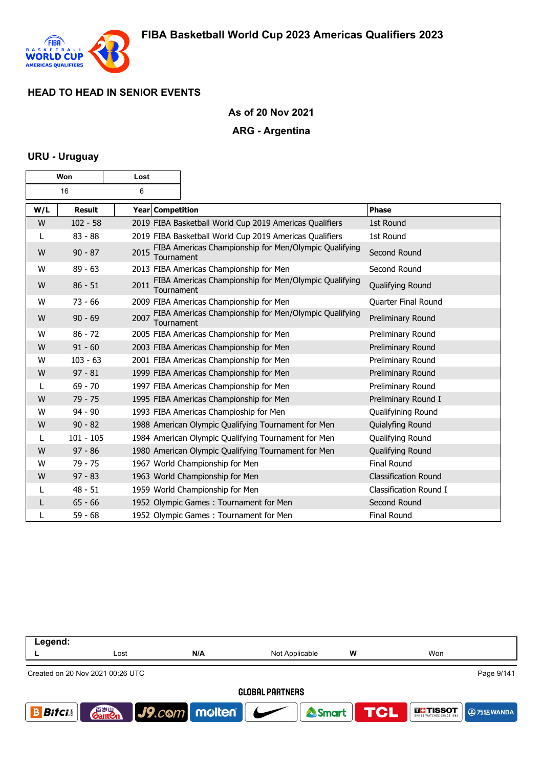

## **As of 20 Nov 2021**

### **ARG - Argentina**

### **URU - Uruguay**

| Won |               | Lost               |                                                         |                             |
|-----|---------------|--------------------|---------------------------------------------------------|-----------------------------|
|     | 16            | 6                  |                                                         |                             |
| W/L | <b>Result</b> | Year Competition   |                                                         | Phase                       |
| W   | $102 - 58$    |                    | 2019 FIBA Basketball World Cup 2019 Americas Qualifiers | 1st Round                   |
| L   | $83 - 88$     |                    | 2019 FIBA Basketball World Cup 2019 Americas Qualifiers | 1st Round                   |
| W   | $90 - 87$     | 2015<br>Tournament | FIBA Americas Championship for Men/Olympic Qualifying   | Second Round                |
| W   | $89 - 63$     |                    | 2013 FIBA Americas Championship for Men                 | Second Round                |
| W   | $86 - 51$     | 2011<br>Tournament | FIBA Americas Championship for Men/Olympic Qualifying   | Qualifying Round            |
| W   | $73 - 66$     |                    | 2009 FIBA Americas Championship for Men                 | Quarter Final Round         |
| W   | $90 - 69$     | 2007<br>Tournament | FIBA Americas Championship for Men/Olympic Qualifying   | Preliminary Round           |
| W   | $86 - 72$     |                    | 2005 FIBA Americas Championship for Men                 | Preliminary Round           |
| W   | $91 - 60$     |                    | 2003 FIBA Americas Championship for Men                 | Preliminary Round           |
| W   | $103 - 63$    |                    | 2001 FIBA Americas Championship for Men                 | Preliminary Round           |
| W   | $97 - 81$     |                    | 1999 FIBA Americas Championship for Men                 | Preliminary Round           |
| L   | $69 - 70$     |                    | 1997 FIBA Americas Championship for Men                 | Preliminary Round           |
| W   | $79 - 75$     |                    | 1995 FIBA Americas Championship for Men                 | Preliminary Round I         |
| W   | $94 - 90$     |                    | 1993 FIBA Americas Champioship for Men                  | Qualifyining Round          |
| W   | $90 - 82$     |                    | 1988 American Olympic Qualifying Tournament for Men     | Quialyfing Round            |
| L   | $101 - 105$   |                    | 1984 American Olympic Qualifying Tournament for Men     | Qualifying Round            |
| W   | $97 - 86$     |                    | 1980 American Olympic Qualifying Tournament for Men     | Qualifying Round            |
| W   | $79 - 75$     |                    | 1967 World Championship for Men                         | <b>Final Round</b>          |
| W   | $97 - 83$     |                    | 1963 World Championship for Men                         | <b>Classification Round</b> |
|     | $48 - 51$     |                    | 1959 World Championship for Men                         | Classification Round I      |
| L   | $65 - 66$     |                    | 1952 Olympic Games: Tournament for Men                  | Second Round                |
|     | $59 - 68$     |                    | 1952 Olympic Games: Tournament for Men                  | Final Round                 |

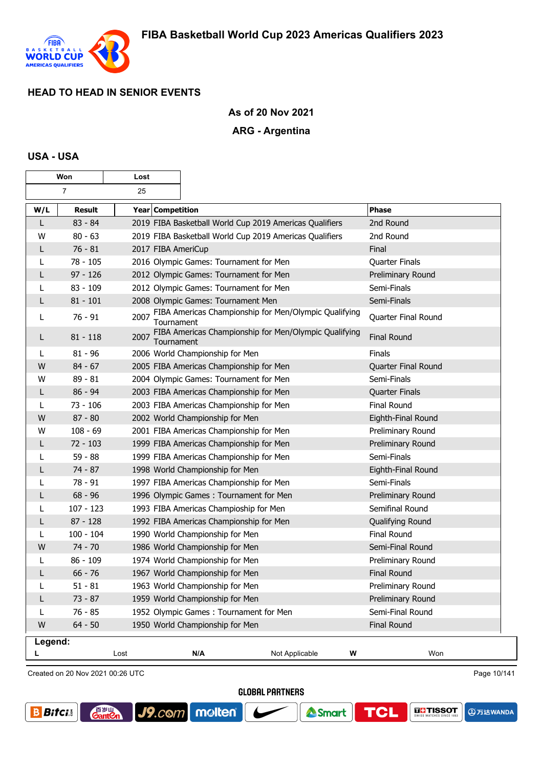

## **As of 20 Nov 2021**

## **ARG - Argentina**

## **USA - USA**

|         | Won            | Lost               |                                                         |                                                            |   |                     |
|---------|----------------|--------------------|---------------------------------------------------------|------------------------------------------------------------|---|---------------------|
|         | $\overline{7}$ | 25                 |                                                         |                                                            |   |                     |
| W/L     | <b>Result</b>  | Year Competition   |                                                         |                                                            |   | <b>Phase</b>        |
| L       | $83 - 84$      |                    | 2019 FIBA Basketball World Cup 2019 Americas Qualifiers |                                                            |   | 2nd Round           |
| W       | $80 - 63$      |                    | 2019 FIBA Basketball World Cup 2019 Americas Qualifiers |                                                            |   | 2nd Round           |
| L       | $76 - 81$      | 2017 FIBA AmeriCup |                                                         |                                                            |   | Final               |
| L       | $78 - 105$     |                    | 2016 Olympic Games: Tournament for Men                  |                                                            |   | Quarter Finals      |
| L       | $97 - 126$     |                    | 2012 Olympic Games: Tournament for Men                  |                                                            |   | Preliminary Round   |
| L       | $83 - 109$     |                    | 2012 Olympic Games: Tournament for Men                  |                                                            |   | Semi-Finals         |
| L       | $81 - 101$     |                    | 2008 Olympic Games: Tournament Men                      |                                                            |   | Semi-Finals         |
| L       | $76 - 91$      | 2007<br>Tournament |                                                         | FIBA Americas Championship for Men/Olympic Qualifying      |   | Quarter Final Round |
| L       | $81 - 118$     | Tournament         |                                                         | 2007 FIBA Americas Championship for Men/Olympic Qualifying |   | <b>Final Round</b>  |
| L       | $81 - 96$      |                    | 2006 World Championship for Men                         |                                                            |   | Finals              |
| W       | $84 - 67$      |                    | 2005 FIBA Americas Championship for Men                 |                                                            |   | Quarter Final Round |
| W       | $89 - 81$      |                    | 2004 Olympic Games: Tournament for Men                  |                                                            |   | Semi-Finals         |
| L       | $86 - 94$      |                    | 2003 FIBA Americas Championship for Men                 |                                                            |   | Quarter Finals      |
| L       | $73 - 106$     |                    | 2003 FIBA Americas Championship for Men                 |                                                            |   | Final Round         |
| W       | $87 - 80$      |                    | 2002 World Championship for Men                         |                                                            |   | Eighth-Final Round  |
| W       | $108 - 69$     |                    | 2001 FIBA Americas Championship for Men                 |                                                            |   | Preliminary Round   |
| L       | $72 - 103$     |                    | 1999 FIBA Americas Championship for Men                 |                                                            |   | Preliminary Round   |
|         | $59 - 88$      |                    | 1999 FIBA Americas Championship for Men                 |                                                            |   | Semi-Finals         |
| L       | $74 - 87$      |                    | 1998 World Championship for Men                         |                                                            |   | Eighth-Final Round  |
| L       | $78 - 91$      |                    | 1997 FIBA Americas Championship for Men                 |                                                            |   | Semi-Finals         |
| L       | $68 - 96$      |                    | 1996 Olympic Games: Tournament for Men                  |                                                            |   | Preliminary Round   |
| L       | $107 - 123$    |                    | 1993 FIBA Americas Champioship for Men                  |                                                            |   | Semifinal Round     |
| L       | $87 - 128$     |                    | 1992 FIBA Americas Championship for Men                 |                                                            |   | Qualifying Round    |
| L       | $100 - 104$    |                    | 1990 World Championship for Men                         |                                                            |   | Final Round         |
| W       | $74 - 70$      |                    | 1986 World Championship for Men                         |                                                            |   | Semi-Final Round    |
|         | $86 - 109$     |                    | 1974 World Championship for Men                         |                                                            |   | Preliminary Round   |
| L       | $66 - 76$      |                    | 1967 World Championship for Men                         |                                                            |   | <b>Final Round</b>  |
| L       | $51 - 81$      |                    | 1963 World Championship for Men                         |                                                            |   | Preliminary Round   |
| L       | $73 - 87$      |                    | 1959 World Championship for Men                         |                                                            |   | Preliminary Round   |
| L       | $76 - 85$      |                    | 1952 Olympic Games: Tournament for Men                  |                                                            |   | Semi-Final Round    |
| W       | $64 - 50$      |                    | 1950 World Championship for Men                         |                                                            |   | <b>Final Round</b>  |
| Legend: |                | Lost               | N/A                                                     | Not Applicable                                             | W | Won                 |
|         |                |                    |                                                         |                                                            |   |                     |

Created on 20 Nov 2021 00:26 UTC

**GantOn** 

Page 10/141

**GLOBAL PARTNERS** 





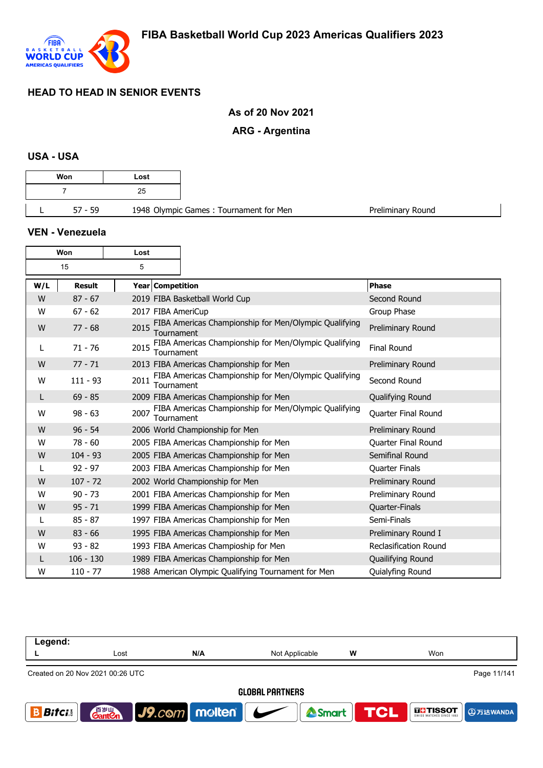

# **As of 20 Nov 2021**

# **ARG - Argentina**

#### **USA - USA**

| Won       | Lost |                                        |  |
|-----------|------|----------------------------------------|--|
|           | 25   |                                        |  |
| $57 - 59$ |      | 1948 Olympic Games: Tournament for Men |  |

#### **VEN - Venezuela**

| Won |               | Lost |                    |                                                       |                       |
|-----|---------------|------|--------------------|-------------------------------------------------------|-----------------------|
|     | 15            | 5    |                    |                                                       |                       |
| W/L | <b>Result</b> |      | Year Competition   |                                                       | <b>Phase</b>          |
| W   | $87 - 67$     |      |                    | 2019 FIBA Basketball World Cup                        | Second Round          |
| W   | $67 - 62$     |      | 2017 FIBA AmeriCup |                                                       | Group Phase           |
| W   | $77 - 68$     | 2015 | Tournament         | FIBA Americas Championship for Men/Olympic Qualifying | Preliminary Round     |
| L   | $71 - 76$     | 2015 | Tournament         | FIBA Americas Championship for Men/Olympic Qualifying | <b>Final Round</b>    |
| W   | $77 - 71$     |      |                    | 2013 FIBA Americas Championship for Men               | Preliminary Round     |
| W   | $111 - 93$    | 2011 | Tournament         | FIBA Americas Championship for Men/Olympic Qualifying | Second Round          |
| L   | $69 - 85$     |      |                    | 2009 FIBA Americas Championship for Men               | Qualifying Round      |
| W   | $98 - 63$     | 2007 | Tournament         | FIBA Americas Championship for Men/Olympic Qualifying | Quarter Final Round   |
| W   | $96 - 54$     |      |                    | 2006 World Championship for Men                       | Preliminary Round     |
| W   | $78 - 60$     |      |                    | 2005 FIBA Americas Championship for Men               | Quarter Final Round   |
| W   | $104 - 93$    |      |                    | 2005 FIBA Americas Championship for Men               | Semifinal Round       |
| L   | $92 - 97$     |      |                    | 2003 FIBA Americas Championship for Men               | Quarter Finals        |
| W   | $107 - 72$    |      |                    | 2002 World Championship for Men                       | Preliminary Round     |
| W   | $90 - 73$     |      |                    | 2001 FIBA Americas Championship for Men               | Preliminary Round     |
| W   | $95 - 71$     |      |                    | 1999 FIBA Americas Championship for Men               | Quarter-Finals        |
| L   | $85 - 87$     |      |                    | 1997 FIBA Americas Championship for Men               | Semi-Finals           |
| W   | $83 - 66$     |      |                    | 1995 FIBA Americas Championship for Men               | Preliminary Round I   |
| W   | $93 - 82$     |      |                    | 1993 FIBA Americas Champioship for Men                | Reclasification Round |
| L   | $106 - 130$   |      |                    | 1989 FIBA Americas Championship for Men               | Quailifying Round     |
| W   | $110 - 77$    |      |                    | 1988 American Olympic Qualifying Tournament for Men   | Quialyfing Round      |

| Legend:      |                                                 |                                       |                |                  |                              |  |  |  |
|--------------|-------------------------------------------------|---------------------------------------|----------------|------------------|------------------------------|--|--|--|
|              | Lost                                            | N/A                                   | Not Applicable | w                | Won                          |  |  |  |
|              | Page 11/141<br>Created on 20 Nov 2021 00:26 UTC |                                       |                |                  |                              |  |  |  |
|              | <b>GLOBAL PARTNERS</b>                          |                                       |                |                  |                              |  |  |  |
| <b>Bifci</b> | 音 <sub>岁Ⅲ</sub><br>Gant <b>C</b> n              | $\vert$ J9.com molten $\vert$ $\vert$ |                | Smart <b>TCL</b> | <b>IF TISSOT</b><br>9万达WANDA |  |  |  |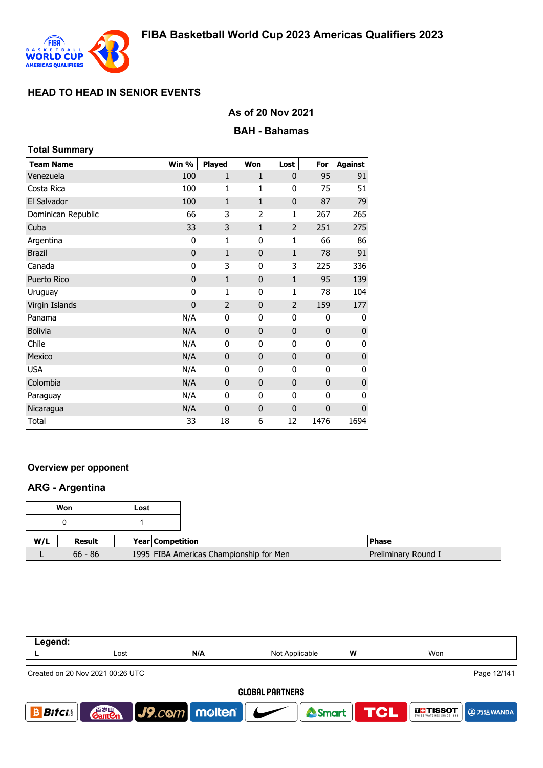

# **As of 20 Nov 2021**

## **BAH - Bahamas**

| <b>Total Summary</b> |                |                |              |                |              |                |
|----------------------|----------------|----------------|--------------|----------------|--------------|----------------|
| <b>Team Name</b>     | Win %          | <b>Played</b>  | Won          | Lost           | For          | <b>Against</b> |
| Venezuela            | 100            | 1              | $\mathbf{1}$ | $\mathbf{0}$   | 95           | 91             |
| Costa Rica           | 100            | 1              | 1            | $\mathbf 0$    | 75           | 51             |
| El Salvador          | 100            | $\mathbf{1}$   | $\mathbf{1}$ | $\mathbf 0$    | 87           | 79             |
| Dominican Republic   | 66             | 3              | 2            | 1              | 267          | 265            |
| Cuba                 | 33             | 3              | $\mathbf{1}$ | 2              | 251          | 275            |
| Argentina            | 0              | 1              | 0            | 1              | 66           | 86             |
| <b>Brazil</b>        | $\mathbf 0$    | $\mathbf{1}$   | $\mathbf{0}$ | $\mathbf{1}$   | 78           | 91             |
| Canada               | 0              | 3              | 0            | 3              | 225          | 336            |
| Puerto Rico          | $\mathbf 0$    | 1              | 0            | $\mathbf{1}$   | 95           | 139            |
| Uruguay              | 0              | 1              | 0            | 1              | 78           | 104            |
| Virgin Islands       | $\overline{0}$ | $\overline{2}$ | $\mathbf 0$  | $\overline{2}$ | 159          | 177            |
| Panama               | N/A            | $\mathbf 0$    | 0            | 0              | 0            | 0              |
| <b>Bolivia</b>       | N/A            | $\mathbf 0$    | 0            | $\mathbf 0$    | $\mathbf 0$  | $\mathbf 0$    |
| Chile                | N/A            | 0              | 0            | 0              | 0            | 0              |
| Mexico               | N/A            | $\mathbf{0}$   | $\mathbf{0}$ | $\mathbf 0$    | $\mathbf{0}$ | $\pmb{0}$      |
| <b>USA</b>           | N/A            | 0              | 0            | 0              | 0            | $\mathbf 0$    |
| Colombia             | N/A            | $\mathbf 0$    | 0            | $\mathbf 0$    | $\mathbf 0$  | $\pmb{0}$      |
| Paraguay             | N/A            | 0              | 0            | 0              | $\mathbf 0$  | $\mathbf 0$    |
| Nicaragua            | N/A            | $\mathbf 0$    | 0            | $\mathbf 0$    | $\mathbf 0$  | $\mathbf 0$    |
| Total                | 33             | 18             | 6            | 12             | 1476         | 1694           |

## **Overview per opponent**

## **ARG - Argentina**

|     | Won       | Lost |                                         |                     |
|-----|-----------|------|-----------------------------------------|---------------------|
|     |           |      |                                         |                     |
| W/L | Result    |      | <b>Year Competition</b>                 | l Phase             |
|     | $66 - 86$ |      | 1995 FIBA Americas Championship for Men | Preliminary Round I |

| Legend:      |                                                 |                                     |                |   |                             |  |  |
|--------------|-------------------------------------------------|-------------------------------------|----------------|---|-----------------------------|--|--|
|              | Lost                                            | N/A                                 | Not Applicable | W | Won                         |  |  |
|              | Page 12/141<br>Created on 20 Nov 2021 00:26 UTC |                                     |                |   |                             |  |  |
|              | <b>GLOBAL PARTNERS</b>                          |                                     |                |   |                             |  |  |
| <b>Bifci</b> | <b>GantOn</b>                                   | $\big $ J9.com   molten   $\bigcup$ | Smart          |   | <b>TCL</b><br><b>THESOT</b> |  |  |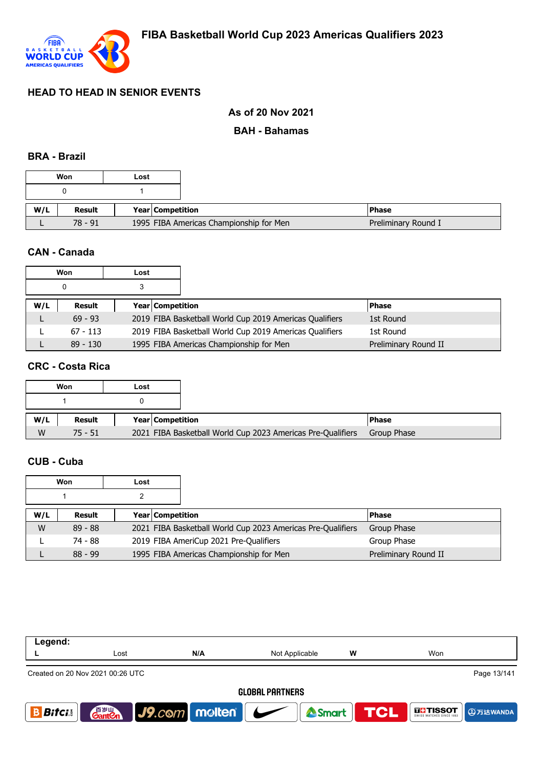

# **As of 20 Nov 2021**

## **BAH - Bahamas**

#### **BRA - Brazil**

|     | Won     | Lost |                                         |                     |
|-----|---------|------|-----------------------------------------|---------------------|
|     |         |      |                                         |                     |
| W/L | Result  |      | Year Competition                        | <b>Phase</b>        |
|     | 78 - 91 |      | 1995 FIBA Americas Championship for Men | Preliminary Round I |

## **CAN - Canada**

|     | Won        | Lost                    |                                                         |                      |
|-----|------------|-------------------------|---------------------------------------------------------|----------------------|
|     |            |                         |                                                         |                      |
| W/L | Result     | <b>Year Competition</b> |                                                         | <b>Phase</b>         |
|     | $69 - 93$  |                         | 2019 FIBA Basketball World Cup 2019 Americas Qualifiers | 1st Round            |
|     | $67 - 113$ |                         | 2019 FIBA Basketball World Cup 2019 Americas Qualifiers | 1st Round            |
|     | $89 - 130$ |                         | 1995 FIBA Americas Championship for Men                 | Preliminary Round II |

## **CRC - Costa Rica**

|     | Won           | Lost |                         |                                                             |              |
|-----|---------------|------|-------------------------|-------------------------------------------------------------|--------------|
|     |               |      |                         |                                                             |              |
| W/L | <b>Result</b> |      | <b>Year Competition</b> |                                                             | <b>Phase</b> |
| W   | $75 - 51$     |      |                         | 2021 FIBA Basketball World Cup 2023 Americas Pre-Qualifiers | Group Phase  |

## **CUB - Cuba**

|     | Won       | Lost |                  |                                                             |                      |
|-----|-----------|------|------------------|-------------------------------------------------------------|----------------------|
|     |           |      |                  |                                                             |                      |
| W/L | Result    |      | Year Competition |                                                             | <b>Phase</b>         |
| W   | $89 - 88$ |      |                  | 2021 FIBA Basketball World Cup 2023 Americas Pre-Qualifiers | Group Phase          |
|     | 74 - 88   |      |                  | 2019 FIBA AmeriCup 2021 Pre-Qualifiers                      | Group Phase          |
|     | $88 - 99$ |      |                  | 1995 FIBA Americas Championship for Men                     | Preliminary Round II |

| Legend:      |                                    |                                   |                        |                  |                   |
|--------------|------------------------------------|-----------------------------------|------------------------|------------------|-------------------|
|              | Lost                               | N/A                               | Not Applicable         | w                | Won               |
|              | Created on 20 Nov 2021 00:26 UTC   |                                   |                        |                  | Page 13/141       |
|              |                                    |                                   | <b>GLOBAL PARTNERS</b> |                  |                   |
| <b>Bifci</b> | 音 <sub>岁Ⅲ</sub><br>Gant <b>C</b> n | $\vert$ J9.com   molten   $\vert$ |                        | Smart <b>TCL</b> | <b>THE TISSOT</b> |
|              |                                    |                                   |                        |                  |                   |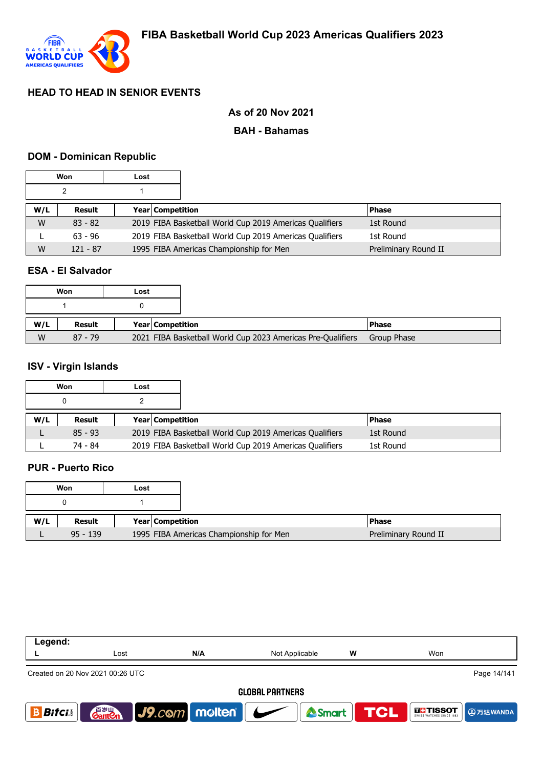

## **As of 20 Nov 2021**

## **BAH - Bahamas**

## **DOM - Dominican Republic**

|     | Won        | Lost |                                                         |                      |
|-----|------------|------|---------------------------------------------------------|----------------------|
|     |            |      |                                                         |                      |
| W/L | Result     |      | <b>Year Competition</b>                                 | <b>Phase</b>         |
| W   | $83 - 82$  |      | 2019 FIBA Basketball World Cup 2019 Americas Qualifiers | 1st Round            |
|     | $63 - 96$  |      | 2019 FIBA Basketball World Cup 2019 Americas Qualifiers | 1st Round            |
| W   | $121 - 87$ |      | 1995 FIBA Americas Championship for Men                 | Preliminary Round II |

## **ESA - El Salvador**

|     | Won       | Lost |                  |                                                             |              |
|-----|-----------|------|------------------|-------------------------------------------------------------|--------------|
|     |           |      |                  |                                                             |              |
| W/L | Result    |      | Year Competition |                                                             | <b>Phase</b> |
| W   | $87 - 79$ |      |                  | 2021 FIBA Basketball World Cup 2023 Americas Pre-Qualifiers | Group Phase  |

### **ISV - Virgin Islands**

|     | Won       | Lost |                         |                                                         |           |  |
|-----|-----------|------|-------------------------|---------------------------------------------------------|-----------|--|
|     | 0         |      |                         |                                                         |           |  |
| W/L | Result    |      | <b>Year Competition</b> |                                                         | l Phase   |  |
|     | $85 - 93$ |      |                         | 2019 FIBA Basketball World Cup 2019 Americas Qualifiers | 1st Round |  |
|     | 74 - 84   |      |                         | 2019 FIBA Basketball World Cup 2019 Americas Qualifiers | 1st Round |  |

### **PUR - Puerto Rico**

|     | Won        | Lost |                                         |
|-----|------------|------|-----------------------------------------|
|     |            |      |                                         |
| W/L | Result     |      | Year Competition                        |
|     | $95 - 139$ |      | 1995 FIBA Americas Championship for Men |

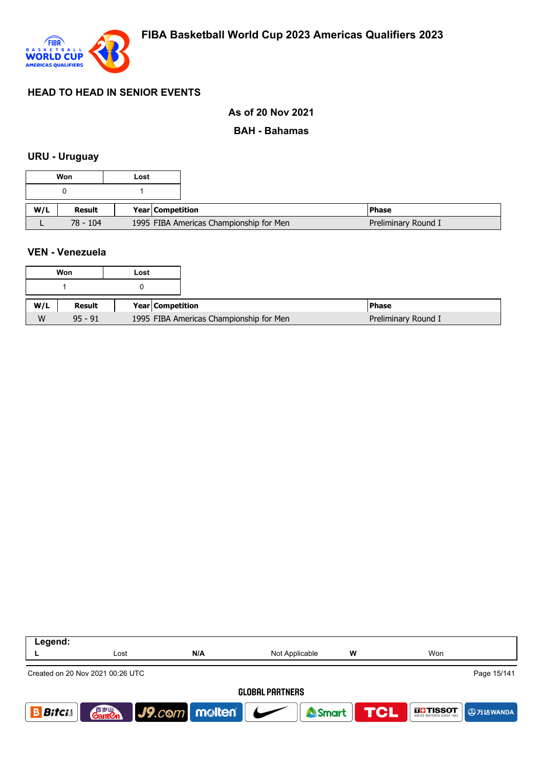

## **As of 20 Nov 2021**

## **BAH - Bahamas**

#### **URU - Uruguay**

|     | Won        | Lost |                                         |                     |
|-----|------------|------|-----------------------------------------|---------------------|
|     |            |      |                                         |                     |
| W/L | Result     |      | <b>Year Competition</b>                 | <b>Phase</b>        |
|     | $78 - 104$ |      | 1995 FIBA Americas Championship for Men | Preliminary Round I |

### **VEN - Venezuela**

|     | Won       | Lost |                         |                                         |                     |
|-----|-----------|------|-------------------------|-----------------------------------------|---------------------|
|     |           |      |                         |                                         |                     |
| W/L | Result    |      | <b>Year Competition</b> |                                         | <b>Phase</b>        |
| W   | $95 - 91$ |      |                         | 1995 FIBA Americas Championship for Men | Preliminary Round I |

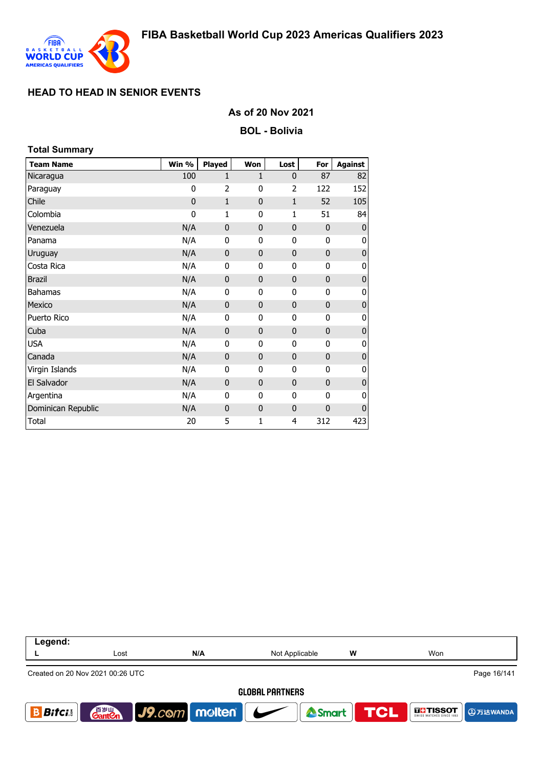

## **As of 20 Nov 2021**

**BOL - Bolivia**

| <b>Total Summary</b> |             |               |              |              |              |                |
|----------------------|-------------|---------------|--------------|--------------|--------------|----------------|
| <b>Team Name</b>     | Win %       | <b>Played</b> | Won          | Lost         | For          | <b>Against</b> |
| Nicaragua            | 100         | 1             | 1            | $\mathbf{0}$ | 87           | 82             |
| Paraguay             | 0           | 2             | 0            | 2            | 122          | 152            |
| Chile                | $\mathbf 0$ | $\mathbf{1}$  | $\mathbf{0}$ | $\mathbf{1}$ | 52           | 105            |
| Colombia             | 0           | 1             | $\mathbf{0}$ | 1            | 51           | 84             |
| Venezuela            | N/A         | $\mathbf 0$   | $\mathbf{0}$ | 0            | $\mathbf 0$  | $\bf 0$        |
| Panama               | N/A         | 0             | 0            | 0            | 0            | 0              |
| Uruguay              | N/A         | $\mathbf 0$   | $\mathbf 0$  | $\mathbf 0$  | 0            | $\mathbf 0$    |
| Costa Rica           | N/A         | 0             | 0            | 0            | 0            | 0              |
| <b>Brazil</b>        | N/A         | $\mathbf 0$   | $\mathbf{0}$ | $\mathbf{0}$ | 0            | $\pmb{0}$      |
| <b>Bahamas</b>       | N/A         | 0             | 0            | $\mathbf{0}$ | 0            | $\pmb{0}$      |
| Mexico               | N/A         | $\mathbf 0$   | $\mathbf 0$  | 0            | 0            | $\pmb{0}$      |
| Puerto Rico          | N/A         | 0             | $\mathbf{0}$ | 0            | 0            | 0              |
| Cuba                 | N/A         | 0             | $\mathbf{0}$ | $\mathbf{0}$ | 0            | $\pmb{0}$      |
| <b>USA</b>           | N/A         | 0             | $\mathbf{0}$ | 0            | 0            | 0              |
| Canada               | N/A         | $\mathbf 0$   | $\mathbf{0}$ | $\mathbf{0}$ | 0            | $\bf 0$        |
| Virgin Islands       | N/A         | 0             | 0            | 0            | 0            | $\pmb{0}$      |
| El Salvador          | N/A         | $\mathbf 0$   | $\mathbf{0}$ | $\mathbf{0}$ | $\mathbf 0$  | $\mathbf 0$    |
| Argentina            | N/A         | 0             | 0            | 0            | 0            | 0              |
| Dominican Republic   | N/A         | $\bf{0}$      | $\mathbf{0}$ | $\mathbf 0$  | $\mathbf{0}$ | $\mathbf 0$    |
| Total                | 20          | 5             | 1            | 4            | 312          | 423            |

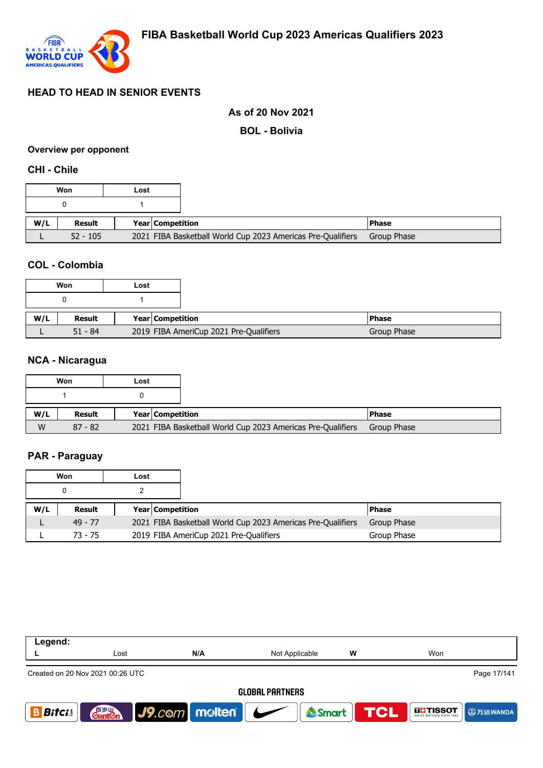

### **As of 20 Nov 2021**

**BOL - Bolivia**

#### **Overview per opponent**

#### **CHI - Chile**

|     | Won        | Lost |                         |                                                             |              |
|-----|------------|------|-------------------------|-------------------------------------------------------------|--------------|
|     |            |      |                         |                                                             |              |
| W/L | Result     |      | <b>Year Competition</b> |                                                             | <b>Phase</b> |
|     | $52 - 105$ |      |                         | 2021 FIBA Basketball World Cup 2023 Americas Pre-Qualifiers | Group Phase  |

## **COL - Colombia**

| Won       | Lost |                                        |
|-----------|------|----------------------------------------|
|           |      |                                        |
| Result    |      | Year Competition                       |
| $51 - 84$ |      | 2019 FIBA AmeriCup 2021 Pre-Qualifiers |

#### **NCA - Nicaragua**

|     | Won       | Lost |                  |                                                             |              |
|-----|-----------|------|------------------|-------------------------------------------------------------|--------------|
|     |           |      |                  |                                                             |              |
| W/L | Result    |      | Year Competition |                                                             | <b>Phase</b> |
| W   | $87 - 82$ |      |                  | 2021 FIBA Basketball World Cup 2023 Americas Pre-Qualifiers | Group Phase  |

### **PAR - Paraguay**

| Won |           | Lost |                         |                                                             |              |
|-----|-----------|------|-------------------------|-------------------------------------------------------------|--------------|
|     |           |      |                         |                                                             |              |
| W/L | Result    |      | <b>Year Competition</b> |                                                             | <b>Phase</b> |
|     | $49 - 77$ |      |                         | 2021 FIBA Basketball World Cup 2023 Americas Pre-Qualifiers | Group Phase  |
|     | $73 - 75$ |      |                         | 2019 FIBA AmeriCup 2021 Pre-Qualifiers                      | Group Phase  |

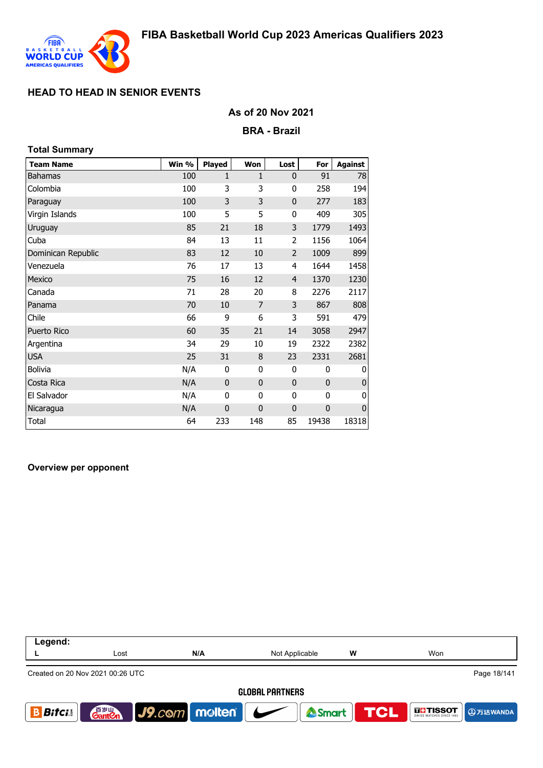

## **As of 20 Nov 2021**

#### **BRA - Brazil**

| <b>Total Summary</b> |       |               |              |              |             |                |
|----------------------|-------|---------------|--------------|--------------|-------------|----------------|
| <b>Team Name</b>     | Win % | <b>Played</b> | Won          | Lost         | For         | <b>Against</b> |
| Bahamas              | 100   | 1             | 1            | $\mathbf 0$  | 91          | 78             |
| Colombia             | 100   | 3             | 3            | 0            | 258         | 194            |
| Paraguay             | 100   | 3             | 3            | $\mathbf{0}$ | 277         | 183            |
| Virgin Islands       | 100   | 5             | 5            | 0            | 409         | 305            |
| Uruguay              | 85    | 21            | 18           | 3            | 1779        | 1493           |
| Cuba                 | 84    | 13            | 11           | 2            | 1156        | 1064           |
| Dominican Republic   | 83    | 12            | 10           | 2            | 1009        | 899            |
| Venezuela            | 76    | 17            | 13           | 4            | 1644        | 1458           |
| Mexico               | 75    | 16            | 12           | 4            | 1370        | 1230           |
| Canada               | 71    | 28            | 20           | 8            | 2276        | 2117           |
| Panama               | 70    | 10            | 7            | 3            | 867         | 808            |
| Chile                | 66    | 9             | 6            | 3            | 591         | 479            |
| <b>Puerto Rico</b>   | 60    | 35            | 21           | 14           | 3058        | 2947           |
| Argentina            | 34    | 29            | 10           | 19           | 2322        | 2382           |
| <b>USA</b>           | 25    | 31            | 8            | 23           | 2331        | 2681           |
| <b>Bolivia</b>       | N/A   | 0             | 0            | 0            | 0           | 0              |
| Costa Rica           | N/A   | $\mathbf 0$   | $\mathbf{0}$ | $\mathbf 0$  | $\mathbf 0$ | 0              |
| El Salvador          | N/A   | 0             | 0            | 0            | 0           | 0              |
| Nicaragua            | N/A   | $\mathbf 0$   | $\mathbf 0$  | $\mathbf 0$  | $\mathbf 0$ | 0              |
| <b>Total</b>         | 64    | 233           | 148          | 85           | 19438       | 18318          |

#### **Overview per opponent**

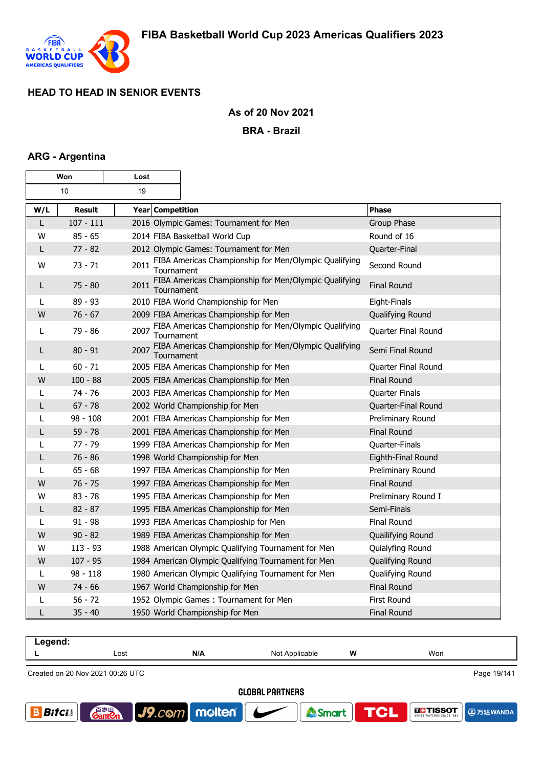

## **As of 20 Nov 2021**

**BRA - Brazil**

### **ARG - Argentina**

г

| Won |               | Lost               |                                                       |                     |
|-----|---------------|--------------------|-------------------------------------------------------|---------------------|
|     | 19<br>10      |                    |                                                       |                     |
| W/L | <b>Result</b> | Year Competition   |                                                       | <b>Phase</b>        |
| L   | $107 - 111$   |                    | 2016 Olympic Games: Tournament for Men                | Group Phase         |
| W   | $85 - 65$     |                    | 2014 FIBA Basketball World Cup                        | Round of 16         |
| L   | $77 - 82$     |                    | 2012 Olympic Games: Tournament for Men                | Quarter-Final       |
| W   | $73 - 71$     | 2011<br>Tournament | FIBA Americas Championship for Men/Olympic Qualifying | Second Round        |
| L   | $75 - 80$     | 2011<br>Tournament | FIBA Americas Championship for Men/Olympic Qualifying | <b>Final Round</b>  |
| L   | 89 - 93       |                    | 2010 FIBA World Championship for Men                  | Eight-Finals        |
| W   | $76 - 67$     |                    | 2009 FIBA Americas Championship for Men               | Qualifying Round    |
| L   | 79 - 86       | 2007<br>Tournament | FIBA Americas Championship for Men/Olympic Qualifying | Quarter Final Round |
| L   | $80 - 91$     | 2007<br>Tournament | FIBA Americas Championship for Men/Olympic Qualifying | Semi Final Round    |
| L   | $60 - 71$     |                    | 2005 FIBA Americas Championship for Men               | Quarter Final Round |
| W   | $100 - 88$    |                    | 2005 FIBA Americas Championship for Men               | <b>Final Round</b>  |
| L   | $74 - 76$     |                    | 2003 FIBA Americas Championship for Men               | Quarter Finals      |
| L   | $67 - 78$     |                    | 2002 World Championship for Men                       | Quarter-Final Round |
| L   | $98 - 108$    |                    | 2001 FIBA Americas Championship for Men               | Preliminary Round   |
| L   | $59 - 78$     |                    | 2001 FIBA Americas Championship for Men               | <b>Final Round</b>  |
| L   | $77 - 79$     |                    | 1999 FIBA Americas Championship for Men               | Quarter-Finals      |
| L   | $76 - 86$     |                    | 1998 World Championship for Men                       | Eighth-Final Round  |
| L   | $65 - 68$     |                    | 1997 FIBA Americas Championship for Men               | Preliminary Round   |
| W   | $76 - 75$     |                    | 1997 FIBA Americas Championship for Men               | <b>Final Round</b>  |
| W   | $83 - 78$     |                    | 1995 FIBA Americas Championship for Men               | Preliminary Round I |
| L   | $82 - 87$     |                    | 1995 FIBA Americas Championship for Men               | Semi-Finals         |
| L   | $91 - 98$     |                    | 1993 FIBA Americas Champioship for Men                | <b>Final Round</b>  |
| W   | $90 - 82$     |                    | 1989 FIBA Americas Championship for Men               | Quailifying Round   |
| W   | $113 - 93$    |                    | 1988 American Olympic Qualifying Tournament for Men   | Quialyfing Round    |
| W   | $107 - 95$    |                    | 1984 American Olympic Qualifying Tournament for Men   | Qualifying Round    |
| L   | $98 - 118$    |                    | 1980 American Olympic Qualifying Tournament for Men   | Qualifying Round    |
| W   | $74 - 66$     |                    | 1967 World Championship for Men                       | <b>Final Round</b>  |
| L   | $56 - 72$     |                    | 1952 Olympic Games: Tournament for Men                | First Round         |
| L   | $35 - 40$     |                    | 1950 World Championship for Men                       | <b>Final Round</b>  |

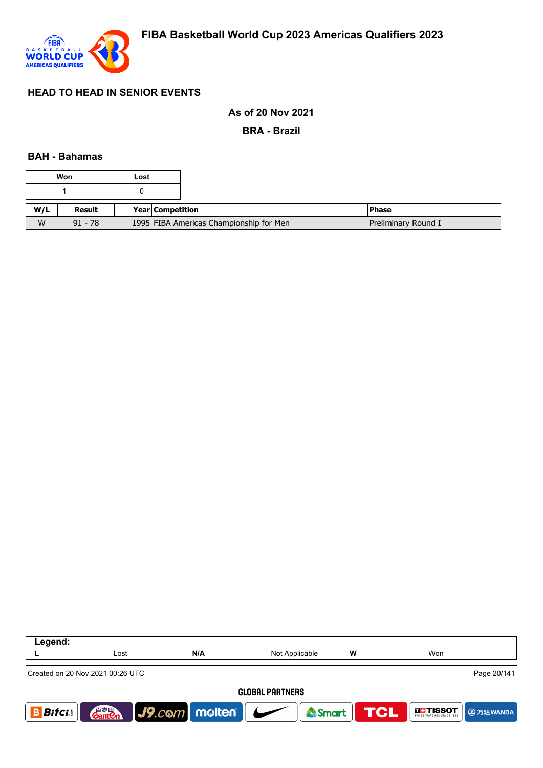

## **As of 20 Nov 2021**

**BRA - Brazil**

### **BAH - Bahamas**

| Won |           | Lost |                                         |  |                     |
|-----|-----------|------|-----------------------------------------|--|---------------------|
|     |           |      |                                         |  |                     |
| W/L | Result    |      | <b>Year Competition</b>                 |  | <b>Phase</b>        |
| W   | $91 - 78$ |      | 1995 FIBA Americas Championship for Men |  | Preliminary Round I |

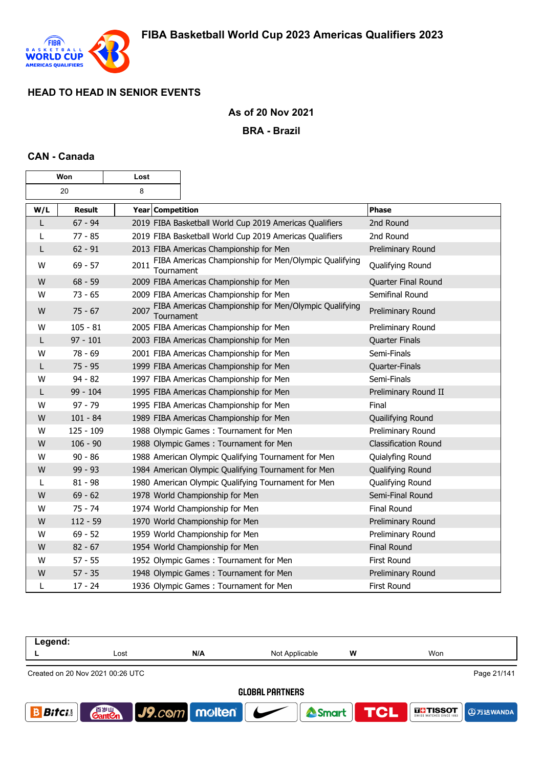

 $\overline{\phantom{0}}$ 

# **As of 20 Nov 2021**

## **BRA - Brazil**

### **CAN - Canada**

 $\mathsf{r}$ 

| Won |               | Lost               |                                                         |                             |
|-----|---------------|--------------------|---------------------------------------------------------|-----------------------------|
|     | 20            | 8                  |                                                         |                             |
| W/L | <b>Result</b> | Year Competition   |                                                         | <b>Phase</b>                |
| L   | $67 - 94$     |                    | 2019 FIBA Basketball World Cup 2019 Americas Qualifiers | 2nd Round                   |
| L   | $77 - 85$     |                    | 2019 FIBA Basketball World Cup 2019 Americas Qualifiers | 2nd Round                   |
| L   | $62 - 91$     |                    | 2013 FIBA Americas Championship for Men                 | Preliminary Round           |
| W   | $69 - 57$     | 2011<br>Tournament | FIBA Americas Championship for Men/Olympic Qualifying   | Qualifying Round            |
| W   | $68 - 59$     |                    | 2009 FIBA Americas Championship for Men                 | Quarter Final Round         |
| W   | $73 - 65$     |                    | 2009 FIBA Americas Championship for Men                 | Semifinal Round             |
| W   | $75 - 67$     | 2007<br>Tournament | FIBA Americas Championship for Men/Olympic Qualifying   | Preliminary Round           |
| W   | $105 - 81$    |                    | 2005 FIBA Americas Championship for Men                 | Preliminary Round           |
| L   | $97 - 101$    |                    | 2003 FIBA Americas Championship for Men                 | <b>Quarter Finals</b>       |
| W   | $78 - 69$     |                    | 2001 FIBA Americas Championship for Men                 | Semi-Finals                 |
| L   | $75 - 95$     |                    | 1999 FIBA Americas Championship for Men                 | Quarter-Finals              |
| W   | $94 - 82$     |                    | 1997 FIBA Americas Championship for Men                 | Semi-Finals                 |
| L   | 99 - 104      |                    | 1995 FIBA Americas Championship for Men                 | Preliminary Round II        |
| W   | $97 - 79$     |                    | 1995 FIBA Americas Championship for Men                 | Final                       |
| W   | $101 - 84$    |                    | 1989 FIBA Americas Championship for Men                 | Quailifying Round           |
| W   | $125 - 109$   |                    | 1988 Olympic Games: Tournament for Men                  | Preliminary Round           |
| W   | $106 - 90$    |                    | 1988 Olympic Games: Tournament for Men                  | <b>Classification Round</b> |
| W   | $90 - 86$     |                    | 1988 American Olympic Qualifying Tournament for Men     | Quialyfing Round            |
| W   | $99 - 93$     |                    | 1984 American Olympic Qualifying Tournament for Men     | Qualifying Round            |
| L   | $81 - 98$     |                    | 1980 American Olympic Qualifying Tournament for Men     | Qualifying Round            |
| W   | $69 - 62$     |                    | 1978 World Championship for Men                         | Semi-Final Round            |
| W   | $75 - 74$     |                    | 1974 World Championship for Men                         | <b>Final Round</b>          |
| W   | $112 - 59$    |                    | 1970 World Championship for Men                         | Preliminary Round           |
| W   | $69 - 52$     |                    | 1959 World Championship for Men                         | Preliminary Round           |
| W   | $82 - 67$     |                    | 1954 World Championship for Men                         | <b>Final Round</b>          |
| w   | $57 - 55$     |                    | 1952 Olympic Games: Tournament for Men                  | First Round                 |
| W   | $57 - 35$     |                    | 1948 Olympic Games: Tournament for Men                  | Preliminary Round           |
| L   | $17 - 24$     |                    | 1936 Olympic Games: Tournament for Men                  | First Round                 |

| Legend:                |                                                 |                          |                |                   |                   |  |  |  |
|------------------------|-------------------------------------------------|--------------------------|----------------|-------------------|-------------------|--|--|--|
|                        | Lost                                            | N/A                      | Not Applicable | W                 | Won               |  |  |  |
|                        | Page 21/141<br>Created on 20 Nov 2021 00:26 UTC |                          |                |                   |                   |  |  |  |
| <b>GLOBAL PARTNERS</b> |                                                 |                          |                |                   |                   |  |  |  |
| <b>Bitci</b>           | 音 <sub>岁Ⅲ</sub><br>Gant <b>C</b> n              | $ $ J9. $com$ molten $ $ |                | <b>ASmart TCL</b> | <b>THE TISSOT</b> |  |  |  |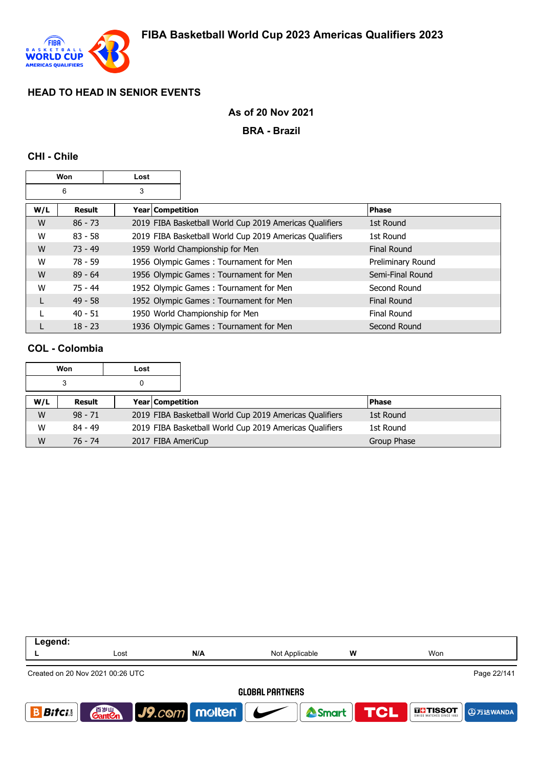

## **As of 20 Nov 2021**

#### **BRA - Brazil**

### **CHI - Chile**

| Won |           | Lost             |                                                         |                    |
|-----|-----------|------------------|---------------------------------------------------------|--------------------|
| 6   |           | 3                |                                                         |                    |
| W/L | Result    | Year Competition |                                                         | <b>Phase</b>       |
| W   | $86 - 73$ |                  | 2019 FIBA Basketball World Cup 2019 Americas Qualifiers | 1st Round          |
| W   | $83 - 58$ |                  | 2019 FIBA Basketball World Cup 2019 Americas Qualifiers | 1st Round          |
| W   | $73 - 49$ |                  | 1959 World Championship for Men                         | <b>Final Round</b> |
| W   | $78 - 59$ |                  | 1956 Olympic Games: Tournament for Men                  | Preliminary Round  |
| W   | $89 - 64$ |                  | 1956 Olympic Games: Tournament for Men                  | Semi-Final Round   |
| W   | 75 - 44   |                  | 1952 Olympic Games: Tournament for Men                  | Second Round       |
|     | $49 - 58$ |                  | 1952 Olympic Games: Tournament for Men                  | Final Round        |
|     | $40 - 51$ |                  | 1950 World Championship for Men                         | Final Round        |
|     | $18 - 23$ |                  | 1936 Olympic Games: Tournament for Men                  | Second Round       |

## **COL - Colombia**

|     | Won       | Lost |                                                         |             |
|-----|-----------|------|---------------------------------------------------------|-------------|
|     | 3         |      |                                                         |             |
| W/L | Result    |      | Year Competition                                        | l Phase     |
| W   | $98 - 71$ |      | 2019 FIBA Basketball World Cup 2019 Americas Qualifiers | 1st Round   |
| W   | $84 - 49$ |      | 2019 FIBA Basketball World Cup 2019 Americas Qualifiers | 1st Round   |
| W   | 76 - 74   |      | 2017 FIBA AmeriCup                                      | Group Phase |

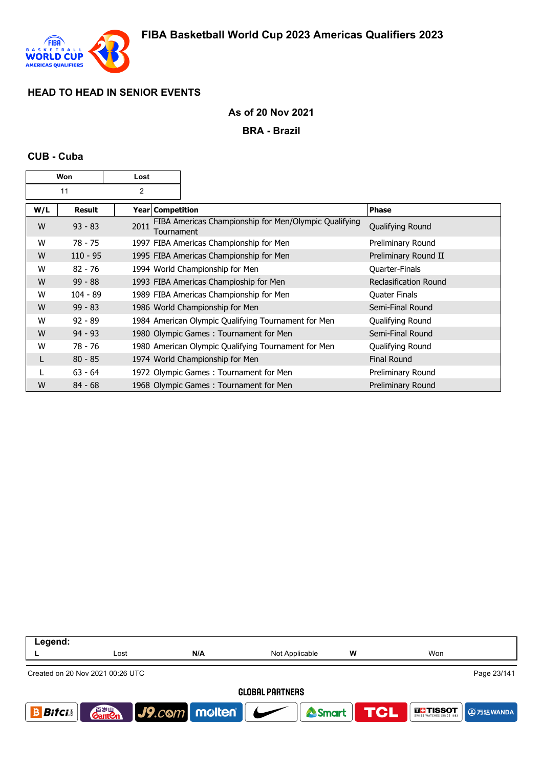

## **As of 20 Nov 2021**

#### **BRA - Brazil**

### **CUB - Cuba**

| Won |               | Lost |                                                                            |                              |
|-----|---------------|------|----------------------------------------------------------------------------|------------------------------|
|     | 11            | 2    |                                                                            |                              |
| W/L | <b>Result</b> |      | Year   Competition                                                         | <b>Phase</b>                 |
| W   | $93 - 83$     | 2011 | FIBA Americas Championship for Men/Olympic Qualifying<br><b>Tournament</b> | Qualifying Round             |
| W   | $78 - 75$     |      | 1997 FIBA Americas Championship for Men                                    | Preliminary Round            |
| W   | $110 - 95$    |      | 1995 FIBA Americas Championship for Men                                    | Preliminary Round II         |
| W   | $82 - 76$     |      | 1994 World Championship for Men                                            | <b>Quarter-Finals</b>        |
| W   | $99 - 88$     |      | 1993 FIBA Americas Champioship for Men                                     | <b>Reclasification Round</b> |
| W   | $104 - 89$    |      | 1989 FIBA Americas Championship for Men                                    | <b>Quater Finals</b>         |
| W   | $99 - 83$     |      | 1986 World Championship for Men                                            | Semi-Final Round             |
| W   | $92 - 89$     |      | 1984 American Olympic Qualifying Tournament for Men                        | Qualifying Round             |
| W   | $94 - 93$     |      | 1980 Olympic Games: Tournament for Men                                     | Semi-Final Round             |
| W   | 78 - 76       |      | 1980 American Olympic Qualifying Tournament for Men                        | Qualifying Round             |
| L   | $80 - 85$     |      | 1974 World Championship for Men                                            | <b>Final Round</b>           |
|     | $63 - 64$     |      | 1972 Olympic Games: Tournament for Men                                     | Preliminary Round            |
| W   | $84 - 68$     |      | 1968 Olympic Games: Tournament for Men                                     | Preliminary Round            |

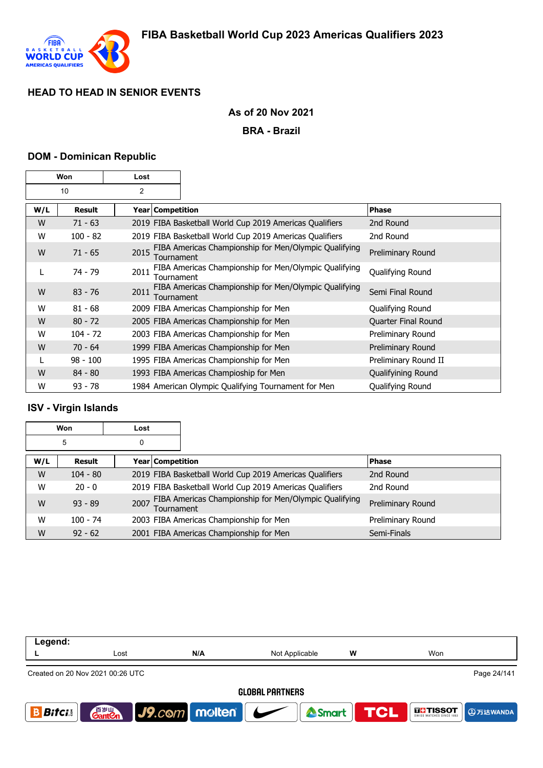

## **As of 20 Nov 2021**

#### **BRA - Brazil**

### **DOM - Dominican Republic**

| Won |               | Lost |                    |                                                         |                      |
|-----|---------------|------|--------------------|---------------------------------------------------------|----------------------|
| 10  |               | 2    |                    |                                                         |                      |
| W/L | <b>Result</b> |      | Year   Competition |                                                         | <b>Phase</b>         |
| W   | $71 - 63$     |      |                    | 2019 FIBA Basketball World Cup 2019 Americas Qualifiers | 2nd Round            |
| W   | $100 - 82$    |      |                    | 2019 FIBA Basketball World Cup 2019 Americas Qualifiers | 2nd Round            |
| W   | $71 - 65$     | 2015 | Tournament         | FIBA Americas Championship for Men/Olympic Qualifying   | Preliminary Round    |
| L   | 74 - 79       | 2011 | Tournament         | FIBA Americas Championship for Men/Olympic Qualifying   | Qualifying Round     |
| W   | $83 - 76$     | 2011 | Tournament         | FIBA Americas Championship for Men/Olympic Qualifying   | Semi Final Round     |
| W   | $81 - 68$     |      |                    | 2009 FIBA Americas Championship for Men                 | Qualifying Round     |
| W   | $80 - 72$     |      |                    | 2005 FIBA Americas Championship for Men                 | Quarter Final Round  |
| W   | $104 - 72$    |      |                    | 2003 FIBA Americas Championship for Men                 | Preliminary Round    |
| W   | $70 - 64$     |      |                    | 1999 FIBA Americas Championship for Men                 | Preliminary Round    |
|     | $98 - 100$    |      |                    | 1995 FIBA Americas Championship for Men                 | Preliminary Round II |
| W   | $84 - 80$     |      |                    | 1993 FIBA Americas Champioship for Men                  | Qualifyining Round   |
| W   | $93 - 78$     |      |                    | 1984 American Olympic Qualifying Tournament for Men     | Qualifying Round     |

## **ISV - Virgin Islands**

| Won |            | Lost             |                                                                     |                   |
|-----|------------|------------------|---------------------------------------------------------------------|-------------------|
|     | 5          | 0                |                                                                     |                   |
| W/L | Result     | Year Competition |                                                                     | <b>Phase</b>      |
| W   | $104 - 80$ |                  | 2019 FIBA Basketball World Cup 2019 Americas Qualifiers             | 2nd Round         |
| W   | $20 - 0$   |                  | 2019 FIBA Basketball World Cup 2019 Americas Qualifiers             | 2nd Round         |
| W   | $93 - 89$  | 2007             | FIBA Americas Championship for Men/Olympic Qualifying<br>Tournament | Preliminary Round |
| W   | $100 - 74$ |                  | 2003 FIBA Americas Championship for Men                             | Preliminary Round |
| W   | $92 - 62$  |                  | 2001 FIBA Americas Championship for Men                             | Semi-Finals       |

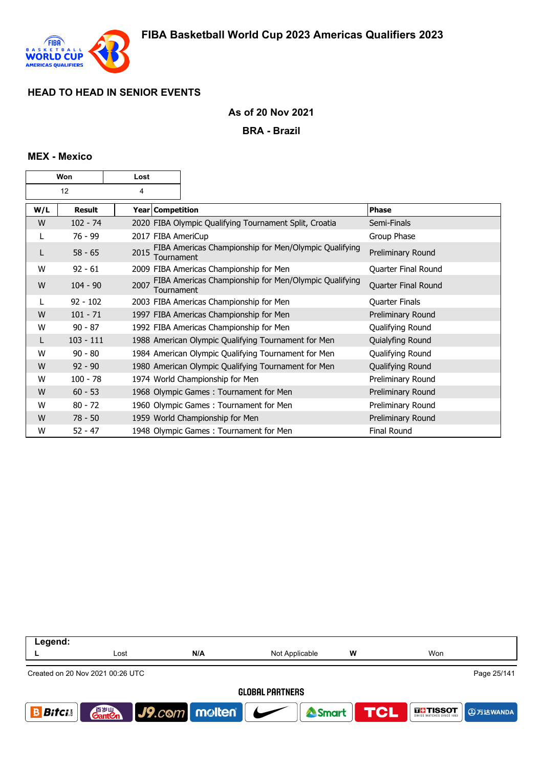

## **As of 20 Nov 2021**

**BRA - Brazil**

## **MEX - Mexico**

| Won |             | Lost               |                                                        |                       |
|-----|-------------|--------------------|--------------------------------------------------------|-----------------------|
| 12  |             | 4                  |                                                        |                       |
| W/L | Result      | Year   Competition |                                                        | <b>Phase</b>          |
| W   | $102 - 74$  |                    | 2020 FIBA Olympic Qualifying Tournament Split, Croatia | Semi-Finals           |
| L   | 76 - 99     | 2017 FIBA AmeriCup |                                                        | Group Phase           |
| L   | $58 - 65$   | 2015<br>Tournament | FIBA Americas Championship for Men/Olympic Qualifying  | Preliminary Round     |
| W   | $92 - 61$   |                    | 2009 FIBA Americas Championship for Men                | Quarter Final Round   |
| W   | $104 - 90$  | 2007<br>Tournament | FIBA Americas Championship for Men/Olympic Qualifying  | Quarter Final Round   |
|     | $92 - 102$  |                    | 2003 FIBA Americas Championship for Men                | <b>Quarter Finals</b> |
| W   | $101 - 71$  |                    | 1997 FIBA Americas Championship for Men                | Preliminary Round     |
| W   | $90 - 87$   |                    | 1992 FIBA Americas Championship for Men                | Qualifying Round      |
| L   | $103 - 111$ |                    | 1988 American Olympic Qualifying Tournament for Men    | Quialyfing Round      |
| W   | $90 - 80$   |                    | 1984 American Olympic Qualifying Tournament for Men    | Qualifying Round      |
| W   | $92 - 90$   |                    | 1980 American Olympic Qualifying Tournament for Men    | Qualifying Round      |
| W   | $100 - 78$  |                    | 1974 World Championship for Men                        | Preliminary Round     |
| W   | $60 - 53$   |                    | 1968 Olympic Games: Tournament for Men                 | Preliminary Round     |
| W   | $80 - 72$   |                    | 1960 Olympic Games: Tournament for Men                 | Preliminary Round     |
| W   | $78 - 50$   |                    | 1959 World Championship for Men                        | Preliminary Round     |
| W   | $52 - 47$   |                    | 1948 Olympic Games: Tournament for Men                 | <b>Final Round</b>    |

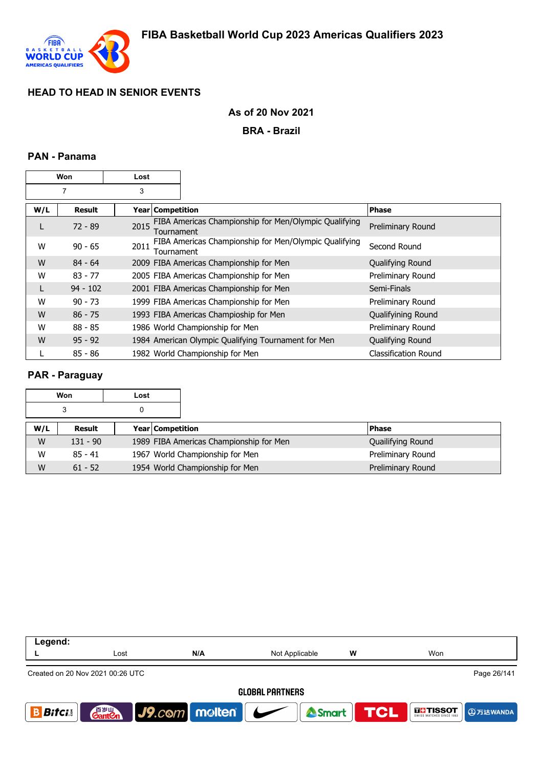

## **As of 20 Nov 2021**

**BRA - Brazil**

## **PAN - Panama**

| Won            |            | Lost               |                                                       |                             |
|----------------|------------|--------------------|-------------------------------------------------------|-----------------------------|
| $\overline{7}$ |            | 3                  |                                                       |                             |
| W/L            | Result     | Year   Competition |                                                       | <b>Phase</b>                |
| L              | $72 - 89$  | 2015<br>Tournament | FIBA Americas Championship for Men/Olympic Qualifying | Preliminary Round           |
| W              | $90 - 65$  | 2011<br>Tournament | FIBA Americas Championship for Men/Olympic Qualifying | Second Round                |
| W              | $84 - 64$  |                    | 2009 FIBA Americas Championship for Men               | Qualifying Round            |
| W              | $83 - 77$  |                    | 2005 FIBA Americas Championship for Men               | Preliminary Round           |
| L              | $94 - 102$ |                    | 2001 FIBA Americas Championship for Men               | Semi-Finals                 |
| W              | $90 - 73$  |                    | 1999 FIBA Americas Championship for Men               | Preliminary Round           |
| W              | $86 - 75$  |                    | 1993 FIBA Americas Champioship for Men                | Qualifyining Round          |
| W              | $88 - 85$  |                    | 1986 World Championship for Men                       | Preliminary Round           |
| W              | $95 - 92$  |                    | 1984 American Olympic Qualifying Tournament for Men   | Qualifying Round            |
|                | $85 - 86$  |                    | 1982 World Championship for Men                       | <b>Classification Round</b> |

## **PAR - Paraguay**

|     | Won        | Lost |                                         |                   |
|-----|------------|------|-----------------------------------------|-------------------|
|     | 3          | 0    |                                         |                   |
| W/L | Result     |      | <b>Year Competition</b>                 | <b>Phase</b>      |
| W   | $131 - 90$ |      | 1989 FIBA Americas Championship for Men | Quailifying Round |
| W   | $85 - 41$  |      | 1967 World Championship for Men         | Preliminary Round |
| W   | $61 - 52$  |      | 1954 World Championship for Men         | Preliminary Round |

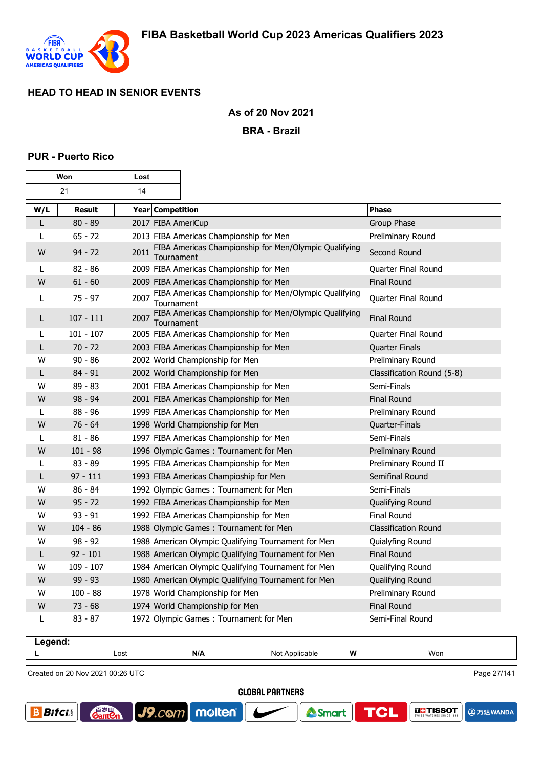

 $\overline{\mathbf{r}}$ 

 $\overline{\phantom{a}}$ 

## **As of 20 Nov 2021**

**BRA - Brazil**

### **PUR - Puerto Rico**

г

| Won     |             | Lost                    |                                                       |                             |
|---------|-------------|-------------------------|-------------------------------------------------------|-----------------------------|
|         | 21          | 14                      |                                                       |                             |
| W/L     | Result      | <b>Year Competition</b> |                                                       | <b>Phase</b>                |
| L       | $80 - 89$   | 2017 FIBA AmeriCup      |                                                       | Group Phase                 |
| L       | $65 - 72$   |                         | 2013 FIBA Americas Championship for Men               | Preliminary Round           |
| W       | $94 - 72$   | 2011<br>Tournament      | FIBA Americas Championship for Men/Olympic Qualifying | Second Round                |
| L       | $82 - 86$   |                         | 2009 FIBA Americas Championship for Men               | Quarter Final Round         |
| W       | $61 - 60$   |                         | 2009 FIBA Americas Championship for Men               | Final Round                 |
| L       | $75 - 97$   | 2007<br>Tournament      | FIBA Americas Championship for Men/Olympic Qualifying | Quarter Final Round         |
| L       | $107 - 111$ | 2007<br>Tournament      | FIBA Americas Championship for Men/Olympic Qualifying | <b>Final Round</b>          |
| L       | $101 - 107$ |                         | 2005 FIBA Americas Championship for Men               | Quarter Final Round         |
| L       | $70 - 72$   |                         | 2003 FIBA Americas Championship for Men               | <b>Quarter Finals</b>       |
| w       | $90 - 86$   |                         | 2002 World Championship for Men                       | Preliminary Round           |
| L       | 84 - 91     |                         | 2002 World Championship for Men                       | Classification Round (5-8)  |
| W       | $89 - 83$   |                         | 2001 FIBA Americas Championship for Men               | Semi-Finals                 |
| W       | $98 - 94$   |                         | 2001 FIBA Americas Championship for Men               | <b>Final Round</b>          |
| L       | $88 - 96$   |                         | 1999 FIBA Americas Championship for Men               | Preliminary Round           |
| W       | $76 - 64$   |                         | 1998 World Championship for Men                       | Quarter-Finals              |
| L       | $81 - 86$   |                         | 1997 FIBA Americas Championship for Men               | Semi-Finals                 |
| W       | $101 - 98$  |                         | 1996 Olympic Games: Tournament for Men                | Preliminary Round           |
| L       | $83 - 89$   |                         | 1995 FIBA Americas Championship for Men               | Preliminary Round II        |
| L       | $97 - 111$  |                         | 1993 FIBA Americas Champioship for Men                | Semifinal Round             |
| W       | $86 - 84$   |                         | 1992 Olympic Games: Tournament for Men                | Semi-Finals                 |
| W       | $95 - 72$   |                         | 1992 FIBA Americas Championship for Men               | Qualifying Round            |
| W       | $93 - 91$   |                         | 1992 FIBA Americas Championship for Men               | Final Round                 |
| W       | $104 - 86$  |                         | 1988 Olympic Games: Tournament for Men                | <b>Classification Round</b> |
| W       | $98 - 92$   |                         | 1988 American Olympic Qualifying Tournament for Men   | Quialyfing Round            |
| L       | $92 - 101$  |                         | 1988 American Olympic Qualifying Tournament for Men   | <b>Final Round</b>          |
| W       | $109 - 107$ |                         | 1984 American Olympic Qualifying Tournament for Men   | Qualifying Round            |
| W       | $99 - 93$   |                         | 1980 American Olympic Qualifying Tournament for Men   | Qualifying Round            |
| W       | $100 - 88$  |                         | 1978 World Championship for Men                       | Preliminary Round           |
| W       | $73 - 68$   |                         | 1974 World Championship for Men                       | <b>Final Round</b>          |
| L       | $83 - 87$   |                         | 1972 Olympic Games: Tournament for Men                | Semi-Final Round            |
| Legend: |             | Lost                    | N/A<br>Not Applicable                                 | W<br>Won                    |
| L       |             |                         |                                                       |                             |

Created on 20 Nov 2021 00:26 UTC

**GantOn** 

Page 27/141

**GLOBAL PARTNERS** 





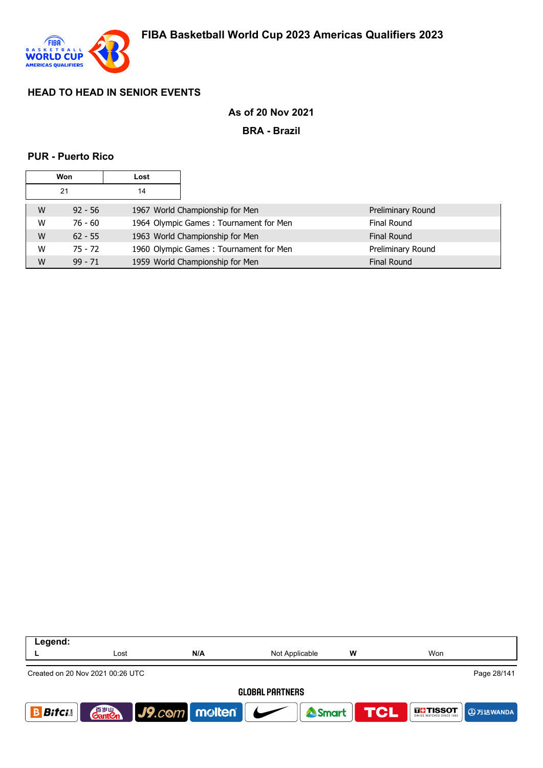

## **As of 20 Nov 2021**

**BRA - Brazil**

## **PUR - Puerto Rico**

| <b>Won</b> |           | Lost |                                        |                    |
|------------|-----------|------|----------------------------------------|--------------------|
| 21         |           | 14   |                                        |                    |
| W          | $92 - 56$ |      | 1967 World Championship for Men        | Preliminary Round  |
| W          | $76 - 60$ |      | 1964 Olympic Games: Tournament for Men | Final Round        |
| W          | $62 - 55$ |      | 1963 World Championship for Men        | <b>Final Round</b> |
| W          | $75 - 72$ |      | 1960 Olympic Games: Tournament for Men | Preliminary Round  |
| W          | $99 - 71$ |      | 1959 World Championship for Men        | <b>Final Round</b> |

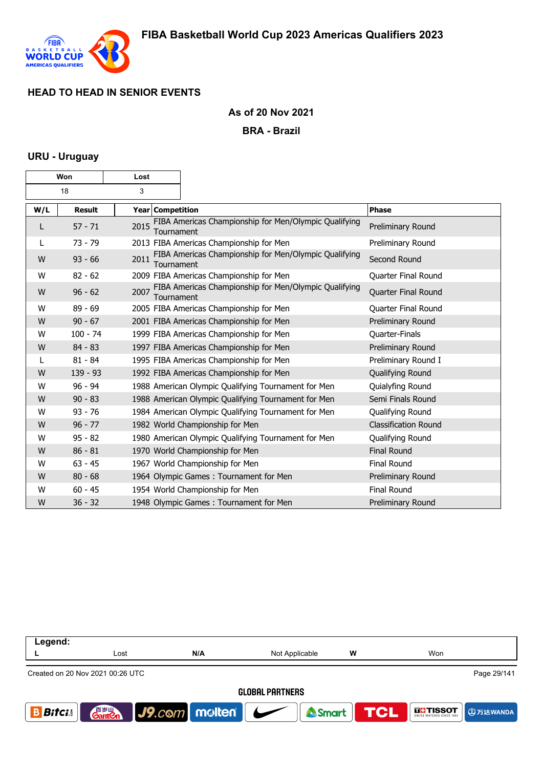

## **As of 20 Nov 2021**

#### **BRA - Brazil**

## **URU - Uruguay**

| Won |               | Lost                    |                                                       |                             |
|-----|---------------|-------------------------|-------------------------------------------------------|-----------------------------|
| 18  |               | 3                       |                                                       |                             |
| W/L | <b>Result</b> | <b>Year Competition</b> |                                                       | Phase                       |
| L   | $57 - 71$     | 2015<br>Tournament      | FIBA Americas Championship for Men/Olympic Qualifying | Preliminary Round           |
| L   | $73 - 79$     |                         | 2013 FIBA Americas Championship for Men               | Preliminary Round           |
| W   | $93 - 66$     | 2011<br>Tournament      | FIBA Americas Championship for Men/Olympic Qualifying | Second Round                |
| W   | $82 - 62$     |                         | 2009 FIBA Americas Championship for Men               | Quarter Final Round         |
| W   | $96 - 62$     | 2007<br>Tournament      | FIBA Americas Championship for Men/Olympic Qualifying | Quarter Final Round         |
| W   | $89 - 69$     |                         | 2005 FIBA Americas Championship for Men               | Quarter Final Round         |
| W   | $90 - 67$     |                         | 2001 FIBA Americas Championship for Men               | Preliminary Round           |
| W   | $100 - 74$    |                         | 1999 FIBA Americas Championship for Men               | Quarter-Finals              |
| W   | $84 - 83$     |                         | 1997 FIBA Americas Championship for Men               | Preliminary Round           |
| L   | $81 - 84$     |                         | 1995 FIBA Americas Championship for Men               | Preliminary Round I         |
| W   | $139 - 93$    |                         | 1992 FIBA Americas Championship for Men               | Qualifying Round            |
| W   | $96 - 94$     |                         | 1988 American Olympic Qualifying Tournament for Men   | Quialyfing Round            |
| W   | $90 - 83$     |                         | 1988 American Olympic Qualifying Tournament for Men   | Semi Finals Round           |
| W   | $93 - 76$     |                         | 1984 American Olympic Qualifying Tournament for Men   | Qualifying Round            |
| W   | $96 - 77$     |                         | 1982 World Championship for Men                       | <b>Classification Round</b> |
| W   | $95 - 82$     |                         | 1980 American Olympic Qualifying Tournament for Men   | Qualifying Round            |
| W   | $86 - 81$     |                         | 1970 World Championship for Men                       | <b>Final Round</b>          |
| W   | $63 - 45$     |                         | 1967 World Championship for Men                       | Final Round                 |
| W   | $80 - 68$     |                         | 1964 Olympic Games: Tournament for Men                | Preliminary Round           |
| W   | $60 - 45$     |                         | 1954 World Championship for Men                       | Final Round                 |
| W   | $36 - 32$     |                         | 1948 Olympic Games: Tournament for Men                | Preliminary Round           |

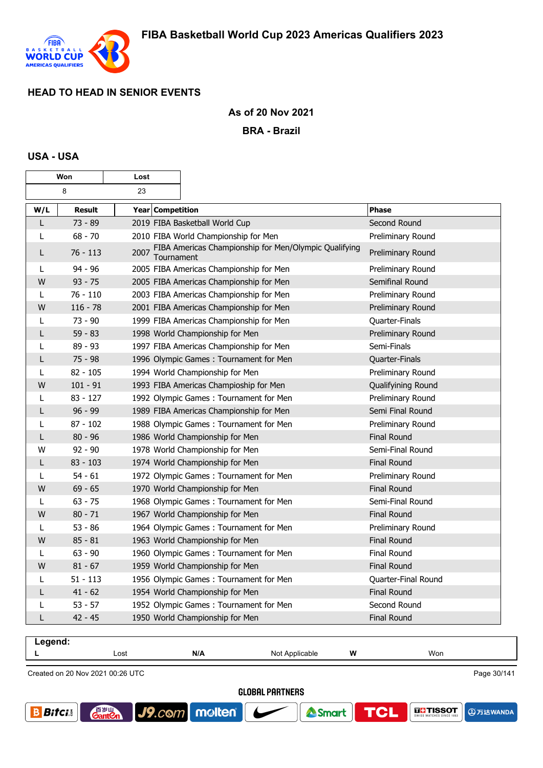

## **As of 20 Nov 2021**

**BRA - Brazil**

## **USA - USA**

г

| Won          |               | Lost               |                                                       |                     |
|--------------|---------------|--------------------|-------------------------------------------------------|---------------------|
|              | 8             | 23                 |                                                       |                     |
| W/L          | <b>Result</b> | Year Competition   |                                                       | Phase               |
| L            | 73 - 89       |                    | 2019 FIBA Basketball World Cup                        | Second Round        |
| L            | $68 - 70$     |                    | 2010 FIBA World Championship for Men                  | Preliminary Round   |
| L            | $76 - 113$    | 2007<br>Tournament | FIBA Americas Championship for Men/Olympic Qualifying | Preliminary Round   |
| L            | $94 - 96$     |                    | 2005 FIBA Americas Championship for Men               | Preliminary Round   |
| W            | $93 - 75$     |                    | 2005 FIBA Americas Championship for Men               | Semifinal Round     |
| L            | $76 - 110$    |                    | 2003 FIBA Americas Championship for Men               | Preliminary Round   |
| W            | $116 - 78$    |                    | 2001 FIBA Americas Championship for Men               | Preliminary Round   |
| L            | $73 - 90$     |                    | 1999 FIBA Americas Championship for Men               | Quarter-Finals      |
| L            | $59 - 83$     |                    | 1998 World Championship for Men                       | Preliminary Round   |
| L            | 89 - 93       |                    | 1997 FIBA Americas Championship for Men               | Semi-Finals         |
| L            | $75 - 98$     |                    | 1996 Olympic Games: Tournament for Men                | Quarter-Finals      |
| L            | $82 - 105$    |                    | 1994 World Championship for Men                       | Preliminary Round   |
| W            | $101 - 91$    |                    | 1993 FIBA Americas Champioship for Men                | Qualifyining Round  |
| L            | $83 - 127$    |                    | 1992 Olympic Games: Tournament for Men                | Preliminary Round   |
| L            | $96 - 99$     |                    | 1989 FIBA Americas Championship for Men               | Semi Final Round    |
| L            | $87 - 102$    |                    | 1988 Olympic Games: Tournament for Men                | Preliminary Round   |
| L            | $80 - 96$     |                    | 1986 World Championship for Men                       | <b>Final Round</b>  |
| W            | $92 - 90$     |                    | 1978 World Championship for Men                       | Semi-Final Round    |
| L            | $83 - 103$    |                    | 1974 World Championship for Men                       | Final Round         |
| $\mathsf{L}$ | $54 - 61$     |                    | 1972 Olympic Games: Tournament for Men                | Preliminary Round   |
| W            | $69 - 65$     |                    | 1970 World Championship for Men                       | <b>Final Round</b>  |
| L            | $63 - 75$     |                    | 1968 Olympic Games: Tournament for Men                | Semi-Final Round    |
| W            | $80 - 71$     |                    | 1967 World Championship for Men                       | <b>Final Round</b>  |
| L            | $53 - 86$     |                    | 1964 Olympic Games: Tournament for Men                | Preliminary Round   |
| W            | $85 - 81$     |                    | 1963 World Championship for Men                       | <b>Final Round</b>  |
| L            | $63 - 90$     |                    | 1960 Olympic Games: Tournament for Men                | <b>Final Round</b>  |
| W            | $81 - 67$     |                    | 1959 World Championship for Men                       | <b>Final Round</b>  |
| L            | $51 - 113$    |                    | 1956 Olympic Games: Tournament for Men                | Quarter-Final Round |
| L            | $41 - 62$     |                    | 1954 World Championship for Men                       | <b>Final Round</b>  |
| L            | $53 - 57$     |                    | 1952 Olympic Games: Tournament for Men                | Second Round        |
| L            | 42 - 45       |                    | 1950 World Championship for Men                       | <b>Final Round</b>  |

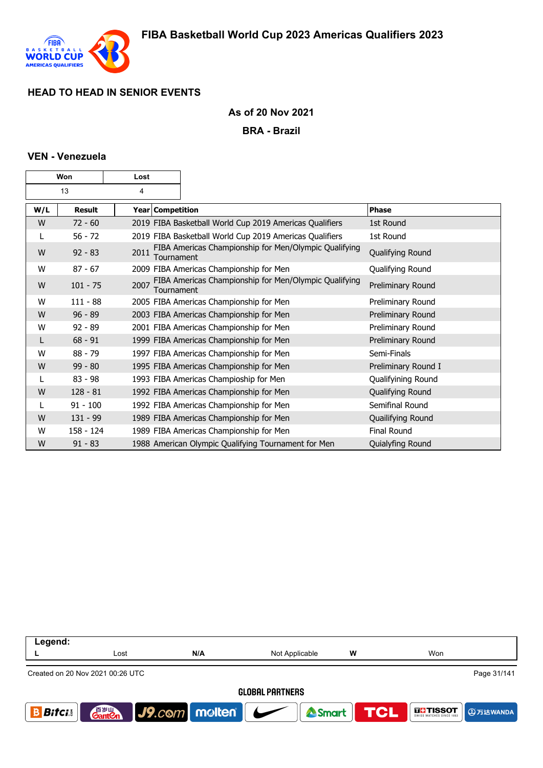

## **As of 20 Nov 2021**

**BRA - Brazil**

## **VEN - Venezuela**

| Won |               | Lost |                  |                                                         |                     |
|-----|---------------|------|------------------|---------------------------------------------------------|---------------------|
| 13  |               | 4    |                  |                                                         |                     |
| W/L | <b>Result</b> |      | Year Competition |                                                         | Phase               |
| W   | $72 - 60$     |      |                  | 2019 FIBA Basketball World Cup 2019 Americas Qualifiers | 1st Round           |
| L   | $56 - 72$     |      |                  | 2019 FIBA Basketball World Cup 2019 Americas Qualifiers | 1st Round           |
| W   | $92 - 83$     | 2011 | Tournament       | FIBA Americas Championship for Men/Olympic Qualifying   | Qualifying Round    |
| W   | $87 - 67$     |      |                  | 2009 FIBA Americas Championship for Men                 | Qualifying Round    |
| W   | $101 - 75$    | 2007 | Tournament       | FIBA Americas Championship for Men/Olympic Qualifying   | Preliminary Round   |
| W   | $111 - 88$    |      |                  | 2005 FIBA Americas Championship for Men                 | Preliminary Round   |
| W   | $96 - 89$     |      |                  | 2003 FIBA Americas Championship for Men                 | Preliminary Round   |
| w   | $92 - 89$     |      |                  | 2001 FIBA Americas Championship for Men                 | Preliminary Round   |
| L   | $68 - 91$     |      |                  | 1999 FIBA Americas Championship for Men                 | Preliminary Round   |
| W   | $88 - 79$     |      |                  | 1997 FIBA Americas Championship for Men                 | Semi-Finals         |
| W   | $99 - 80$     |      |                  | 1995 FIBA Americas Championship for Men                 | Preliminary Round I |
|     | $83 - 98$     |      |                  | 1993 FIBA Americas Champioship for Men                  | Qualifyining Round  |
| W   | $128 - 81$    |      |                  | 1992 FIBA Americas Championship for Men                 | Qualifying Round    |
| L   | $91 - 100$    |      |                  | 1992 FIBA Americas Championship for Men                 | Semifinal Round     |
| W   | $131 - 99$    |      |                  | 1989 FIBA Americas Championship for Men                 | Quailifying Round   |
| W   | 158 - 124     |      |                  | 1989 FIBA Americas Championship for Men                 | Final Round         |
| W   | $91 - 83$     |      |                  | 1988 American Olympic Qualifying Tournament for Men     | Quialyfing Round    |

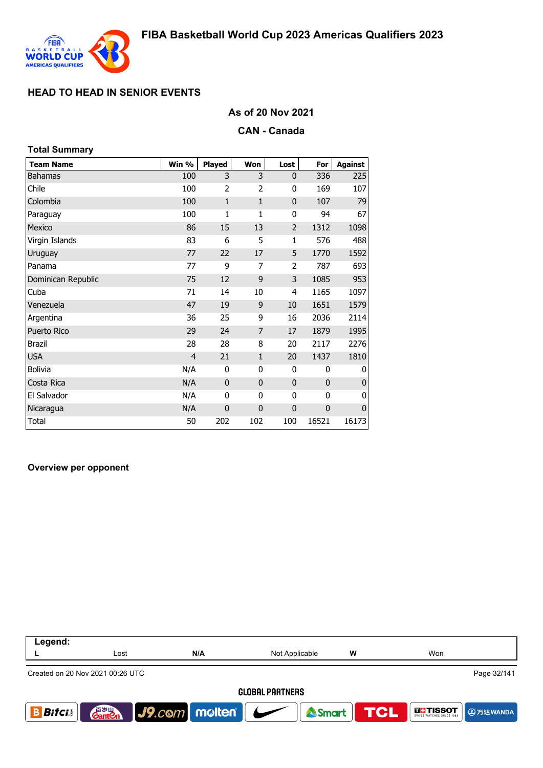

## **As of 20 Nov 2021**

#### **CAN - Canada**

| <b>Total Summary</b> |                |               |                |                |             |                |
|----------------------|----------------|---------------|----------------|----------------|-------------|----------------|
| <b>Team Name</b>     | Win %          | <b>Played</b> | Won            | Lost           | For         | <b>Against</b> |
| <b>Bahamas</b>       | 100            | 3             | 3              | $\mathbf{0}$   | 336         | 225            |
| Chile                | 100            | 2             | $\overline{2}$ | 0              | 169         | 107            |
| Colombia             | 100            | $\mathbf{1}$  | $\mathbf{1}$   | 0              | 107         | 79             |
| Paraguay             | 100            | 1             | $\mathbf{1}$   | 0              | 94          | 67             |
| Mexico               | 86             | 15            | 13             | $\overline{2}$ | 1312        | 1098           |
| Virgin Islands       | 83             | 6             | 5              | $\mathbf{1}$   | 576         | 488            |
| Uruguay              | 77             | 22            | 17             | 5              | 1770        | 1592           |
| Panama               | 77             | 9             | 7              | 2              | 787         | 693            |
| Dominican Republic   | 75             | 12            | 9              | 3              | 1085        | 953            |
| Cuba                 | 71             | 14            | 10             | 4              | 1165        | 1097           |
| Venezuela            | 47             | 19            | 9              | 10             | 1651        | 1579           |
| Argentina            | 36             | 25            | 9              | 16             | 2036        | 2114           |
| Puerto Rico          | 29             | 24            | 7              | 17             | 1879        | 1995           |
| <b>Brazil</b>        | 28             | 28            | 8              | 20             | 2117        | 2276           |
| <b>USA</b>           | $\overline{4}$ | 21            | $\mathbf{1}$   | 20             | 1437        | 1810           |
| <b>Bolivia</b>       | N/A            | 0             | 0              | 0              | 0           | 0              |
| Costa Rica           | N/A            | $\mathbf 0$   | $\mathbf{0}$   | $\bf{0}$       | $\mathbf 0$ | $\overline{0}$ |
| El Salvador          | N/A            | 0             | 0              | 0              | 0           | 0              |
| Nicaragua            | N/A            | $\mathbf 0$   | $\mathbf 0$    | $\mathbf 0$    | $\mathbf 0$ | $\pmb{0}$      |
| Total                | 50             | 202           | 102            | 100            | 16521       | 16173          |

#### **Overview per opponent**

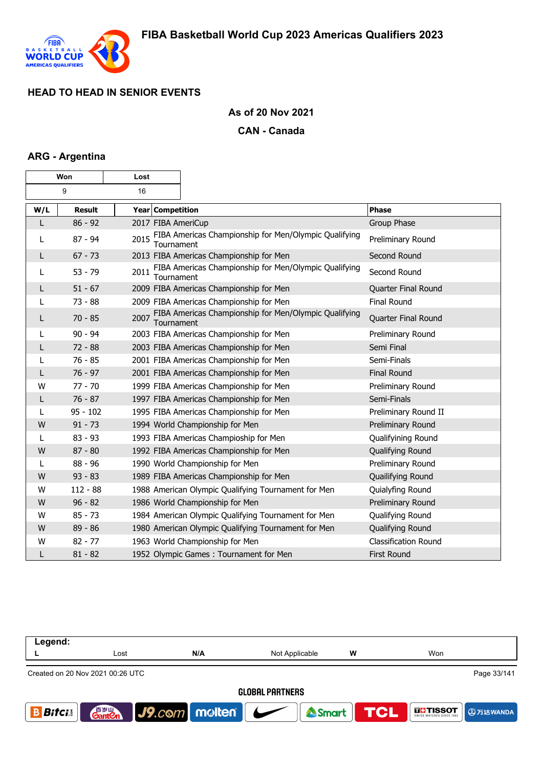

## **As of 20 Nov 2021**

#### **CAN - Canada**

## **ARG - Argentina**

| Won |               | Lost               |                                                       |                      |
|-----|---------------|--------------------|-------------------------------------------------------|----------------------|
|     | 9             | 16                 |                                                       |                      |
| W/L | <b>Result</b> | Year Competition   |                                                       | <b>Phase</b>         |
| L   | $86 - 92$     | 2017 FIBA AmeriCup |                                                       | Group Phase          |
| L   | $87 - 94$     | 2015<br>Tournament | FIBA Americas Championship for Men/Olympic Qualifying | Preliminary Round    |
| L   | $67 - 73$     |                    | 2013 FIBA Americas Championship for Men               | Second Round         |
| L   | $53 - 79$     | 2011<br>Tournament | FIBA Americas Championship for Men/Olympic Qualifying | Second Round         |
| L   | $51 - 67$     |                    | 2009 FIBA Americas Championship for Men               | Quarter Final Round  |
|     | $73 - 88$     |                    | 2009 FIBA Americas Championship for Men               | <b>Final Round</b>   |
| L   | $70 - 85$     | 2007<br>Tournament | FIBA Americas Championship for Men/Olympic Qualifying | Quarter Final Round  |
| L   | $90 - 94$     |                    | 2003 FIBA Americas Championship for Men               | Preliminary Round    |
| L   | $72 - 88$     |                    | 2003 FIBA Americas Championship for Men               | Semi Final           |
| L   | $76 - 85$     |                    | 2001 FIBA Americas Championship for Men               | Semi-Finals          |
| L   | $76 - 97$     |                    | 2001 FIBA Americas Championship for Men               | <b>Final Round</b>   |
| W   | $77 - 70$     |                    | 1999 FIBA Americas Championship for Men               | Preliminary Round    |
| L   | $76 - 87$     |                    | 1997 FIBA Americas Championship for Men               | Semi-Finals          |
| L   | $95 - 102$    |                    | 1995 FIBA Americas Championship for Men               | Preliminary Round II |
| W   | $91 - 73$     |                    | 1994 World Championship for Men                       | Preliminary Round    |
| L   | $83 - 93$     |                    | 1993 FIBA Americas Champioship for Men                | Qualifyining Round   |
| W   | $87 - 80$     |                    | 1992 FIBA Americas Championship for Men               | Qualifying Round     |
| L   | $88 - 96$     |                    | 1990 World Championship for Men                       | Preliminary Round    |
| W   | $93 - 83$     |                    | 1989 FIBA Americas Championship for Men               | Quailifying Round    |
| W   | $112 - 88$    |                    | 1988 American Olympic Qualifying Tournament for Men   | Quialyfing Round     |
| W   | $96 - 82$     |                    | 1986 World Championship for Men                       | Preliminary Round    |
| W   | $85 - 73$     |                    | 1984 American Olympic Qualifying Tournament for Men   | Qualifying Round     |
| W   | $89 - 86$     |                    | 1980 American Olympic Qualifying Tournament for Men   | Qualifying Round     |
| w   | $82 - 77$     |                    | 1963 World Championship for Men                       | Classification Round |
| L   | $81 - 82$     |                    | 1952 Olympic Games: Tournament for Men                | <b>First Round</b>   |

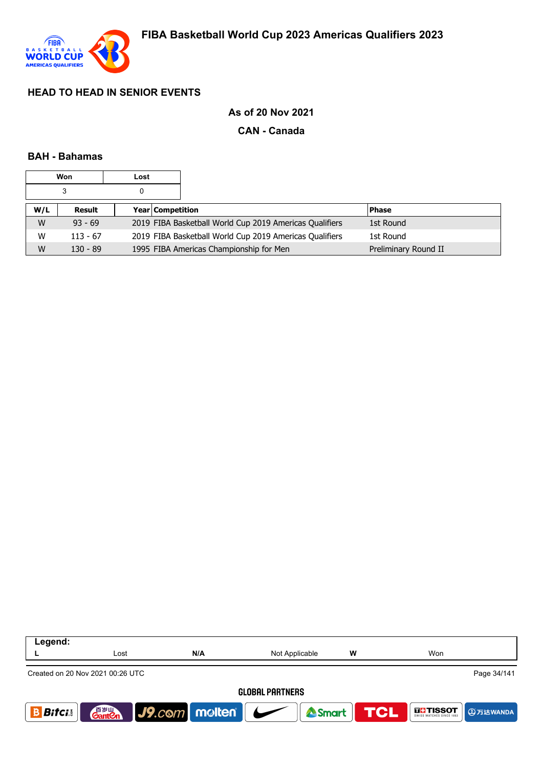

## **As of 20 Nov 2021**

### **CAN - Canada**

### **BAH - Bahamas**

|     | Won        | Lost |                  |                                                         |                      |
|-----|------------|------|------------------|---------------------------------------------------------|----------------------|
|     | 3          | 0    |                  |                                                         |                      |
| W/L | Result     |      | Year Competition |                                                         | <b>Phase</b>         |
| W   | $93 - 69$  |      |                  | 2019 FIBA Basketball World Cup 2019 Americas Qualifiers | 1st Round            |
| W   | $113 - 67$ |      |                  | 2019 FIBA Basketball World Cup 2019 Americas Qualifiers | 1st Round            |
| W   | $130 - 89$ |      |                  | 1995 FIBA Americas Championship for Men                 | Preliminary Round II |

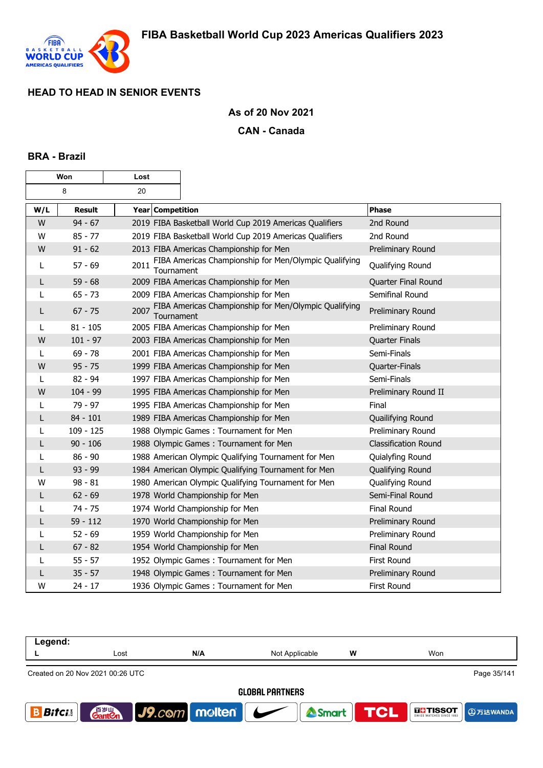

## **As of 20 Nov 2021**

### **CAN - Canada**

### **BRA - Brazil**

| Won |               | Lost               |                                                         |                             |
|-----|---------------|--------------------|---------------------------------------------------------|-----------------------------|
| 8   |               | 20                 |                                                         |                             |
| W/L | <b>Result</b> | Year Competition   |                                                         | <b>Phase</b>                |
| W   | $94 - 67$     |                    | 2019 FIBA Basketball World Cup 2019 Americas Qualifiers | 2nd Round                   |
| W   | $85 - 77$     |                    | 2019 FIBA Basketball World Cup 2019 Americas Qualifiers | 2nd Round                   |
| W   | $91 - 62$     |                    | 2013 FIBA Americas Championship for Men                 | Preliminary Round           |
| L   | $57 - 69$     | 2011<br>Tournament | FIBA Americas Championship for Men/Olympic Qualifying   | Qualifying Round            |
| L   | $59 - 68$     |                    | 2009 FIBA Americas Championship for Men                 | Quarter Final Round         |
| L   | $65 - 73$     |                    | 2009 FIBA Americas Championship for Men                 | Semifinal Round             |
| L   | $67 - 75$     | 2007<br>Tournament | FIBA Americas Championship for Men/Olympic Qualifying   | Preliminary Round           |
| L   | $81 - 105$    |                    | 2005 FIBA Americas Championship for Men                 | Preliminary Round           |
| W   | $101 - 97$    |                    | 2003 FIBA Americas Championship for Men                 | <b>Quarter Finals</b>       |
| L   | $69 - 78$     |                    | 2001 FIBA Americas Championship for Men                 | Semi-Finals                 |
| W   | $95 - 75$     |                    | 1999 FIBA Americas Championship for Men                 | Quarter-Finals              |
| L   | $82 - 94$     |                    | 1997 FIBA Americas Championship for Men                 | Semi-Finals                 |
| W   | $104 - 99$    |                    | 1995 FIBA Americas Championship for Men                 | Preliminary Round II        |
| L   | 79 - 97       |                    | 1995 FIBA Americas Championship for Men                 | Final                       |
| L   | $84 - 101$    |                    | 1989 FIBA Americas Championship for Men                 | Quailifying Round           |
| L   | $109 - 125$   |                    | 1988 Olympic Games: Tournament for Men                  | Preliminary Round           |
| L   | $90 - 106$    |                    | 1988 Olympic Games: Tournament for Men                  | <b>Classification Round</b> |
| L   | $86 - 90$     |                    | 1988 American Olympic Qualifying Tournament for Men     | Quialyfing Round            |
| L   | $93 - 99$     |                    | 1984 American Olympic Qualifying Tournament for Men     | Qualifying Round            |
| W   | $98 - 81$     |                    | 1980 American Olympic Qualifying Tournament for Men     | Qualifying Round            |
| L   | $62 - 69$     |                    | 1978 World Championship for Men                         | Semi-Final Round            |
| L   | $74 - 75$     |                    | 1974 World Championship for Men                         | <b>Final Round</b>          |
| L   | $59 - 112$    |                    | 1970 World Championship for Men                         | Preliminary Round           |
| L   | $52 - 69$     |                    | 1959 World Championship for Men                         | Preliminary Round           |
| L   | $67 - 82$     |                    | 1954 World Championship for Men                         | <b>Final Round</b>          |
| L   | $55 - 57$     |                    | 1952 Olympic Games: Tournament for Men                  | First Round                 |
| L   | $35 - 57$     |                    | 1948 Olympic Games: Tournament for Men                  | Preliminary Round           |
| w   | $24 - 17$     |                    | 1936 Olympic Games: Tournament for Men                  | First Round                 |

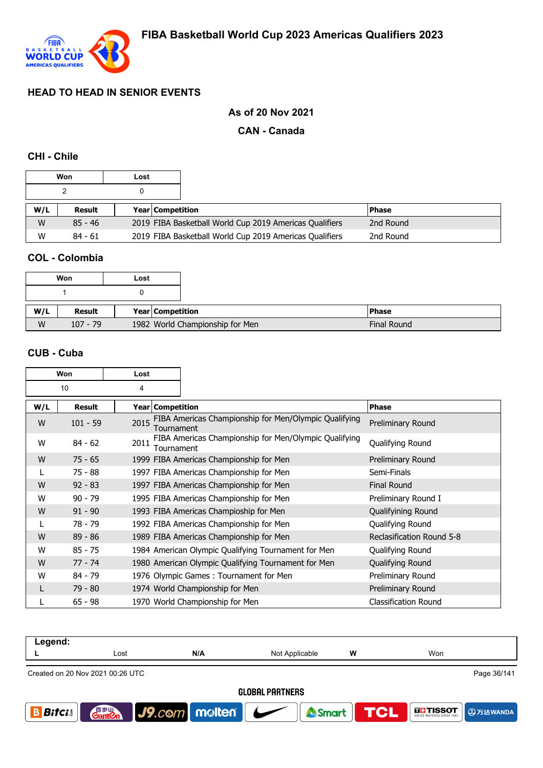

# **As of 20 Nov 2021**

## **CAN - Canada**

## **CHI - Chile**

| Won |           | Lost |                         |                                                         |              |  |
|-----|-----------|------|-------------------------|---------------------------------------------------------|--------------|--|
|     |           |      |                         |                                                         |              |  |
| W/L | Result    |      | <b>Year Competition</b> |                                                         | <b>Phase</b> |  |
| W   | $85 - 46$ |      |                         | 2019 FIBA Basketball World Cup 2019 Americas Qualifiers | 2nd Round    |  |
| W   | $84 - 61$ |      |                         | 2019 FIBA Basketball World Cup 2019 Americas Qualifiers | 2nd Round    |  |

## **COL - Colombia**

| Won |            | Lost |                                 |
|-----|------------|------|---------------------------------|
|     |            |      |                                 |
| W/L | Result     |      | Year Competition                |
| W   | $107 - 79$ |      | 1982 World Championship for Men |

### **CUB - Cuba**

| Won |               | Lost |                    |                                                       |                             |
|-----|---------------|------|--------------------|-------------------------------------------------------|-----------------------------|
| 10  |               | 4    |                    |                                                       |                             |
| W/L | <b>Result</b> |      | Year   Competition |                                                       | <b>Phase</b>                |
| W   | $101 - 59$    | 2015 | Tournament         | FIBA Americas Championship for Men/Olympic Qualifying | Preliminary Round           |
| W   | $84 - 62$     | 2011 | Tournament         | FIBA Americas Championship for Men/Olympic Qualifying | Qualifying Round            |
| W   | $75 - 65$     |      |                    | 1999 FIBA Americas Championship for Men               | Preliminary Round           |
|     | $75 - 88$     |      |                    | 1997 FIBA Americas Championship for Men               | Semi-Finals                 |
| W   | $92 - 83$     |      |                    | 1997 FIBA Americas Championship for Men               | <b>Final Round</b>          |
| W   | $90 - 79$     |      |                    | 1995 FIBA Americas Championship for Men               | Preliminary Round I         |
| W   | $91 - 90$     |      |                    | 1993 FIBA Americas Champioship for Men                | Qualifyining Round          |
| L   | 78 - 79       |      |                    | 1992 FIBA Americas Championship for Men               | Qualifying Round            |
| W   | $89 - 86$     |      |                    | 1989 FIBA Americas Championship for Men               | Reclasification Round 5-8   |
| W   | $85 - 75$     |      |                    | 1984 American Olympic Qualifying Tournament for Men   | Qualifying Round            |
| W   | $77 - 74$     |      |                    | 1980 American Olympic Qualifying Tournament for Men   | Qualifying Round            |
| W   | $84 - 79$     |      |                    | 1976 Olympic Games: Tournament for Men                | Preliminary Round           |
|     | $79 - 80$     |      |                    | 1974 World Championship for Men                       | Preliminary Round           |
|     | $65 - 98$     |      |                    | 1970 World Championship for Men                       | <b>Classification Round</b> |

| Legend:                                         |                       |               |                |                  |                               |  |
|-------------------------------------------------|-----------------------|---------------|----------------|------------------|-------------------------------|--|
|                                                 | Lost                  | N/A           | Not Applicable | w                | Won                           |  |
| Page 36/141<br>Created on 20 Nov 2021 00:26 UTC |                       |               |                |                  |                               |  |
| <b>GLOBAL PARTNERS</b>                          |                       |               |                |                  |                               |  |
| <b>Bifci</b>                                    | 百岁山<br><b>Gantien</b> | J9.com molten |                | Smart <b>TCL</b> | <b>THE TISSOT</b><br>9万达WANDA |  |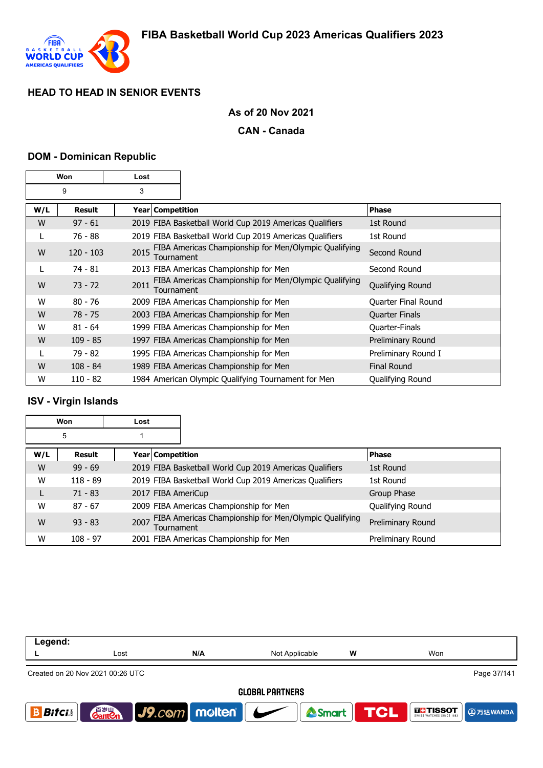

### **As of 20 Nov 2021**

#### **CAN - Canada**

#### **DOM - Dominican Republic**

| Won |             | Lost |                    |                                                         |                       |
|-----|-------------|------|--------------------|---------------------------------------------------------|-----------------------|
| 9   |             | 3    |                    |                                                         |                       |
| W/L | Result      |      | Year   Competition |                                                         | <b>Phase</b>          |
| W   | $97 - 61$   |      |                    | 2019 FIBA Basketball World Cup 2019 Americas Qualifiers | 1st Round             |
| L   | 76 - 88     |      |                    | 2019 FIBA Basketball World Cup 2019 Americas Qualifiers | 1st Round             |
| W   | $120 - 103$ | 2015 | Tournament         | FIBA Americas Championship for Men/Olympic Qualifying   | Second Round          |
| L   | $74 - 81$   |      |                    | 2013 FIBA Americas Championship for Men                 | Second Round          |
| W   | $73 - 72$   | 2011 | Tournament         | FIBA Americas Championship for Men/Olympic Qualifying   | Qualifying Round      |
| W   | $80 - 76$   |      |                    | 2009 FIBA Americas Championship for Men                 | Quarter Final Round   |
| W   | $78 - 75$   |      |                    | 2003 FIBA Americas Championship for Men                 | <b>Quarter Finals</b> |
| W   | $81 - 64$   |      |                    | 1999 FIBA Americas Championship for Men                 | Quarter-Finals        |
| W   | $109 - 85$  |      |                    | 1997 FIBA Americas Championship for Men                 | Preliminary Round     |
|     | 79 - 82     |      |                    | 1995 FIBA Americas Championship for Men                 | Preliminary Round I   |
| W   | $108 - 84$  |      |                    | 1989 FIBA Americas Championship for Men                 | <b>Final Round</b>    |
| W   | $110 - 82$  |      |                    | 1984 American Olympic Qualifying Tournament for Men     | Qualifying Round      |

### **ISV - Virgin Islands**

| Won |               | Lost |                    |                                                         |                   |
|-----|---------------|------|--------------------|---------------------------------------------------------|-------------------|
|     | 5             |      |                    |                                                         |                   |
| W/L | <b>Result</b> |      | Year   Competition |                                                         | <b>Phase</b>      |
| W   | $99 - 69$     |      |                    | 2019 FIBA Basketball World Cup 2019 Americas Qualifiers | 1st Round         |
| W   | $118 - 89$    |      |                    | 2019 FIBA Basketball World Cup 2019 Americas Qualifiers | 1st Round         |
| L   | $71 - 83$     |      |                    | 2017 FIBA AmeriCup                                      | Group Phase       |
| W   | $87 - 67$     |      |                    | 2009 FIBA Americas Championship for Men                 | Qualifying Round  |
| W   | $93 - 83$     | 2007 | Tournament         | FIBA Americas Championship for Men/Olympic Qualifying   | Preliminary Round |
| W   | $108 - 97$    |      |                    | 2001 FIBA Americas Championship for Men                 | Preliminary Round |

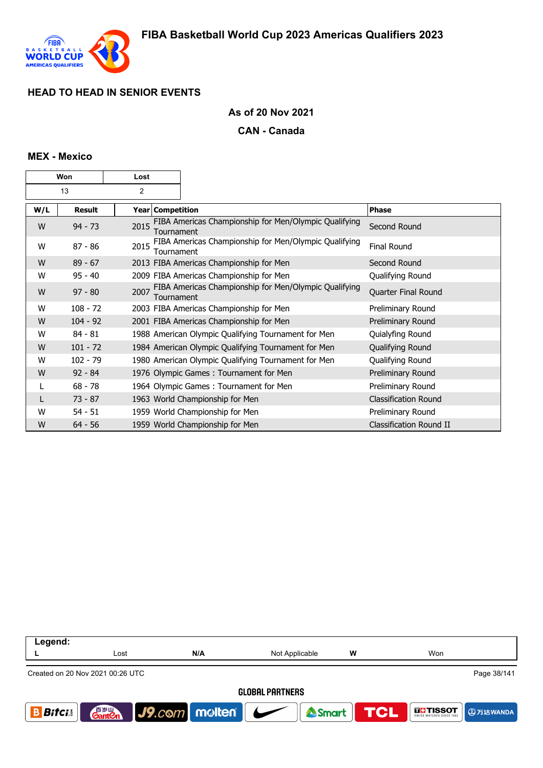

### **As of 20 Nov 2021**

#### **CAN - Canada**

#### **MEX - Mexico**

| Won |               | Lost           |                  |                                                       |                             |
|-----|---------------|----------------|------------------|-------------------------------------------------------|-----------------------------|
| 13  |               | $\overline{2}$ |                  |                                                       |                             |
| W/L | <b>Result</b> |                | Year Competition |                                                       | <b>Phase</b>                |
| W   | $94 - 73$     | 2015           | Tournament       | FIBA Americas Championship for Men/Olympic Qualifying | Second Round                |
| W   | $87 - 86$     | 2015           | Tournament       | FIBA Americas Championship for Men/Olympic Qualifying | <b>Final Round</b>          |
| W   | $89 - 67$     |                |                  | 2013 FIBA Americas Championship for Men               | Second Round                |
| W   | $95 - 40$     |                |                  | 2009 FIBA Americas Championship for Men               | Qualifying Round            |
| W   | $97 - 80$     | 2007           | Tournament       | FIBA Americas Championship for Men/Olympic Qualifying | Quarter Final Round         |
| W   | $108 - 72$    |                |                  | 2003 FIBA Americas Championship for Men               | Preliminary Round           |
| W   | $104 - 92$    |                |                  | 2001 FIBA Americas Championship for Men               | Preliminary Round           |
| w   | $84 - 81$     |                |                  | 1988 American Olympic Qualifying Tournament for Men   | Quialyfing Round            |
| W   | $101 - 72$    |                |                  | 1984 American Olympic Qualifying Tournament for Men   | Qualifying Round            |
| w   | $102 - 79$    |                |                  | 1980 American Olympic Qualifying Tournament for Men   | Qualifying Round            |
| W   | $92 - 84$     |                |                  | 1976 Olympic Games: Tournament for Men                | Preliminary Round           |
|     | $68 - 78$     |                |                  | 1964 Olympic Games: Tournament for Men                | Preliminary Round           |
|     | $73 - 87$     |                |                  | 1963 World Championship for Men                       | <b>Classification Round</b> |
| W   | $54 - 51$     |                |                  | 1959 World Championship for Men                       | Preliminary Round           |
| W   | $64 - 56$     |                |                  | 1959 World Championship for Men                       | Classification Round II     |

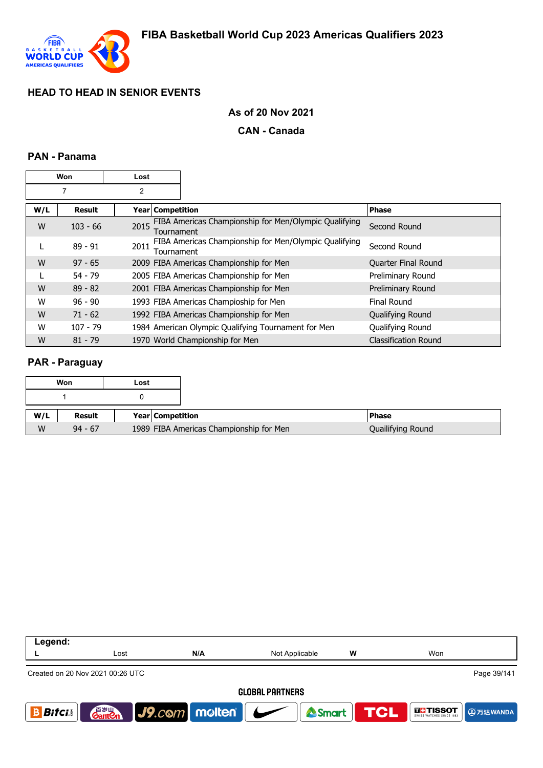

### **As of 20 Nov 2021**

#### **CAN - Canada**

### **PAN - Panama**

| Won |               | Lost               |                                                       |                             |
|-----|---------------|--------------------|-------------------------------------------------------|-----------------------------|
|     | 7             | 2                  |                                                       |                             |
| W/L | <b>Result</b> | Year   Competition |                                                       | Phase                       |
| W   | $103 - 66$    | 2015<br>Tournament | FIBA Americas Championship for Men/Olympic Qualifying | Second Round                |
| L   | $89 - 91$     | 2011<br>Tournament | FIBA Americas Championship for Men/Olympic Qualifying | Second Round                |
| W   | $97 - 65$     |                    | 2009 FIBA Americas Championship for Men               | <b>Quarter Final Round</b>  |
|     | $54 - 79$     |                    | 2005 FIBA Americas Championship for Men               | Preliminary Round           |
| W   | $89 - 82$     |                    | 2001 FIBA Americas Championship for Men               | Preliminary Round           |
| W   | $96 - 90$     |                    | 1993 FIBA Americas Champioship for Men                | Final Round                 |
| W   | $71 - 62$     |                    | 1992 FIBA Americas Championship for Men               | Qualifying Round            |
| W   | $107 - 79$    |                    | 1984 American Olympic Qualifying Tournament for Men   | Qualifying Round            |
| W   | $81 - 79$     |                    | 1970 World Championship for Men                       | <b>Classification Round</b> |

#### **PAR - Paraguay**

| Won | Lost                              |
|-----|-----------------------------------|
|     |                                   |
| W/L | Result<br><b>Year Competition</b> |
|     |                                   |

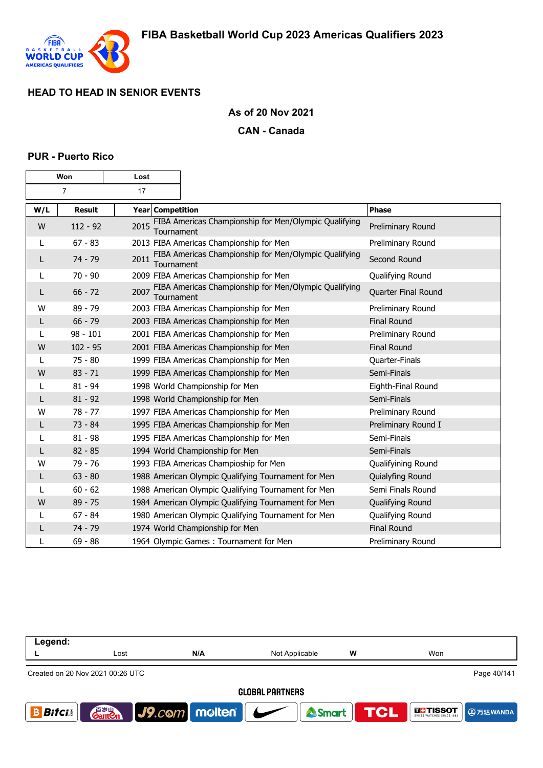

#### **As of 20 Nov 2021**

#### **CAN - Canada**

#### **PUR - Puerto Rico**

| Won |               | Lost                    |                                                       |                     |
|-----|---------------|-------------------------|-------------------------------------------------------|---------------------|
| 7   |               | 17                      |                                                       |                     |
| W/L | <b>Result</b> | <b>Year Competition</b> |                                                       | <b>Phase</b>        |
| W   | $112 - 92$    | 2015<br>Tournament      | FIBA Americas Championship for Men/Olympic Qualifying | Preliminary Round   |
|     | $67 - 83$     |                         | 2013 FIBA Americas Championship for Men               | Preliminary Round   |
| L   | 74 - 79       | 2011<br>Tournament      | FIBA Americas Championship for Men/Olympic Qualifying | Second Round        |
| L   | $70 - 90$     |                         | 2009 FIBA Americas Championship for Men               | Qualifying Round    |
| L   | $66 - 72$     | 2007<br>Tournament      | FIBA Americas Championship for Men/Olympic Qualifying | Quarter Final Round |
| W   | $89 - 79$     |                         | 2003 FIBA Americas Championship for Men               | Preliminary Round   |
| L   | $66 - 79$     |                         | 2003 FIBA Americas Championship for Men               | <b>Final Round</b>  |
|     | $98 - 101$    |                         | 2001 FIBA Americas Championship for Men               | Preliminary Round   |
| W   | $102 - 95$    |                         | 2001 FIBA Americas Championship for Men               | <b>Final Round</b>  |
| L   | $75 - 80$     |                         | 1999 FIBA Americas Championship for Men               | Quarter-Finals      |
| W   | $83 - 71$     |                         | 1999 FIBA Americas Championship for Men               | Semi-Finals         |
| L   | $81 - 94$     |                         | 1998 World Championship for Men                       | Eighth-Final Round  |
| L   | $81 - 92$     |                         | 1998 World Championship for Men                       | Semi-Finals         |
| w   | $78 - 77$     |                         | 1997 FIBA Americas Championship for Men               | Preliminary Round   |
| L   | $73 - 84$     |                         | 1995 FIBA Americas Championship for Men               | Preliminary Round I |
| L   | $81 - 98$     |                         | 1995 FIBA Americas Championship for Men               | Semi-Finals         |
|     | $82 - 85$     |                         | 1994 World Championship for Men                       | Semi-Finals         |
| W   | 79 - 76       |                         | 1993 FIBA Americas Champioship for Men                | Qualifyining Round  |
| L   | $63 - 80$     |                         | 1988 American Olympic Qualifying Tournament for Men   | Quialyfing Round    |
|     | $60 - 62$     |                         | 1988 American Olympic Qualifying Tournament for Men   | Semi Finals Round   |
| W   | $89 - 75$     |                         | 1984 American Olympic Qualifying Tournament for Men   | Qualifying Round    |
| L   | $67 - 84$     |                         | 1980 American Olympic Qualifying Tournament for Men   | Qualifying Round    |
| L   | 74 - 79       |                         | 1974 World Championship for Men                       | <b>Final Round</b>  |
| L   | $69 - 88$     |                         | 1964 Olympic Games: Tournament for Men                | Preliminary Round   |

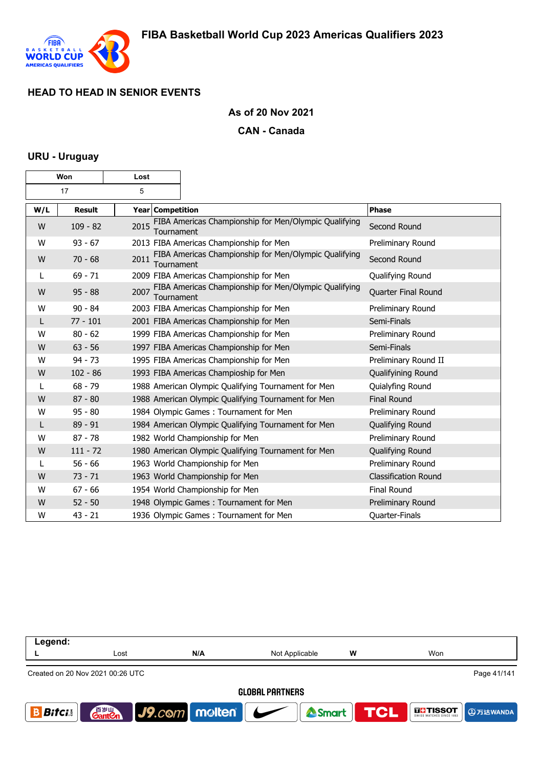

### **As of 20 Nov 2021**

#### **CAN - Canada**

#### **URU - Uruguay**

| Won     |               | Lost               |                                                       |                             |
|---------|---------------|--------------------|-------------------------------------------------------|-----------------------------|
| 17<br>5 |               |                    |                                                       |                             |
| W/L     | <b>Result</b> | Year Competition   |                                                       | <b>Phase</b>                |
| W       | $109 - 82$    | 2015<br>Tournament | FIBA Americas Championship for Men/Olympic Qualifying | Second Round                |
| W       | $93 - 67$     |                    | 2013 FIBA Americas Championship for Men               | Preliminary Round           |
| W       | $70 - 68$     | 2011<br>Tournament | FIBA Americas Championship for Men/Olympic Qualifying | Second Round                |
| L       | $69 - 71$     |                    | 2009 FIBA Americas Championship for Men               | Qualifying Round            |
| W       | $95 - 88$     | 2007<br>Tournament | FIBA Americas Championship for Men/Olympic Qualifying | Quarter Final Round         |
| W       | $90 - 84$     |                    | 2003 FIBA Americas Championship for Men               | Preliminary Round           |
| L       | $77 - 101$    |                    | 2001 FIBA Americas Championship for Men               | Semi-Finals                 |
| W       | $80 - 62$     |                    | 1999 FIBA Americas Championship for Men               | Preliminary Round           |
| W       | $63 - 56$     |                    | 1997 FIBA Americas Championship for Men               | Semi-Finals                 |
| W       | $94 - 73$     |                    | 1995 FIBA Americas Championship for Men               | Preliminary Round II        |
| W       | $102 - 86$    |                    | 1993 FIBA Americas Champioship for Men                | Qualifyining Round          |
| L       | $68 - 79$     |                    | 1988 American Olympic Qualifying Tournament for Men   | Quialyfing Round            |
| W       | $87 - 80$     |                    | 1988 American Olympic Qualifying Tournament for Men   | <b>Final Round</b>          |
| W       | $95 - 80$     |                    | 1984 Olympic Games: Tournament for Men                | Preliminary Round           |
| L       | $89 - 91$     |                    | 1984 American Olympic Qualifying Tournament for Men   | Qualifying Round            |
| W       | $87 - 78$     |                    | 1982 World Championship for Men                       | Preliminary Round           |
| W       | $111 - 72$    |                    | 1980 American Olympic Qualifying Tournament for Men   | Qualifying Round            |
|         | $56 - 66$     |                    | 1963 World Championship for Men                       | Preliminary Round           |
| W       | $73 - 71$     |                    | 1963 World Championship for Men                       | <b>Classification Round</b> |
| W       | $67 - 66$     |                    | 1954 World Championship for Men                       | Final Round                 |
| W       | $52 - 50$     |                    | 1948 Olympic Games: Tournament for Men                | Preliminary Round           |
| W       | $43 - 21$     |                    | 1936 Olympic Games: Tournament for Men                | Quarter-Finals              |

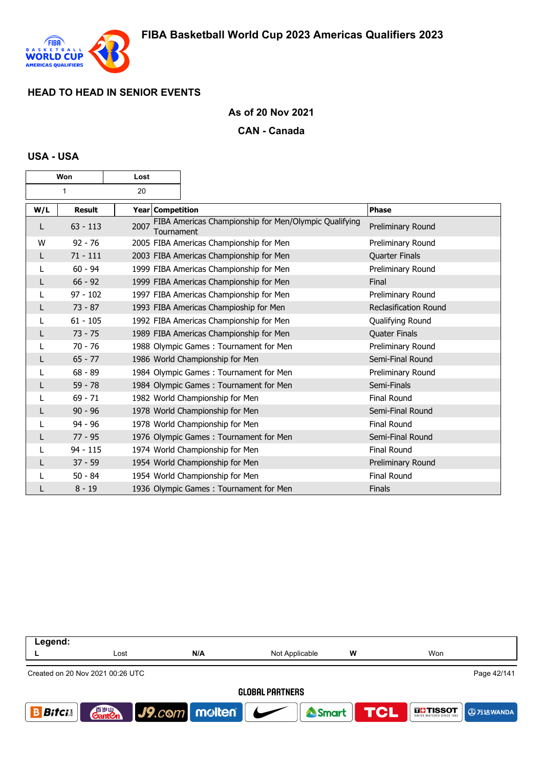

### **As of 20 Nov 2021**

#### **CAN - Canada**

#### **USA - USA**

| Won |               | Lost               |                                                       |                              |
|-----|---------------|--------------------|-------------------------------------------------------|------------------------------|
| 1   |               | 20                 |                                                       |                              |
| W/L | <b>Result</b> | Year Competition   |                                                       | Phase                        |
| L   | $63 - 113$    | 2007<br>Tournament | FIBA Americas Championship for Men/Olympic Qualifying | Preliminary Round            |
| W   | $92 - 76$     |                    | 2005 FIBA Americas Championship for Men               | Preliminary Round            |
| L   | $71 - 111$    |                    | 2003 FIBA Americas Championship for Men               | <b>Quarter Finals</b>        |
|     | $60 - 94$     |                    | 1999 FIBA Americas Championship for Men               | Preliminary Round            |
| L   | $66 - 92$     |                    | 1999 FIBA Americas Championship for Men               | Final                        |
|     | $97 - 102$    |                    | 1997 FIBA Americas Championship for Men               | Preliminary Round            |
| L   | $73 - 87$     |                    | 1993 FIBA Americas Champioship for Men                | <b>Reclasification Round</b> |
|     | $61 - 105$    |                    | 1992 FIBA Americas Championship for Men               | Qualifying Round             |
|     | $73 - 75$     |                    | 1989 FIBA Americas Championship for Men               | <b>Quater Finals</b>         |
|     | $70 - 76$     |                    | 1988 Olympic Games: Tournament for Men                | Preliminary Round            |
|     | $65 - 77$     |                    | 1986 World Championship for Men                       | Semi-Final Round             |
|     | $68 - 89$     |                    | 1984 Olympic Games: Tournament for Men                | Preliminary Round            |
|     | $59 - 78$     |                    | 1984 Olympic Games: Tournament for Men                | Semi-Finals                  |
|     | $69 - 71$     |                    | 1982 World Championship for Men                       | <b>Final Round</b>           |
|     | $90 - 96$     |                    | 1978 World Championship for Men                       | Semi-Final Round             |
|     | $94 - 96$     |                    | 1978 World Championship for Men                       | <b>Final Round</b>           |
|     | $77 - 95$     |                    | 1976 Olympic Games: Tournament for Men                | Semi-Final Round             |
|     | $94 - 115$    |                    | 1974 World Championship for Men                       | <b>Final Round</b>           |
|     | $37 - 59$     |                    | 1954 World Championship for Men                       | Preliminary Round            |
|     | $50 - 84$     |                    | 1954 World Championship for Men                       | <b>Final Round</b>           |
|     | $8 - 19$      |                    | 1936 Olympic Games: Tournament for Men                | <b>Finals</b>                |

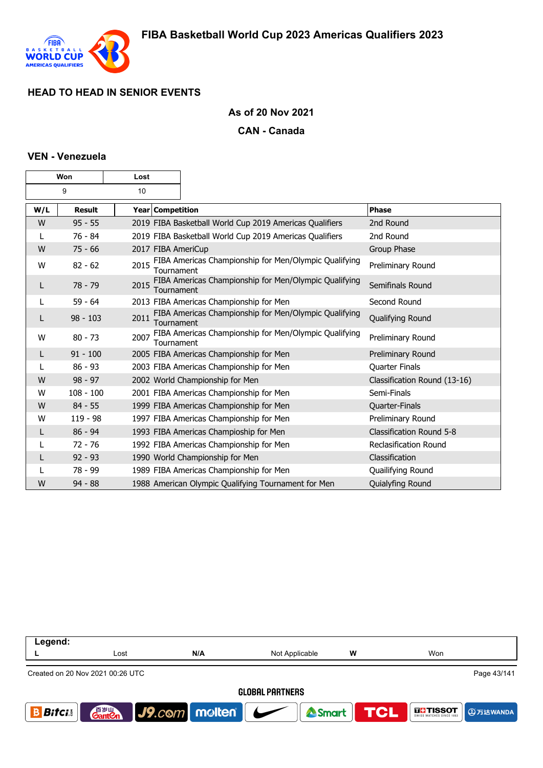

### **As of 20 Nov 2021**

#### **CAN - Canada**

### **VEN - Venezuela**

| Won     |               | Lost |                  |                                                         |                                 |
|---------|---------------|------|------------------|---------------------------------------------------------|---------------------------------|
| 10<br>9 |               |      |                  |                                                         |                                 |
| W/L     | <b>Result</b> |      | Year Competition |                                                         | Phase                           |
| W       | $95 - 55$     |      |                  | 2019 FIBA Basketball World Cup 2019 Americas Qualifiers | 2nd Round                       |
|         | 76 - 84       |      |                  | 2019 FIBA Basketball World Cup 2019 Americas Qualifiers | 2nd Round                       |
| W       | $75 - 66$     |      |                  | 2017 FIBA AmeriCup                                      | Group Phase                     |
| w       | $82 - 62$     | 2015 | Tournament       | FIBA Americas Championship for Men/Olympic Qualifying   | Preliminary Round               |
| L       | 78 - 79       | 2015 | Tournament       | FIBA Americas Championship for Men/Olympic Qualifying   | Semifinals Round                |
|         | $59 - 64$     |      |                  | 2013 FIBA Americas Championship for Men                 | Second Round                    |
| L       | $98 - 103$    | 2011 | Tournament       | FIBA Americas Championship for Men/Olympic Qualifying   | Qualifying Round                |
| W       | $80 - 73$     | 2007 | Tournament       | FIBA Americas Championship for Men/Olympic Qualifying   | Preliminary Round               |
| L       | $91 - 100$    |      |                  | 2005 FIBA Americas Championship for Men                 | Preliminary Round               |
|         | $86 - 93$     |      |                  | 2003 FIBA Americas Championship for Men                 | <b>Quarter Finals</b>           |
| W       | $98 - 97$     |      |                  | 2002 World Championship for Men                         | Classification Round (13-16)    |
| W       | $108 - 100$   |      |                  | 2001 FIBA Americas Championship for Men                 | Semi-Finals                     |
| W       | $84 - 55$     |      |                  | 1999 FIBA Americas Championship for Men                 | Quarter-Finals                  |
| W       | $119 - 98$    |      |                  | 1997 FIBA Americas Championship for Men                 | Preliminary Round               |
| L       | $86 - 94$     |      |                  | 1993 FIBA Americas Champioship for Men                  | <b>Classification Round 5-8</b> |
|         | $72 - 76$     |      |                  | 1992 FIBA Americas Championship for Men                 | <b>Reclasification Round</b>    |
| L       | $92 - 93$     |      |                  | 1990 World Championship for Men                         | Classification                  |
|         | 78 - 99       |      |                  | 1989 FIBA Americas Championship for Men                 | Quailifying Round               |
| W       | $94 - 88$     |      |                  | 1988 American Olympic Qualifying Tournament for Men     | Quialyfing Round                |

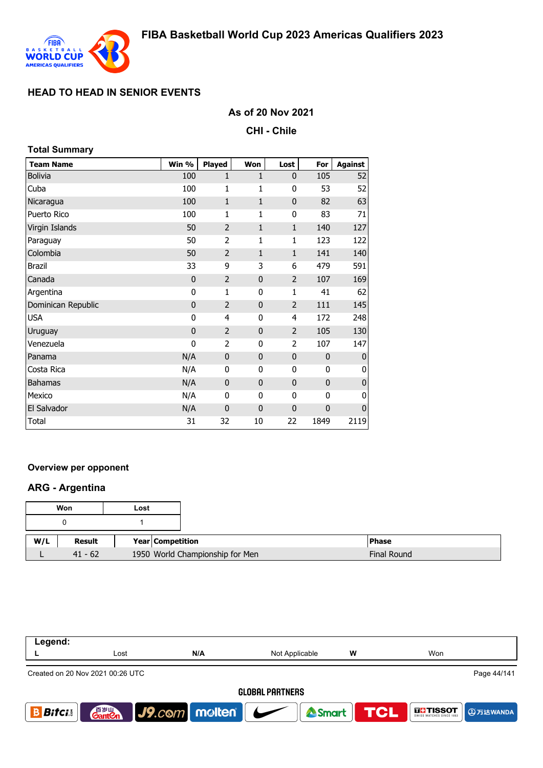

**Total Summary**

## **HEAD TO HEAD IN SENIOR EVENTS**

## **As of 20 Nov 2021**

**CHI - Chile**

| TULAI JUITIITIAI Y |             |                |              |                |             |                |
|--------------------|-------------|----------------|--------------|----------------|-------------|----------------|
| <b>Team Name</b>   | Win %       | <b>Played</b>  | <b>Won</b>   | Lost           | For         | <b>Against</b> |
| <b>Bolivia</b>     | 100         | $\mathbf{1}$   | $\mathbf{1}$ | 0              | 105         | 52             |
| Cuba               | 100         | $\mathbf{1}$   | 1            | 0              | 53          | 52             |
| Nicaragua          | 100         | $\mathbf{1}$   | $\mathbf{1}$ | $\pmb{0}$      | 82          | 63             |
| Puerto Rico        | 100         | $\mathbf{1}$   | 1            | 0              | 83          | 71             |
| Virgin Islands     | 50          | $\overline{2}$ | $\mathbf{1}$ | $\mathbf{1}$   | 140         | 127            |
| Paraguay           | 50          | $\overline{2}$ | 1            | 1              | 123         | 122            |
| Colombia           | 50          | $\overline{2}$ | $\mathbf{1}$ | $\mathbf{1}$   | 141         | 140            |
| <b>Brazil</b>      | 33          | 9              | 3            | 6              | 479         | 591            |
| Canada             | $\mathbf 0$ | $\overline{2}$ | $\bf{0}$     | $\overline{2}$ | 107         | 169            |
| Argentina          | 0           | $\mathbf{1}$   | 0            | 1              | 41          | 62             |
| Dominican Republic | $\mathbf 0$ | $\overline{2}$ | $\mathbf{0}$ | $\overline{2}$ | 111         | 145            |
| <b>USA</b>         | 0           | 4              | $\mathbf{0}$ | $\overline{4}$ | 172         | 248            |
| Uruguay            | 0           | $\overline{2}$ | $\mathbf{0}$ | $\overline{2}$ | 105         | 130            |
| Venezuela          | 0           | $\overline{2}$ | 0            | 2              | 107         | 147            |
| Panama             | N/A         | $\mathbf 0$    | $\bf{0}$     | $\mathbf 0$    | $\mathbf 0$ | 0              |
| Costa Rica         | N/A         | 0              | 0            | 0              | 0           | 0              |
| <b>Bahamas</b>     | N/A         | $\mathbf 0$    | $\bf{0}$     | $\mathbf 0$    | $\mathbf 0$ | 0              |
| Mexico             | N/A         | 0              | 0            | 0              | 0           | 0              |
| El Salvador        | N/A         | $\mathbf 0$    | $\bf{0}$     | $\mathbf 0$    | $\mathbf 0$ | $\pmb{0}$      |
| Total              | 31          | 32             | 10           | 22             | 1849        | 2119           |

### **Overview per opponent**

### **ARG - Argentina**

| Won |           | Lost |                                 |                    |
|-----|-----------|------|---------------------------------|--------------------|
|     |           |      |                                 |                    |
| W/L | Result    |      | Year Competition                | <b>Phase</b>       |
|     | $41 - 62$ |      | 1950 World Championship for Men | <b>Final Round</b> |

| Legend:                |                                    |                                 |                |   |                                             |  |
|------------------------|------------------------------------|---------------------------------|----------------|---|---------------------------------------------|--|
|                        | Lost                               | N/A                             | Not Applicable | W | Won                                         |  |
|                        | Created on 20 Nov 2021 00:26 UTC   |                                 |                |   | Page 44/141                                 |  |
| <b>GLOBAL PARTNERS</b> |                                    |                                 |                |   |                                             |  |
| <b>Bitci</b>           | 音 <sub>罗耶</sub><br>Gant <b>C</b> n | $ $ J9. $com$ molten $ $ $\sim$ | Smart TCL      |   | <b>DETISSOT</b><br>SWISS WATCHES SINCE 1853 |  |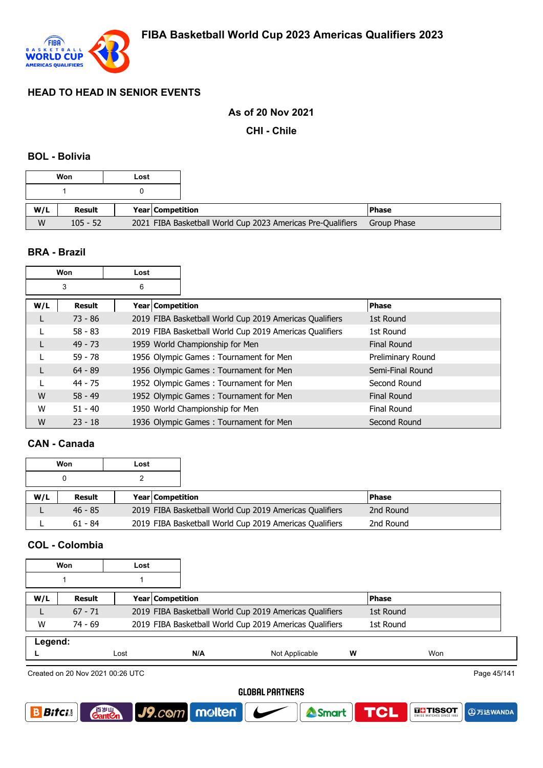

#### **As of 20 Nov 2021**

**CHI - Chile**

#### **BOL - Bolivia**

| W/L | <b>Result</b><br><b>Year Competition</b> | <b>IPhase</b> |
|-----|------------------------------------------|---------------|
|     |                                          |               |

### **BRA - Brazil**

|     | Won       | Lost             |                                                         |                    |
|-----|-----------|------------------|---------------------------------------------------------|--------------------|
|     | 3         | 6                |                                                         |                    |
| W/L | Result    | Year Competition |                                                         | <b>Phase</b>       |
|     | $73 - 86$ |                  | 2019 FIBA Basketball World Cup 2019 Americas Qualifiers | 1st Round          |
|     | $58 - 83$ |                  | 2019 FIBA Basketball World Cup 2019 Americas Qualifiers | 1st Round          |
|     | $49 - 73$ |                  | 1959 World Championship for Men                         | Final Round        |
|     | $59 - 78$ |                  | 1956 Olympic Games: Tournament for Men                  | Preliminary Round  |
|     | $64 - 89$ |                  | 1956 Olympic Games: Tournament for Men                  | Semi-Final Round   |
|     | $44 - 75$ |                  | 1952 Olympic Games: Tournament for Men                  | Second Round       |
| W   | $58 - 49$ |                  | 1952 Olympic Games: Tournament for Men                  | <b>Final Round</b> |
| W   | $51 - 40$ |                  | 1950 World Championship for Men                         | Final Round        |
| W   | $23 - 18$ |                  | 1936 Olympic Games: Tournament for Men                  | Second Round       |

### **CAN - Canada**

|     | Won       | Lost |                         |                                                         |              |  |
|-----|-----------|------|-------------------------|---------------------------------------------------------|--------------|--|
|     |           |      |                         |                                                         |              |  |
| W/L | Result    |      | <b>Year Competition</b> |                                                         | <b>Phase</b> |  |
|     | $46 - 85$ |      |                         | 2019 FIBA Basketball World Cup 2019 Americas Qualifiers | 2nd Round    |  |
|     | $61 - 84$ |      |                         | 2019 FIBA Basketball World Cup 2019 Americas Qualifiers | 2nd Round    |  |

## **COL - Colombia**

|         | Won       | Lost |                  |                                                         |   |              |
|---------|-----------|------|------------------|---------------------------------------------------------|---|--------------|
|         |           |      |                  |                                                         |   |              |
| W/L     | Result    |      | Year Competition |                                                         |   | <b>Phase</b> |
|         | $67 - 71$ |      |                  | 2019 FIBA Basketball World Cup 2019 Americas Qualifiers |   | 1st Round    |
| W       | $74 - 69$ |      |                  | 2019 FIBA Basketball World Cup 2019 Americas Qualifiers |   | 1st Round    |
| Legend: |           |      |                  |                                                         |   |              |
|         |           | Lost | N/A              | Not Applicable                                          | w | Won          |

Created on 20 Nov 2021 00:26 UTC

**Gant C** 

Page 45/141

**4万达WANDA** 

**THE TISSOT** 

#### **GLOBAL PARTNERS**

<sup>2</sup>Smart

**TCL** 

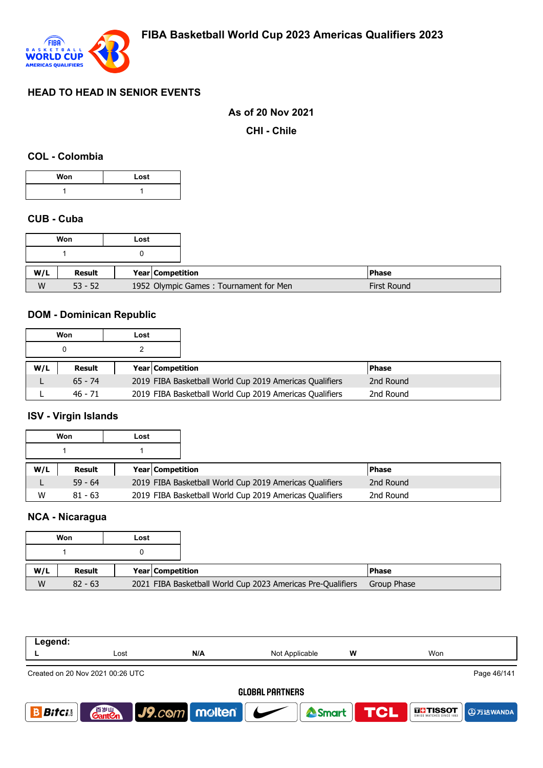

### **As of 20 Nov 2021**

**CHI - Chile**

#### **COL - Colombia**

| Won | Lost |
|-----|------|
|     |      |

### **CUB - Cuba**

|     |           | Won | Lost                                   |  |
|-----|-----------|-----|----------------------------------------|--|
|     |           |     |                                        |  |
|     |           |     |                                        |  |
| W/L | Result    |     | Year Competition                       |  |
| W   | $53 - 52$ |     | 1952 Olympic Games: Tournament for Men |  |

## **DOM - Dominican Republic**

|     | Won       | Lost |                         |                                                         |           |  |
|-----|-----------|------|-------------------------|---------------------------------------------------------|-----------|--|
|     |           |      |                         |                                                         |           |  |
| W/L | Result    |      | <b>Year Competition</b> |                                                         | l Phase   |  |
|     | $65 - 74$ |      |                         | 2019 FIBA Basketball World Cup 2019 Americas Qualifiers | 2nd Round |  |
|     | $46 - 71$ |      |                         | 2019 FIBA Basketball World Cup 2019 Americas Qualifiers | 2nd Round |  |

# **ISV - Virgin Islands**

|     | Won       | Lost                    |                                                         |           |  |
|-----|-----------|-------------------------|---------------------------------------------------------|-----------|--|
|     |           |                         |                                                         |           |  |
| W/L | Result    | <b>Year Competition</b> |                                                         | l Phase   |  |
|     | $59 - 64$ |                         | 2019 FIBA Basketball World Cup 2019 Americas Qualifiers | 2nd Round |  |
| W   | $81 - 63$ |                         | 2019 FIBA Basketball World Cup 2019 Americas Qualifiers | 2nd Round |  |

# **NCA - Nicaragua**

|     | Won       | Lost |                  |                                                             |              |
|-----|-----------|------|------------------|-------------------------------------------------------------|--------------|
|     |           |      |                  |                                                             |              |
| W/L | Result    |      | Year Competition |                                                             | <b>Phase</b> |
| W   | $82 - 63$ |      |                  | 2021 FIBA Basketball World Cup 2023 Americas Pre-Qualifiers | Group Phase  |

| Legend:       |                                  |                             |                        |   |                  |                   |             |
|---------------|----------------------------------|-----------------------------|------------------------|---|------------------|-------------------|-------------|
|               | Lost                             | N/A                         | Not Applicable         | w |                  | Won               |             |
|               | Created on 20 Nov 2021 00:26 UTC |                             |                        |   |                  |                   | Page 46/141 |
|               |                                  |                             | <b>GLOBAL PARTNERS</b> |   |                  |                   |             |
| <b>Bitcis</b> |                                  | <b>Ganton</b> J9.com molten |                        |   | Smart <b>TCL</b> | <b>THE TISSOT</b> |             |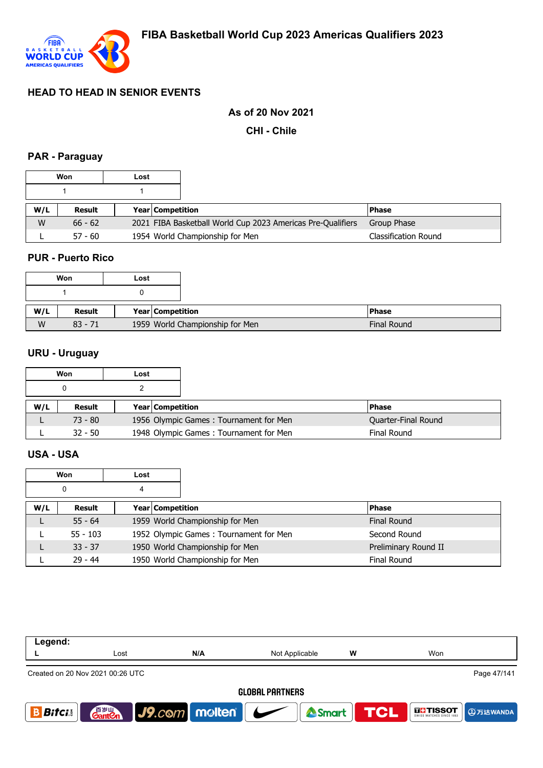

## **As of 20 Nov 2021**

**CHI - Chile**

# **PAR - Paraguay**

|     | Won       | Lost |                         |                                                             |                             |
|-----|-----------|------|-------------------------|-------------------------------------------------------------|-----------------------------|
|     |           |      |                         |                                                             |                             |
| W/L | Result    |      | <b>Year Competition</b> |                                                             | <b>Phase</b>                |
| W   | $66 - 62$ |      |                         | 2021 FIBA Basketball World Cup 2023 Americas Pre-Qualifiers | Group Phase                 |
|     | $57 - 60$ |      |                         | 1954 World Championship for Men                             | <b>Classification Round</b> |

### **PUR - Puerto Rico**

| Won | Lost                                         |  |
|-----|----------------------------------------------|--|
|     |                                              |  |
| W/L | Result<br>Year   Competition                 |  |
| W   | 1959 World Championship for Men<br>$83 - 71$ |  |

## **URU - Uruguay**

|     | Won       | Lost |                         |                                        |                     |
|-----|-----------|------|-------------------------|----------------------------------------|---------------------|
|     |           |      |                         |                                        |                     |
| W/L | Result    |      | <b>Year Competition</b> |                                        | l Phase             |
|     | $73 - 80$ |      |                         | 1956 Olympic Games: Tournament for Men | Quarter-Final Round |
|     | $32 - 50$ |      |                         | 1948 Olympic Games: Tournament for Men | Final Round         |

### **USA - USA**

|     | <b>Won</b><br>Lost |  |                  |                                        |                      |
|-----|--------------------|--|------------------|----------------------------------------|----------------------|
|     | 0<br>4             |  |                  |                                        |                      |
| W/L | Result             |  | Year Competition |                                        | <b>Phase</b>         |
|     | $55 - 64$          |  |                  | 1959 World Championship for Men        | <b>Final Round</b>   |
|     | $55 - 103$         |  |                  | 1952 Olympic Games: Tournament for Men | Second Round         |
|     | $33 - 37$          |  |                  | 1950 World Championship for Men        | Preliminary Round II |
|     | $29 - 44$          |  |                  | 1950 World Championship for Men        | <b>Final Round</b>   |

| Legend:      |                                    |                      |                          |                  |                                      |
|--------------|------------------------------------|----------------------|--------------------------|------------------|--------------------------------------|
|              | Lost                               | N/A                  | Not Applicable           | w                | Won                                  |
|              | Created on 20 Nov 2021 00:26 UTC   |                      |                          |                  | Page 47/141                          |
|              |                                    |                      | <b>GLOBAL PARTNERS</b>   |                  |                                      |
| <b>Bitci</b> | 音 <sub>罗山</sub><br>Gant <b>C</b> n | $ $ J9. $com$ molten | $\overline{\phantom{a}}$ | Smart <b>TCL</b> | <b>THE TISSOT</b><br><b>4万达WANDA</b> |
|              |                                    |                      |                          |                  |                                      |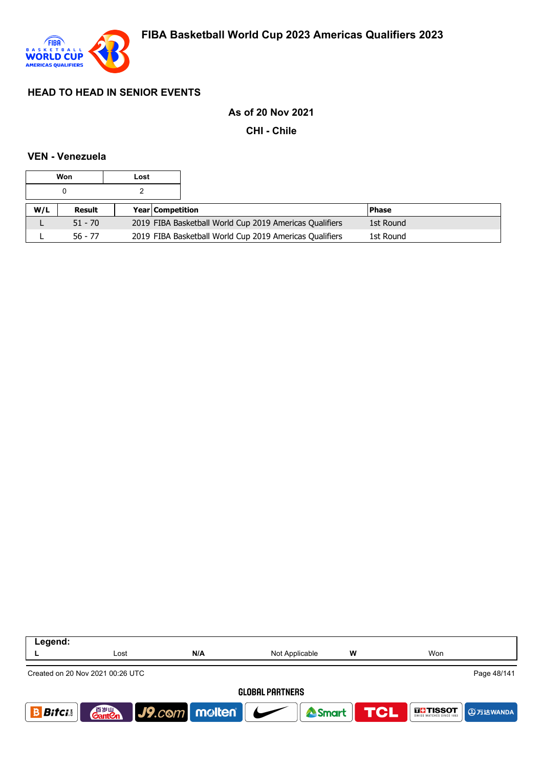

### **As of 20 Nov 2021**

**CHI - Chile**

#### **VEN - Venezuela**

|     | Won       | Lost |                         |                                                         |           |  |
|-----|-----------|------|-------------------------|---------------------------------------------------------|-----------|--|
|     |           |      |                         |                                                         |           |  |
| W/L | Result    |      | <b>Year Competition</b> |                                                         | l Phase   |  |
|     | $51 - 70$ |      |                         | 2019 FIBA Basketball World Cup 2019 Americas Qualifiers | 1st Round |  |
|     | $56 - 77$ |      |                         | 2019 FIBA Basketball World Cup 2019 Americas Qualifiers | 1st Round |  |

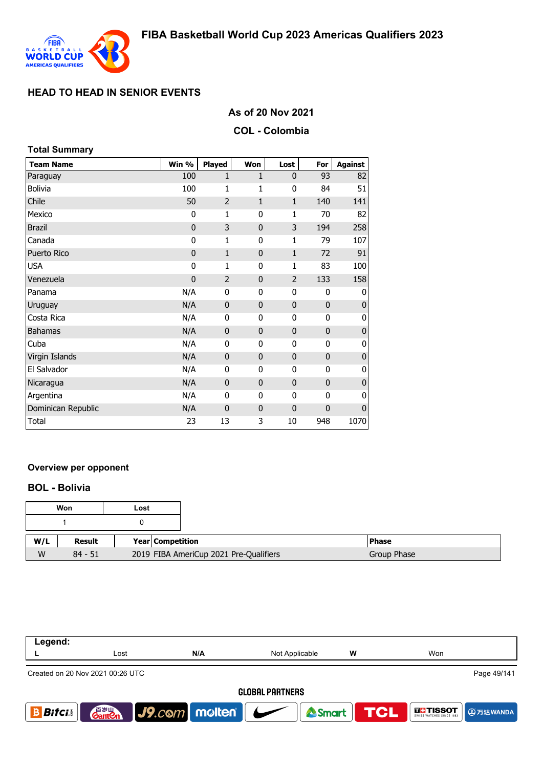

## **As of 20 Nov 2021**

#### **COL - Colombia**

| <b>Total Summary</b> |             |                |                |                |              |                |
|----------------------|-------------|----------------|----------------|----------------|--------------|----------------|
| <b>Team Name</b>     | Win %       | Played         | Won            | Lost           | For          | <b>Against</b> |
| Paraguay             | 100         | $\mathbf{1}$   | 1              | 0              | 93           | 82             |
| <b>Bolivia</b>       | 100         | 1              | 1              | 0              | 84           | 51             |
| Chile                | 50          | $\overline{2}$ | $\mathbf{1}$   | $\mathbf{1}$   | 140          | 141            |
| Mexico               | 0           | 1              | 0              | 1              | 70           | 82             |
| <b>Brazil</b>        | $\mathbf 0$ | 3              | $\overline{0}$ | 3              | 194          | 258            |
| Canada               | 0           | $\mathbf{1}$   | 0              | 1              | 79           | 107            |
| Puerto Rico          | $\mathbf 0$ | $\mathbf{1}$   | $\overline{0}$ | $\mathbf{1}$   | 72           | 91             |
| <b>USA</b>           | 0           | 1              | 0              | 1              | 83           | 100            |
| Venezuela            | $\mathbf 0$ | $\overline{2}$ | 0              | $\overline{2}$ | 133          | 158            |
| Panama               | N/A         | 0              | 0              | 0              | 0            | 0              |
| Uruguay              | N/A         | $\mathbf 0$    | $\mathbf 0$    | $\mathbf 0$    | $\mathbf 0$  | $\bf{0}$       |
| Costa Rica           | N/A         | 0              | 0              | 0              | 0            | 0              |
| <b>Bahamas</b>       | N/A         | $\mathbf 0$    | 0              | $\mathbf 0$    | $\mathbf 0$  | $\mathbf{0}$   |
| Cuba                 | N/A         | 0              | 0              | 0              | 0            | 0              |
| Virgin Islands       | N/A         | $\mathbf 0$    | $\mathbf 0$    | $\mathbf 0$    | $\mathbf{0}$ | $\pmb{0}$      |
| El Salvador          | N/A         | $\mathbf 0$    | 0              | 0              | 0            | 0              |
| Nicaragua            | N/A         | $\mathbf{0}$   | $\overline{0}$ | $\mathbf 0$    | $\mathbf{0}$ | $\mathbf 0$    |
| Argentina            | N/A         | 0              | 0              | 0              | 0            | $\mathbf 0$    |
| Dominican Republic   | N/A         | $\mathbf 0$    | 0              | $\mathbf 0$    | $\mathbf 0$  | $\mathbf 0$    |
| Total                | 23          | 13             | 3              | 10             | 948          | 1070           |

### **Overview per opponent**

### **BOL - Bolivia**

|     | Won       | Lost |                                        |              |
|-----|-----------|------|----------------------------------------|--------------|
|     |           |      |                                        |              |
| W/L | Result    |      | <b>Year Competition</b>                | <b>Phase</b> |
| W   | $84 - 51$ |      | 2019 FIBA AmeriCup 2021 Pre-Qualifiers | Group Phase  |

| Legend:      |                                    |                 |                        |   |                      |
|--------------|------------------------------------|-----------------|------------------------|---|----------------------|
|              | Lost                               | N/A             | Not Applicable         | W | Won                  |
|              | Created on 20 Nov 2021 00:26 UTC   |                 |                        |   | Page 49/141          |
|              |                                    |                 | <b>GLOBAL PARTNERS</b> |   |                      |
| <b>Bitci</b> | 音 <sub>罗山</sub><br>Gant <b>C</b> n | J9.com molten G | Smart TCL              |   | INCITISSOT DETECTION |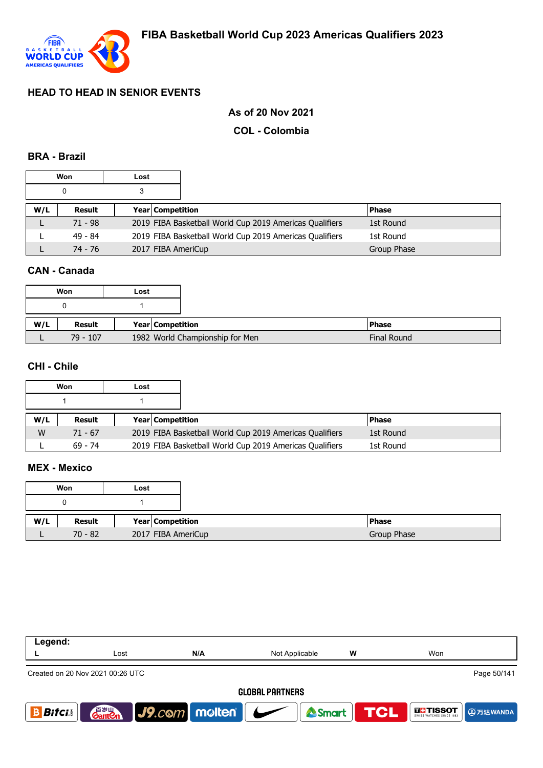

## **As of 20 Nov 2021**

#### **COL - Colombia**

#### **BRA - Brazil**

|     | Won       | Lost |                         |                                                         |             |  |
|-----|-----------|------|-------------------------|---------------------------------------------------------|-------------|--|
|     |           |      |                         |                                                         |             |  |
| W/L | Result    |      | <b>Year Competition</b> |                                                         | l Phase     |  |
|     | $71 - 98$ |      |                         | 2019 FIBA Basketball World Cup 2019 Americas Qualifiers | 1st Round   |  |
|     | $49 - 84$ |      |                         | 2019 FIBA Basketball World Cup 2019 Americas Qualifiers | 1st Round   |  |
|     | 74 - 76   |      |                         | 2017 FIBA AmeriCup                                      | Group Phase |  |

### **CAN - Canada**

|     | Won        | Lost |                                 |                    |
|-----|------------|------|---------------------------------|--------------------|
|     |            |      |                                 |                    |
| W/L | Result     |      | Year Competition                | <b>Phase</b>       |
|     | $79 - 107$ |      | 1982 World Championship for Men | <b>Final Round</b> |

### **CHI - Chile**

|     | Won       | Lost |                         |                                                         |              |  |
|-----|-----------|------|-------------------------|---------------------------------------------------------|--------------|--|
|     |           |      |                         |                                                         |              |  |
| W/L | Result    |      | <b>Year Competition</b> |                                                         | <b>Phase</b> |  |
| W   | $71 - 67$ |      |                         | 2019 FIBA Basketball World Cup 2019 Americas Qualifiers | 1st Round    |  |
|     | $69 - 74$ |      |                         | 2019 FIBA Basketball World Cup 2019 Americas Qualifiers | 1st Round    |  |

## **MEX - Mexico**

|     | Won       | Lost |                    |  |
|-----|-----------|------|--------------------|--|
|     |           |      |                    |  |
| W/L | Result    |      | Year Competition   |  |
|     | $70 - 82$ |      | 2017 FIBA AmeriCup |  |

| Legend:       |                                    |                                   |                        |   |                             |
|---------------|------------------------------------|-----------------------------------|------------------------|---|-----------------------------|
|               | Lost                               | N/A                               | Not Applicable         | w | Won                         |
|               | Created on 20 Nov 2021 00:26 UTC   |                                   |                        |   | Page 50/141                 |
|               |                                    |                                   | <b>GLOBAL PARTNERS</b> |   |                             |
| <b>Bitcis</b> | 音 <sub>岁Ⅲ</sub><br>Gant <b>C</b> n | $\vert$ J9.com   molten   $\vert$ | Smart                  |   | <b>TCL</b><br><b>THESOT</b> |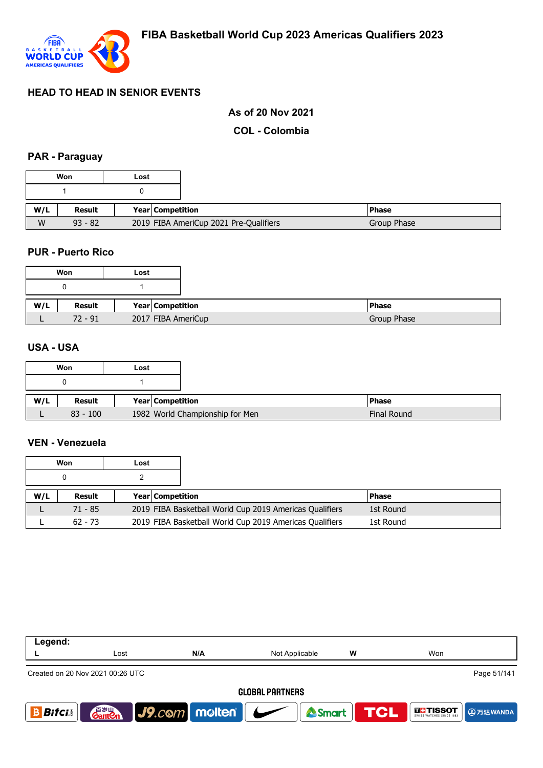

## **As of 20 Nov 2021**

**COL - Colombia**

### **PAR - Paraguay**

|     | Won       | Lost                                   |
|-----|-----------|----------------------------------------|
|     |           |                                        |
| W/L | Result    | Year   Competition                     |
| W   | $93 - 82$ | 2019 FIBA AmeriCup 2021 Pre-Qualifiers |

#### **PUR - Puerto Rico**

|     | Won       | Lost |                    |
|-----|-----------|------|--------------------|
|     |           |      |                    |
| W/L | Result    |      | Year Competition   |
|     | $72 - 91$ |      | 2017 FIBA AmeriCup |

### **USA - USA**

|     | Won        | Lost             |                                 |
|-----|------------|------------------|---------------------------------|
|     |            |                  |                                 |
| W/L | Result     | Year Competition |                                 |
|     | $83 - 100$ |                  | 1982 World Championship for Men |

#### **VEN - Venezuela**

|     | Won       | Lost |                         |                                                         |              |  |
|-----|-----------|------|-------------------------|---------------------------------------------------------|--------------|--|
|     |           |      |                         |                                                         |              |  |
| W/L | Result    |      | <b>Year Competition</b> |                                                         | <b>Phase</b> |  |
|     | $71 - 85$ |      |                         | 2019 FIBA Basketball World Cup 2019 Americas Qualifiers | 1st Round    |  |
|     | $62 - 73$ |      |                         | 2019 FIBA Basketball World Cup 2019 Americas Qualifiers | 1st Round    |  |

| Legend:                                         |                                    |                      |                                     |            |                   |                 |  |  |
|-------------------------------------------------|------------------------------------|----------------------|-------------------------------------|------------|-------------------|-----------------|--|--|
|                                                 | Lost                               | N/A                  | Not Applicable                      | W          | Won               |                 |  |  |
| Page 51/141<br>Created on 20 Nov 2021 00:26 UTC |                                    |                      |                                     |            |                   |                 |  |  |
| <b>GLOBAL PARTNERS</b>                          |                                    |                      |                                     |            |                   |                 |  |  |
| <b>Bitci</b>                                    | 音 <sub>岁Ⅲ</sub><br>Gant <b>C</b> n | $ $ J9. $com$ molten | Smart  <br>$\overline{\phantom{a}}$ | <b>TCL</b> | <b>THE TISSOT</b> | <b>4万达WANDA</b> |  |  |
|                                                 |                                    |                      |                                     |            |                   |                 |  |  |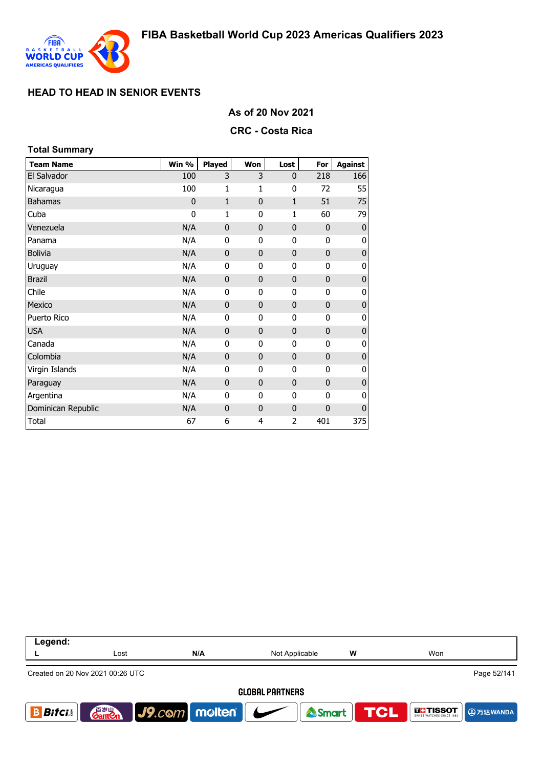

#### **As of 20 Nov 2021**

#### **CRC - Costa Rica**

| <b>Total Summary</b> |             |               |              |                |              |                |
|----------------------|-------------|---------------|--------------|----------------|--------------|----------------|
| <b>Team Name</b>     | Win %       | <b>Played</b> | Won          | Lost           | For          | <b>Against</b> |
| El Salvador          | 100         | 3             | 3            | $\mathbf 0$    | 218          | 166            |
| Nicaragua            | 100         | 1             | 1            | 0              | 72           | 55             |
| <b>Bahamas</b>       | $\mathbf 0$ | $\mathbf{1}$  | 0            | $\mathbf{1}$   | 51           | 75             |
| Cuba                 | 0           | 1             | $\mathbf{0}$ | $\mathbf{1}$   | 60           | 79             |
| Venezuela            | N/A         | $\mathbf{0}$  | $\mathbf{0}$ | $\mathbf 0$    | $\mathbf 0$  | 0              |
| Panama               | N/A         | 0             | 0            | 0              | 0            | 0              |
| <b>Bolivia</b>       | N/A         | $\mathbf 0$   | $\bf{0}$     | $\mathbf 0$    | $\mathbf 0$  | 0              |
| Uruguay              | N/A         | 0             | 0            | 0              | 0            | 0              |
| <b>Brazil</b>        | N/A         | $\mathbf 0$   | $\mathbf{0}$ | 0              | $\mathbf{0}$ | $\pmb{0}$      |
| Chile                | N/A         | 0             | 0            | 0              | 0            | 0              |
| Mexico               | N/A         | $\mathbf 0$   | $\mathbf{0}$ | $\mathbf 0$    | $\mathbf 0$  | $\pmb{0}$      |
| Puerto Rico          | N/A         | 0             | 0            | 0              | 0            | 0              |
| <b>USA</b>           | N/A         | $\mathbf{0}$  | 0            | $\mathbf 0$    | $\mathbf 0$  | $\pmb{0}$      |
| Canada               | N/A         | 0             | 0            | 0              | 0            | 0              |
| Colombia             | N/A         | $\mathbf 0$   | $\bf{0}$     | $\mathbf 0$    | $\mathbf 0$  | $\pmb{0}$      |
| Virgin Islands       | N/A         | 0             | 0            | 0              | 0            | 0              |
| Paraguay             | N/A         | $\mathbf 0$   | $\mathbf{0}$ | $\mathbf{0}$   | $\mathbf{0}$ | $\pmb{0}$      |
| Argentina            | N/A         | 0             | 0            | 0              | 0            | 0              |
| Dominican Republic   | N/A         | $\mathbf{0}$  | $\mathbf{0}$ | $\mathbf 0$    | $\mathbf{0}$ | $\pmb{0}$      |
| Total                | 67          | 6             | 4            | $\overline{2}$ | 401          | 375            |

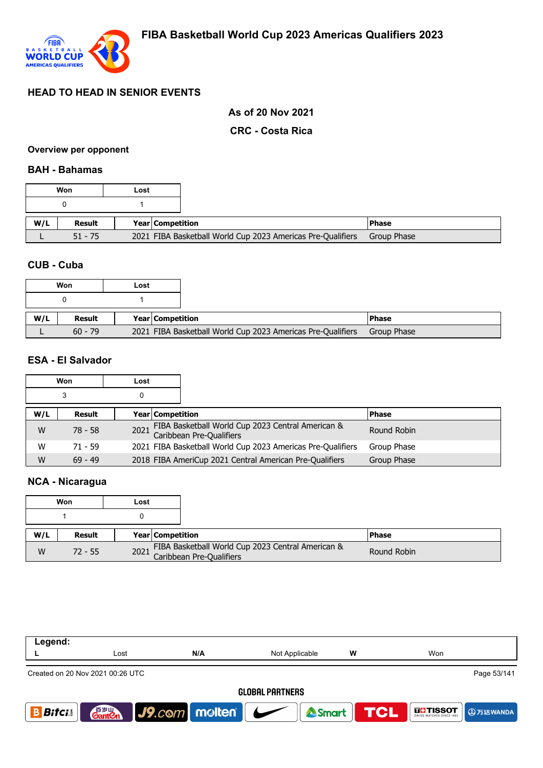

### **As of 20 Nov 2021**

#### **CRC - Costa Rica**

#### **Overview per opponent**

#### **BAH - Bahamas**

|     | Won       | Lost |                         |                                                             |               |
|-----|-----------|------|-------------------------|-------------------------------------------------------------|---------------|
|     |           |      |                         |                                                             |               |
| W/L | Result    |      | <b>Year Competition</b> |                                                             | <b>IPhase</b> |
|     | $51 - 75$ |      |                         | 2021 FIBA Basketball World Cup 2023 Americas Pre-Qualifiers | Group Phase   |

### **CUB - Cuba**

### **ESA - El Salvador**

| Won |           | Lost                    |                                                                                    |              |
|-----|-----------|-------------------------|------------------------------------------------------------------------------------|--------------|
|     | 3         |                         |                                                                                    |              |
| W/L | Result    | <b>Year Competition</b> |                                                                                    | <b>Phase</b> |
| W   | 78 - 58   |                         | FIBA Basketball World Cup 2023 Central American &<br>2021 Caribbean Pre-Qualifiers | Round Robin  |
| W   | $71 - 59$ |                         | 2021 FIBA Basketball World Cup 2023 Americas Pre-Qualifiers                        | Group Phase  |
| W   | $69 - 49$ |                         | 2018 FIBA AmeriCup 2021 Central American Pre-Qualifiers                            | Group Phase  |

# **NCA - Nicaragua**

|     | Won       | Lost |                  |                                                                                    |              |
|-----|-----------|------|------------------|------------------------------------------------------------------------------------|--------------|
|     |           |      |                  |                                                                                    |              |
| W/L | Result    |      | Year Competition |                                                                                    | <b>Phase</b> |
| W   | $72 - 55$ |      |                  | FIBA Basketball World Cup 2023 Central American &<br>2021 Caribbean Pre-Qualifiers | Round Robin  |

| Lost                                            | N/A | Not Applicable | W                           | Won                                                |  |  |  |
|-------------------------------------------------|-----|----------------|-----------------------------|----------------------------------------------------|--|--|--|
| Page 53/141<br>Created on 20 Nov 2021 00:26 UTC |     |                |                             |                                                    |  |  |  |
| <b>GLOBAL PARTNERS</b>                          |     |                |                             |                                                    |  |  |  |
|                                                 |     |                |                             | <b>TCL</b><br><b>THE TISSOT</b><br><b>4万达WANDA</b> |  |  |  |
|                                                 |     |                | <b>Ganton</b> J9.com molten | Smart                                              |  |  |  |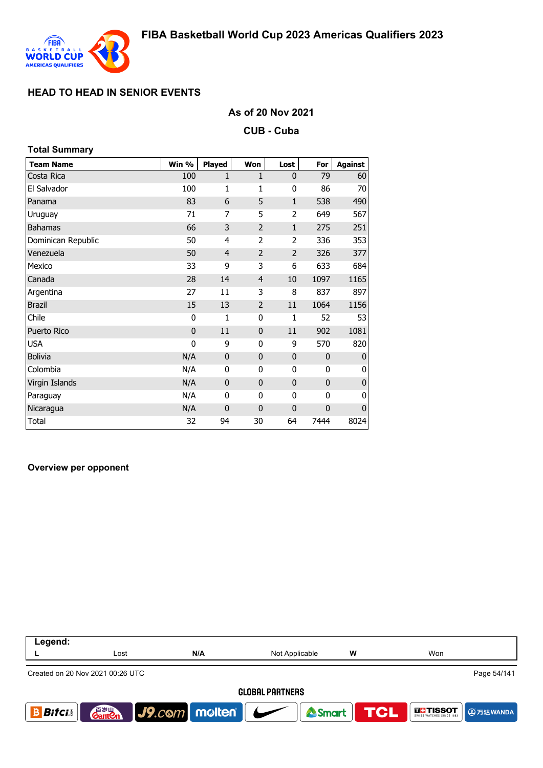

#### **As of 20 Nov 2021**

**CUB - Cuba**

| <b>Total Summary</b> |              |                |                |                |             |                |
|----------------------|--------------|----------------|----------------|----------------|-------------|----------------|
| <b>Team Name</b>     | Win %        | Played         | Won            | Lost           | For         | <b>Against</b> |
| Costa Rica           | 100          | $\mathbf{1}$   | $\mathbf{1}$   | 0              | 79          | 60             |
| El Salvador          | 100          | 1              | 1              | 0              | 86          | 70             |
| Panama               | 83           | 6              | 5              | $\mathbf{1}$   | 538         | 490            |
| Uruguay              | 71           | 7              | 5              | $\overline{2}$ | 649         | 567            |
| <b>Bahamas</b>       | 66           | 3              | $\overline{2}$ | $\mathbf{1}$   | 275         | 251            |
| Dominican Republic   | 50           | 4              | $\overline{2}$ | $\overline{2}$ | 336         | 353            |
| Venezuela            | 50           | $\overline{4}$ | $\overline{2}$ | $\overline{2}$ | 326         | 377            |
| Mexico               | 33           | 9              | 3              | 6              | 633         | 684            |
| Canada               | 28           | 14             | $\overline{4}$ | 10             | 1097        | 1165           |
| Argentina            | 27           | 11             | 3              | 8              | 837         | 897            |
| <b>Brazil</b>        | 15           | 13             | $\overline{2}$ | 11             | 1064        | 1156           |
| Chile                | 0            | 1              | 0              | 1              | 52          | 53             |
| Puerto Rico          | $\mathbf{0}$ | 11             | $\mathbf{0}$   | 11             | 902         | 1081           |
| <b>USA</b>           | $\mathbf{0}$ | 9              | 0              | 9              | 570         | 820            |
| <b>Bolivia</b>       | N/A          | $\mathbf 0$    | $\bf{0}$       | 0              | $\mathbf 0$ | O              |
| Colombia             | N/A          | 0              | 0              | 0              | 0           | O              |
| Virgin Islands       | N/A          | $\mathbf 0$    | $\mathbf{0}$   | 0              | $\mathbf 0$ | $\mathbf 0$    |
| Paraguay             | N/A          | 0              | 0              | 0              | $\mathbf 0$ | O              |
| Nicaragua            | N/A          | $\mathbf 0$    | $\mathbf{0}$   | 0              | $\mathbf 0$ | $\mathbf 0$    |
| Total                | 32           | 94             | 30             | 64             | 7444        | 8024           |

#### **Overview per opponent**

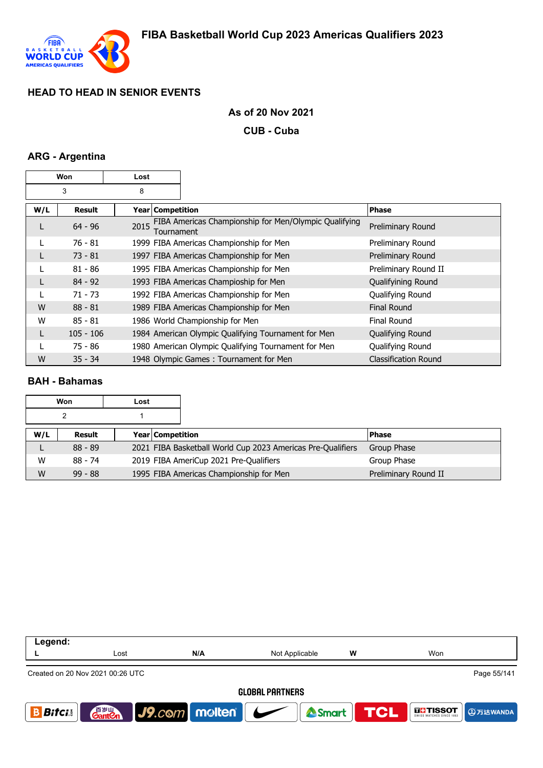

#### **As of 20 Nov 2021**

**CUB - Cuba**

### **ARG - Argentina**

| Won |               | Lost               |                                                       |                             |
|-----|---------------|--------------------|-------------------------------------------------------|-----------------------------|
|     | 3             | 8                  |                                                       |                             |
| W/L | <b>Result</b> | Year Competition   |                                                       | <b>Phase</b>                |
| L   | $64 - 96$     | 2015<br>Tournament | FIBA Americas Championship for Men/Olympic Qualifying | Preliminary Round           |
|     | $76 - 81$     |                    | 1999 FIBA Americas Championship for Men               | Preliminary Round           |
|     | $73 - 81$     |                    | 1997 FIBA Americas Championship for Men               | Preliminary Round           |
|     | $81 - 86$     |                    | 1995 FIBA Americas Championship for Men               | Preliminary Round II        |
|     | $84 - 92$     |                    | 1993 FIBA Americas Champioship for Men                | Qualifyining Round          |
|     | $71 - 73$     |                    | 1992 FIBA Americas Championship for Men               | Qualifying Round            |
| W   | $88 - 81$     |                    | 1989 FIBA Americas Championship for Men               | Final Round                 |
| W   | $85 - 81$     |                    | 1986 World Championship for Men                       | <b>Final Round</b>          |
|     | $105 - 106$   |                    | 1984 American Olympic Qualifying Tournament for Men   | Qualifying Round            |
|     | $75 - 86$     |                    | 1980 American Olympic Qualifying Tournament for Men   | Qualifying Round            |
| W   | $35 - 34$     |                    | 1948 Olympic Games: Tournament for Men                | <b>Classification Round</b> |

#### **BAH - Bahamas**

|     | Won<br>Lost |  |                                                             |                      |
|-----|-------------|--|-------------------------------------------------------------|----------------------|
|     | າ           |  |                                                             |                      |
| W/L | Result      |  | <b>Year Competition</b>                                     | <b>Phase</b>         |
|     | $88 - 89$   |  | 2021 FIBA Basketball World Cup 2023 Americas Pre-Qualifiers | Group Phase          |
| W   | $88 - 74$   |  | 2019 FIBA AmeriCup 2021 Pre-Qualifiers                      | Group Phase          |
| W   | $99 - 88$   |  | 1995 FIBA Americas Championship for Men                     | Preliminary Round II |

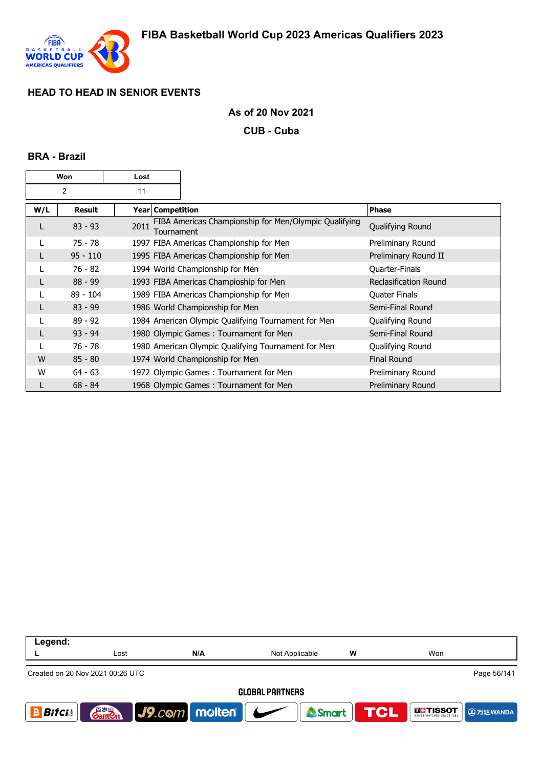

#### **As of 20 Nov 2021**

**CUB - Cuba**

#### **BRA - Brazil**

| Won            |               | Lost |                    |                                                       |                              |
|----------------|---------------|------|--------------------|-------------------------------------------------------|------------------------------|
| $\overline{2}$ |               | 11   |                    |                                                       |                              |
| W/L            | <b>Result</b> |      | Year   Competition |                                                       | <b>Phase</b>                 |
| L              | $83 - 93$     | 2011 | Tournament         | FIBA Americas Championship for Men/Olympic Qualifying | Qualifying Round             |
|                | $75 - 78$     |      |                    | 1997 FIBA Americas Championship for Men               | Preliminary Round            |
| L              | $95 - 110$    |      |                    | 1995 FIBA Americas Championship for Men               | Preliminary Round II         |
|                | 76 - 82       |      |                    | 1994 World Championship for Men                       | Quarter-Finals               |
|                | $88 - 99$     |      |                    | 1993 FIBA Americas Champioship for Men                | <b>Reclasification Round</b> |
|                | $89 - 104$    |      |                    | 1989 FIBA Americas Championship for Men               | Quater Finals                |
|                | $83 - 99$     |      |                    | 1986 World Championship for Men                       | Semi-Final Round             |
|                | $89 - 92$     |      |                    | 1984 American Olympic Qualifying Tournament for Men   | Qualifying Round             |
|                | $93 - 94$     |      |                    | 1980 Olympic Games: Tournament for Men                | Semi-Final Round             |
|                | 76 - 78       |      |                    | 1980 American Olympic Qualifying Tournament for Men   | Qualifying Round             |
| W              | $85 - 80$     |      |                    | 1974 World Championship for Men                       | <b>Final Round</b>           |
| W              | $64 - 63$     |      |                    | 1972 Olympic Games: Tournament for Men                | Preliminary Round            |
| L              | $68 - 84$     |      |                    | 1968 Olympic Games: Tournament for Men                | Preliminary Round            |

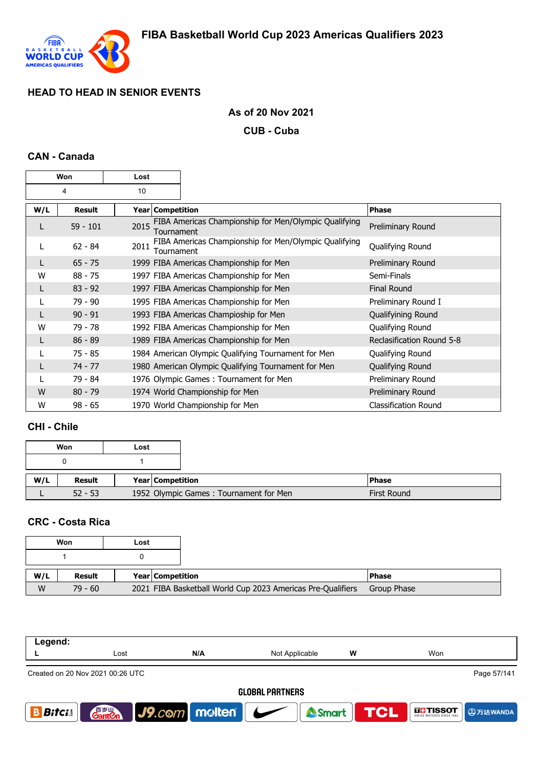

## **As of 20 Nov 2021**

**CUB - Cuba**

## **CAN - Canada**

| Won |            | Lost |                    |                                                       |                             |
|-----|------------|------|--------------------|-------------------------------------------------------|-----------------------------|
| 4   |            | 10   |                    |                                                       |                             |
| W/L | Result     |      | Year   Competition |                                                       | <b>Phase</b>                |
| L   | $59 - 101$ | 2015 | Tournament         | FIBA Americas Championship for Men/Olympic Qualifying | Preliminary Round           |
|     | $62 - 84$  | 2011 | Tournament         | FIBA Americas Championship for Men/Olympic Qualifying | Qualifying Round            |
|     | $65 - 75$  |      |                    | 1999 FIBA Americas Championship for Men               | Preliminary Round           |
| W   | $88 - 75$  |      |                    | 1997 FIBA Americas Championship for Men               | Semi-Finals                 |
| L   | $83 - 92$  |      |                    | 1997 FIBA Americas Championship for Men               | <b>Final Round</b>          |
|     | 79 - 90    |      |                    | 1995 FIBA Americas Championship for Men               | Preliminary Round I         |
|     | $90 - 91$  |      |                    | 1993 FIBA Americas Champioship for Men                | Qualifyining Round          |
| W   | 79 - 78    |      |                    | 1992 FIBA Americas Championship for Men               | Qualifying Round            |
| L   | $86 - 89$  |      |                    | 1989 FIBA Americas Championship for Men               | Reclasification Round 5-8   |
|     | $75 - 85$  |      |                    | 1984 American Olympic Qualifying Tournament for Men   | Qualifying Round            |
| L   | $74 - 77$  |      |                    | 1980 American Olympic Qualifying Tournament for Men   | Qualifying Round            |
|     | 79 - 84    |      |                    | 1976 Olympic Games: Tournament for Men                | Preliminary Round           |
| W   | $80 - 79$  |      |                    | 1974 World Championship for Men                       | Preliminary Round           |
| W   | $98 - 65$  |      |                    | 1970 World Championship for Men                       | <b>Classification Round</b> |

## **CHI - Chile**

| Won<br>Lost |           |  |                  |                                        |                    |
|-------------|-----------|--|------------------|----------------------------------------|--------------------|
|             |           |  |                  |                                        |                    |
| W/L         | Result    |  | Year Competition |                                        | <b>Phase</b>       |
|             | $52 - 53$ |  |                  | 1952 Olympic Games: Tournament for Men | <b>First Round</b> |

#### **CRC - Costa Rica**

| Won |               | Lost |                  |                                                             |              |
|-----|---------------|------|------------------|-------------------------------------------------------------|--------------|
|     |               |      |                  |                                                             |              |
| W/L | <b>Result</b> |      | Year Competition |                                                             | <b>Phase</b> |
| W   | $79 - 60$     |      |                  | 2021 FIBA Basketball World Cup 2023 Americas Pre-Qualifiers | Group Phase  |

| Legend:                |                                                 |                               |                |   |                                                    |  |  |  |  |
|------------------------|-------------------------------------------------|-------------------------------|----------------|---|----------------------------------------------------|--|--|--|--|
|                        | Lost                                            | N/A                           | Not Applicable | W | Won                                                |  |  |  |  |
|                        | Page 57/141<br>Created on 20 Nov 2021 00:26 UTC |                               |                |   |                                                    |  |  |  |  |
| <b>GLOBAL PARTNERS</b> |                                                 |                               |                |   |                                                    |  |  |  |  |
| <b>Bifci</b>           | 音 <sub>罗山</sub><br>Gant <b>C</b> n              | $\vert$ J9.com molten $\vert$ | Smart          |   | <b>TCL</b><br><b>THE TISSOT</b><br><b>4万达WANDA</b> |  |  |  |  |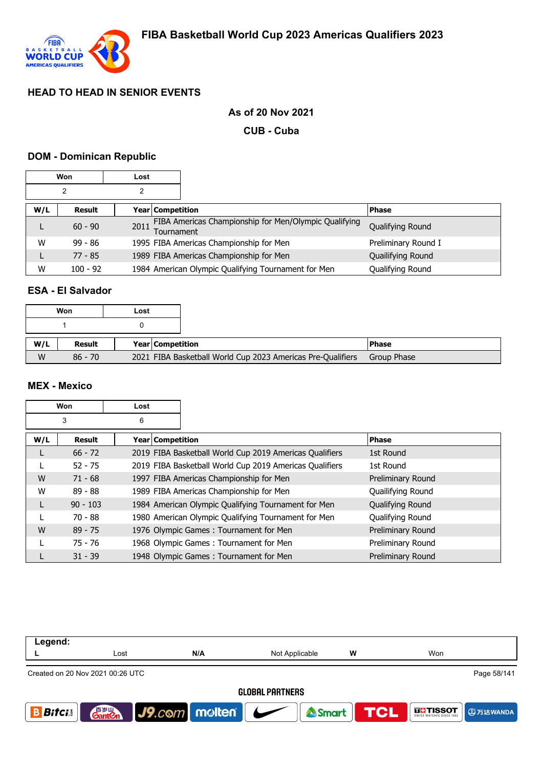

## **As of 20 Nov 2021**

**CUB - Cuba**

#### **DOM - Dominican Republic**

| Won |                            | Lost |                                                                     |                     |
|-----|----------------------------|------|---------------------------------------------------------------------|---------------------|
| 2   |                            |      |                                                                     |                     |
| W/L | Year Competition<br>Result |      |                                                                     | <b>Phase</b>        |
|     | $60 - 90$                  | 2011 | FIBA Americas Championship for Men/Olympic Qualifying<br>Tournament | Qualifying Round    |
| W   | $99 - 86$                  |      | 1995 FIBA Americas Championship for Men                             | Preliminary Round I |
|     | $77 - 85$                  |      | 1989 FIBA Americas Championship for Men                             | Quailifying Round   |
| W   | $100 - 92$                 |      | 1984 American Olympic Qualifying Tournament for Men                 | Qualifying Round    |

### **ESA - El Salvador**

|     | Won       | Lost |                  |                                                             |              |
|-----|-----------|------|------------------|-------------------------------------------------------------|--------------|
|     |           |      |                  |                                                             |              |
| W/L | Result    |      | Year Competition |                                                             | <b>Phase</b> |
| W   | $86 - 70$ |      |                  | 2021 FIBA Basketball World Cup 2023 Americas Pre-Qualifiers | Group Phase  |

### **MEX - Mexico**

| Won |            | Lost               |                                                         |                         |
|-----|------------|--------------------|---------------------------------------------------------|-------------------------|
| 3   |            | 6                  |                                                         |                         |
| W/L | Result     | Year   Competition |                                                         | <b>Phase</b>            |
| L   | $66 - 72$  |                    | 2019 FIBA Basketball World Cup 2019 Americas Qualifiers | 1st Round               |
|     | $52 - 75$  |                    | 2019 FIBA Basketball World Cup 2019 Americas Qualifiers | 1st Round               |
| W   | $71 - 68$  |                    | 1997 FIBA Americas Championship for Men                 | Preliminary Round       |
| W   | $89 - 88$  |                    | 1989 FIBA Americas Championship for Men                 | Quailifying Round       |
| L   | $90 - 103$ |                    | 1984 American Olympic Qualifying Tournament for Men     | <b>Qualifying Round</b> |
|     | 70 - 88    |                    | 1980 American Olympic Qualifying Tournament for Men     | Qualifying Round        |
| W   | $89 - 75$  |                    | 1976 Olympic Games: Tournament for Men                  | Preliminary Round       |
|     | $75 - 76$  |                    | 1968 Olympic Games: Tournament for Men                  | Preliminary Round       |
|     | $31 - 39$  |                    | 1948 Olympic Games: Tournament for Men                  | Preliminary Round       |

| Legend:                |                                                 |                                       |                |            |                   |                 |  |  |  |
|------------------------|-------------------------------------------------|---------------------------------------|----------------|------------|-------------------|-----------------|--|--|--|
|                        | Lost                                            | N/A                                   | Not Applicable | W          | Won               |                 |  |  |  |
|                        | Page 58/141<br>Created on 20 Nov 2021 00:26 UTC |                                       |                |            |                   |                 |  |  |  |
| <b>GLOBAL PARTNERS</b> |                                                 |                                       |                |            |                   |                 |  |  |  |
| <b>Bitci</b>           | 音 <sub>岁Ⅲ</sub><br>Gant <b>C</b> n              | $\bigcup$ J9.com   melten   $\bigcup$ | Smart          | <b>TCL</b> | <b>THE TISSOT</b> | <b>9万达WANDA</b> |  |  |  |
|                        |                                                 |                                       |                |            |                   |                 |  |  |  |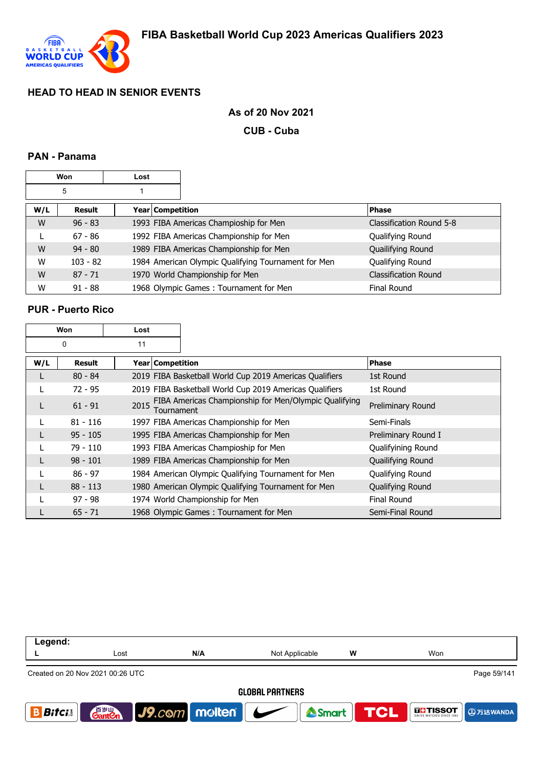

### **As of 20 Nov 2021**

**CUB - Cuba**

### **PAN - Panama**

| Won |            | Lost |                    |                                                     |                             |
|-----|------------|------|--------------------|-----------------------------------------------------|-----------------------------|
| 5   |            |      |                    |                                                     |                             |
| W/L | Result     |      | Year   Competition |                                                     | <b>Phase</b>                |
| W   | $96 - 83$  |      |                    | 1993 FIBA Americas Champioship for Men              | Classification Round 5-8    |
| L   | $67 - 86$  |      |                    | 1992 FIBA Americas Championship for Men             | Qualifying Round            |
| W   | $94 - 80$  |      |                    | 1989 FIBA Americas Championship for Men             | Quailifying Round           |
| W   | $103 - 82$ |      |                    | 1984 American Olympic Qualifying Tournament for Men | Qualifying Round            |
| W   | $87 - 71$  |      |                    | 1970 World Championship for Men                     | <b>Classification Round</b> |
| W   | $91 - 88$  |      |                    | 1968 Olympic Games: Tournament for Men              | <b>Final Round</b>          |

### **PUR - Puerto Rico**

| Won |            | Lost               |                                                         |                     |
|-----|------------|--------------------|---------------------------------------------------------|---------------------|
|     | 0          | 11                 |                                                         |                     |
| W/L | Result     | Year   Competition |                                                         | <b>Phase</b>        |
| L   | $80 - 84$  |                    | 2019 FIBA Basketball World Cup 2019 Americas Qualifiers | 1st Round           |
|     | $72 - 95$  |                    | 2019 FIBA Basketball World Cup 2019 Americas Qualifiers | 1st Round           |
| L   | $61 - 91$  | 2015<br>Tournament | FIBA Americas Championship for Men/Olympic Qualifying   | Preliminary Round   |
|     | $81 - 116$ |                    | 1997 FIBA Americas Championship for Men                 | Semi-Finals         |
| L   | $95 - 105$ |                    | 1995 FIBA Americas Championship for Men                 | Preliminary Round I |
|     | 79 - 110   |                    | 1993 FIBA Americas Champioship for Men                  | Qualifyining Round  |
| L   | $98 - 101$ |                    | 1989 FIBA Americas Championship for Men                 | Quailifying Round   |
|     | $86 - 97$  |                    | 1984 American Olympic Qualifying Tournament for Men     | Qualifying Round    |
| L   | $88 - 113$ |                    | 1980 American Olympic Qualifying Tournament for Men     | Qualifying Round    |
|     | $97 - 98$  |                    | 1974 World Championship for Men                         | Final Round         |
|     | $65 - 71$  |                    | 1968 Olympic Games: Tournament for Men                  | Semi-Final Round    |

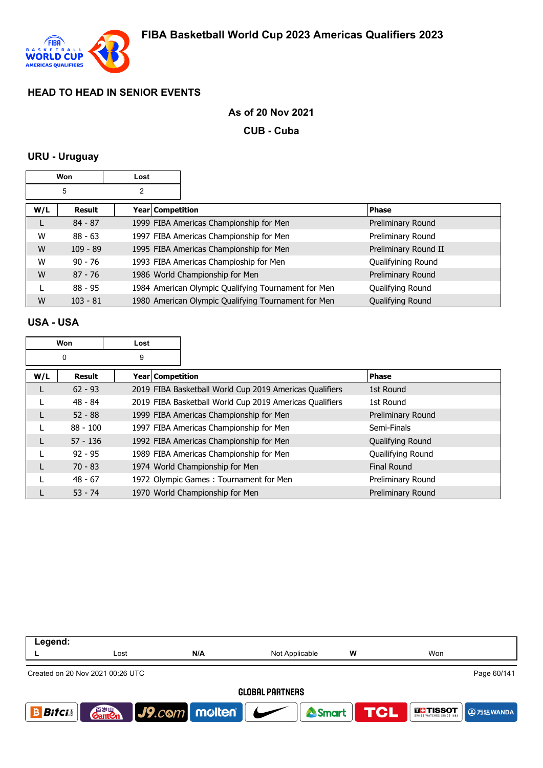

#### **As of 20 Nov 2021**

**CUB - Cuba**

#### **URU - Uruguay**

|     | Won        | Lost               |                                                     |                      |
|-----|------------|--------------------|-----------------------------------------------------|----------------------|
|     | 5          | 2                  |                                                     |                      |
| W/L | Result     | Year   Competition |                                                     | <b>Phase</b>         |
| L   | $84 - 87$  |                    | 1999 FIBA Americas Championship for Men             | Preliminary Round    |
| W   | $88 - 63$  |                    | 1997 FIBA Americas Championship for Men             | Preliminary Round    |
| W   | $109 - 89$ |                    | 1995 FIBA Americas Championship for Men             | Preliminary Round II |
| W   | $90 - 76$  |                    | 1993 FIBA Americas Champioship for Men              | Qualifyining Round   |
| W   | $87 - 76$  |                    | 1986 World Championship for Men                     | Preliminary Round    |
|     | $88 - 95$  |                    | 1984 American Olympic Qualifying Tournament for Men | Qualifying Round     |
| W   | $103 - 81$ |                    | 1980 American Olympic Qualifying Tournament for Men | Qualifying Round     |

#### **USA - USA**

| Won |            | Lost             |                                                         |                   |
|-----|------------|------------------|---------------------------------------------------------|-------------------|
|     | 0          | 9                |                                                         |                   |
| W/L | Result     | Year Competition |                                                         | <b>Phase</b>      |
| L   | $62 - 93$  |                  | 2019 FIBA Basketball World Cup 2019 Americas Qualifiers | 1st Round         |
|     | $48 - 84$  |                  | 2019 FIBA Basketball World Cup 2019 Americas Qualifiers | 1st Round         |
|     | $52 - 88$  |                  | 1999 FIBA Americas Championship for Men                 | Preliminary Round |
| L   | $88 - 100$ |                  | 1997 FIBA Americas Championship for Men                 | Semi-Finals       |
| L   | $57 - 136$ |                  | 1992 FIBA Americas Championship for Men                 | Qualifying Round  |
|     | $92 - 95$  |                  | 1989 FIBA Americas Championship for Men                 | Quailifying Round |
| L   | $70 - 83$  |                  | 1974 World Championship for Men                         | Final Round       |
|     | $48 - 67$  |                  | 1972 Olympic Games: Tournament for Men                  | Preliminary Round |
|     | $53 - 74$  |                  | 1970 World Championship for Men                         | Preliminary Round |

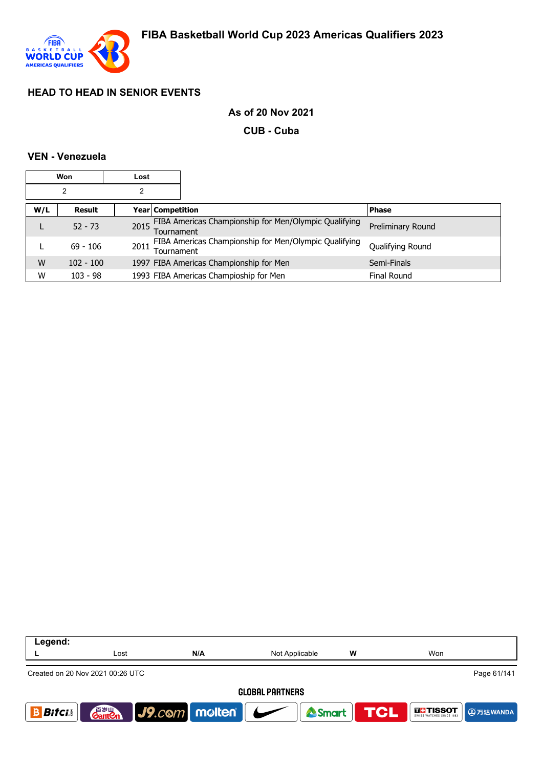

### **As of 20 Nov 2021**

**CUB - Cuba**

### **VEN - Venezuela**

| Won |             | Lost |                  |                                                            |                   |
|-----|-------------|------|------------------|------------------------------------------------------------|-------------------|
|     | 2           |      |                  |                                                            |                   |
| W/L | Result      |      | Year Competition |                                                            | <b>Phase</b>      |
| ┗   | $52 - 73$   |      | Tournament       | 2015 FIBA Americas Championship for Men/Olympic Qualifying | Preliminary Round |
|     | $69 - 106$  | 2011 | Tournament       | FIBA Americas Championship for Men/Olympic Qualifying      | Qualifying Round  |
| W   | $102 - 100$ |      |                  | 1997 FIBA Americas Championship for Men                    | Semi-Finals       |
| W   | $103 - 98$  |      |                  | 1993 FIBA Americas Champioship for Men                     | Final Round       |

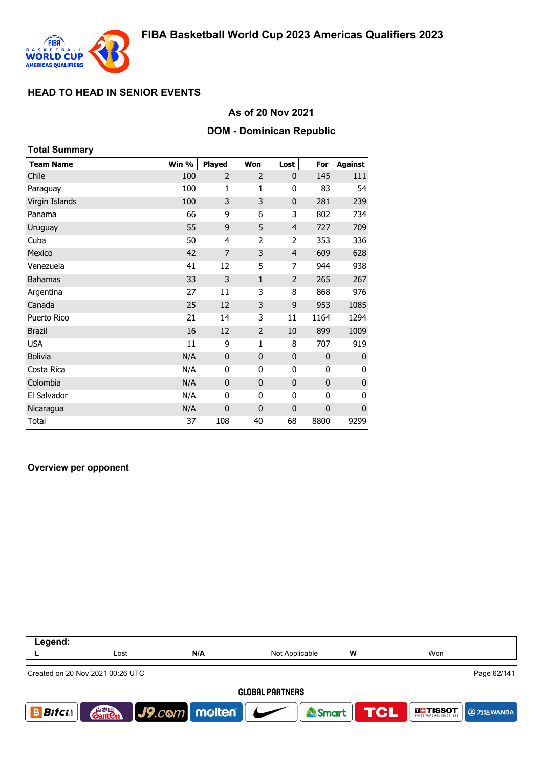

#### **As of 20 Nov 2021**

#### **DOM - Dominican Republic**

| <b>Total Summary</b> |       |                |                |                |              |                |
|----------------------|-------|----------------|----------------|----------------|--------------|----------------|
| <b>Team Name</b>     | Win % | Played         | Won            | Lost           | For          | <b>Against</b> |
| Chile                | 100   | $\overline{2}$ | $\overline{2}$ | $\mathbf{0}$   | 145          | 111            |
| Paraguay             | 100   | 1              | 1              | 0              | 83           | 54             |
| Virgin Islands       | 100   | 3              | 3              | $\mathbf 0$    | 281          | 239            |
| Panama               | 66    | 9              | 6              | 3              | 802          | 734            |
| Uruguay              | 55    | 9              | 5              | $\overline{4}$ | 727          | 709            |
| Cuba                 | 50    | 4              | $\overline{2}$ | $\overline{2}$ | 353          | 336            |
| Mexico               | 42    | $\overline{7}$ | 3              | $\overline{4}$ | 609          | 628            |
| Venezuela            | 41    | 12             | 5              | 7              | 944          | 938            |
| <b>Bahamas</b>       | 33    | 3              | $\mathbf{1}$   | 2              | 265          | 267            |
| Argentina            | 27    | 11             | 3              | 8              | 868          | 976            |
| Canada               | 25    | 12             | 3              | 9              | 953          | 1085           |
| Puerto Rico          | 21    | 14             | 3              | 11             | 1164         | 1294           |
| <b>Brazil</b>        | 16    | 12             | $\overline{2}$ | 10             | 899          | 1009           |
| <b>USA</b>           | 11    | 9              | $\mathbf{1}$   | 8              | 707          | 919            |
| <b>Bolivia</b>       | N/A   | $\mathbf 0$    | $\mathbf{0}$   | $\mathbf 0$    | $\mathbf{0}$ | 0              |
| Costa Rica           | N/A   | 0              | 0              | 0              | 0            | 0              |
| Colombia             | N/A   | $\mathbf 0$    | $\bf{0}$       | $\mathbf 0$    | $\mathbf 0$  | $\pmb{0}$      |
| El Salvador          | N/A   | 0              | 0              | 0              | 0            | 0              |
| Nicaragua            | N/A   | $\mathbf 0$    | 0              | 0              | $\mathbf 0$  | $\mathbf 0$    |
| <b>Total</b>         | 37    | 108            | 40             | 68             | 8800         | 9299           |

#### **Overview per opponent**

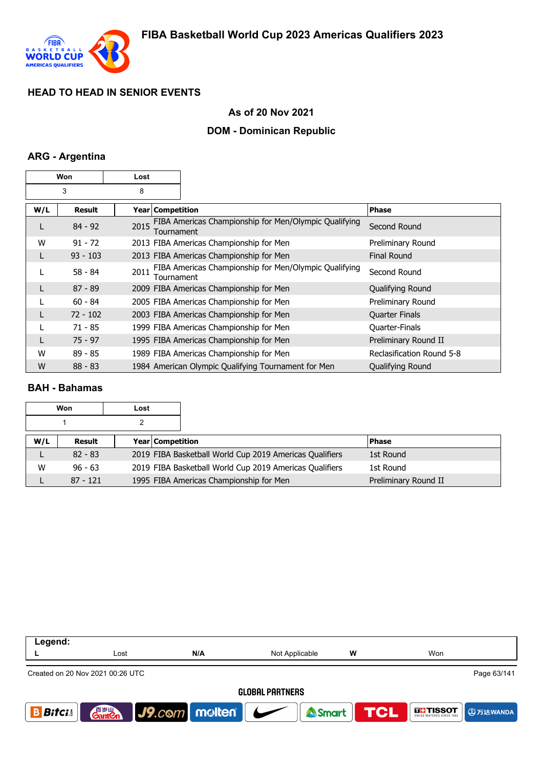

#### **As of 20 Nov 2021**

### **DOM - Dominican Republic**

### **ARG - Argentina**

| Won |               | Lost               |                                                       |                           |
|-----|---------------|--------------------|-------------------------------------------------------|---------------------------|
|     | 3             | 8                  |                                                       |                           |
| W/L | <b>Result</b> | Year Competition   |                                                       | <b>Phase</b>              |
| L   | $84 - 92$     | 2015<br>Tournament | FIBA Americas Championship for Men/Olympic Qualifying | Second Round              |
| W   | $91 - 72$     |                    | 2013 FIBA Americas Championship for Men               | Preliminary Round         |
|     | $93 - 103$    |                    | 2013 FIBA Americas Championship for Men               | <b>Final Round</b>        |
|     | $58 - 84$     | 2011<br>Tournament | FIBA Americas Championship for Men/Olympic Qualifying | Second Round              |
|     | $87 - 89$     |                    | 2009 FIBA Americas Championship for Men               | Qualifying Round          |
|     | $60 - 84$     |                    | 2005 FIBA Americas Championship for Men               | Preliminary Round         |
|     | $72 - 102$    |                    | 2003 FIBA Americas Championship for Men               | <b>Quarter Finals</b>     |
|     | $71 - 85$     |                    | 1999 FIBA Americas Championship for Men               | Quarter-Finals            |
|     | $75 - 97$     |                    | 1995 FIBA Americas Championship for Men               | Preliminary Round II      |
| W   | $89 - 85$     |                    | 1989 FIBA Americas Championship for Men               | Reclasification Round 5-8 |
| W   | $88 - 83$     |                    | 1984 American Olympic Qualifying Tournament for Men   | Qualifying Round          |

#### **BAH - Bahamas**

|     | Won<br>Lost |                         |                                                         |                      |
|-----|-------------|-------------------------|---------------------------------------------------------|----------------------|
|     |             |                         |                                                         |                      |
| W/L | Result      | <b>Year Competition</b> |                                                         | <b>Phase</b>         |
|     | $82 - 83$   |                         | 2019 FIBA Basketball World Cup 2019 Americas Qualifiers | 1st Round            |
| W   | $96 - 63$   |                         | 2019 FIBA Basketball World Cup 2019 Americas Qualifiers | 1st Round            |
|     | $87 - 121$  |                         | 1995 FIBA Americas Championship for Men                 | Preliminary Round II |

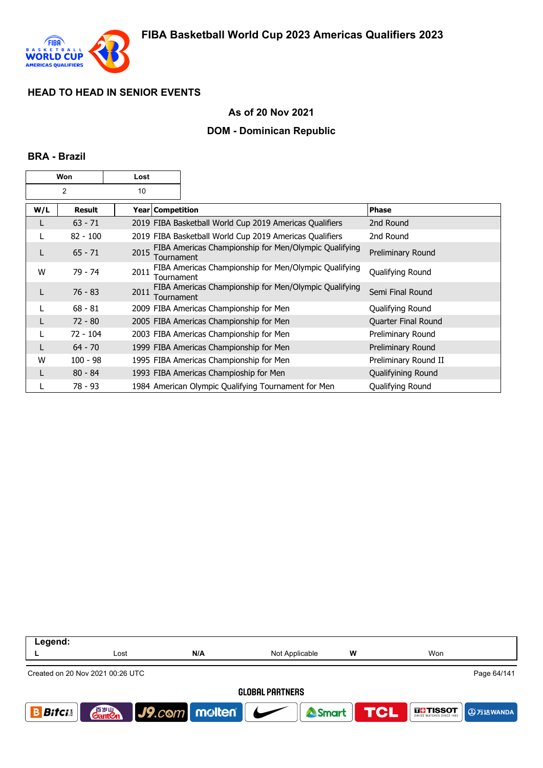

### **As of 20 Nov 2021**

### **DOM - Dominican Republic**

#### **BRA - Brazil**

| Won |               | Lost |                    |                                                         |                      |
|-----|---------------|------|--------------------|---------------------------------------------------------|----------------------|
| 2   |               | 10   |                    |                                                         |                      |
| W/L | <b>Result</b> |      | Year   Competition |                                                         | <b>Phase</b>         |
| L   | $63 - 71$     |      |                    | 2019 FIBA Basketball World Cup 2019 Americas Qualifiers | 2nd Round            |
| L   | $82 - 100$    |      |                    | 2019 FIBA Basketball World Cup 2019 Americas Qualifiers | 2nd Round            |
| L   | $65 - 71$     | 2015 | Tournament         | FIBA Americas Championship for Men/Olympic Qualifying   | Preliminary Round    |
| W   | 79 - 74       | 2011 | Tournament         | FIBA Americas Championship for Men/Olympic Qualifying   | Qualifying Round     |
| L   | $76 - 83$     | 2011 | Tournament         | FIBA Americas Championship for Men/Olympic Qualifying   | Semi Final Round     |
|     | $68 - 81$     |      |                    | 2009 FIBA Americas Championship for Men                 | Qualifying Round     |
| L   | $72 - 80$     |      |                    | 2005 FIBA Americas Championship for Men                 | Quarter Final Round  |
|     | $72 - 104$    |      |                    | 2003 FIBA Americas Championship for Men                 | Preliminary Round    |
|     | $64 - 70$     |      |                    | 1999 FIBA Americas Championship for Men                 | Preliminary Round    |
| W   | $100 - 98$    |      |                    | 1995 FIBA Americas Championship for Men                 | Preliminary Round II |
| L   | $80 - 84$     |      |                    | 1993 FIBA Americas Champioship for Men                  | Qualifyining Round   |
|     | 78 - 93       |      |                    | 1984 American Olympic Qualifying Tournament for Men     | Qualifying Round     |

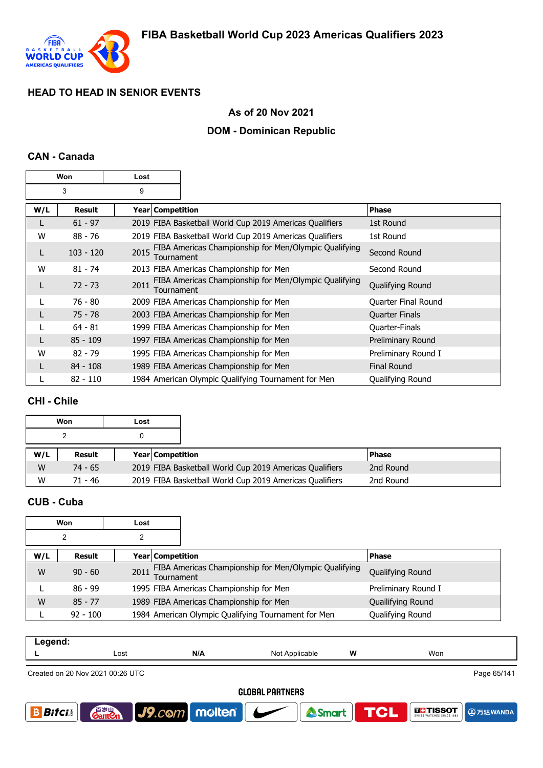

#### **As of 20 Nov 2021**

### **DOM - Dominican Republic**

#### **CAN - Canada**

| Won |               | Lost                      |                                                         |                       |
|-----|---------------|---------------------------|---------------------------------------------------------|-----------------------|
|     | 3             | 9                         |                                                         |                       |
| W/L | <b>Result</b> | <b>Year   Competition</b> |                                                         | <b>Phase</b>          |
| L   | $61 - 97$     |                           | 2019 FIBA Basketball World Cup 2019 Americas Qualifiers | 1st Round             |
| W   | $88 - 76$     |                           | 2019 FIBA Basketball World Cup 2019 Americas Qualifiers | 1st Round             |
| L   | $103 - 120$   | 2015<br>Tournament        | FIBA Americas Championship for Men/Olympic Qualifying   | Second Round          |
| W   | $81 - 74$     |                           | 2013 FIBA Americas Championship for Men                 | Second Round          |
| L   | $72 - 73$     | 2011<br>Tournament        | FIBA Americas Championship for Men/Olympic Qualifying   | Qualifying Round      |
|     | 76 - 80       |                           | 2009 FIBA Americas Championship for Men                 | Quarter Final Round   |
|     | $75 - 78$     |                           | 2003 FIBA Americas Championship for Men                 | <b>Quarter Finals</b> |
|     | $64 - 81$     |                           | 1999 FIBA Americas Championship for Men                 | Quarter-Finals        |
|     | $85 - 109$    |                           | 1997 FIBA Americas Championship for Men                 | Preliminary Round     |
| W   | $82 - 79$     |                           | 1995 FIBA Americas Championship for Men                 | Preliminary Round I   |
|     | $84 - 108$    |                           | 1989 FIBA Americas Championship for Men                 | <b>Final Round</b>    |
|     | $82 - 110$    |                           | 1984 American Olympic Qualifying Tournament for Men     | Qualifying Round      |

#### **CHI - Chile**

|     | Won           | Lost |                  |                                                         |               |  |
|-----|---------------|------|------------------|---------------------------------------------------------|---------------|--|
|     |               |      |                  |                                                         |               |  |
| W/L | <b>Result</b> |      | Year Competition |                                                         | <b>IPhase</b> |  |
| W   | $74 - 65$     |      |                  | 2019 FIBA Basketball World Cup 2019 Americas Qualifiers | 2nd Round     |  |
| W   | 71 - 46       |      |                  | 2019 FIBA Basketball World Cup 2019 Americas Qualifiers | 2nd Round     |  |

### **CUB - Cuba**

| Won |            | Lost |                  |                                                       |                     |
|-----|------------|------|------------------|-------------------------------------------------------|---------------------|
|     | 2          |      |                  |                                                       |                     |
| W/L | Result     |      | Year Competition |                                                       | <b>Phase</b>        |
| W   | $90 - 60$  | 2011 | Tournament       | FIBA Americas Championship for Men/Olympic Qualifying | Qualifying Round    |
|     | $86 - 99$  |      |                  | 1995 FIBA Americas Championship for Men               | Preliminary Round I |
| W   | $85 - 77$  |      |                  | 1989 FIBA Americas Championship for Men               | Quailifying Round   |
|     | $92 - 100$ |      |                  | 1984 American Olympic Qualifying Tournament for Men   | Qualifying Round    |

| . |      |     |                   |   |     |
|---|------|-----|-------------------|---|-----|
|   | Lost | N/A | Not<br>Applicable | W | Won |
|   |      |     |                   |   |     |

Created on 20 Nov 2021 00:26 UTC

Page 65/141

**4万达WANDA** 

**THE TISSOT** 

**TCL** 

#### **GLOBAL PARTNERS**



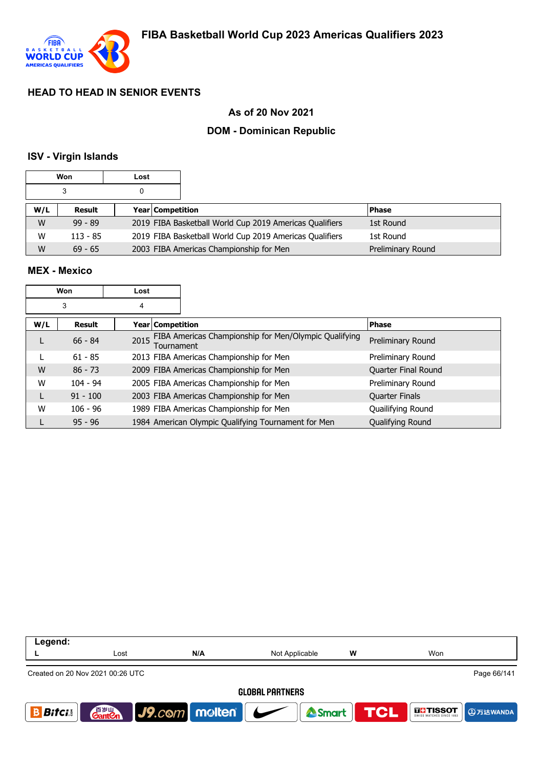

### **As of 20 Nov 2021**

## **DOM - Dominican Republic**

#### **ISV - Virgin Islands**

|     | Won        | Lost |                                                         |                   |
|-----|------------|------|---------------------------------------------------------|-------------------|
|     |            | 0    |                                                         |                   |
| W/L | Result     |      | <b>Year Competition</b>                                 | <b>Phase</b>      |
| W   | $99 - 89$  |      | 2019 FIBA Basketball World Cup 2019 Americas Qualifiers | 1st Round         |
| W   | $113 - 85$ |      | 2019 FIBA Basketball World Cup 2019 Americas Qualifiers | 1st Round         |
| W   | $69 - 65$  |      | 2003 FIBA Americas Championship for Men                 | Preliminary Round |

#### **MEX - Mexico**

|     | Won        | Lost |                         |                                                       |                       |
|-----|------------|------|-------------------------|-------------------------------------------------------|-----------------------|
|     | 3          | 4    |                         |                                                       |                       |
| W/L | Result     |      | <b>Year Competition</b> |                                                       | <b>Phase</b>          |
|     | $66 - 84$  | 2015 | Tournament              | FIBA Americas Championship for Men/Olympic Qualifying | Preliminary Round     |
|     | $61 - 85$  |      |                         | 2013 FIBA Americas Championship for Men               | Preliminary Round     |
| W   | $86 - 73$  |      |                         | 2009 FIBA Americas Championship for Men               | Quarter Final Round   |
| W   | $104 - 94$ |      |                         | 2005 FIBA Americas Championship for Men               | Preliminary Round     |
|     | $91 - 100$ |      |                         | 2003 FIBA Americas Championship for Men               | <b>Quarter Finals</b> |
| W   | $106 - 96$ |      |                         | 1989 FIBA Americas Championship for Men               | Quailifying Round     |
|     | $95 - 96$  |      |                         | 1984 American Olympic Qualifying Tournament for Men   | Qualifying Round      |

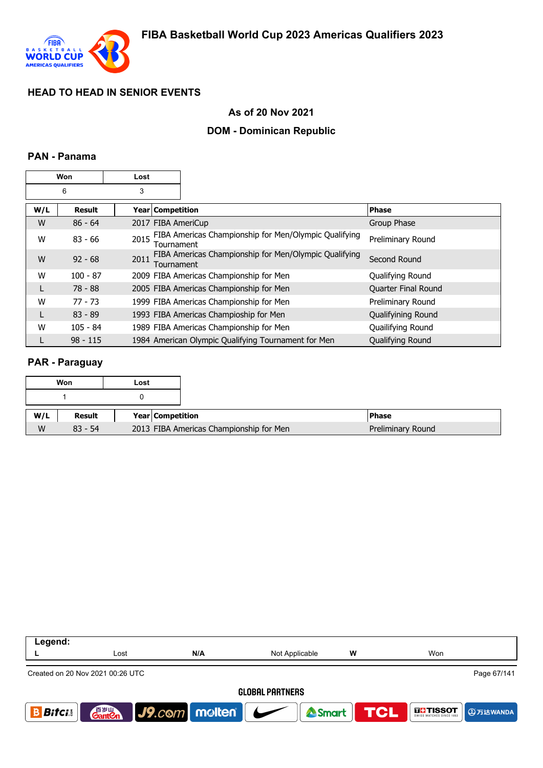

### **As of 20 Nov 2021**

### **DOM - Dominican Republic**

### **PAN - Panama**

| Won<br>Lost |               |      |                                                                            |                     |
|-------------|---------------|------|----------------------------------------------------------------------------|---------------------|
|             | 6             | 3    |                                                                            |                     |
| W/L         | <b>Result</b> |      | Year   Competition                                                         | <b>Phase</b>        |
| W           | $86 - 64$     |      | 2017 FIBA AmeriCup                                                         | Group Phase         |
| W           | $83 - 66$     | 2015 | FIBA Americas Championship for Men/Olympic Qualifying<br><b>Fournament</b> | Preliminary Round   |
| W           | $92 - 68$     | 2011 | FIBA Americas Championship for Men/Olympic Qualifying<br>Tournament        | Second Round        |
| W           | $100 - 87$    |      | 2009 FIBA Americas Championship for Men                                    | Qualifying Round    |
| L           | 78 - 88       |      | 2005 FIBA Americas Championship for Men                                    | Quarter Final Round |
| W           | $77 - 73$     |      | 1999 FIBA Americas Championship for Men                                    | Preliminary Round   |
| L           | $83 - 89$     |      | 1993 FIBA Americas Champioship for Men                                     | Qualifyining Round  |
| W           | $105 - 84$    |      | 1989 FIBA Americas Championship for Men                                    | Quailifying Round   |
|             | $98 - 115$    |      | 1984 American Olympic Qualifying Tournament for Men                        | Qualifying Round    |

#### **PAR - Paraguay**

|     | Won       | Lost |                  |                                                              |  |
|-----|-----------|------|------------------|--------------------------------------------------------------|--|
|     |           |      |                  |                                                              |  |
| W/L | Result    |      | Year Competition | <b>Phase</b>                                                 |  |
| W   | $83 - 54$ |      |                  | 2013 FIBA Americas Championship for Men<br>Preliminary Round |  |

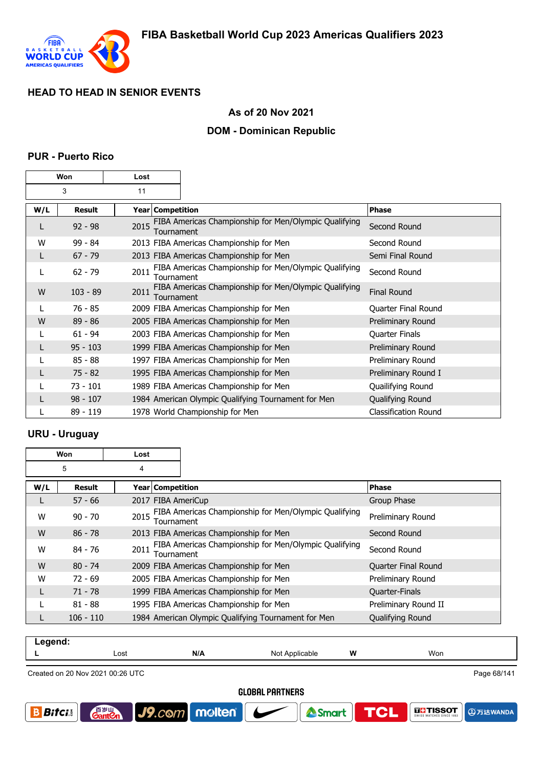

### **As of 20 Nov 2021**

### **DOM - Dominican Republic**

#### **PUR - Puerto Rico**

|     | Won        | Lost |                  |                                                     |                                                       |                             |
|-----|------------|------|------------------|-----------------------------------------------------|-------------------------------------------------------|-----------------------------|
|     | 3          | 11   |                  |                                                     |                                                       |                             |
| W/L | Result     |      | Year Competition |                                                     |                                                       | <b>Phase</b>                |
| L   | $92 - 98$  | 2015 | Tournament       |                                                     | FIBA Americas Championship for Men/Olympic Qualifying | Second Round                |
| W   | $99 - 84$  |      |                  | 2013 FIBA Americas Championship for Men             |                                                       | Second Round                |
| L   | $67 - 79$  |      |                  | 2013 FIBA Americas Championship for Men             |                                                       | Semi Final Round            |
| L   | $62 - 79$  | 2011 | Tournament       |                                                     | FIBA Americas Championship for Men/Olympic Qualifying | Second Round                |
| W   | $103 - 89$ | 2011 | Tournament       |                                                     | FIBA Americas Championship for Men/Olympic Qualifying | <b>Final Round</b>          |
|     | $76 - 85$  |      |                  | 2009 FIBA Americas Championship for Men             |                                                       | Quarter Final Round         |
| W   | $89 - 86$  |      |                  | 2005 FIBA Americas Championship for Men             |                                                       | Preliminary Round           |
|     | $61 - 94$  |      |                  | 2003 FIBA Americas Championship for Men             |                                                       | Quarter Finals              |
|     | $95 - 103$ |      |                  | 1999 FIBA Americas Championship for Men             |                                                       | Preliminary Round           |
|     | $85 - 88$  |      |                  | 1997 FIBA Americas Championship for Men             |                                                       | Preliminary Round           |
|     | $75 - 82$  |      |                  | 1995 FIBA Americas Championship for Men             |                                                       | Preliminary Round I         |
|     | $73 - 101$ |      |                  | 1989 FIBA Americas Championship for Men             |                                                       | Quailifying Round           |
|     | $98 - 107$ |      |                  | 1984 American Olympic Qualifying Tournament for Men |                                                       | Qualifying Round            |
|     | 89 - 119   |      |                  | 1978 World Championship for Men                     |                                                       | <b>Classification Round</b> |

### **URU - Uruguay**

|     | Won<br>Lost |      |                    |                                                       |                      |
|-----|-------------|------|--------------------|-------------------------------------------------------|----------------------|
|     | 5           | 4    |                    |                                                       |                      |
| W/L | Result      |      | Year   Competition |                                                       | <b>Phase</b>         |
| L   | $57 - 66$   |      |                    | 2017 FIBA AmeriCup                                    | Group Phase          |
| W   | $90 - 70$   | 2015 | Tournament         | FIBA Americas Championship for Men/Olympic Qualifying | Preliminary Round    |
| W   | $86 - 78$   |      |                    | 2013 FIBA Americas Championship for Men               | Second Round         |
| W   | 84 - 76     | 2011 | Tournament         | FIBA Americas Championship for Men/Olympic Qualifying | Second Round         |
| W   | $80 - 74$   |      |                    | 2009 FIBA Americas Championship for Men               | Quarter Final Round  |
| W   | $72 - 69$   |      |                    | 2005 FIBA Americas Championship for Men               | Preliminary Round    |
| L   | $71 - 78$   |      |                    | 1999 FIBA Americas Championship for Men               | Quarter-Finals       |
|     | $81 - 88$   |      |                    | 1995 FIBA Americas Championship for Men               | Preliminary Round II |
|     | $106 - 110$ |      |                    | 1984 American Olympic Qualifying Tournament for Men   | Qualifying Round     |

| Legend: |      |     |                |   |     |                      |
|---------|------|-----|----------------|---|-----|----------------------|
|         | Lost | N/A | Not Applicable | W | Won |                      |
|         |      |     |                |   |     |                      |
|         | O(1) |     |                |   |     | $D0 \approx 0.014A4$ |

Created on 20 Nov 2021 00:26 UTC

**GantOn** 

J9.com molten

Page 68/141

**A**万达WANDA

**DE-TISSOT** 

**GLOBAL PARTNERS** 

Smart

**TCL** 

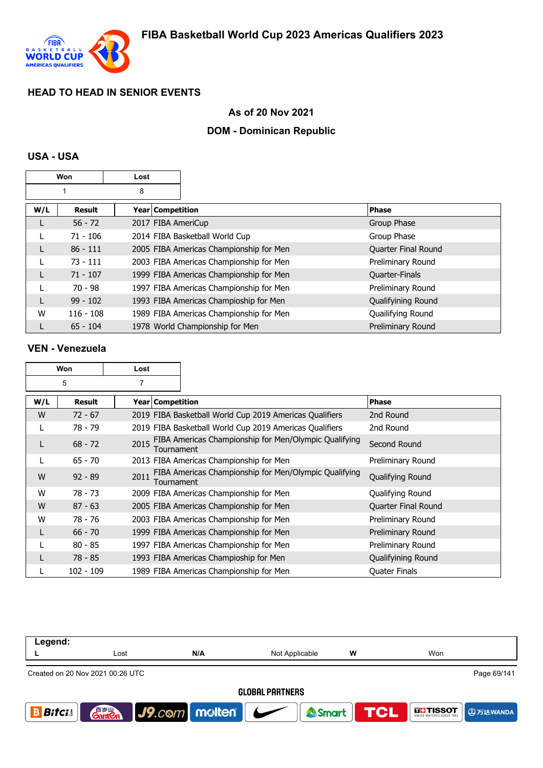

## **As of 20 Nov 2021**

## **DOM - Dominican Republic**

#### **USA - USA**

|     | Won<br>Lost   |                    |                                         |                     |
|-----|---------------|--------------------|-----------------------------------------|---------------------|
|     |               | 8                  |                                         |                     |
| W/L | <b>Result</b> | Year Competition   |                                         | <b>Phase</b>        |
|     | $56 - 72$     | 2017 FIBA AmeriCup |                                         | Group Phase         |
|     | $71 - 106$    |                    | 2014 FIBA Basketball World Cup          | Group Phase         |
|     | $86 - 111$    |                    | 2005 FIBA Americas Championship for Men | Quarter Final Round |
|     | $73 - 111$    |                    | 2003 FIBA Americas Championship for Men | Preliminary Round   |
|     | $71 - 107$    |                    | 1999 FIBA Americas Championship for Men | Quarter-Finals      |
|     | $70 - 98$     |                    | 1997 FIBA Americas Championship for Men | Preliminary Round   |
|     | $99 - 102$    |                    | 1993 FIBA Americas Champioship for Men  | Qualifyining Round  |
| W   | $116 - 108$   |                    | 1989 FIBA Americas Championship for Men | Quailifying Round   |
|     | $65 - 104$    |                    | 1978 World Championship for Men         | Preliminary Round   |

#### **VEN - Venezuela**

| Won<br>Lost |               |      |                    |                                                         |                            |
|-------------|---------------|------|--------------------|---------------------------------------------------------|----------------------------|
|             | 5             | 7    |                    |                                                         |                            |
| W/L         | <b>Result</b> |      | Year   Competition |                                                         | Phase                      |
| W           | $72 - 67$     |      |                    | 2019 FIBA Basketball World Cup 2019 Americas Qualifiers | 2nd Round                  |
|             | 78 - 79       |      |                    | 2019 FIBA Basketball World Cup 2019 Americas Qualifiers | 2nd Round                  |
|             | $68 - 72$     | 2015 | Tournament         | FIBA Americas Championship for Men/Olympic Qualifying   | Second Round               |
|             | $65 - 70$     |      |                    | 2013 FIBA Americas Championship for Men                 | Preliminary Round          |
| W           | $92 - 89$     | 2011 | Tournament         | FIBA Americas Championship for Men/Olympic Qualifying   | Qualifying Round           |
| W           | 78 - 73       |      |                    | 2009 FIBA Americas Championship for Men                 | Qualifying Round           |
| W           | $87 - 63$     |      |                    | 2005 FIBA Americas Championship for Men                 | <b>Quarter Final Round</b> |
| W           | 78 - 76       |      |                    | 2003 FIBA Americas Championship for Men                 | Preliminary Round          |
| L           | $66 - 70$     |      |                    | 1999 FIBA Americas Championship for Men                 | Preliminary Round          |
|             | $80 - 85$     |      |                    | 1997 FIBA Americas Championship for Men                 | Preliminary Round          |
|             | 78 - 85       |      |                    | 1993 FIBA Americas Champioship for Men                  | Qualifyining Round         |
|             | 102 - 109     |      |                    | 1989 FIBA Americas Championship for Men                 | <b>Quater Finals</b>       |

| Legend:      |                                  |                                     |                        |     |                                      |
|--------------|----------------------------------|-------------------------------------|------------------------|-----|--------------------------------------|
|              | Lost                             | N/A                                 | Not Applicable         | W   | Won                                  |
|              | Created on 20 Nov 2021 00:26 UTC |                                     |                        |     | Page 69/141                          |
|              |                                  |                                     | <b>GLOBAL PARTNERS</b> |     |                                      |
| <b>Bitci</b> | 百岁山<br><b>Gant</b> en            | $ $ J9. $c$ © $m$   molten   $\sim$ | Smart                  | THE | <b>THE TISSOT</b><br><b>9万达WANDA</b> |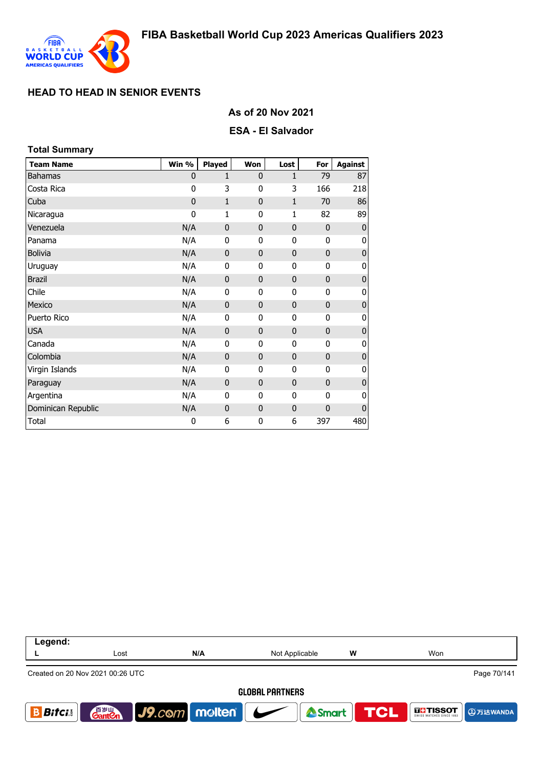

#### **As of 20 Nov 2021**

#### **ESA - El Salvador**

| <b>Total Summary</b> |             |              |              |              |              |                  |
|----------------------|-------------|--------------|--------------|--------------|--------------|------------------|
| <b>Team Name</b>     | Win %       | Played       | Won          | Lost         | For          | <b>Against</b>   |
| <b>Bahamas</b>       | 0           | $\mathbf{1}$ | $\mathbf{0}$ | $\mathbf{1}$ | 79           | 87               |
| Costa Rica           | 0           | 3            | 0            | 3            | 166          | 218              |
| Cuba                 | $\mathbf 0$ | $\mathbf{1}$ | $\mathbf{0}$ | $\mathbf{1}$ | 70           | 86               |
| Nicaragua            | 0           | 1            | 0            | 1            | 82           | 89               |
| Venezuela            | N/A         | $\mathbf 0$  | $\mathbf{0}$ | 0            | $\mathbf 0$  | $\mathbf 0$      |
| Panama               | N/A         | 0            | 0            | 0            | 0            | $\overline{0}$   |
| <b>Bolivia</b>       | N/A         | $\mathbf{0}$ | $\mathbf{0}$ | $\mathbf 0$  | $\mathbf 0$  | $\boldsymbol{0}$ |
| Uruguay              | N/A         | 0            | 0            | 0            | $\mathbf 0$  | 0                |
| <b>Brazil</b>        | N/A         | $\mathbf 0$  | $\mathbf{0}$ | 0            | $\mathbf 0$  | $\pmb{0}$        |
| Chile                | N/A         | 0            | 0            | 0            | 0            | 0                |
| Mexico               | N/A         | $\mathbf 0$  | $\mathbf{0}$ | $\mathbf 0$  | $\mathbf 0$  | $\pmb{0}$        |
| Puerto Rico          | N/A         | 0            | 0            | 0            | 0            | 0                |
| <b>USA</b>           | N/A         | $\mathbf{0}$ | $\mathbf{0}$ | $\mathbf 0$  | $\mathbf 0$  | $\bf 0$          |
| Canada               | N/A         | $\mathbf{0}$ | 0            | 0            | $\mathbf{0}$ | 0                |
| Colombia             | N/A         | $\mathbf{0}$ | $\mathbf{0}$ | $\mathbf 0$  | $\mathbf 0$  | $\mathbf{0}$     |
| Virgin Islands       | N/A         | $\mathbf{0}$ | 0            | 0            | $\mathbf 0$  | 0                |
| Paraguay             | N/A         | $\mathbf 0$  | $\mathbf{0}$ | 0            | $\mathbf{0}$ | $\pmb{0}$        |
| Argentina            | N/A         | 0            | 0            | 0            | 0            | 0                |
| Dominican Republic   | N/A         | $\mathbf{0}$ | $\mathbf{0}$ | 0            | $\mathbf 0$  | 0                |
| <b>Total</b>         | $\bf{0}$    | 6            | 0            | 6            | 397          | 480              |

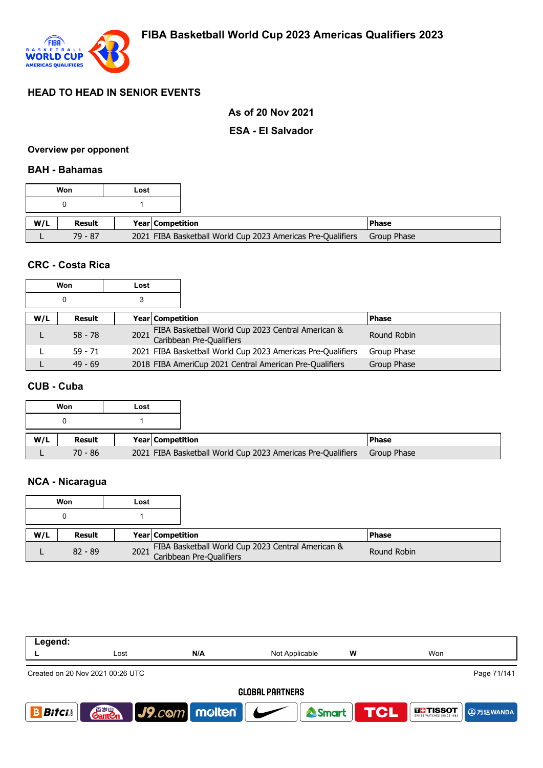

### **As of 20 Nov 2021**

#### **ESA - El Salvador**

#### **Overview per opponent**

#### **BAH - Bahamas**

|     | Won       | Lost |                  |                                                             |               |
|-----|-----------|------|------------------|-------------------------------------------------------------|---------------|
|     |           |      |                  |                                                             |               |
| W/L | Result    |      | Year Competition |                                                             | <b>IPhase</b> |
|     | $79 - 87$ |      |                  | 2021 FIBA Basketball World Cup 2023 Americas Pre-Qualifiers | Group Phase   |

### **CRC - Costa Rica**

| Won |           | Lost |                                                                               |              |
|-----|-----------|------|-------------------------------------------------------------------------------|--------------|
| 0   |           |      |                                                                               |              |
| W/L | Result    |      | <b>Year Competition</b>                                                       | <b>Phase</b> |
|     | $58 - 78$ | 2021 | FIBA Basketball World Cup 2023 Central American &<br>Caribbean Pre-Qualifiers | Round Robin  |
|     | $59 - 71$ |      | 2021 FIBA Basketball World Cup 2023 Americas Pre-Qualifiers                   | Group Phase  |
|     | $49 - 69$ |      | 2018 FIBA AmeriCup 2021 Central American Pre-Qualifiers                       | Group Phase  |

### **CUB - Cuba**

| Won |           | Lost |                  |                                                             |             |
|-----|-----------|------|------------------|-------------------------------------------------------------|-------------|
| 0   |           |      |                  |                                                             |             |
| W/L | Result    |      | Year Competition |                                                             | l Phase     |
|     | $70 - 86$ |      |                  | 2021 FIBA Basketball World Cup 2023 Americas Pre-Qualifiers | Group Phase |

# **NCA - Nicaragua**

| Won       |        | Lost             |  |                                                                                    |              |
|-----------|--------|------------------|--|------------------------------------------------------------------------------------|--------------|
|           |        |                  |  |                                                                                    |              |
| W/L       | Result | Year Competition |  |                                                                                    | <b>Phase</b> |
| $82 - 89$ |        |                  |  | FIBA Basketball World Cup 2023 Central American &<br>2021 Caribbean Pre-Qualifiers | Round Robin  |

| Legend:                                                                                                                                  |                                                 |     |                |   |     |  |  |  |  |
|------------------------------------------------------------------------------------------------------------------------------------------|-------------------------------------------------|-----|----------------|---|-----|--|--|--|--|
|                                                                                                                                          | Lost                                            | N/A | Not Applicable | w | Won |  |  |  |  |
|                                                                                                                                          | Page 71/141<br>Created on 20 Nov 2021 00:26 UTC |     |                |   |     |  |  |  |  |
| <b>GLOBAL PARTNERS</b>                                                                                                                   |                                                 |     |                |   |     |  |  |  |  |
| $\big $ J9.com   molten   $\bigcup$<br>百岁山<br><b>Gantion</b><br>Smart <b>TCL</b><br><b>THE TISSOT</b><br><b>Bitci</b><br><b>4万达WANDA</b> |                                                 |     |                |   |     |  |  |  |  |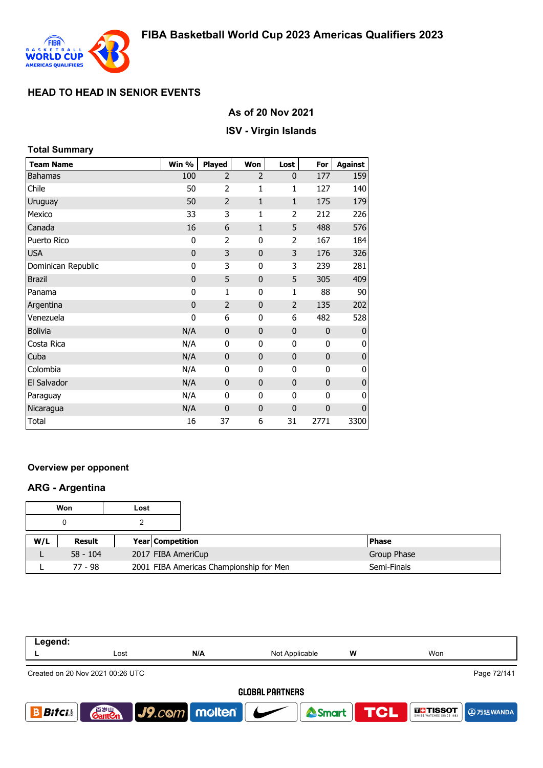

## **As of 20 Nov 2021**

### **ISV - Virgin Islands**

| <b>Total Summary</b> |             |                |                |                |              |                |
|----------------------|-------------|----------------|----------------|----------------|--------------|----------------|
| <b>Team Name</b>     | Win %       | Played         | Won            | Lost           | For          | <b>Against</b> |
| <b>Bahamas</b>       | 100         | $\overline{2}$ | $\overline{2}$ | $\mathbf{0}$   | 177          | 159            |
| Chile                | 50          | $\overline{2}$ | 1              | $\mathbf{1}$   | 127          | 140            |
| Uruguay              | 50          | $\overline{2}$ | $\mathbf{1}$   | $\mathbf{1}$   | 175          | 179            |
| Mexico               | 33          | 3              | 1              | 2              | 212          | 226            |
| Canada               | 16          | 6              | $\mathbf{1}$   | 5              | 488          | 576            |
| Puerto Rico          | 0           | $\overline{2}$ | $\mathbf{0}$   | $\overline{2}$ | 167          | 184            |
| <b>USA</b>           | $\mathbf 0$ | 3              | $\mathbf{0}$   | 3              | 176          | 326            |
| Dominican Republic   | 0           | 3              | 0              | 3              | 239          | 281            |
| <b>Brazil</b>        | $\mathbf 0$ | 5              | $\mathbf{0}$   | 5              | 305          | 409            |
| Panama               | 0           | $\mathbf{1}$   | 0              | 1              | 88           | 90             |
| Argentina            | $\mathbf 0$ | $\overline{2}$ | $\mathbf 0$    | $\overline{2}$ | 135          | 202            |
| Venezuela            | 0           | 6              | 0              | 6              | 482          | 528            |
| <b>Bolivia</b>       | N/A         | 0              | $\mathbf{0}$   | $\mathbf 0$    | $\mathbf{0}$ | $\mathbf{0}$   |
| Costa Rica           | N/A         | $\mathbf 0$    | $\mathbf{0}$   | $\mathbf{0}$   | 0            | 0              |
| Cuba                 | N/A         | $\mathbf{0}$   | $\bf{0}$       | $\mathbf 0$    | $\mathbf 0$  | $\pmb{0}$      |
| Colombia             | N/A         | 0              | 0              | 0              | 0            | $\pmb{0}$      |
| El Salvador          | N/A         | 0              | $\mathbf 0$    | $\mathbf 0$    | $\mathbf 0$  | $\pmb{0}$      |
| Paraguay             | N/A         | $\mathbf{0}$   | 0              | 0              | $\mathbf{0}$ | 0              |
| Nicaragua            | N/A         | 0              | $\mathbf{0}$   | $\mathbf 0$    | $\mathbf 0$  | $\mathbf 0$    |
| Total                | 16          | 37             | 6              | 31             | 2771         | 3300           |

### **Overview per opponent**

### **ARG - Argentina**

| Won |            | Lost |                  |                                         |  |              |
|-----|------------|------|------------------|-----------------------------------------|--|--------------|
|     |            |      |                  |                                         |  |              |
| W/L | Result     |      | Year Competition |                                         |  | <b>Phase</b> |
|     | $58 - 104$ |      |                  | 2017 FIBA AmeriCup                      |  | Group Phase  |
|     | 77 - 98    |      |                  | 2001 FIBA Americas Championship for Men |  | Semi-Finals  |

| Legend:                                         |                                    |                      |                          |                  |                                        |  |  |  |
|-------------------------------------------------|------------------------------------|----------------------|--------------------------|------------------|----------------------------------------|--|--|--|
|                                                 | Lost                               | N/A                  | w<br>Not Applicable      |                  | Won                                    |  |  |  |
| Page 72/141<br>Created on 20 Nov 2021 00:26 UTC |                                    |                      |                          |                  |                                        |  |  |  |
| <b>GLOBAL PARTNERS</b>                          |                                    |                      |                          |                  |                                        |  |  |  |
| <b>Bifci</b>                                    | 音 <sub>罗山</sub><br>Gant <b>C</b> n | $ $ J9. $com$ molten | $\overline{\phantom{a}}$ | Smart <b>TCL</b> | <b>THE TISSOT</b><br><b>AD 万达WANDA</b> |  |  |  |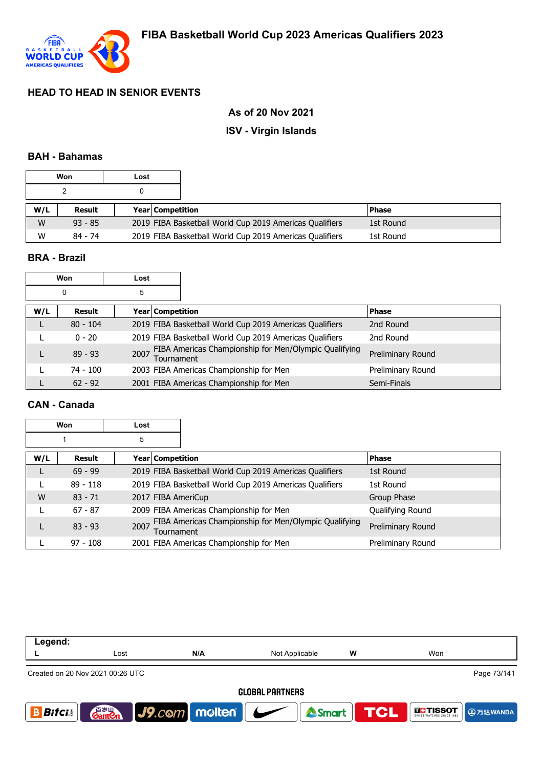

## **As of 20 Nov 2021**

### **ISV - Virgin Islands**

#### **BAH - Bahamas**

| Won |           | Lost |                         |                                                         |           |  |
|-----|-----------|------|-------------------------|---------------------------------------------------------|-----------|--|
|     |           |      |                         |                                                         |           |  |
| W/L | Result    |      | <b>Year Competition</b> |                                                         | l Phase   |  |
| W   | $93 - 85$ |      |                         | 2019 FIBA Basketball World Cup 2019 Americas Qualifiers | 1st Round |  |
| W   | 84 - 74   |      |                         | 2019 FIBA Basketball World Cup 2019 Americas Qualifiers | 1st Round |  |

## **BRA - Brazil**

|     | Won           | Lost               |                                                         |                          |
|-----|---------------|--------------------|---------------------------------------------------------|--------------------------|
|     | 0             | 5                  |                                                         |                          |
| W/L | <b>Result</b> | Year   Competition |                                                         | <b>Phase</b>             |
|     | $80 - 104$    |                    | 2019 FIBA Basketball World Cup 2019 Americas Qualifiers | 2nd Round                |
|     | $0 - 20$      |                    | 2019 FIBA Basketball World Cup 2019 Americas Qualifiers | 2nd Round                |
|     | $89 - 93$     | 2007<br>Tournament | FIBA Americas Championship for Men/Olympic Qualifying   | <b>Preliminary Round</b> |
|     | 74 - 100      |                    | 2003 FIBA Americas Championship for Men                 | Preliminary Round        |
|     | $62 - 92$     |                    | 2001 FIBA Americas Championship for Men                 | Semi-Finals              |

### **CAN - Canada**

|     | Won        | Lost               |                                                         |                   |
|-----|------------|--------------------|---------------------------------------------------------|-------------------|
|     |            | 5                  |                                                         |                   |
| W/L | Result     | Year   Competition |                                                         | <b>Phase</b>      |
|     | $69 - 99$  |                    | 2019 FIBA Basketball World Cup 2019 Americas Qualifiers | 1st Round         |
|     | $89 - 118$ |                    | 2019 FIBA Basketball World Cup 2019 Americas Qualifiers | 1st Round         |
| W   | $83 - 71$  | 2017 FIBA AmeriCup |                                                         | Group Phase       |
|     | $67 - 87$  |                    | 2009 FIBA Americas Championship for Men                 | Qualifying Round  |
|     | $83 - 93$  | 2007<br>Tournament | FIBA Americas Championship for Men/Olympic Qualifying   | Preliminary Round |
|     | $97 - 108$ |                    | 2001 FIBA Americas Championship for Men                 | Preliminary Round |

| Legend:       |                                                 |                          |                                              |   |                                       |  |  |  |  |
|---------------|-------------------------------------------------|--------------------------|----------------------------------------------|---|---------------------------------------|--|--|--|--|
|               | Lost                                            | N/A                      | Not Applicable                               | W | Won                                   |  |  |  |  |
|               | Page 73/141<br>Created on 20 Nov 2021 00:26 UTC |                          |                                              |   |                                       |  |  |  |  |
|               | <b>GLOBAL PARTNERS</b>                          |                          |                                              |   |                                       |  |  |  |  |
| <b>Bitcis</b> | 音 <sub>岁Ⅲ</sub><br>Gant <b>C</b> n              | $ $ J9. $com$ molten $ $ | Smart <b>TCL</b><br>$\overline{\phantom{a}}$ |   | <b>THE TISSOT</b><br><b>4</b> 万达WANDA |  |  |  |  |
|               |                                                 |                          |                                              |   |                                       |  |  |  |  |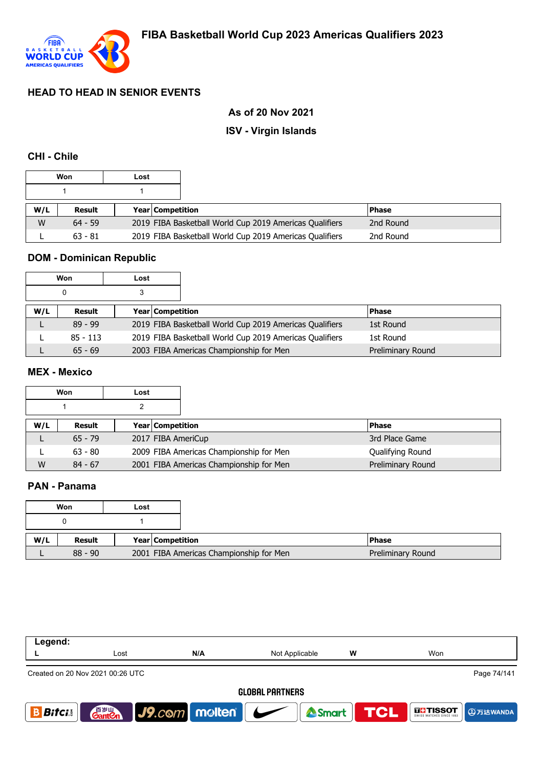

## **As of 20 Nov 2021**

### **ISV - Virgin Islands**

### **CHI - Chile**

| Won |           | Lost |                         |                                                         |              |
|-----|-----------|------|-------------------------|---------------------------------------------------------|--------------|
|     |           |      |                         |                                                         |              |
| W/L | Result    |      | <b>Year Competition</b> |                                                         | <b>Phase</b> |
| W   | $64 - 59$ |      |                         | 2019 FIBA Basketball World Cup 2019 Americas Qualifiers | 2nd Round    |
|     | $63 - 81$ |      |                         | 2019 FIBA Basketball World Cup 2019 Americas Qualifiers | 2nd Round    |

# **DOM - Dominican Republic**

| Won |            | Lost |                         |                                                         |                   |
|-----|------------|------|-------------------------|---------------------------------------------------------|-------------------|
|     | 0          |      |                         |                                                         |                   |
| W/L | Result     |      | <b>Year Competition</b> |                                                         | l Phase           |
|     | $89 - 99$  |      |                         | 2019 FIBA Basketball World Cup 2019 Americas Qualifiers | 1st Round         |
|     | $85 - 113$ |      |                         | 2019 FIBA Basketball World Cup 2019 Americas Qualifiers | 1st Round         |
|     | $65 - 69$  |      |                         | 2003 FIBA Americas Championship for Men                 | Preliminary Round |

## **MEX - Mexico**

|     | Won       | Lost |                         |                                         |                   |
|-----|-----------|------|-------------------------|-----------------------------------------|-------------------|
|     |           |      |                         |                                         |                   |
| W/L | Result    |      | <b>Year Competition</b> |                                         | <b>Phase</b>      |
|     | $65 - 79$ |      | 2017 FIBA AmeriCup      |                                         | 3rd Place Game    |
|     | $63 - 80$ |      |                         | 2009 FIBA Americas Championship for Men | Qualifying Round  |
| W   | $84 - 67$ |      |                         | 2001 FIBA Americas Championship for Men | Preliminary Round |

## **PAN - Panama**

|     | Won           | Lost |                  |                                         |                   |
|-----|---------------|------|------------------|-----------------------------------------|-------------------|
|     |               |      |                  |                                         |                   |
| W/L | <b>Result</b> |      | Year Competition |                                         | <b>Phase</b>      |
|     | $88 - 90$     |      |                  | 2001 FIBA Americas Championship for Men | Preliminary Round |

| Legend:      |                                                 |                                         |                |   |                                                    |  |  |  |
|--------------|-------------------------------------------------|-----------------------------------------|----------------|---|----------------------------------------------------|--|--|--|
|              | Lost                                            | N/A                                     | Not Applicable | W | Won                                                |  |  |  |
|              | Page 74/141<br>Created on 20 Nov 2021 00:26 UTC |                                         |                |   |                                                    |  |  |  |
|              | <b>GLOBAL PARTNERS</b>                          |                                         |                |   |                                                    |  |  |  |
| <b>Bifci</b> | 音罗山<br><b>Gant Cn</b>                           | $\big $ J9.com molten $\big $ $\bigcup$ | <b>A</b> Smart |   | <b>TCL</b><br><b>THE TISSOT</b><br><b>4万达WANDA</b> |  |  |  |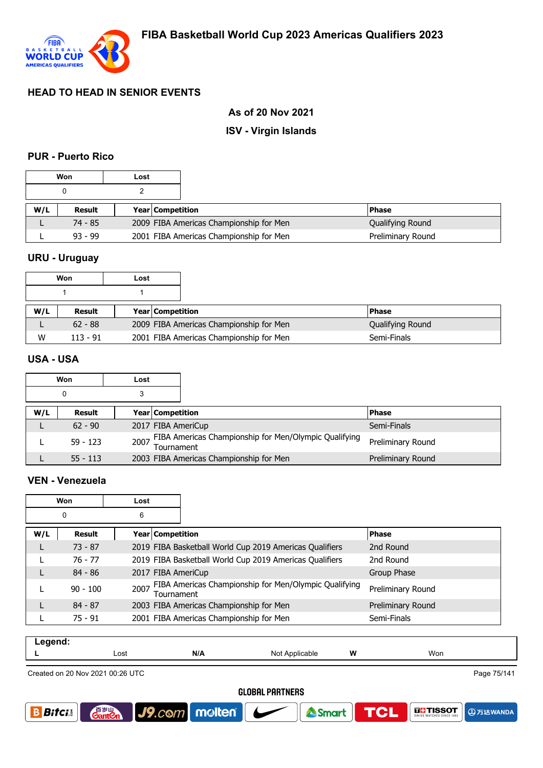

### **As of 20 Nov 2021**

### **ISV - Virgin Islands**

#### **PUR - Puerto Rico**

| Won<br>Lost |           |  |                         |                                         |                   |
|-------------|-----------|--|-------------------------|-----------------------------------------|-------------------|
|             |           |  |                         |                                         |                   |
| W/L         | Result    |  | <b>Year Competition</b> |                                         | <b>Phase</b>      |
|             | 74 - 85   |  |                         | 2009 FIBA Americas Championship for Men | Qualifying Round  |
|             | $93 - 99$ |  |                         | 2001 FIBA Americas Championship for Men | Preliminary Round |

### **URU - Uruguay**

|     | Won        | Lost |                         |                                         |                  |
|-----|------------|------|-------------------------|-----------------------------------------|------------------|
|     |            |      |                         |                                         |                  |
| W/L | Result     |      | <b>Year Competition</b> |                                         | <b>Phase</b>     |
|     | $62 - 88$  |      |                         | 2009 FIBA Americas Championship for Men | Qualifying Round |
| W   | $113 - 91$ |      |                         | 2001 FIBA Americas Championship for Men | Semi-Finals      |

#### **USA - USA**

| Won |            | Lost |                                                                          |                   |
|-----|------------|------|--------------------------------------------------------------------------|-------------------|
|     |            |      |                                                                          |                   |
| W/L | Result     |      | <b>Year Competition</b>                                                  | <b>Phase</b>      |
|     | $62 - 90$  |      | 2017 FIBA AmeriCup                                                       | Semi-Finals       |
|     | $59 - 123$ |      | 2007 FIBA Americas Championship for Men/Olympic Qualifying<br>Tournament | Preliminary Round |
|     | $55 - 113$ |      | 2003 FIBA Americas Championship for Men                                  | Preliminary Round |

#### **VEN - Venezuela**

| Won |            | Lost |                    |                                                         |                   |
|-----|------------|------|--------------------|---------------------------------------------------------|-------------------|
| 0   |            | 6    |                    |                                                         |                   |
| W/L | Result     |      | Year   Competition |                                                         | <b>Phase</b>      |
|     | $73 - 87$  |      |                    | 2019 FIBA Basketball World Cup 2019 Americas Qualifiers | 2nd Round         |
|     | $76 - 77$  |      |                    | 2019 FIBA Basketball World Cup 2019 Americas Qualifiers | 2nd Round         |
|     | $84 - 86$  |      | 2017 FIBA AmeriCup |                                                         | Group Phase       |
|     | $90 - 100$ | 2007 | Tournament         | FIBA Americas Championship for Men/Olympic Qualifying   | Preliminary Round |
|     | $84 - 87$  |      |                    | 2003 FIBA Americas Championship for Men                 | Preliminary Round |
|     | $75 - 91$  |      |                    | 2001 FIBA Americas Championship for Men                 | Semi-Finals       |

| . |      |     |                       |   |     |
|---|------|-----|-----------------------|---|-----|
|   | Lost | N/A | NMt<br>Applicable<br> | W | Won |
|   |      |     |                       |   |     |

Created on 20 Nov 2021 00:26 UTC

**GantOn** 

Page 75/141

#### **GLOBAL PARTNERS**





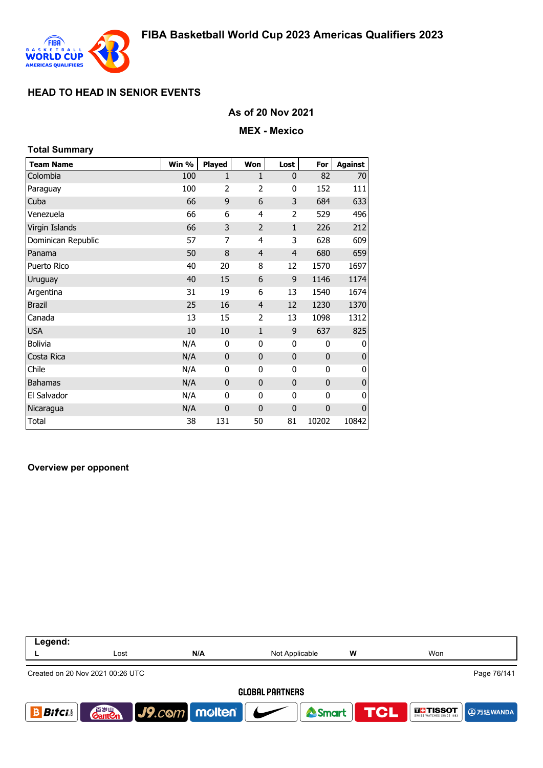

### **As of 20 Nov 2021**

#### **MEX - Mexico**

| <b>Total Summary</b> |       |                |                |                |              |             |
|----------------------|-------|----------------|----------------|----------------|--------------|-------------|
| <b>Team Name</b>     | Win % | <b>Played</b>  | Won            | Lost           | For          | Against     |
| Colombia             | 100   | 1              | 1              | $\mathbf{0}$   | 82           | 70          |
| Paraguay             | 100   | $\overline{2}$ | $\overline{2}$ | 0              | 152          | 111         |
| Cuba                 | 66    | 9              | 6              | 3              | 684          | 633         |
| Venezuela            | 66    | 6              | 4              | 2              | 529          | 496         |
| Virgin Islands       | 66    | 3              | $\overline{2}$ | $\mathbf{1}$   | 226          | 212         |
| Dominican Republic   | 57    | 7              | 4              | 3              | 628          | 609         |
| Panama               | 50    | 8              | $\overline{4}$ | $\overline{4}$ | 680          | 659         |
| Puerto Rico          | 40    | 20             | 8              | 12             | 1570         | 1697        |
| Uruguay              | 40    | 15             | 6              | 9              | 1146         | 1174        |
| Argentina            | 31    | 19             | 6              | 13             | 1540         | 1674        |
| <b>Brazil</b>        | 25    | 16             | $\overline{4}$ | 12             | 1230         | 1370        |
| Canada               | 13    | 15             | 2              | 13             | 1098         | 1312        |
| <b>USA</b>           | 10    | 10             | $\mathbf{1}$   | 9              | 637          | 825         |
| <b>Bolivia</b>       | N/A   | 0              | $\mathbf{0}$   | 0              | 0            | 0           |
| Costa Rica           | N/A   | $\mathbf{0}$   | $\mathbf{0}$   | 0              | $\mathbf{0}$ | $\bf{0}$    |
| Chile                | N/A   | 0              | 0              | 0              | 0            | 0           |
| <b>Bahamas</b>       | N/A   | $\mathbf 0$    | $\mathbf{0}$   | $\mathbf{0}$   | $\mathbf 0$  | $\bf{0}$    |
| El Salvador          | N/A   | 0              | 0              | 0              | 0            | 0           |
| Nicaragua            | N/A   | $\mathbf 0$    | $\mathbf 0$    | 0              | 0            | $\mathbf 0$ |
| Total                | 38    | 131            | 50             | 81             | 10202        | 10842       |

#### **Overview per opponent**

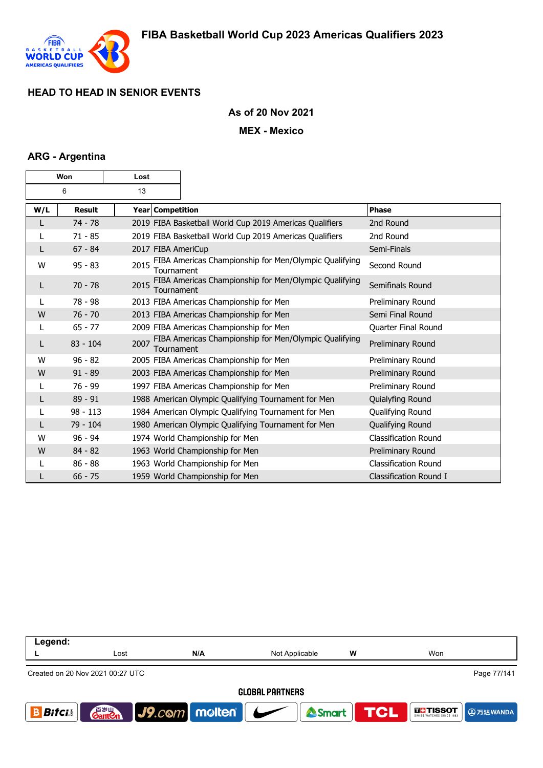

### **As of 20 Nov 2021**

#### **MEX - Mexico**

### **ARG - Argentina**

| Won |               | Lost |                         |                                                         |                             |
|-----|---------------|------|-------------------------|---------------------------------------------------------|-----------------------------|
| 6   |               | 13   |                         |                                                         |                             |
| W/L | <b>Result</b> |      | <b>Year Competition</b> |                                                         | <b>Phase</b>                |
|     | $74 - 78$     |      |                         | 2019 FIBA Basketball World Cup 2019 Americas Qualifiers | 2nd Round                   |
|     | $71 - 85$     |      |                         | 2019 FIBA Basketball World Cup 2019 Americas Qualifiers | 2nd Round                   |
| L   | $67 - 84$     |      |                         | 2017 FIBA AmeriCup                                      | Semi-Finals                 |
| W   | $95 - 83$     | 2015 | Tournament              | FIBA Americas Championship for Men/Olympic Qualifying   | Second Round                |
| L   | $70 - 78$     | 2015 | Tournament              | FIBA Americas Championship for Men/Olympic Qualifying   | Semifinals Round            |
|     | $78 - 98$     |      |                         | 2013 FIBA Americas Championship for Men                 | Preliminary Round           |
| W   | $76 - 70$     |      |                         | 2013 FIBA Americas Championship for Men                 | Semi Final Round            |
|     | $65 - 77$     |      |                         | 2009 FIBA Americas Championship for Men                 | Quarter Final Round         |
| L   | $83 - 104$    | 2007 | Tournament              | FIBA Americas Championship for Men/Olympic Qualifying   | Preliminary Round           |
| W   | $96 - 82$     |      |                         | 2005 FIBA Americas Championship for Men                 | Preliminary Round           |
| W   | $91 - 89$     |      |                         | 2003 FIBA Americas Championship for Men                 | Preliminary Round           |
| L   | $76 - 99$     |      |                         | 1997 FIBA Americas Championship for Men                 | Preliminary Round           |
| L   | $89 - 91$     |      |                         | 1988 American Olympic Qualifying Tournament for Men     | Quialyfing Round            |
|     | $98 - 113$    |      |                         | 1984 American Olympic Qualifying Tournament for Men     | Qualifying Round            |
| L   | 79 - 104      |      |                         | 1980 American Olympic Qualifying Tournament for Men     | Qualifying Round            |
| W   | $96 - 94$     |      |                         | 1974 World Championship for Men                         | <b>Classification Round</b> |
| W   | $84 - 82$     |      |                         | 1963 World Championship for Men                         | Preliminary Round           |
|     | $86 - 88$     |      |                         | 1963 World Championship for Men                         | Classification Round        |
|     | $66 - 75$     |      |                         | 1959 World Championship for Men                         | Classification Round I      |

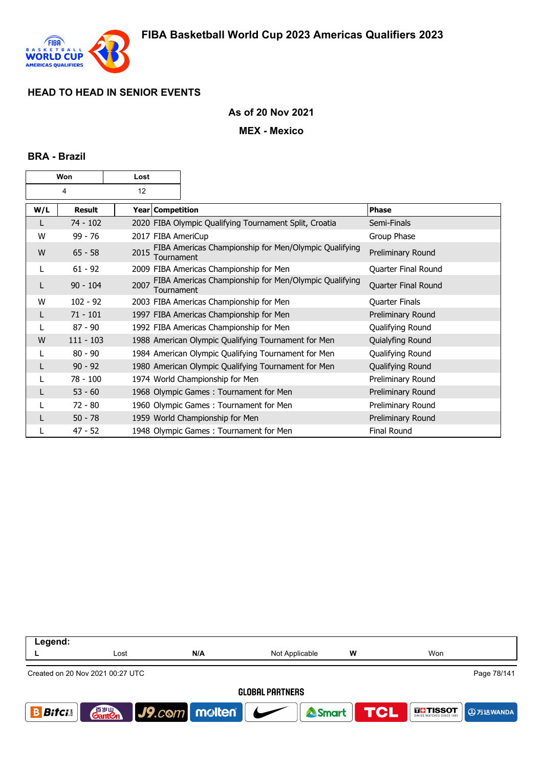

### **As of 20 Nov 2021**

#### **MEX - Mexico**

#### **BRA - Brazil**

| Won |             | Lost |                  |                                                        |                       |
|-----|-------------|------|------------------|--------------------------------------------------------|-----------------------|
| 4   |             | 12   |                  |                                                        |                       |
| W/L | Result      |      | Year Competition |                                                        | <b>Phase</b>          |
|     | $74 - 102$  |      |                  | 2020 FIBA Olympic Qualifying Tournament Split, Croatia | Semi-Finals           |
| w   | $99 - 76$   |      |                  | 2017 FIBA AmeriCup                                     | Group Phase           |
| W   | $65 - 58$   | 2015 | Tournament       | FIBA Americas Championship for Men/Olympic Qualifying  | Preliminary Round     |
| L   | $61 - 92$   |      |                  | 2009 FIBA Americas Championship for Men                | Quarter Final Round   |
|     | $90 - 104$  | 2007 | Tournament       | FIBA Americas Championship for Men/Olympic Qualifying  | Quarter Final Round   |
| W   | $102 - 92$  |      |                  | 2003 FIBA Americas Championship for Men                | <b>Quarter Finals</b> |
|     | $71 - 101$  |      |                  | 1997 FIBA Americas Championship for Men                | Preliminary Round     |
|     | $87 - 90$   |      |                  | 1992 FIBA Americas Championship for Men                | Qualifying Round      |
| W   | $111 - 103$ |      |                  | 1988 American Olympic Qualifying Tournament for Men    | Quialyfing Round      |
|     | $80 - 90$   |      |                  | 1984 American Olympic Qualifying Tournament for Men    | Qualifying Round      |
| L   | $90 - 92$   |      |                  | 1980 American Olympic Qualifying Tournament for Men    | Qualifying Round      |
|     | $78 - 100$  |      |                  | 1974 World Championship for Men                        | Preliminary Round     |
|     | $53 - 60$   |      |                  | 1968 Olympic Games: Tournament for Men                 | Preliminary Round     |
|     | $72 - 80$   |      |                  | 1960 Olympic Games: Tournament for Men                 | Preliminary Round     |
|     | $50 - 78$   |      |                  | 1959 World Championship for Men                        | Preliminary Round     |
|     | $47 - 52$   |      |                  | 1948 Olympic Games: Tournament for Men                 | <b>Final Round</b>    |

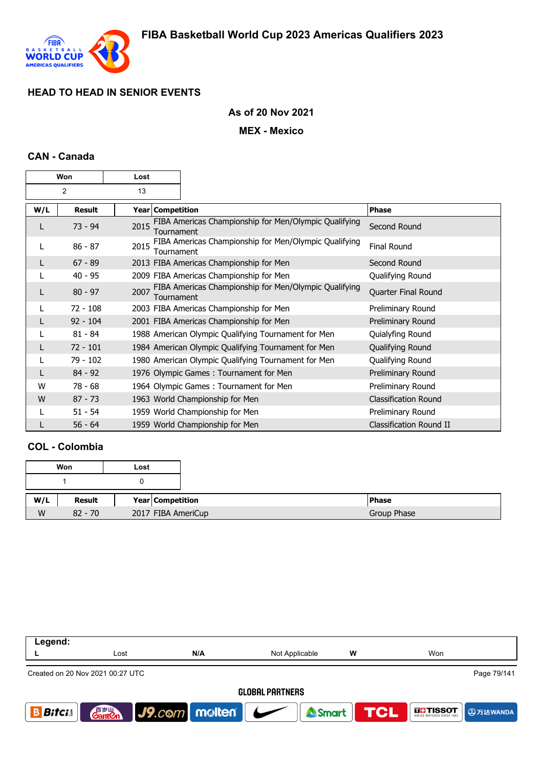

## **As of 20 Nov 2021**

### **MEX - Mexico**

### **CAN - Canada**

| Won |               | Lost             |                                                                     |                             |
|-----|---------------|------------------|---------------------------------------------------------------------|-----------------------------|
| 2   |               | 13               |                                                                     |                             |
| W/L | <b>Result</b> | Year Competition |                                                                     | Phase                       |
|     | $73 - 94$     | 2015             | FIBA Americas Championship for Men/Olympic Qualifying<br>Tournament | Second Round                |
|     | $86 - 87$     | 2015             | FIBA Americas Championship for Men/Olympic Qualifying<br>Tournament | <b>Final Round</b>          |
|     | $67 - 89$     |                  | 2013 FIBA Americas Championship for Men                             | Second Round                |
|     | $40 - 95$     |                  | 2009 FIBA Americas Championship for Men                             | Qualifying Round            |
|     | $80 - 97$     | 2007             | FIBA Americas Championship for Men/Olympic Qualifying<br>Tournament | Quarter Final Round         |
|     | $72 - 108$    |                  | 2003 FIBA Americas Championship for Men                             | Preliminary Round           |
| L   | $92 - 104$    |                  | 2001 FIBA Americas Championship for Men                             | Preliminary Round           |
|     | $81 - 84$     |                  | 1988 American Olympic Qualifying Tournament for Men                 | Quialyfing Round            |
|     | $72 - 101$    |                  | 1984 American Olympic Qualifying Tournament for Men                 | Qualifying Round            |
|     | 79 - 102      |                  | 1980 American Olympic Qualifying Tournament for Men                 | Qualifying Round            |
|     | $84 - 92$     |                  | 1976 Olympic Games: Tournament for Men                              | Preliminary Round           |
| W   | $78 - 68$     |                  | 1964 Olympic Games: Tournament for Men                              | Preliminary Round           |
| W   | $87 - 73$     |                  | 1963 World Championship for Men                                     | <b>Classification Round</b> |
|     | $51 - 54$     |                  | 1959 World Championship for Men                                     | Preliminary Round           |
|     | $56 - 64$     |                  | 1959 World Championship for Men                                     | Classification Round II     |

## **COL - Colombia**

|     | Won       | Lost |                    |              |
|-----|-----------|------|--------------------|--------------|
|     |           |      |                    |              |
| W/L | Result    |      | Year Competition   | <b>Phase</b> |
| W   | $82 - 70$ |      | 2017 FIBA AmeriCup | Group Phase  |

| Legend:                | Lost                               | N/A           | Not Applicable | W                | Won           |  |  |
|------------------------|------------------------------------|---------------|----------------|------------------|---------------|--|--|
|                        | Created on 20 Nov 2021 00:27 UTC   |               |                |                  | Page 79/141   |  |  |
| <b>GLOBAL PARTNERS</b> |                                    |               |                |                  |               |  |  |
| <b>Bifcis</b>          | 音 <sub>罗山</sub><br>Gant <b>C</b> n | J9.com molten |                | Smart <b>TCL</b> | <b>THESOT</b> |  |  |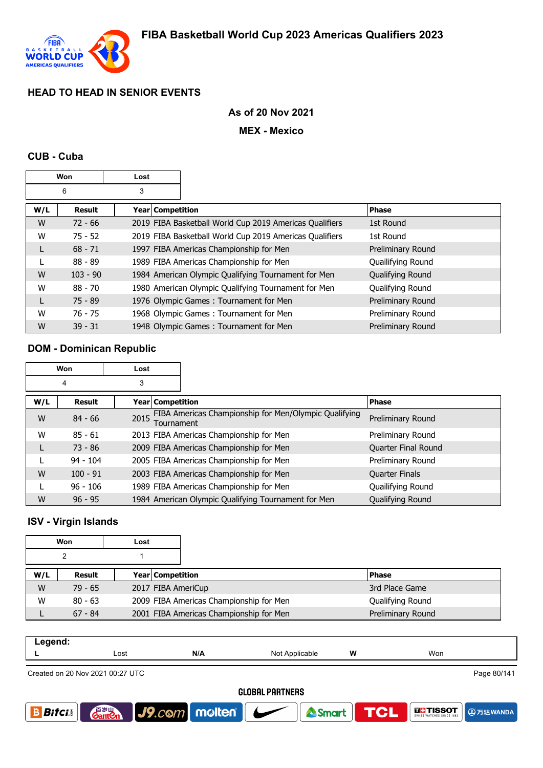

### **As of 20 Nov 2021**

#### **MEX - Mexico**

#### **CUB - Cuba**

| Won |            | Lost               |                                                         |                   |
|-----|------------|--------------------|---------------------------------------------------------|-------------------|
| 6   |            | 3                  |                                                         |                   |
| W/L | Result     | Year   Competition |                                                         | <b>Phase</b>      |
| W   | $72 - 66$  |                    | 2019 FIBA Basketball World Cup 2019 Americas Qualifiers | 1st Round         |
| W   | $75 - 52$  |                    | 2019 FIBA Basketball World Cup 2019 Americas Qualifiers | 1st Round         |
| L   | $68 - 71$  |                    | 1997 FIBA Americas Championship for Men                 | Preliminary Round |
|     | $88 - 89$  |                    | 1989 FIBA Americas Championship for Men                 | Quailifying Round |
| W   | $103 - 90$ |                    | 1984 American Olympic Qualifying Tournament for Men     | Qualifying Round  |
| W   | $88 - 70$  |                    | 1980 American Olympic Qualifying Tournament for Men     | Qualifying Round  |
| L   | $75 - 89$  |                    | 1976 Olympic Games: Tournament for Men                  | Preliminary Round |
| W   | $76 - 75$  |                    | 1968 Olympic Games: Tournament for Men                  | Preliminary Round |
| W   | $39 - 31$  |                    | 1948 Olympic Games: Tournament for Men                  | Preliminary Round |

### **DOM - Dominican Republic**

| Won |            | Lost               |                                                       |                       |
|-----|------------|--------------------|-------------------------------------------------------|-----------------------|
|     | 4          | 3                  |                                                       |                       |
| W/L | Result     | Year   Competition |                                                       | <b>Phase</b>          |
| W   | $84 - 66$  | 2015<br>Tournament | FIBA Americas Championship for Men/Olympic Qualifying | Preliminary Round     |
| W   | $85 - 61$  |                    | 2013 FIBA Americas Championship for Men               | Preliminary Round     |
|     | $73 - 86$  |                    | 2009 FIBA Americas Championship for Men               | Quarter Final Round   |
|     | $94 - 104$ |                    | 2005 FIBA Americas Championship for Men               | Preliminary Round     |
| W   | $100 - 91$ |                    | 2003 FIBA Americas Championship for Men               | <b>Quarter Finals</b> |
|     | $96 - 106$ |                    | 1989 FIBA Americas Championship for Men               | Quailifying Round     |
| W   | $96 - 95$  |                    | 1984 American Olympic Qualifying Tournament for Men   | Qualifying Round      |

### **ISV - Virgin Islands**

|     | Won       | Lost |                                         |                   |
|-----|-----------|------|-----------------------------------------|-------------------|
| າ   |           |      |                                         |                   |
| W/L | Result    |      | <b>Year Competition</b>                 | <b>Phase</b>      |
| W   | $79 - 65$ |      | 2017 FIBA AmeriCup                      | 3rd Place Game    |
| W   | $80 - 63$ |      | 2009 FIBA Americas Championship for Men | Qualifying Round  |
|     | $67 - 84$ |      | 2001 FIBA Americas Championship for Men | Preliminary Round |

| .<br><u>−− ਤ</u> |      |     |                   |   |     |
|------------------|------|-----|-------------------|---|-----|
| -                | Lost | N/A | Not<br>Annlicable | W | Won |
|                  |      |     |                   |   |     |

Created on 20 Nov 2021 00:27 UTC

Page 80/141

**4万达WANDA** 

**OLITISSOT** 

#### **GLOBAL PARTNERS**

Smart

**TCL** 

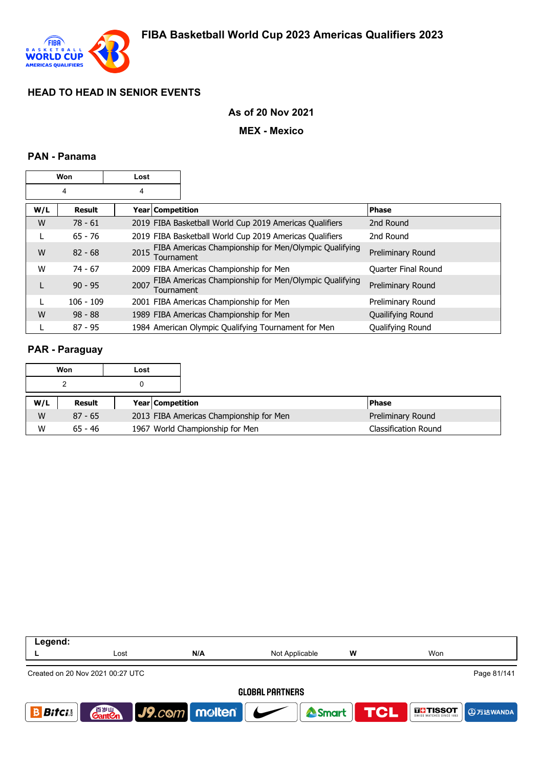

### **As of 20 Nov 2021**

#### **MEX - Mexico**

### **PAN - Panama**

|     | Won           | Lost |                  |                                                         |                            |
|-----|---------------|------|------------------|---------------------------------------------------------|----------------------------|
|     | 4             | 4    |                  |                                                         |                            |
| W/L | <b>Result</b> |      | Year Competition |                                                         | <b>Phase</b>               |
| W   | $78 - 61$     |      |                  | 2019 FIBA Basketball World Cup 2019 Americas Qualifiers | 2nd Round                  |
|     | $65 - 76$     |      |                  | 2019 FIBA Basketball World Cup 2019 Americas Qualifiers | 2nd Round                  |
| W   | $82 - 68$     | 2015 | Tournament       | FIBA Americas Championship for Men/Olympic Qualifying   | Preliminary Round          |
| W   | $74 - 67$     |      |                  | 2009 FIBA Americas Championship for Men                 | <b>Quarter Final Round</b> |
|     | $90 - 95$     | 2007 | Tournament       | FIBA Americas Championship for Men/Olympic Qualifying   | Preliminary Round          |
|     | $106 - 109$   |      |                  | 2001 FIBA Americas Championship for Men                 | Preliminary Round          |
| W   | $98 - 88$     |      |                  | 1989 FIBA Americas Championship for Men                 | Quailifying Round          |
|     | $87 - 95$     |      |                  | 1984 American Olympic Qualifying Tournament for Men     | <b>Oualifying Round</b>    |

### **PAR - Paraguay**

|     | Won       | Lost |                         |                                         |                             |
|-----|-----------|------|-------------------------|-----------------------------------------|-----------------------------|
|     |           |      |                         |                                         |                             |
| W/L | Result    |      | <b>Year Competition</b> |                                         | l Phase                     |
| W   | $87 - 65$ |      |                         | 2013 FIBA Americas Championship for Men | Preliminary Round           |
| W   | $65 - 46$ |      |                         | 1967 World Championship for Men         | <b>Classification Round</b> |

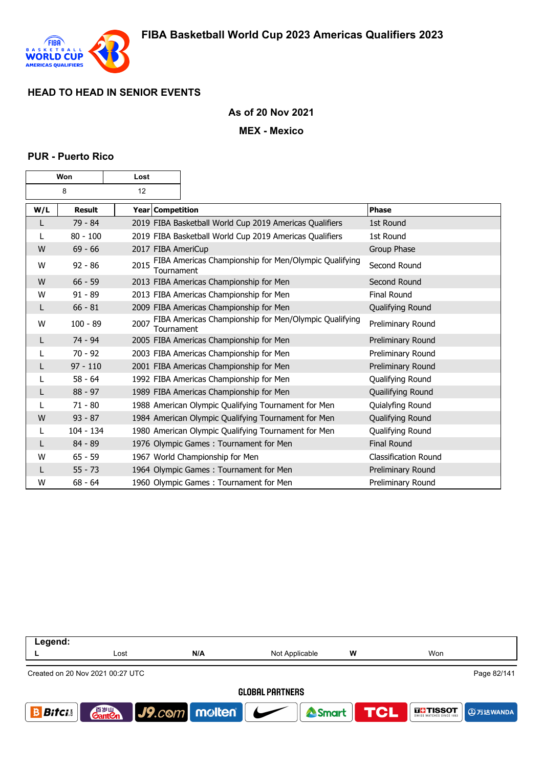

### **As of 20 Nov 2021**

#### **MEX - Mexico**

#### **PUR - Puerto Rico**

|     | <b>Won</b>    | Lost |                  |                                                         |                             |
|-----|---------------|------|------------------|---------------------------------------------------------|-----------------------------|
|     | 8             | 12   |                  |                                                         |                             |
| W/L | <b>Result</b> |      | Year Competition |                                                         | Phase                       |
| L   | 79 - 84       |      |                  | 2019 FIBA Basketball World Cup 2019 Americas Qualifiers | 1st Round                   |
|     | $80 - 100$    |      |                  | 2019 FIBA Basketball World Cup 2019 Americas Qualifiers | 1st Round                   |
| W   | $69 - 66$     |      |                  | 2017 FIBA AmeriCup                                      | Group Phase                 |
| W   | $92 - 86$     | 2015 | Tournament       | FIBA Americas Championship for Men/Olympic Qualifying   | Second Round                |
| W   | $66 - 59$     |      |                  | 2013 FIBA Americas Championship for Men                 | Second Round                |
| W   | $91 - 89$     |      |                  | 2013 FIBA Americas Championship for Men                 | <b>Final Round</b>          |
| L   | $66 - 81$     |      |                  | 2009 FIBA Americas Championship for Men                 | Qualifying Round            |
| w   | $100 - 89$    | 2007 | Tournament       | FIBA Americas Championship for Men/Olympic Qualifying   | Preliminary Round           |
| L   | $74 - 94$     |      |                  | 2005 FIBA Americas Championship for Men                 | Preliminary Round           |
| L   | $70 - 92$     |      |                  | 2003 FIBA Americas Championship for Men                 | Preliminary Round           |
| L   | $97 - 110$    |      |                  | 2001 FIBA Americas Championship for Men                 | Preliminary Round           |
| L   | $58 - 64$     |      |                  | 1992 FIBA Americas Championship for Men                 | Qualifying Round            |
| L   | $88 - 97$     |      |                  | 1989 FIBA Americas Championship for Men                 | Quailifying Round           |
| L   | $71 - 80$     |      |                  | 1988 American Olympic Qualifying Tournament for Men     | Quialyfing Round            |
| W   | $93 - 87$     |      |                  | 1984 American Olympic Qualifying Tournament for Men     | Qualifying Round            |
| L   | $104 - 134$   |      |                  | 1980 American Olympic Qualifying Tournament for Men     | Qualifying Round            |
| L   | $84 - 89$     |      |                  | 1976 Olympic Games: Tournament for Men                  | <b>Final Round</b>          |
| W   | $65 - 59$     |      |                  | 1967 World Championship for Men                         | <b>Classification Round</b> |
| L   | $55 - 73$     |      |                  | 1964 Olympic Games: Tournament for Men                  | Preliminary Round           |
| W   | $68 - 64$     |      |                  | 1960 Olympic Games: Tournament for Men                  | Preliminary Round           |

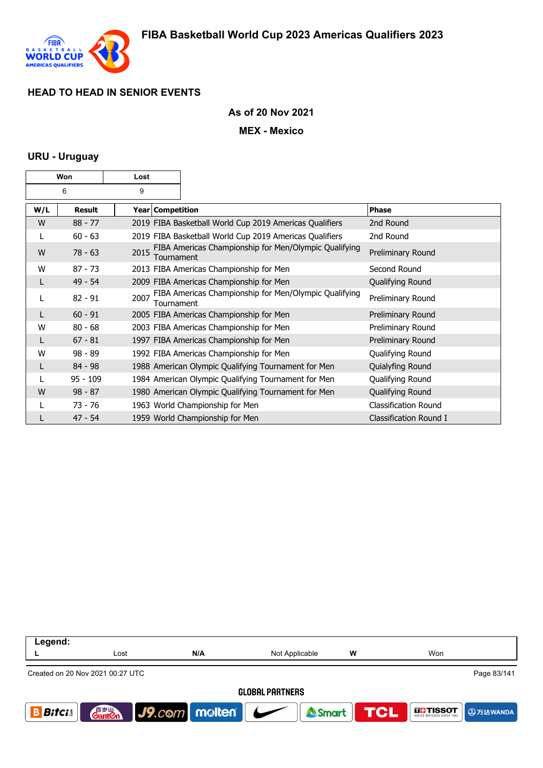

### **As of 20 Nov 2021**

**MEX - Mexico**

### **URU - Uruguay**

|     | Won        | Lost |                  |                                                         |                             |
|-----|------------|------|------------------|---------------------------------------------------------|-----------------------------|
|     | 6          | 9    |                  |                                                         |                             |
| W/L | Result     |      | Year Competition |                                                         | <b>Phase</b>                |
| W   | $88 - 77$  |      |                  | 2019 FIBA Basketball World Cup 2019 Americas Qualifiers | 2nd Round                   |
| L   | $60 - 63$  |      |                  | 2019 FIBA Basketball World Cup 2019 Americas Qualifiers | 2nd Round                   |
| W   | $78 - 63$  | 2015 | Tournament       | FIBA Americas Championship for Men/Olympic Qualifying   | Preliminary Round           |
| W   | $87 - 73$  |      |                  | 2013 FIBA Americas Championship for Men                 | Second Round                |
| L   | $49 - 54$  |      |                  | 2009 FIBA Americas Championship for Men                 | Qualifying Round            |
|     | $82 - 91$  | 2007 | Tournament       | FIBA Americas Championship for Men/Olympic Qualifying   | Preliminary Round           |
|     | $60 - 91$  |      |                  | 2005 FIBA Americas Championship for Men                 | Preliminary Round           |
| W   | $80 - 68$  |      |                  | 2003 FIBA Americas Championship for Men                 | Preliminary Round           |
|     | $67 - 81$  |      |                  | 1997 FIBA Americas Championship for Men                 | Preliminary Round           |
| W   | $98 - 89$  |      |                  | 1992 FIBA Americas Championship for Men                 | Qualifying Round            |
| L   | $84 - 98$  |      |                  | 1988 American Olympic Qualifying Tournament for Men     | Quialyfing Round            |
|     | $95 - 109$ |      |                  | 1984 American Olympic Qualifying Tournament for Men     | Qualifying Round            |
| W   | $98 - 87$  |      |                  | 1980 American Olympic Qualifying Tournament for Men     | Qualifying Round            |
|     | $73 - 76$  |      |                  | 1963 World Championship for Men                         | <b>Classification Round</b> |
|     | $47 - 54$  |      |                  | 1959 World Championship for Men                         | Classification Round I      |

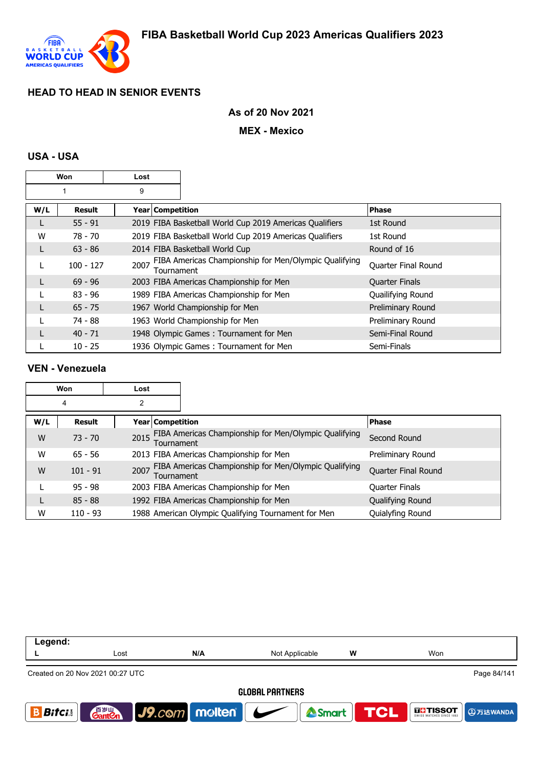

## **As of 20 Nov 2021**

### **MEX - Mexico**

# **USA - USA**

|     | <b>Won</b>  | Lost               |                                                         |                       |
|-----|-------------|--------------------|---------------------------------------------------------|-----------------------|
|     |             | 9                  |                                                         |                       |
| W/L | Result      | Year   Competition |                                                         | <b>Phase</b>          |
| L   | $55 - 91$   |                    | 2019 FIBA Basketball World Cup 2019 Americas Qualifiers | 1st Round             |
| W   | $78 - 70$   |                    | 2019 FIBA Basketball World Cup 2019 Americas Qualifiers | 1st Round             |
| L   | $63 - 86$   |                    | 2014 FIBA Basketball World Cup                          | Round of 16           |
| L   | $100 - 127$ | 2007<br>Tournament | FIBA Americas Championship for Men/Olympic Qualifying   | Quarter Final Round   |
|     | $69 - 96$   |                    | 2003 FIBA Americas Championship for Men                 | <b>Quarter Finals</b> |
|     | $83 - 96$   |                    | 1989 FIBA Americas Championship for Men                 | Quailifying Round     |
| L   | $65 - 75$   |                    | 1967 World Championship for Men                         | Preliminary Round     |
|     | 74 - 88     |                    | 1963 World Championship for Men                         | Preliminary Round     |
|     | $40 - 71$   |                    | 1948 Olympic Games: Tournament for Men                  | Semi-Final Round      |
|     | $10 - 25$   |                    | 1936 Olympic Games: Tournament for Men                  | Semi-Finals           |

### **VEN - Venezuela**

|     | Won           | Lost |                                                                     |                     |
|-----|---------------|------|---------------------------------------------------------------------|---------------------|
|     | 4             | 2    |                                                                     |                     |
| W/L | <b>Result</b> |      | Year   Competition                                                  | <b>Phase</b>        |
| W   | $73 - 70$     | 2015 | FIBA Americas Championship for Men/Olympic Qualifying<br>Tournament | Second Round        |
| W   | $65 - 56$     |      | 2013 FIBA Americas Championship for Men                             | Preliminary Round   |
| W   | $101 - 91$    | 2007 | FIBA Americas Championship for Men/Olympic Qualifying<br>Tournament | Quarter Final Round |
|     | $95 - 98$     |      | 2003 FIBA Americas Championship for Men                             | Quarter Finals      |
|     | $85 - 88$     |      | 1992 FIBA Americas Championship for Men                             | Qualifying Round    |
| W   | $110 - 93$    |      | 1988 American Olympic Qualifying Tournament for Men                 | Quialyfing Round    |

| Legend:      |                                    |                 |                        |   |                                                    |
|--------------|------------------------------------|-----------------|------------------------|---|----------------------------------------------------|
|              | Lost                               | N/A             | Not Applicable         | W | Won                                                |
|              | Created on 20 Nov 2021 00:27 UTC   |                 |                        |   | Page 84/141                                        |
|              |                                    |                 | <b>GLOBAL PARTNERS</b> |   |                                                    |
| <b>Bifci</b> | 音 <sub>岁Ⅲ</sub><br>Gant <b>C</b> n | J9.com molten C | Smart                  |   | <b>TCL</b><br><b>THE TISSOT</b><br><b>4万达WANDA</b> |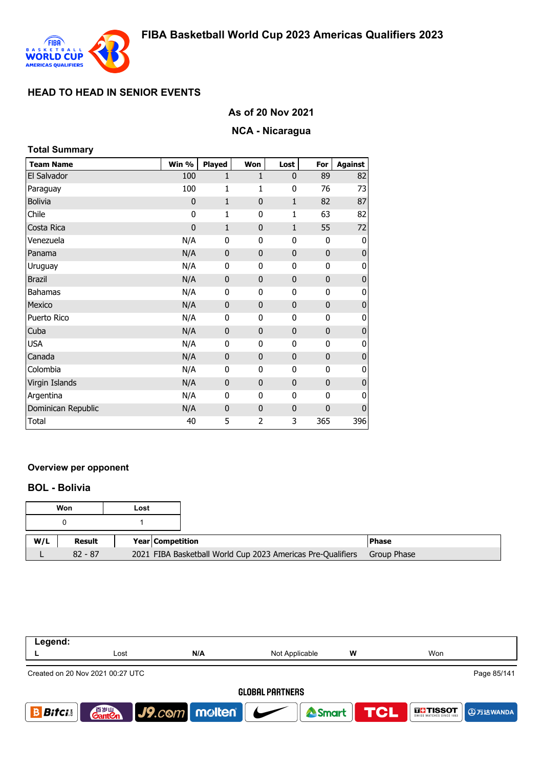

## **As of 20 Nov 2021**

# **NCA - Nicaragua**

| <b>Total Summary</b> |              |              |              |              |              |                |
|----------------------|--------------|--------------|--------------|--------------|--------------|----------------|
| <b>Team Name</b>     | Win %        | Played       | Won          | Lost         | For          | <b>Against</b> |
| El Salvador          | 100          | $\mathbf{1}$ | $\mathbf{1}$ | 0            | 89           | 82             |
| Paraguay             | 100          | $\mathbf{1}$ | 1            | 0            | 76           | 73             |
| <b>Bolivia</b>       | $\mathbf 0$  | $\mathbf{1}$ | $\mathbf{0}$ | $\mathbf{1}$ | 82           | 87             |
| Chile                | $\mathbf{0}$ | $\mathbf{1}$ | $\mathbf{0}$ | 1            | 63           | 82             |
| Costa Rica           | $\mathbf 0$  | $\mathbf{1}$ | $\mathbf{0}$ | 1            | 55           | 72             |
| Venezuela            | N/A          | 0            | 0            | 0            | $\mathbf{0}$ | 0              |
| Panama               | N/A          | 0            | $\mathbf{0}$ | $\mathbf 0$  | $\mathbf 0$  | 0              |
| Uruguay              | N/A          | $\mathbf{0}$ | 0            | 0            | 0            | 0              |
| <b>Brazil</b>        | N/A          | $\mathbf 0$  | $\bf{0}$     | $\mathbf 0$  | $\mathbf 0$  | $\pmb{0}$      |
| <b>Bahamas</b>       | N/A          | 0            | 0            | 0            | $\mathbf 0$  | 0              |
| Mexico               | N/A          | $\mathbf{0}$ | $\mathbf{0}$ | $\mathbf 0$  | $\mathbf{0}$ | $\pmb{0}$      |
| Puerto Rico          | N/A          | 0            | 0            | 0            | $\mathbf{0}$ | 0              |
| Cuba                 | N/A          | 0            | $\mathbf{0}$ | $\mathbf 0$  | $\mathbf{0}$ | $\mathbf{0}$   |
| <b>USA</b>           | N/A          | 0            | 0            | 0            | $\mathbf{0}$ | 0              |
| Canada               | N/A          | 0            | $\mathbf{0}$ | $\mathbf 0$  | $\mathbf 0$  | $\bf{0}$       |
| Colombia             | N/A          | 0            | 0            | 0            | $\mathbf{0}$ | 0              |
| Virgin Islands       | N/A          | $\mathbf 0$  | $\mathbf{0}$ | $\mathbf 0$  | $\mathbf{0}$ | 0              |
| Argentina            | N/A          | $\mathbf{0}$ | 0            | 0            | $\mathbf{0}$ | 0              |
| Dominican Republic   | N/A          | 0            | $\mathbf{0}$ | $\mathbf 0$  | $\mathbf{0}$ | $\mathbf{0}$   |
| Total                | 40           | 5            | 2            | 3            | 365          | 396            |

## **Overview per opponent**

### **BOL - Bolivia**

|     | Won       | Lost |                                                             |              |
|-----|-----------|------|-------------------------------------------------------------|--------------|
|     |           |      |                                                             |              |
| W/L | Result    |      | <b>Year Competition</b>                                     | <b>Phase</b> |
|     | $82 - 87$ |      | 2021 FIBA Basketball World Cup 2023 Americas Pre-Qualifiers | Group Phase  |

| Legend:                          |                                    |               |                                          |     |                                      |
|----------------------------------|------------------------------------|---------------|------------------------------------------|-----|--------------------------------------|
|                                  | Lost                               | N/A           | Not Applicable                           | w   | Won                                  |
| Created on 20 Nov 2021 00:27 UTC |                                    |               |                                          |     | Page 85/141                          |
|                                  |                                    |               | <b>GLOBAL PARTNERS</b>                   |     |                                      |
| <b>Bifcis</b>                    | 音 <sub>罗山</sub><br>Gant <b>C</b> n | J9.com melten | $\overline{\phantom{a}}$<br><b>Smart</b> | TCL | <b>THE TISSOT</b><br><b>4万达WANDA</b> |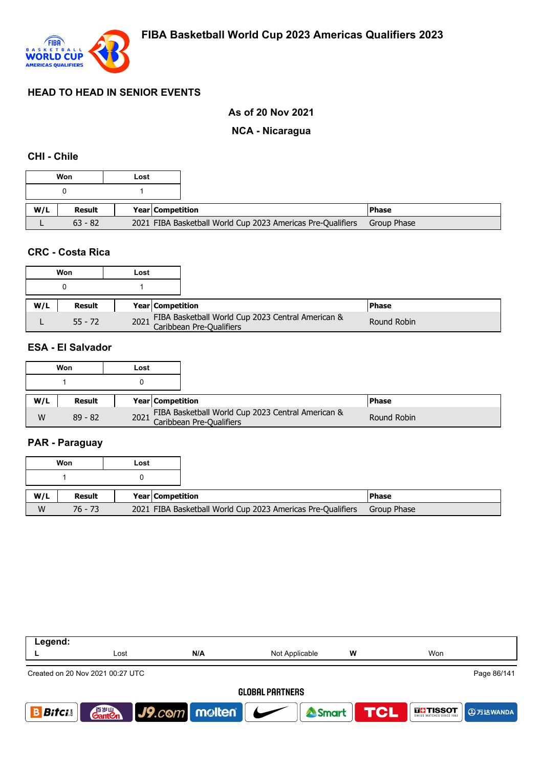

## **As of 20 Nov 2021**

### **NCA - Nicaragua**

## **CHI - Chile**

|     | Won           | Lost |                         |                                                             |               |
|-----|---------------|------|-------------------------|-------------------------------------------------------------|---------------|
|     |               |      |                         |                                                             |               |
| W/L | <b>Result</b> |      | <b>Year Competition</b> |                                                             | <b>IPhase</b> |
|     | $63 - 82$     |      |                         | 2021 FIBA Basketball World Cup 2023 Americas Pre-Qualifiers | Group Phase   |

#### **CRC - Costa Rica**

|     | Won       | Lost |                                                                                    |               |
|-----|-----------|------|------------------------------------------------------------------------------------|---------------|
|     |           |      |                                                                                    |               |
| W/L | Result    |      | <b>Year Competition</b>                                                            | <b>IPhase</b> |
|     | $55 - 72$ |      | FIBA Basketball World Cup 2023 Central American &<br>2021 Caribbean Pre-Qualifiers | Round Robin   |

## **ESA - El Salvador**

|     | Won       | Lost |                                                                                    |              |
|-----|-----------|------|------------------------------------------------------------------------------------|--------------|
|     |           |      |                                                                                    |              |
| W/L | Result    |      | <b>Year Competition</b>                                                            | <b>Phase</b> |
| W   | $89 - 82$ |      | FIBA Basketball World Cup 2023 Central American &<br>2021 Caribbean Pre-Qualifiers | Round Robin  |

# **PAR - Paraguay**

|     | Won       | Lost                    |                                                             |               |
|-----|-----------|-------------------------|-------------------------------------------------------------|---------------|
|     |           |                         |                                                             |               |
| W/L | Result    | <b>Year Competition</b> |                                                             | <b>IPhase</b> |
| W   | $76 - 73$ |                         | 2021 FIBA Basketball World Cup 2023 Americas Pre-Qualifiers | Group Phase   |

| Legend:                                         |                                    |               |                          |                   |                             |  |
|-------------------------------------------------|------------------------------------|---------------|--------------------------|-------------------|-----------------------------|--|
|                                                 | Lost                               | N/A           | Not Applicable           | W                 | Won                         |  |
| Page 86/141<br>Created on 20 Nov 2021 00:27 UTC |                                    |               |                          |                   |                             |  |
| <b>GLOBAL PARTNERS</b>                          |                                    |               |                          |                   |                             |  |
| <b>Bitci</b>                                    | 音 <sub>罗山</sub><br>Gant <b>C</b> n | J9.com molten | $\overline{\phantom{a}}$ | <b>ASmart TCL</b> | <b>IFFISSOT</b><br>9万达WANDA |  |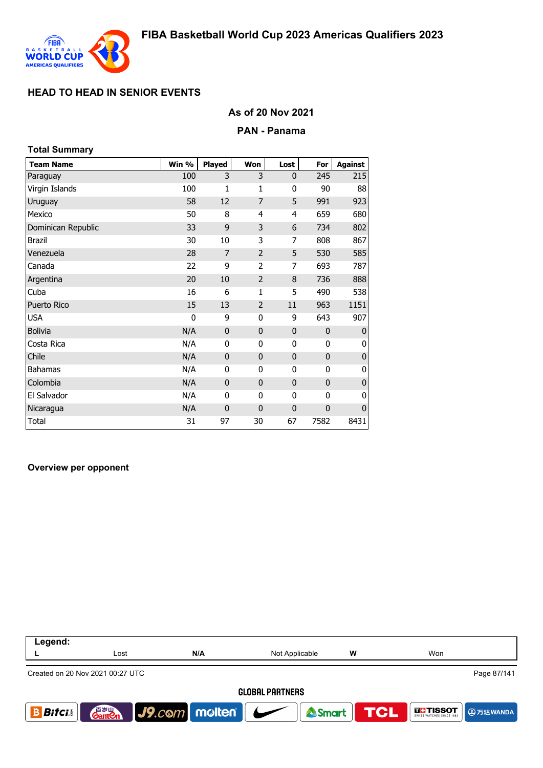

### **As of 20 Nov 2021**

#### **PAN - Panama**

| <b>Total Summary</b> |       |                |                |              |             |                |
|----------------------|-------|----------------|----------------|--------------|-------------|----------------|
| <b>Team Name</b>     | Win % | <b>Played</b>  | Won            | Lost         | For         | <b>Against</b> |
| Paraguay             | 100   | 3              | 3              | $\mathbf{0}$ | 245         | 215            |
| Virgin Islands       | 100   | 1              | 1              | 0            | 90          | 88             |
| Uruguay              | 58    | 12             | 7              | 5            | 991         | 923            |
| Mexico               | 50    | 8              | 4              | 4            | 659         | 680            |
| Dominican Republic   | 33    | 9              | 3              | 6            | 734         | 802            |
| <b>Brazil</b>        | 30    | 10             | 3              | 7            | 808         | 867            |
| Venezuela            | 28    | $\overline{7}$ | $\overline{2}$ | 5            | 530         | 585            |
| Canada               | 22    | 9              | 2              | 7            | 693         | 787            |
| Argentina            | 20    | 10             | $\overline{2}$ | 8            | 736         | 888            |
| Cuba                 | 16    | 6              | 1              | 5            | 490         | 538            |
| Puerto Rico          | 15    | 13             | $\overline{2}$ | 11           | 963         | 1151           |
| <b>USA</b>           | 0     | 9              | $\mathbf{0}$   | 9            | 643         | 907            |
| <b>Bolivia</b>       | N/A   | 0              | $\mathbf{0}$   | $\mathbf{0}$ | $\mathbf 0$ | 0              |
| Costa Rica           | N/A   | 0              | $\mathbf{0}$   | 0            | 0           | 0              |
| Chile                | N/A   | $\mathbf 0$    | $\mathbf{0}$   | $\mathbf{0}$ | $\mathbf 0$ | 0              |
| Bahamas              | N/A   | 0              | 0              | 0            | 0           | 0              |
| Colombia             | N/A   | $\mathbf 0$    | $\bf{0}$       | $\mathbf 0$  | $\mathbf 0$ | $\overline{0}$ |
| El Salvador          | N/A   | 0              | 0              | 0            | 0           | 0              |
| Nicaragua            | N/A   | $\mathbf 0$    | $\mathbf 0$    | $\mathbf 0$  | $\mathbf 0$ | $\pmb{0}$      |
| Total                | 31    | 97             | 30             | 67           | 7582        | 8431           |

#### **Overview per opponent**

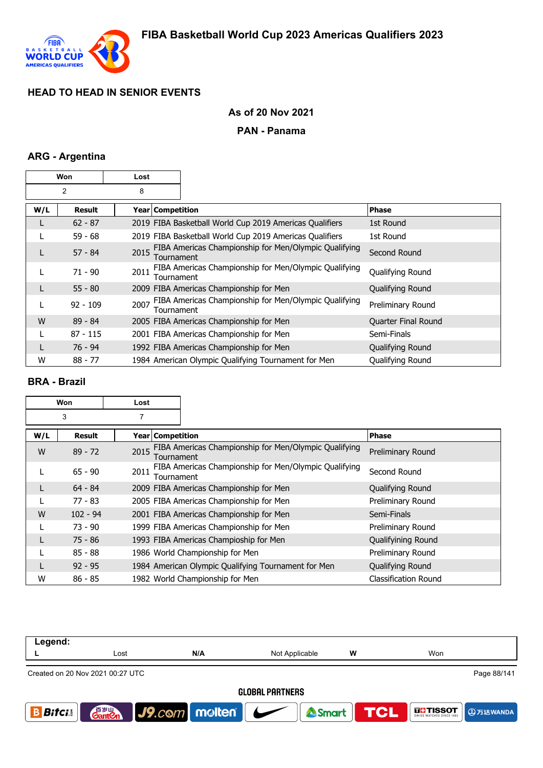

## **As of 20 Nov 2021**

## **PAN - Panama**

### **ARG - Argentina**

| Won |                | Lost               |                                                         |                     |
|-----|----------------|--------------------|---------------------------------------------------------|---------------------|
|     | $\overline{2}$ | 8                  |                                                         |                     |
| W/L | <b>Result</b>  | Year Competition   |                                                         | <b>Phase</b>        |
| L   | $62 - 87$      |                    | 2019 FIBA Basketball World Cup 2019 Americas Qualifiers | 1st Round           |
|     | $59 - 68$      |                    | 2019 FIBA Basketball World Cup 2019 Americas Qualifiers | 1st Round           |
| L   | $57 - 84$      | 2015<br>Tournament | FIBA Americas Championship for Men/Olympic Qualifying   | Second Round        |
| L   | $71 - 90$      | 2011<br>Tournament | FIBA Americas Championship for Men/Olympic Qualifying   | Qualifying Round    |
| L   | $55 - 80$      |                    | 2009 FIBA Americas Championship for Men                 | Qualifying Round    |
| L   | $92 - 109$     | 2007<br>Tournament | FIBA Americas Championship for Men/Olympic Qualifying   | Preliminary Round   |
| W   | $89 - 84$      |                    | 2005 FIBA Americas Championship for Men                 | Quarter Final Round |
|     | $87 - 115$     |                    | 2001 FIBA Americas Championship for Men                 | Semi-Finals         |
| L   | 76 - 94        |                    | 1992 FIBA Americas Championship for Men                 | Qualifying Round    |
| W   | $88 - 77$      |                    | 1984 American Olympic Qualifying Tournament for Men     | Qualifying Round    |

## **BRA - Brazil**

| Won |            | Lost               |                                                       |                             |
|-----|------------|--------------------|-------------------------------------------------------|-----------------------------|
| 3   |            | 7                  |                                                       |                             |
| W/L | Result     | Year   Competition |                                                       | <b>Phase</b>                |
| W   | $89 - 72$  | 2015<br>Tournament | FIBA Americas Championship for Men/Olympic Qualifying | Preliminary Round           |
|     | $65 - 90$  | 2011<br>Tournament | FIBA Americas Championship for Men/Olympic Qualifying | Second Round                |
|     | $64 - 84$  |                    | 2009 FIBA Americas Championship for Men               | Qualifying Round            |
|     | $77 - 83$  |                    | 2005 FIBA Americas Championship for Men               | Preliminary Round           |
| W   | $102 - 94$ |                    | 2001 FIBA Americas Championship for Men               | Semi-Finals                 |
|     | $73 - 90$  |                    | 1999 FIBA Americas Championship for Men               | Preliminary Round           |
|     | $75 - 86$  |                    | 1993 FIBA Americas Champioship for Men                | Qualifyining Round          |
|     | $85 - 88$  |                    | 1986 World Championship for Men                       | Preliminary Round           |
|     | $92 - 95$  |                    | 1984 American Olympic Qualifying Tournament for Men   | Qualifying Round            |
| W   | $86 - 85$  |                    | 1982 World Championship for Men                       | <b>Classification Round</b> |

| Legend:                |                                                 |               |                |                  |               |  |  |
|------------------------|-------------------------------------------------|---------------|----------------|------------------|---------------|--|--|
|                        | Lost                                            | N/A           | Not Applicable | w                | Won           |  |  |
|                        | Page 88/141<br>Created on 20 Nov 2021 00:27 UTC |               |                |                  |               |  |  |
| <b>GLOBAL PARTNERS</b> |                                                 |               |                |                  |               |  |  |
| <b>Bitci</b>           | 音 <sub>岁Ⅲ</sub><br>Gant <b>C</b> n              | J9.com molten |                | Smart <b>TCL</b> | <b>THESOT</b> |  |  |
|                        |                                                 |               |                |                  |               |  |  |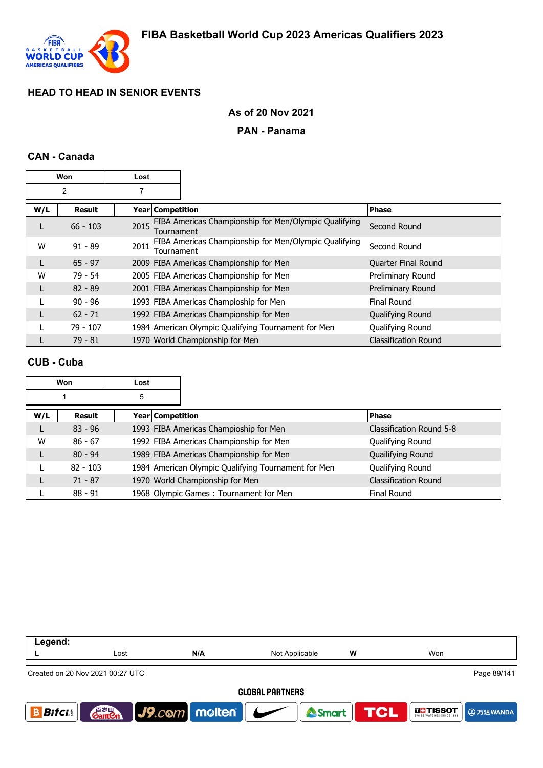

### **As of 20 Nov 2021**

#### **PAN - Panama**

### **CAN - Canada**

| Won |               | Lost               |                                                       |                             |
|-----|---------------|--------------------|-------------------------------------------------------|-----------------------------|
| 2   |               | 7                  |                                                       |                             |
| W/L | <b>Result</b> | Year   Competition |                                                       | Phase                       |
| L   | $66 - 103$    | 2015<br>Tournament | FIBA Americas Championship for Men/Olympic Qualifying | Second Round                |
| w   | $91 - 89$     | 2011<br>Tournament | FIBA Americas Championship for Men/Olympic Qualifying | Second Round                |
|     | $65 - 97$     |                    | 2009 FIBA Americas Championship for Men               | Quarter Final Round         |
| W   | $79 - 54$     |                    | 2005 FIBA Americas Championship for Men               | Preliminary Round           |
|     | $82 - 89$     |                    | 2001 FIBA Americas Championship for Men               | Preliminary Round           |
|     | $90 - 96$     |                    | 1993 FIBA Americas Champioship for Men                | Final Round                 |
|     | $62 - 71$     |                    | 1992 FIBA Americas Championship for Men               | Qualifying Round            |
|     | $79 - 107$    |                    | 1984 American Olympic Qualifying Tournament for Men   | Qualifying Round            |
|     | $79 - 81$     |                    | 1970 World Championship for Men                       | <b>Classification Round</b> |

### **CUB - Cuba**

| Won |            | Lost |                  |                                                     |                             |
|-----|------------|------|------------------|-----------------------------------------------------|-----------------------------|
|     |            | 5    |                  |                                                     |                             |
| W/L | Result     |      | Year Competition |                                                     | <b>Phase</b>                |
|     | $83 - 96$  |      |                  | 1993 FIBA Americas Champioship for Men              | Classification Round 5-8    |
| W   | $86 - 67$  |      |                  | 1992 FIBA Americas Championship for Men             | Qualifying Round            |
|     | $80 - 94$  |      |                  | 1989 FIBA Americas Championship for Men             | Quailifying Round           |
|     | $82 - 103$ |      |                  | 1984 American Olympic Qualifying Tournament for Men | Qualifying Round            |
|     | $71 - 87$  |      |                  | 1970 World Championship for Men                     | <b>Classification Round</b> |
|     | $88 - 91$  |      |                  | 1968 Olympic Games: Tournament for Men              | <b>Final Round</b>          |

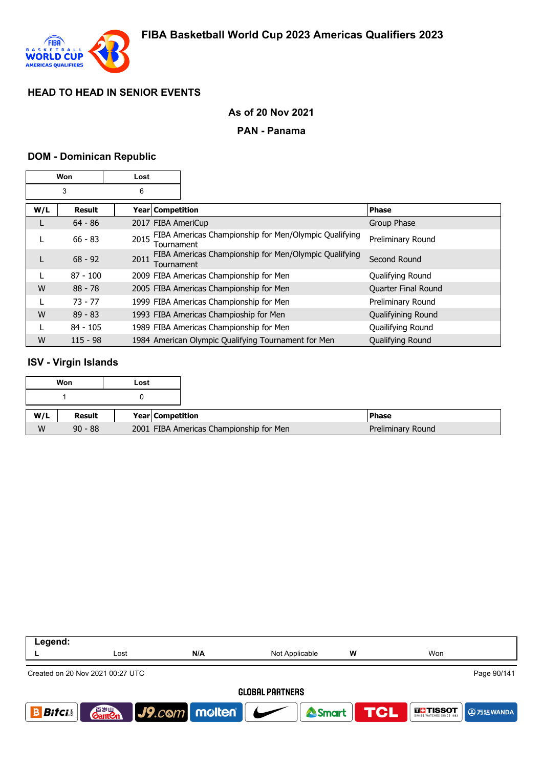

### **As of 20 Nov 2021**

#### **PAN - Panama**

#### **DOM - Dominican Republic**

| Won |               | Lost                      |                                                       |                     |
|-----|---------------|---------------------------|-------------------------------------------------------|---------------------|
| 3   |               | 6                         |                                                       |                     |
| W/L | <b>Result</b> | Year   Competition        |                                                       | <b>Phase</b>        |
| L   | $64 - 86$     | 2017 FIBA AmeriCup        |                                                       | Group Phase         |
|     | $66 - 83$     | 2015<br><b>Fournament</b> | FIBA Americas Championship for Men/Olympic Qualifying | Preliminary Round   |
| L   | $68 - 92$     | 2011<br>Tournament        | FIBA Americas Championship for Men/Olympic Qualifying | Second Round        |
| L   | $87 - 100$    |                           | 2009 FIBA Americas Championship for Men               | Qualifying Round    |
| W   | $88 - 78$     |                           | 2005 FIBA Americas Championship for Men               | Quarter Final Round |
|     | $73 - 77$     |                           | 1999 FIBA Americas Championship for Men               | Preliminary Round   |
| W   | $89 - 83$     |                           | 1993 FIBA Americas Champioship for Men                | Qualifyining Round  |
|     | $84 - 105$    |                           | 1989 FIBA Americas Championship for Men               | Quailifying Round   |
| W   | $115 - 98$    |                           | 1984 American Olympic Qualifying Tournament for Men   | Qualifying Round    |

### **ISV - Virgin Islands**

| Won |           | Lost |                    |                                                              |
|-----|-----------|------|--------------------|--------------------------------------------------------------|
|     |           |      |                    |                                                              |
| W/L | Result    |      | Year   Competition | <b>Phase</b>                                                 |
| W   | $90 - 88$ |      |                    | 2001 FIBA Americas Championship for Men<br>Preliminary Round |

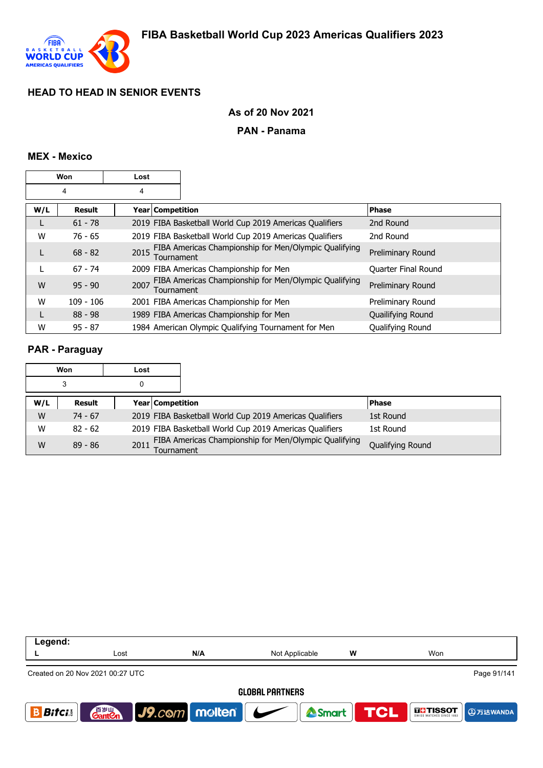

### **As of 20 Nov 2021**

#### **PAN - Panama**

#### **MEX - Mexico**

| Won |               | Lost               |                                                         |                            |
|-----|---------------|--------------------|---------------------------------------------------------|----------------------------|
| 4   |               | 4                  |                                                         |                            |
| W/L | <b>Result</b> | Year Competition   |                                                         | <b>Phase</b>               |
|     | $61 - 78$     |                    | 2019 FIBA Basketball World Cup 2019 Americas Qualifiers | 2nd Round                  |
| W   | $76 - 65$     |                    | 2019 FIBA Basketball World Cup 2019 Americas Qualifiers | 2nd Round                  |
|     | $68 - 82$     | 2015<br>Tournament | FIBA Americas Championship for Men/Olympic Qualifying   | Preliminary Round          |
|     | $67 - 74$     |                    | 2009 FIBA Americas Championship for Men                 | <b>Quarter Final Round</b> |
| W   | $95 - 90$     | 2007<br>Tournament | FIBA Americas Championship for Men/Olympic Qualifying   | Preliminary Round          |
| W   | $109 - 106$   |                    | 2001 FIBA Americas Championship for Men                 | Preliminary Round          |
|     | $88 - 98$     |                    | 1989 FIBA Americas Championship for Men                 | Quailifying Round          |
| W   | $95 - 87$     |                    | 1984 American Olympic Qualifying Tournament for Men     | <b>Oualifying Round</b>    |

#### **PAR - Paraguay**

|     | Won       | Lost |                         |                                                         |                  |
|-----|-----------|------|-------------------------|---------------------------------------------------------|------------------|
|     | 3         | 0    |                         |                                                         |                  |
| W/L | Result    |      | <b>Year Competition</b> |                                                         | <b>Phase</b>     |
| W   | $74 - 67$ |      |                         | 2019 FIBA Basketball World Cup 2019 Americas Qualifiers | 1st Round        |
| W   | $82 - 62$ |      |                         | 2019 FIBA Basketball World Cup 2019 Americas Qualifiers | 1st Round        |
| W   | $89 - 86$ | 2011 | Tournament              | FIBA Americas Championship for Men/Olympic Qualifying   | Qualifying Round |

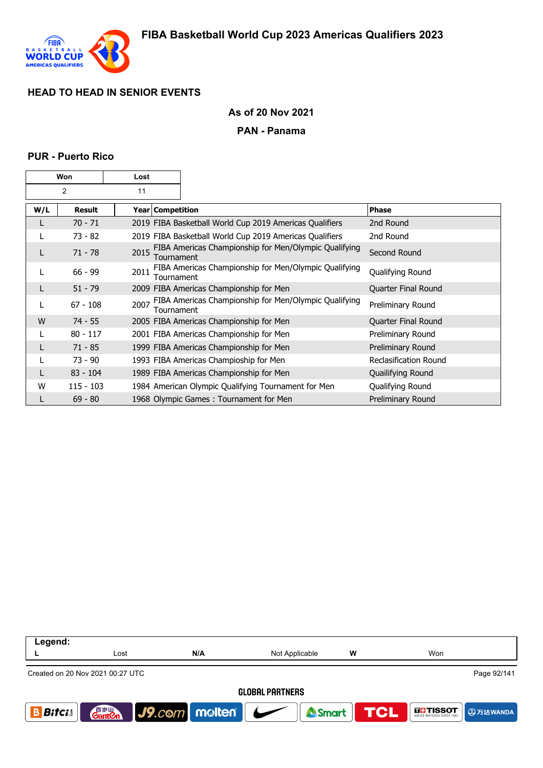

### **As of 20 Nov 2021**

#### **PAN - Panama**

#### **PUR - Puerto Rico**

|     | Won           | Lost |                    |                                                         |                              |
|-----|---------------|------|--------------------|---------------------------------------------------------|------------------------------|
|     | 2             | 11   |                    |                                                         |                              |
| W/L | <b>Result</b> |      | Year   Competition |                                                         | <b>Phase</b>                 |
| L   | $70 - 71$     |      |                    | 2019 FIBA Basketball World Cup 2019 Americas Qualifiers | 2nd Round                    |
|     | $73 - 82$     |      |                    | 2019 FIBA Basketball World Cup 2019 Americas Qualifiers | 2nd Round                    |
| L   | $71 - 78$     | 2015 | Tournament         | FIBA Americas Championship for Men/Olympic Qualifying   | Second Round                 |
|     | $66 - 99$     | 2011 | Tournament         | FIBA Americas Championship for Men/Olympic Qualifying   | Qualifying Round             |
| L   | $51 - 79$     |      |                    | 2009 FIBA Americas Championship for Men                 | Quarter Final Round          |
| L   | $67 - 108$    | 2007 | Tournament         | FIBA Americas Championship for Men/Olympic Qualifying   | Preliminary Round            |
| W   | $74 - 55$     |      |                    | 2005 FIBA Americas Championship for Men                 | Quarter Final Round          |
|     | $80 - 117$    |      |                    | 2001 FIBA Americas Championship for Men                 | Preliminary Round            |
|     | $71 - 85$     |      |                    | 1999 FIBA Americas Championship for Men                 | Preliminary Round            |
|     | 73 - 90       |      |                    | 1993 FIBA Americas Champioship for Men                  | <b>Reclasification Round</b> |
|     | $83 - 104$    |      |                    | 1989 FIBA Americas Championship for Men                 | Quailifying Round            |
| W   | $115 - 103$   |      |                    | 1984 American Olympic Qualifying Tournament for Men     | Qualifying Round             |
| L   | $69 - 80$     |      |                    | 1968 Olympic Games: Tournament for Men                  | Preliminary Round            |

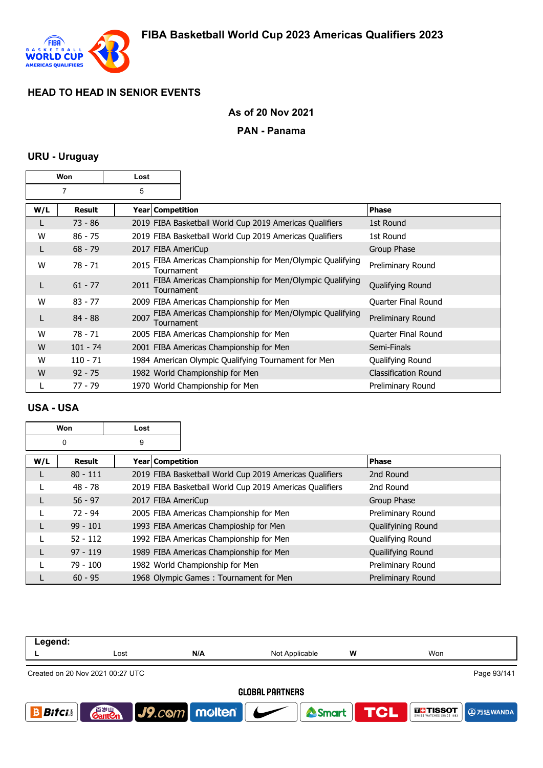

## **As of 20 Nov 2021**

### **PAN - Panama**

### **URU - Uruguay**

|     | Won           | Lost |                    |                                                         |                             |
|-----|---------------|------|--------------------|---------------------------------------------------------|-----------------------------|
|     | 7             | 5    |                    |                                                         |                             |
| W/L | <b>Result</b> |      | Year   Competition |                                                         | <b>Phase</b>                |
|     | 73 - 86       |      |                    | 2019 FIBA Basketball World Cup 2019 Americas Qualifiers | 1st Round                   |
| W   | $86 - 75$     |      |                    | 2019 FIBA Basketball World Cup 2019 Americas Qualifiers | 1st Round                   |
| L   | $68 - 79$     |      |                    | 2017 FIBA AmeriCup                                      | Group Phase                 |
| W   | 78 - 71       | 2015 | Tournament         | FIBA Americas Championship for Men/Olympic Qualifying   | Preliminary Round           |
| L   | $61 - 77$     | 2011 | Tournament         | FIBA Americas Championship for Men/Olympic Qualifying   | Qualifying Round            |
| W   | $83 - 77$     |      |                    | 2009 FIBA Americas Championship for Men                 | Quarter Final Round         |
| L   | $84 - 88$     | 2007 | Tournament         | FIBA Americas Championship for Men/Olympic Qualifying   | Preliminary Round           |
| W   | 78 - 71       |      |                    | 2005 FIBA Americas Championship for Men                 | Quarter Final Round         |
| W   | $101 - 74$    |      |                    | 2001 FIBA Americas Championship for Men                 | Semi-Finals                 |
| w   | $110 - 71$    |      |                    | 1984 American Olympic Qualifying Tournament for Men     | Qualifying Round            |
| W   | $92 - 75$     |      |                    | 1982 World Championship for Men                         | <b>Classification Round</b> |
|     | 77 - 79       |      |                    | 1970 World Championship for Men                         | Preliminary Round           |

### **USA - USA**

|     | Won        | Lost               |                                                         |                    |
|-----|------------|--------------------|---------------------------------------------------------|--------------------|
|     | 0          | 9                  |                                                         |                    |
| W/L | Result     | Year   Competition |                                                         | <b>Phase</b>       |
| L   | $80 - 111$ |                    | 2019 FIBA Basketball World Cup 2019 Americas Qualifiers | 2nd Round          |
|     | $48 - 78$  |                    | 2019 FIBA Basketball World Cup 2019 Americas Qualifiers | 2nd Round          |
| L   | $56 - 97$  | 2017 FIBA AmeriCup |                                                         | Group Phase        |
|     | $72 - 94$  |                    | 2005 FIBA Americas Championship for Men                 | Preliminary Round  |
| L   | $99 - 101$ |                    | 1993 FIBA Americas Champioship for Men                  | Qualifyining Round |
|     | $52 - 112$ |                    | 1992 FIBA Americas Championship for Men                 | Qualifying Round   |
|     | $97 - 119$ |                    | 1989 FIBA Americas Championship for Men                 | Quailifying Round  |
|     | $79 - 100$ |                    | 1982 World Championship for Men                         | Preliminary Round  |
|     | $60 - 95$  |                    | 1968 Olympic Games: Tournament for Men                  | Preliminary Round  |

| Legend:                          |                                    |                 |                        |            |                           |
|----------------------------------|------------------------------------|-----------------|------------------------|------------|---------------------------|
|                                  | Lost                               | N/A             | Not Applicable         | W          | Won                       |
| Created on 20 Nov 2021 00:27 UTC |                                    |                 |                        |            | Page 93/141               |
|                                  |                                    |                 | <b>GLOBAL PARTNERS</b> |            |                           |
| <b>Bitci</b>                     | 音 <sub>岁Ⅲ</sub><br>Gant <b>C</b> n | J9.com molten V | Smart                  | <b>TCL</b> | <b>THESOT</b><br>9万达WANDA |
|                                  |                                    |                 |                        |            |                           |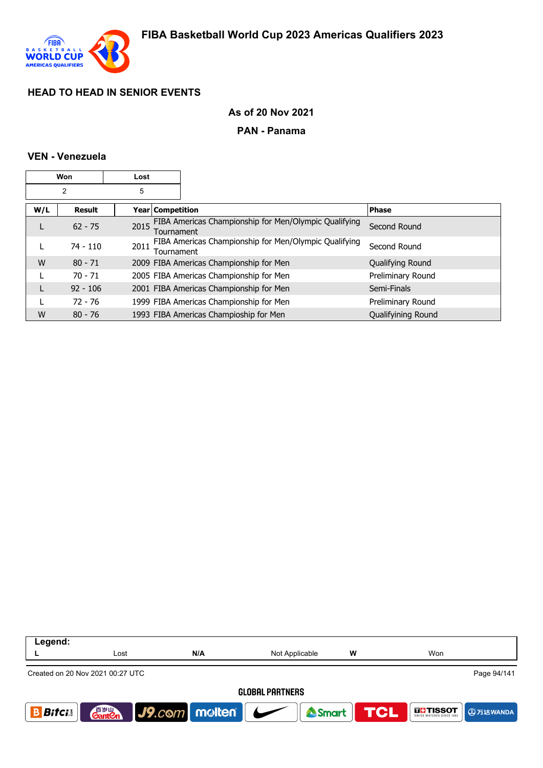

### **As of 20 Nov 2021**

#### **PAN - Panama**

### **VEN - Venezuela**

|     | Won           | Lost               |                                                       |                    |
|-----|---------------|--------------------|-------------------------------------------------------|--------------------|
|     | 2             | 5                  |                                                       |                    |
| W/L | <b>Result</b> | Year   Competition |                                                       | <b>Phase</b>       |
|     | $62 - 75$     | 2015<br>Tournament | FIBA Americas Championship for Men/Olympic Qualifying | Second Round       |
|     | $74 - 110$    | 2011<br>Tournament | FIBA Americas Championship for Men/Olympic Qualifying | Second Round       |
| W   | $80 - 71$     |                    | 2009 FIBA Americas Championship for Men               | Qualifying Round   |
|     | $70 - 71$     |                    | 2005 FIBA Americas Championship for Men               | Preliminary Round  |
|     | $92 - 106$    |                    | 2001 FIBA Americas Championship for Men               | Semi-Finals        |
|     | $72 - 76$     |                    | 1999 FIBA Americas Championship for Men               | Preliminary Round  |
| W   | $80 - 76$     |                    | 1993 FIBA Americas Champioship for Men                | Qualifyining Round |

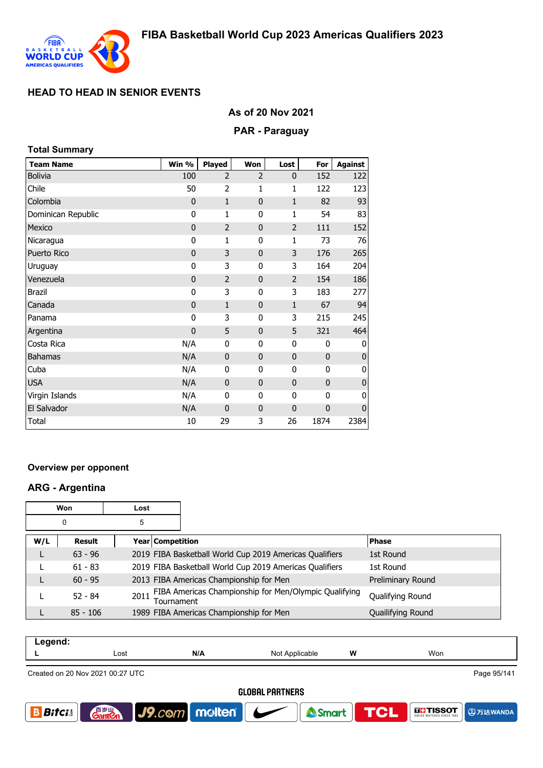

#### **As of 20 Nov 2021**

#### **PAR - Paraguay**

| <b>Total Summary</b> |             |                |                |                |              |                |
|----------------------|-------------|----------------|----------------|----------------|--------------|----------------|
| <b>Team Name</b>     | Win %       | <b>Played</b>  | Won            | Lost           | For          | <b>Against</b> |
| <b>Bolivia</b>       | 100         | $\overline{2}$ | $\overline{2}$ | $\mathbf{0}$   | 152          | 122            |
| Chile                | 50          | $\overline{2}$ | 1              | 1              | 122          | 123            |
| Colombia             | $\mathbf 0$ | $\mathbf{1}$   | 0              | $\mathbf{1}$   | 82           | 93             |
| Dominican Republic   | 0           | 1              | 0              | 1              | 54           | 83             |
| Mexico               | $\mathbf 0$ | $\overline{2}$ | 0              | $\overline{2}$ | 111          | 152            |
| Nicaragua            | 0           | 1              | 0              | 1              | 73           | 76             |
| Puerto Rico          | $\mathbf 0$ | 3              | $\mathbf{0}$   | 3              | 176          | 265            |
| Uruguay              | 0           | 3              | 0              | 3              | 164          | 204            |
| Venezuela            | $\mathbf 0$ | $\overline{2}$ | 0              | $\overline{2}$ | 154          | 186            |
| <b>Brazil</b>        | 0           | 3              | 0              | 3              | 183          | 277            |
| Canada               | $\mathbf 0$ | $\mathbf{1}$   | $\mathbf 0$    | $1\,$          | 67           | 94             |
| Panama               | 0           | 3              | 0              | 3              | 215          | 245            |
| Argentina            | $\mathbf 0$ | 5              | 0              | 5              | 321          | 464            |
| Costa Rica           | N/A         | 0              | 0              | 0              | $\mathbf{0}$ | 0              |
| Bahamas              | N/A         | $\mathbf 0$    | $\mathbf 0$    | $\mathbf 0$    | $\mathbf 0$  | $\mathbf{0}$   |
| Cuba                 | N/A         | 0              | 0              | 0              | 0            | 0              |
| <b>USA</b>           | N/A         | $\mathbf 0$    | $\mathbf 0$    | $\mathbf 0$    | $\mathbf{0}$ | $\pmb{0}$      |
| Virgin Islands       | N/A         | 0              | 0              | 0              | 0            | 0              |
| El Salvador          | N/A         | $\mathbf 0$    | 0              | $\mathbf 0$    | $\mathbf 0$  | $\mathbf 0$    |
| <b>Total</b>         | 10          | 29             | 3              | 26             | 1874         | 2384           |

#### **Overview per opponent**

### **ARG - Argentina**

r.

|     | Won        | Lost |                  |                                                         |                   |
|-----|------------|------|------------------|---------------------------------------------------------|-------------------|
|     | 0          | 5    |                  |                                                         |                   |
| W/L | Result     |      | Year Competition |                                                         | <b>Phase</b>      |
| L   | $63 - 96$  |      |                  | 2019 FIBA Basketball World Cup 2019 Americas Qualifiers | 1st Round         |
|     | $61 - 83$  |      |                  | 2019 FIBA Basketball World Cup 2019 Americas Qualifiers | 1st Round         |
| L   | $60 - 95$  |      |                  | 2013 FIBA Americas Championship for Men                 | Preliminary Round |
|     | $52 - 84$  | 2011 | Tournament       | FIBA Americas Championship for Men/Olympic Qualifying   | Qualifying Round  |
|     | $85 - 106$ |      |                  | 1989 FIBA Americas Championship for Men                 | Quailifying Round |

| Legend: |      |     |                            |   |     |
|---------|------|-----|----------------------------|---|-----|
| -       | Lost | N/A | N∩t<br>Applicable<br>, ישו | W | Won |
|         |      |     |                            |   |     |

Created on 20 Nov 2021 00:27 UTC

Page 95/141

**A**万达WANDA

**THE TISSOT** 

**TCL** 

Smart

**GLOBAL PARTNERS** 

J9.com molten

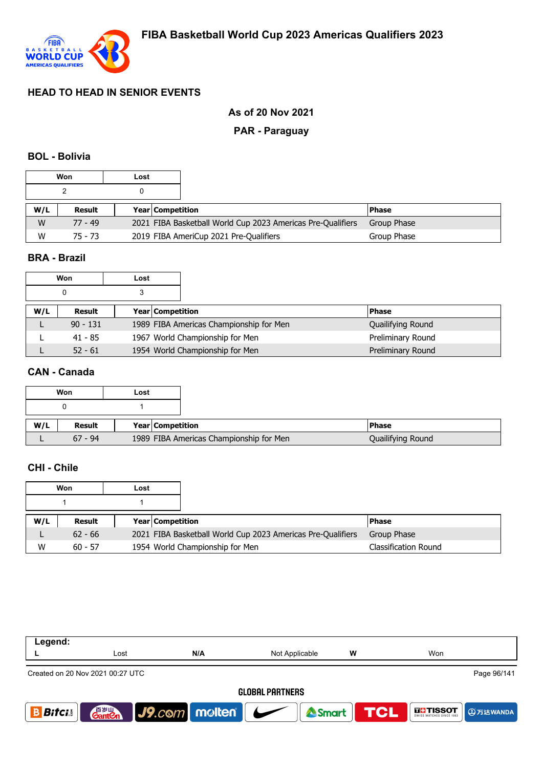

## **As of 20 Nov 2021**

### **PAR - Paraguay**

#### **BOL - Bolivia**

| Won<br>Lost |           |                                                             |                         |                                        |              |
|-------------|-----------|-------------------------------------------------------------|-------------------------|----------------------------------------|--------------|
|             |           |                                                             |                         |                                        |              |
| W/L         | Result    |                                                             | <b>Year Competition</b> |                                        | <b>Phase</b> |
| W           | 77 - 49   | 2021 FIBA Basketball World Cup 2023 Americas Pre-Qualifiers |                         |                                        | Group Phase  |
| W           | $75 - 73$ |                                                             |                         | 2019 FIBA AmeriCup 2021 Pre-Qualifiers | Group Phase  |

## **BRA - Brazil**

|     | Won        | Lost                    |                                         |                   |
|-----|------------|-------------------------|-----------------------------------------|-------------------|
|     | 0          |                         |                                         |                   |
| W/L | Result     | <b>Year Competition</b> |                                         | <b>Phase</b>      |
|     | $90 - 131$ |                         | 1989 FIBA Americas Championship for Men | Quailifying Round |
|     | 41 - 85    |                         | 1967 World Championship for Men         | Preliminary Round |
|     | $52 - 61$  |                         | 1954 World Championship for Men         | Preliminary Round |

## **CAN - Canada**

|     | Won       | Lost |                         |                                         |  |
|-----|-----------|------|-------------------------|-----------------------------------------|--|
|     |           |      |                         |                                         |  |
|     |           |      |                         |                                         |  |
| W/L | Result    |      | <b>Year Competition</b> |                                         |  |
|     | $67 - 94$ |      |                         | 1989 FIBA Americas Championship for Men |  |

## **CHI - Chile**

|     | Won       | Lost |                  |                                                             |                      |
|-----|-----------|------|------------------|-------------------------------------------------------------|----------------------|
|     |           |      |                  |                                                             |                      |
| W/L | Result    |      | Year Competition |                                                             | l Phase              |
|     | $62 - 66$ |      |                  | 2021 FIBA Basketball World Cup 2023 Americas Pre-Qualifiers | Group Phase          |
| W   | $60 - 57$ |      |                  | 1954 World Championship for Men                             | Classification Round |

| Legend:                |                                                 |                                              |                |   |                                                 |  |  |  |  |
|------------------------|-------------------------------------------------|----------------------------------------------|----------------|---|-------------------------------------------------|--|--|--|--|
|                        | Lost                                            | N/A                                          | Not Applicable | W | Won                                             |  |  |  |  |
|                        | Page 96/141<br>Created on 20 Nov 2021 00:27 UTC |                                              |                |   |                                                 |  |  |  |  |
| <b>GLOBAL PARTNERS</b> |                                                 |                                              |                |   |                                                 |  |  |  |  |
| <b>Bitci</b>           | 音 <sub>罗山</sub><br>Gant <b>C</b> n              | $ $ J9. $c$ © $m$   m $\omega$ lten   $\sim$ | <b>A</b> Smart |   | <b>TCL</b><br><b>THISSOT</b><br><b>4万达WANDA</b> |  |  |  |  |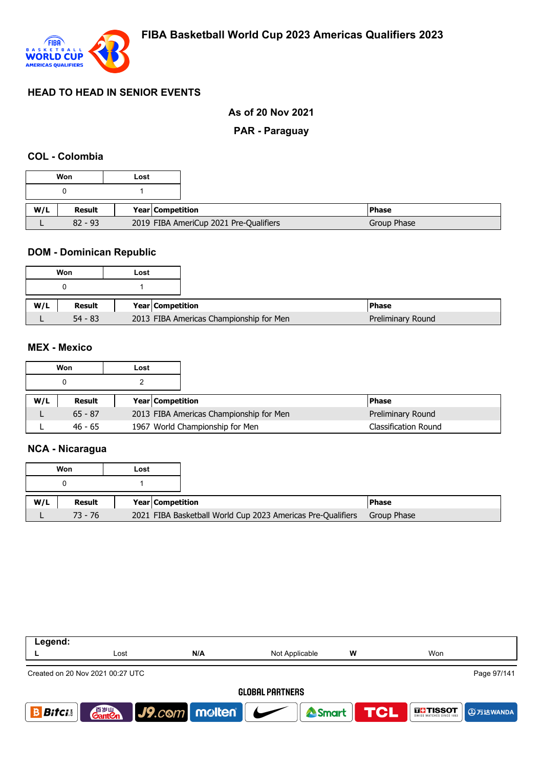

### **As of 20 Nov 2021**

### **PAR - Paraguay**

#### **COL - Colombia**

|     | Won       | Lost                    |                                        |  |
|-----|-----------|-------------------------|----------------------------------------|--|
|     |           |                         |                                        |  |
| W/L | Result    | <b>Year Competition</b> |                                        |  |
|     | $82 - 93$ |                         | 2019 FIBA AmeriCup 2021 Pre-Qualifiers |  |

### **DOM - Dominican Republic**

|     | Won       | Lost                                    |
|-----|-----------|-----------------------------------------|
|     |           |                                         |
| W/L | Result    | Year Competition                        |
|     | $54 - 83$ | 2013 FIBA Americas Championship for Men |

#### **MEX - Mexico**

|     | Won       | Lost |                         |                                                              |
|-----|-----------|------|-------------------------|--------------------------------------------------------------|
|     |           |      |                         |                                                              |
| W/L | Result    |      | <b>Year Competition</b> | l Phase                                                      |
|     |           |      |                         |                                                              |
|     | $65 - 87$ |      |                         | 2013 FIBA Americas Championship for Men<br>Preliminary Round |

#### **NCA - Nicaragua**

|     | Won       | Lost |                    |                                                             |             |
|-----|-----------|------|--------------------|-------------------------------------------------------------|-------------|
|     |           |      |                    |                                                             |             |
| W/L | Result    |      | Year   Competition |                                                             | l Phase     |
|     | $73 - 76$ |      |                    | 2021 FIBA Basketball World Cup 2023 Americas Pre-Qualifiers | Group Phase |

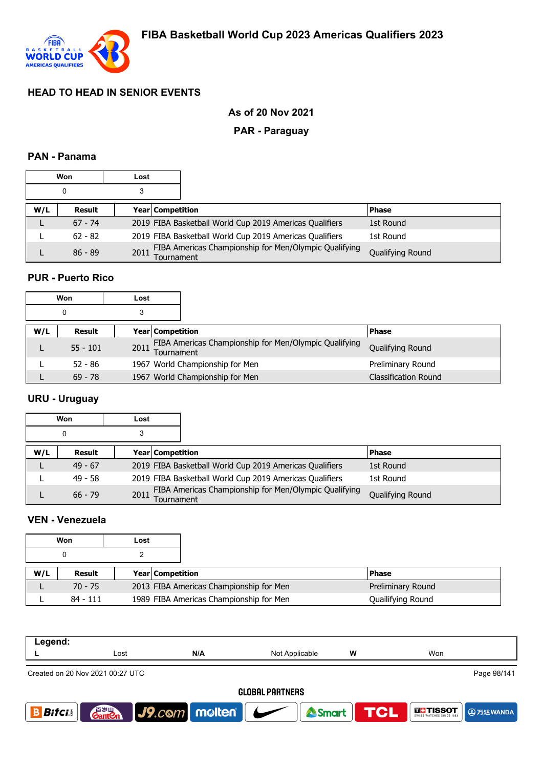

### **As of 20 Nov 2021**

### **PAR - Paraguay**

### **PAN - Panama**

|     | Won<br>Lost |                         |                                                         |                  |
|-----|-------------|-------------------------|---------------------------------------------------------|------------------|
|     |             | 3                       |                                                         |                  |
| W/L | Result      | <b>Year Competition</b> |                                                         | <b>Phase</b>     |
|     | $67 - 74$   |                         | 2019 FIBA Basketball World Cup 2019 Americas Qualifiers | 1st Round        |
|     | $62 - 82$   |                         | 2019 FIBA Basketball World Cup 2019 Americas Qualifiers | 1st Round        |
|     | $86 - 89$   | 2011<br>Tournament      | FIBA Americas Championship for Men/Olympic Qualifying   | Qualifying Round |

## **PUR - Puerto Rico**

| Won |            | Lost            |                         |                                                       |                             |
|-----|------------|-----------------|-------------------------|-------------------------------------------------------|-----------------------------|
|     | 0          | 3               |                         |                                                       |                             |
| W/L | Result     |                 | <b>Year Competition</b> |                                                       | <b>Phase</b>                |
|     | $55 - 101$ | 2011 Tournament |                         | FIBA Americas Championship for Men/Olympic Qualifying | Qualifying Round            |
|     | $52 - 86$  |                 |                         | 1967 World Championship for Men                       | Preliminary Round           |
|     | $69 - 78$  |                 |                         | 1967 World Championship for Men                       | <b>Classification Round</b> |

### **URU - Uruguay**

|     | Won       | Lost |                         |                                                         |                  |
|-----|-----------|------|-------------------------|---------------------------------------------------------|------------------|
|     | 0         | 3    |                         |                                                         |                  |
| W/L | Result    |      | <b>Year Competition</b> |                                                         | <b>IPhase</b>    |
|     | $49 - 67$ |      |                         | 2019 FIBA Basketball World Cup 2019 Americas Qualifiers | 1st Round        |
|     | $49 - 58$ |      |                         | 2019 FIBA Basketball World Cup 2019 Americas Qualifiers | 1st Round        |
|     | $66 - 79$ | 2011 | Tournament              | FIBA Americas Championship for Men/Olympic Qualifying   | Qualifying Round |

#### **VEN - Venezuela**

| Won |            | Lost |                                         |                   |
|-----|------------|------|-----------------------------------------|-------------------|
|     |            |      |                                         |                   |
| W/L | Result     |      | <b>Year Competition</b>                 | <b>Phase</b>      |
|     | $70 - 75$  |      | 2013 FIBA Americas Championship for Men | Preliminary Round |
|     | $84 - 111$ |      | 1989 FIBA Americas Championship for Men | Quailifying Round |

| Legend:                |                                                 |                           |                |            |                               |  |  |  |  |
|------------------------|-------------------------------------------------|---------------------------|----------------|------------|-------------------------------|--|--|--|--|
|                        | Lost                                            | N/A                       | Not Applicable | W          | Won                           |  |  |  |  |
|                        | Page 98/141<br>Created on 20 Nov 2021 00:27 UTC |                           |                |            |                               |  |  |  |  |
| <b>GLOBAL PARTNERS</b> |                                                 |                           |                |            |                               |  |  |  |  |
| <b>Bitcis</b>          | 音 <sub>罗山</sub><br>Gant <b>C</b> n              | $\sqrt{9}$ . $com$ molten | Smart          | <b>TCL</b> | <b>THE TISSOT</b><br>9万达WANDA |  |  |  |  |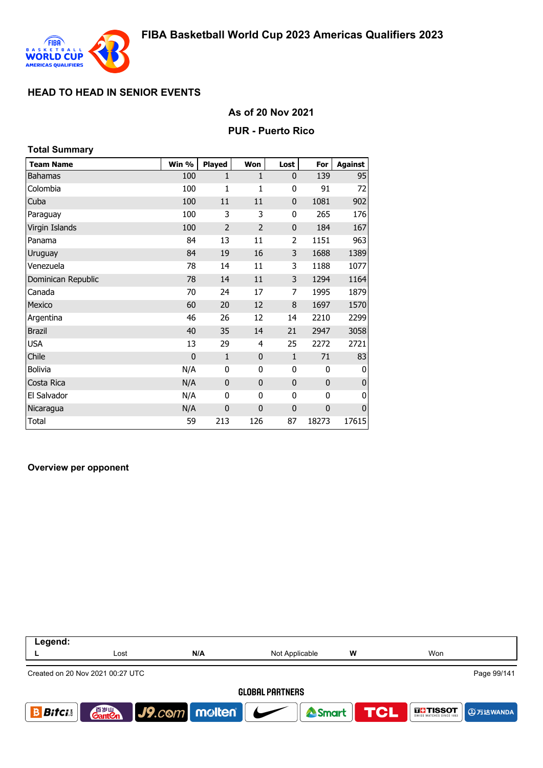

#### **As of 20 Nov 2021**

#### **PUR - Puerto Rico**

| <b>Total Summary</b> |              |                |                |                |              |                |
|----------------------|--------------|----------------|----------------|----------------|--------------|----------------|
| <b>Team Name</b>     | Win %        | Played         | Won            | Lost           | For          | <b>Against</b> |
| <b>Bahamas</b>       | 100          | 1              | $\mathbf{1}$   | 0              | 139          | 95             |
| Colombia             | 100          | 1              | 1              | 0              | 91           | 72             |
| Cuba                 | 100          | 11             | 11             | 0              | 1081         | 902            |
| Paraguay             | 100          | 3              | 3              | 0              | 265          | 176            |
| Virgin Islands       | 100          | $\overline{2}$ | $\overline{2}$ | $\mathbf 0$    | 184          | 167            |
| Panama               | 84           | 13             | 11             | $\overline{2}$ | 1151         | 963            |
| Uruguay              | 84           | 19             | 16             | 3              | 1688         | 1389           |
| Venezuela            | 78           | 14             | 11             | 3              | 1188         | 1077           |
| Dominican Republic   | 78           | 14             | 11             | 3              | 1294         | 1164           |
| Canada               | 70           | 24             | 17             | 7              | 1995         | 1879           |
| Mexico               | 60           | 20             | 12             | 8              | 1697         | 1570           |
| Argentina            | 46           | 26             | 12             | 14             | 2210         | 2299           |
| <b>Brazil</b>        | 40           | 35             | 14             | 21             | 2947         | 3058           |
| <b>USA</b>           | 13           | 29             | 4              | 25             | 2272         | 2721           |
| Chile                | $\mathbf{0}$ | $\mathbf{1}$   | $\mathbf{0}$   | $\mathbf{1}$   | 71           | 83             |
| <b>Bolivia</b>       | N/A          | 0              | 0              | 0              | 0            | 0              |
| Costa Rica           | N/A          | $\mathbf 0$    | $\mathbf 0$    | 0              | $\mathbf{0}$ | 0              |
| El Salvador          | N/A          | 0              | 0              | 0              | 0            | 0              |
| Nicaragua            | N/A          | $\mathbf{0}$   | $\mathbf{0}$   | 0              | $\mathbf 0$  | $\pmb{0}$      |
| Total                | 59           | 213            | 126            | 87             | 18273        | 17615          |

#### **Overview per opponent**

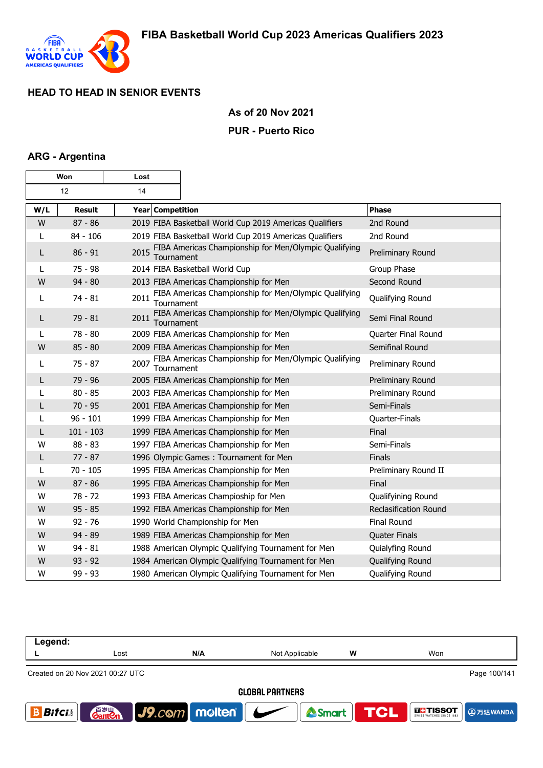

## **As of 20 Nov 2021**

### **PUR - Puerto Rico**

### **ARG - Argentina**

| Won |               | Lost               |                                                         |                              |
|-----|---------------|--------------------|---------------------------------------------------------|------------------------------|
|     | 12<br>14      |                    |                                                         |                              |
| W/L | <b>Result</b> | Year Competition   |                                                         | <b>Phase</b>                 |
| W   | $87 - 86$     |                    | 2019 FIBA Basketball World Cup 2019 Americas Qualifiers | 2nd Round                    |
| L   | 84 - 106      |                    | 2019 FIBA Basketball World Cup 2019 Americas Qualifiers | 2nd Round                    |
| L   | $86 - 91$     | 2015<br>Tournament | FIBA Americas Championship for Men/Olympic Qualifying   | Preliminary Round            |
| L   | $75 - 98$     |                    | 2014 FIBA Basketball World Cup                          | Group Phase                  |
| W   | $94 - 80$     |                    | 2013 FIBA Americas Championship for Men                 | Second Round                 |
| L   | $74 - 81$     | 2011<br>Tournament | FIBA Americas Championship for Men/Olympic Qualifying   | Qualifying Round             |
| L   | $79 - 81$     | 2011<br>Tournament | FIBA Americas Championship for Men/Olympic Qualifying   | Semi Final Round             |
| L   | $78 - 80$     |                    | 2009 FIBA Americas Championship for Men                 | Quarter Final Round          |
| W   | $85 - 80$     |                    | 2009 FIBA Americas Championship for Men                 | Semifinal Round              |
| L   | $75 - 87$     | 2007<br>Tournament | FIBA Americas Championship for Men/Olympic Qualifying   | Preliminary Round            |
| L   | 79 - 96       |                    | 2005 FIBA Americas Championship for Men                 | Preliminary Round            |
| L   | $80 - 85$     |                    | 2003 FIBA Americas Championship for Men                 | Preliminary Round            |
| L   | $70 - 95$     |                    | 2001 FIBA Americas Championship for Men                 | Semi-Finals                  |
| L   | $96 - 101$    |                    | 1999 FIBA Americas Championship for Men                 | Quarter-Finals               |
| L   | $101 - 103$   |                    | 1999 FIBA Americas Championship for Men                 | Final                        |
| W   | $88 - 83$     |                    | 1997 FIBA Americas Championship for Men                 | Semi-Finals                  |
| L   | $77 - 87$     |                    | 1996 Olympic Games: Tournament for Men                  | <b>Finals</b>                |
| L   | $70 - 105$    |                    | 1995 FIBA Americas Championship for Men                 | Preliminary Round II         |
| W   | $87 - 86$     |                    | 1995 FIBA Americas Championship for Men                 | Final                        |
| W   | $78 - 72$     |                    | 1993 FIBA Americas Champioship for Men                  | Qualifyining Round           |
| W   | $95 - 85$     |                    | 1992 FIBA Americas Championship for Men                 | <b>Reclasification Round</b> |
| W   | $92 - 76$     |                    | 1990 World Championship for Men                         | Final Round                  |
| W   | $94 - 89$     |                    | 1989 FIBA Americas Championship for Men                 | <b>Quater Finals</b>         |
| w   | $94 - 81$     |                    | 1988 American Olympic Qualifying Tournament for Men     | Quialyfing Round             |
| W   | $93 - 92$     |                    | 1984 American Olympic Qualifying Tournament for Men     | Qualifying Round             |
| W   | $99 - 93$     |                    | 1980 American Olympic Qualifying Tournament for Men     | Qualifying Round             |

| Legend:                |                                                  |                                         |                |                  |                           |  |
|------------------------|--------------------------------------------------|-----------------------------------------|----------------|------------------|---------------------------|--|
|                        | Lost                                             | N/A                                     | Not Applicable | W                | Won                       |  |
|                        | Page 100/141<br>Created on 20 Nov 2021 00:27 UTC |                                         |                |                  |                           |  |
| <b>GLOBAL PARTNERS</b> |                                                  |                                         |                |                  |                           |  |
| <b>Bitci</b>           | 百岁山<br><b>Gant Cn</b>                            | $\big $ J9.com molten $\big $ $\bigcup$ |                | Smart <b>TCL</b> | <b>THESOT</b><br>9万达WANDA |  |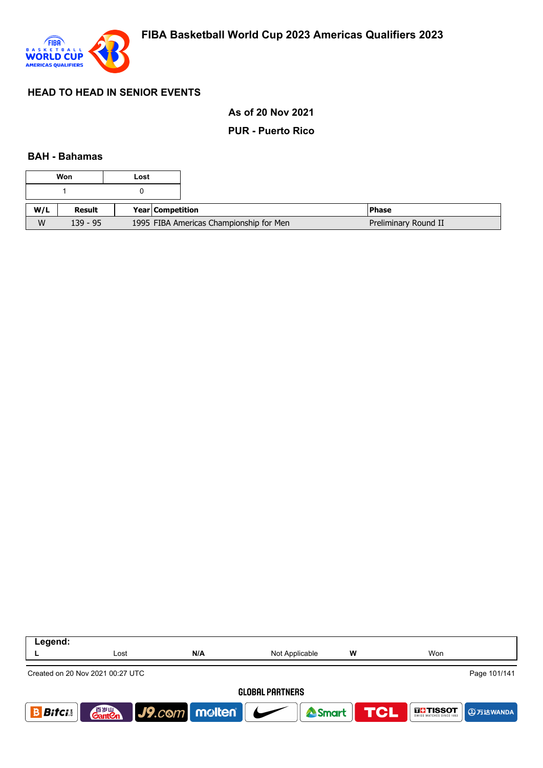

### **As of 20 Nov 2021**

### **PUR - Puerto Rico**

#### **BAH - Bahamas**

|     | Won        | Lost |                  |                                         |                      |
|-----|------------|------|------------------|-----------------------------------------|----------------------|
|     |            |      |                  |                                         |                      |
| W/L | Result     |      | Year Competition |                                         | l Phase              |
| W   | $139 - 95$ |      |                  | 1995 FIBA Americas Championship for Men | Preliminary Round II |

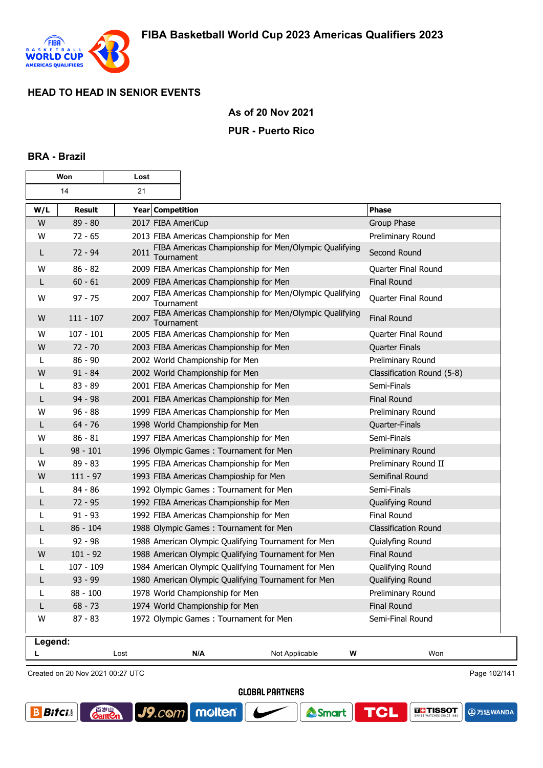

### **As of 20 Nov 2021**

#### **PUR - Puerto Rico**

#### **BRA - Brazil**

| Won     |               | Lost               |                                                       |                             |
|---------|---------------|--------------------|-------------------------------------------------------|-----------------------------|
|         | 14<br>21      |                    |                                                       |                             |
| W/L     | <b>Result</b> | Year Competition   |                                                       | <b>Phase</b>                |
| W       | $89 - 80$     | 2017 FIBA AmeriCup |                                                       | Group Phase                 |
| W       | $72 - 65$     |                    | 2013 FIBA Americas Championship for Men               | Preliminary Round           |
| L       | $72 - 94$     | 2011<br>Tournament | FIBA Americas Championship for Men/Olympic Qualifying | Second Round                |
| W       | $86 - 82$     |                    | 2009 FIBA Americas Championship for Men               | Quarter Final Round         |
| L       | $60 - 61$     |                    | 2009 FIBA Americas Championship for Men               | <b>Final Round</b>          |
| W       | $97 - 75$     | 2007<br>Tournament | FIBA Americas Championship for Men/Olympic Qualifying | Quarter Final Round         |
| W       | $111 - 107$   | 2007<br>Tournament | FIBA Americas Championship for Men/Olympic Qualifying | <b>Final Round</b>          |
| W       | $107 - 101$   |                    | 2005 FIBA Americas Championship for Men               | Quarter Final Round         |
| W       | $72 - 70$     |                    | 2003 FIBA Americas Championship for Men               | <b>Quarter Finals</b>       |
| L       | $86 - 90$     |                    | 2002 World Championship for Men                       | Preliminary Round           |
| W       | $91 - 84$     |                    | 2002 World Championship for Men                       | Classification Round (5-8)  |
| L       | $83 - 89$     |                    | 2001 FIBA Americas Championship for Men               | Semi-Finals                 |
| L       | $94 - 98$     |                    | 2001 FIBA Americas Championship for Men               | <b>Final Round</b>          |
| w       | $96 - 88$     |                    | 1999 FIBA Americas Championship for Men               | Preliminary Round           |
| L       | $64 - 76$     |                    | 1998 World Championship for Men                       | Quarter-Finals              |
| W       | $86 - 81$     |                    | 1997 FIBA Americas Championship for Men               | Semi-Finals                 |
| L       | $98 - 101$    |                    | 1996 Olympic Games: Tournament for Men                | Preliminary Round           |
| W       | $89 - 83$     |                    | 1995 FIBA Americas Championship for Men               | Preliminary Round II        |
| W       | $111 - 97$    |                    | 1993 FIBA Americas Champioship for Men                | Semifinal Round             |
| L       | $84 - 86$     |                    | 1992 Olympic Games: Tournament for Men                | Semi-Finals                 |
| L       | $72 - 95$     |                    | 1992 FIBA Americas Championship for Men               | Qualifying Round            |
| L       | $91 - 93$     |                    | 1992 FIBA Americas Championship for Men               | <b>Final Round</b>          |
| L       | $86 - 104$    |                    | 1988 Olympic Games: Tournament for Men                | <b>Classification Round</b> |
| L       | $92 - 98$     |                    | 1988 American Olympic Qualifying Tournament for Men   | Quialyfing Round            |
| W       | $101 - 92$    |                    | 1988 American Olympic Qualifying Tournament for Men   | <b>Final Round</b>          |
| L       | $107 - 109$   |                    | 1984 American Olympic Qualifying Tournament for Men   | Qualifying Round            |
| L       | 93 - 99       |                    | 1980 American Olympic Qualifying Tournament for Men   | Qualifying Round            |
| L       | 88 - 100      |                    | 1978 World Championship for Men                       | Preliminary Round           |
| L       | $68 - 73$     |                    | 1974 World Championship for Men                       | Final Round                 |
| W       | $87 - 83$     |                    | 1972 Olympic Games: Tournament for Men                | Semi-Final Round            |
| Legend: |               | Lost               | N/A<br>Not Applicable                                 | Won<br>W                    |
|         |               |                    |                                                       |                             |

Created on 20 Nov 2021 00:27 UTC

**GantOn** 

Page 102/141

**GLOBAL PARTNERS** 





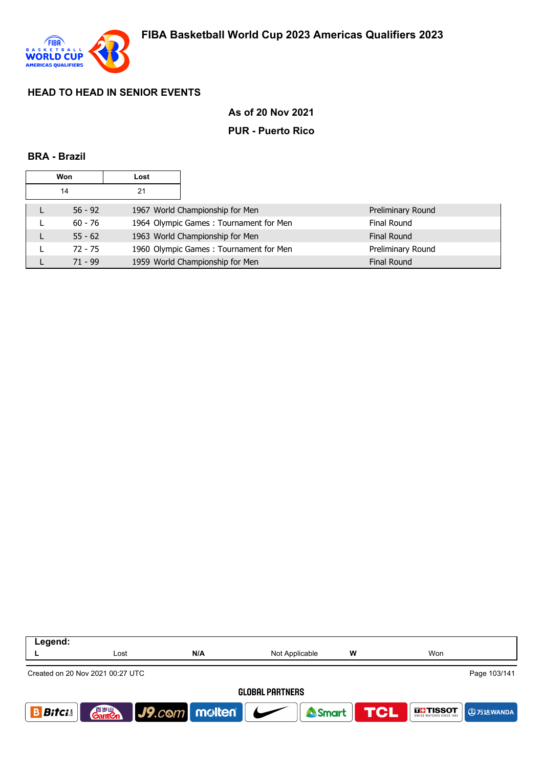

### **As of 20 Nov 2021**

### **PUR - Puerto Rico**

#### **BRA - Brazil**

| Won |           | Lost |                                                              |  |
|-----|-----------|------|--------------------------------------------------------------|--|
|     | 14        | 21   |                                                              |  |
|     | $56 - 92$ |      | 1967 World Championship for Men<br>Preliminary Round         |  |
| ►   | $60 - 76$ |      | 1964 Olympic Games: Tournament for Men<br><b>Final Round</b> |  |
|     | $55 - 62$ |      | 1963 World Championship for Men<br><b>Final Round</b>        |  |
|     | $72 - 75$ |      | 1960 Olympic Games: Tournament for Men<br>Preliminary Round  |  |
|     | $71 - 99$ |      | 1959 World Championship for Men<br><b>Final Round</b>        |  |

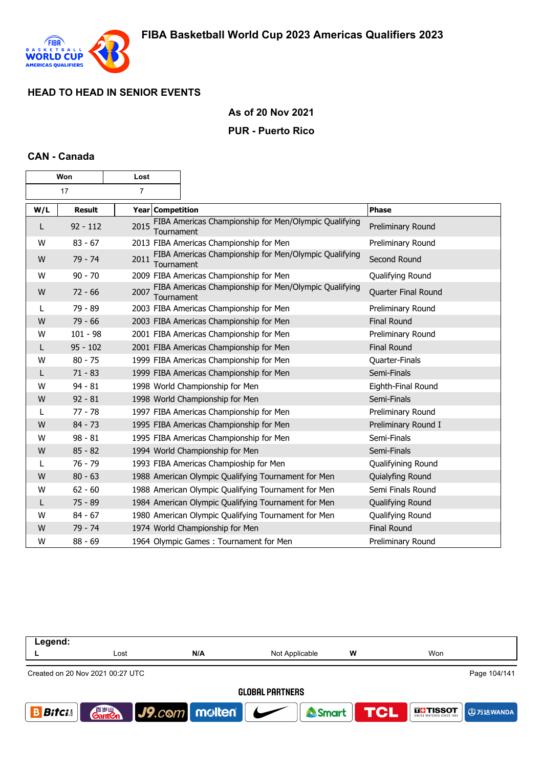

### **As of 20 Nov 2021**

#### **PUR - Puerto Rico**

### **CAN - Canada**

| Won |               | Lost                    |                                                       |                     |
|-----|---------------|-------------------------|-------------------------------------------------------|---------------------|
|     | 17            | $\overline{7}$          |                                                       |                     |
| W/L | <b>Result</b> | <b>Year Competition</b> |                                                       | <b>Phase</b>        |
| L   | $92 - 112$    | 2015<br>Tournament      | FIBA Americas Championship for Men/Olympic Qualifying | Preliminary Round   |
| W   | $83 - 67$     |                         | 2013 FIBA Americas Championship for Men               | Preliminary Round   |
| W   | 79 - 74       | 2011<br>Tournament      | FIBA Americas Championship for Men/Olympic Qualifying | Second Round        |
| W   | $90 - 70$     |                         | 2009 FIBA Americas Championship for Men               | Qualifying Round    |
| W   | $72 - 66$     | 2007<br>Tournament      | FIBA Americas Championship for Men/Olympic Qualifying | Quarter Final Round |
| L   | $79 - 89$     |                         | 2003 FIBA Americas Championship for Men               | Preliminary Round   |
| W   | $79 - 66$     |                         | 2003 FIBA Americas Championship for Men               | <b>Final Round</b>  |
| W   | $101 - 98$    |                         | 2001 FIBA Americas Championship for Men               | Preliminary Round   |
| L   | $95 - 102$    |                         | 2001 FIBA Americas Championship for Men               | <b>Final Round</b>  |
| W   | $80 - 75$     |                         | 1999 FIBA Americas Championship for Men               | Quarter-Finals      |
| L   | $71 - 83$     |                         | 1999 FIBA Americas Championship for Men               | Semi-Finals         |
| W   | $94 - 81$     |                         | 1998 World Championship for Men                       | Eighth-Final Round  |
| W   | $92 - 81$     |                         | 1998 World Championship for Men                       | Semi-Finals         |
| L   | $77 - 78$     |                         | 1997 FIBA Americas Championship for Men               | Preliminary Round   |
| W   | $84 - 73$     |                         | 1995 FIBA Americas Championship for Men               | Preliminary Round I |
| W   | $98 - 81$     |                         | 1995 FIBA Americas Championship for Men               | Semi-Finals         |
| W   | $85 - 82$     |                         | 1994 World Championship for Men                       | Semi-Finals         |
|     | 76 - 79       |                         | 1993 FIBA Americas Champioship for Men                | Qualifyining Round  |
| W   | $80 - 63$     |                         | 1988 American Olympic Qualifying Tournament for Men   | Quialyfing Round    |
| W   | $62 - 60$     |                         | 1988 American Olympic Qualifying Tournament for Men   | Semi Finals Round   |
| L   | $75 - 89$     |                         | 1984 American Olympic Qualifying Tournament for Men   | Qualifying Round    |
| W   | $84 - 67$     |                         | 1980 American Olympic Qualifying Tournament for Men   | Qualifying Round    |
| W   | $79 - 74$     |                         | 1974 World Championship for Men                       | <b>Final Round</b>  |
| W   | $88 - 69$     |                         | 1964 Olympic Games: Tournament for Men                | Preliminary Round   |

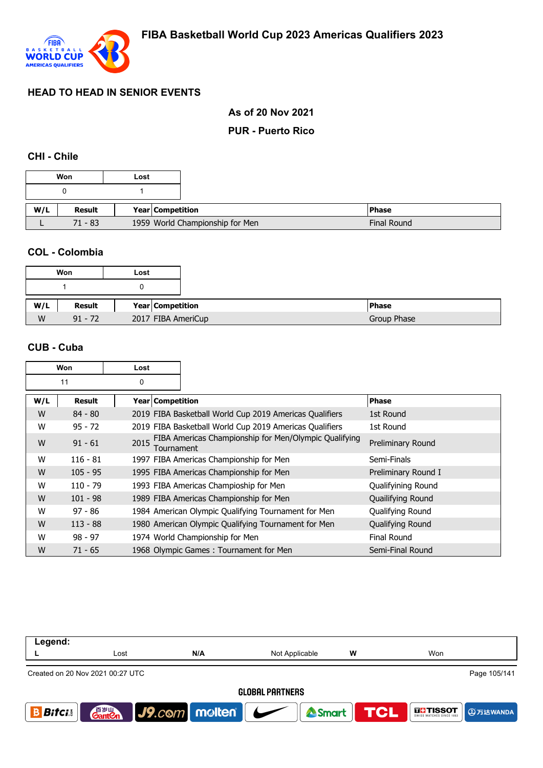

## **As of 20 Nov 2021**

### **PUR - Puerto Rico**

### **CHI - Chile**

|     | Won       | Lost |                                 |
|-----|-----------|------|---------------------------------|
|     |           |      |                                 |
|     |           |      |                                 |
| W/L | Result    |      | Year Competition                |
|     | $71 - 83$ |      | 1959 World Championship for Men |

#### **COL - Colombia**

|     | Won       | Lost |                         |
|-----|-----------|------|-------------------------|
|     |           |      |                         |
| W/L | Result    |      | <b>Year Competition</b> |
| W   | $91 - 72$ |      | 2017 FIBA AmeriCup      |

### **CUB - Cuba**

| Won |            | Lost               |                                                         |                     |
|-----|------------|--------------------|---------------------------------------------------------|---------------------|
|     | 11         | 0                  |                                                         |                     |
| W/L | Result     | Year   Competition |                                                         | <b>Phase</b>        |
| W   | $84 - 80$  |                    | 2019 FIBA Basketball World Cup 2019 Americas Qualifiers | 1st Round           |
| W   | $95 - 72$  |                    | 2019 FIBA Basketball World Cup 2019 Americas Qualifiers | 1st Round           |
| W   | $91 - 61$  | 2015<br>Tournament | FIBA Americas Championship for Men/Olympic Qualifying   | Preliminary Round   |
| W   | $116 - 81$ |                    | 1997 FIBA Americas Championship for Men                 | Semi-Finals         |
| W   | $105 - 95$ |                    | 1995 FIBA Americas Championship for Men                 | Preliminary Round I |
| W   | $110 - 79$ |                    | 1993 FIBA Americas Champioship for Men                  | Qualifyining Round  |
| W   | $101 - 98$ |                    | 1989 FIBA Americas Championship for Men                 | Quailifying Round   |
| W   | $97 - 86$  |                    | 1984 American Olympic Qualifying Tournament for Men     | Qualifying Round    |
| W   | $113 - 88$ |                    | 1980 American Olympic Qualifying Tournament for Men     | Qualifying Round    |
| W   | $98 - 97$  |                    | 1974 World Championship for Men                         | Final Round         |
| W   | $71 - 65$  |                    | 1968 Olympic Games: Tournament for Men                  | Semi-Final Round    |

| Legend:                |                                                  |                  |                |     |                           |  |  |
|------------------------|--------------------------------------------------|------------------|----------------|-----|---------------------------|--|--|
|                        | Lost                                             | N/A              | Not Applicable | W   | Won                       |  |  |
|                        | Page 105/141<br>Created on 20 Nov 2021 00:27 UTC |                  |                |     |                           |  |  |
| <b>GLOBAL PARTNERS</b> |                                                  |                  |                |     |                           |  |  |
| <b>Bitci</b>           | 音 <sub>岁Ⅲ</sub><br>Gant <b>C</b> n               | $J9$ .com molten | Smart          | TOL | <b>THESOT</b><br>9万达WANDA |  |  |
|                        |                                                  |                  |                |     |                           |  |  |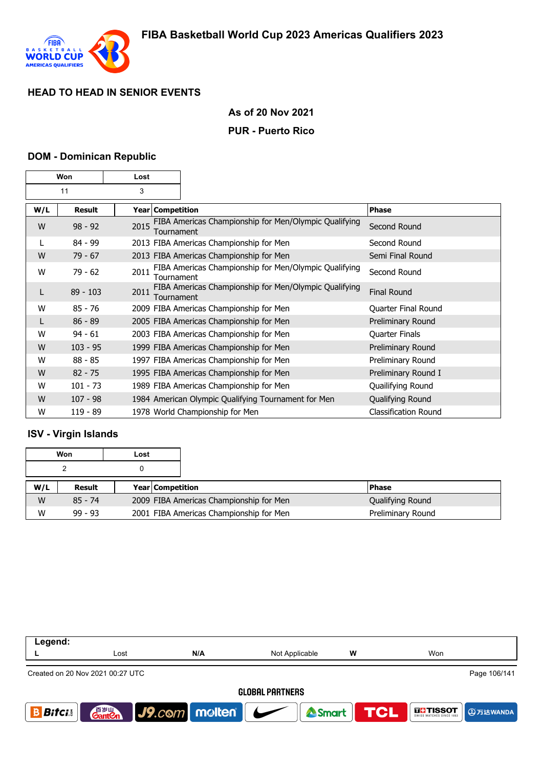

## **As of 20 Nov 2021**

### **PUR - Puerto Rico**

#### **DOM - Dominican Republic**

| Won |               | Lost |                    |                                                       |                             |
|-----|---------------|------|--------------------|-------------------------------------------------------|-----------------------------|
| 11  |               | 3    |                    |                                                       |                             |
| W/L | <b>Result</b> |      | Year   Competition |                                                       | <b>Phase</b>                |
| W   | $98 - 92$     | 2015 | Tournament         | FIBA Americas Championship for Men/Olympic Qualifying | Second Round                |
|     | $84 - 99$     |      |                    | 2013 FIBA Americas Championship for Men               | Second Round                |
| W   | $79 - 67$     |      |                    | 2013 FIBA Americas Championship for Men               | Semi Final Round            |
| W   | $79 - 62$     | 2011 | Tournament         | FIBA Americas Championship for Men/Olympic Qualifying | Second Round                |
| L   | $89 - 103$    | 2011 | Tournament         | FIBA Americas Championship for Men/Olympic Qualifying | <b>Final Round</b>          |
| W   | $85 - 76$     |      |                    | 2009 FIBA Americas Championship for Men               | Quarter Final Round         |
| L   | $86 - 89$     |      |                    | 2005 FIBA Americas Championship for Men               | Preliminary Round           |
| W   | $94 - 61$     |      |                    | 2003 FIBA Americas Championship for Men               | <b>Quarter Finals</b>       |
| W   | $103 - 95$    |      |                    | 1999 FIBA Americas Championship for Men               | Preliminary Round           |
| W   | $88 - 85$     |      |                    | 1997 FIBA Americas Championship for Men               | Preliminary Round           |
| W   | $82 - 75$     |      |                    | 1995 FIBA Americas Championship for Men               | Preliminary Round I         |
| W   | $101 - 73$    |      |                    | 1989 FIBA Americas Championship for Men               | Quailifying Round           |
| W   | $107 - 98$    |      |                    | 1984 American Olympic Qualifying Tournament for Men   | Qualifying Round            |
| W   | $119 - 89$    |      |                    | 1978 World Championship for Men                       | <b>Classification Round</b> |

## **ISV - Virgin Islands**

|     | Won           | Lost |                  |                                         |                   |
|-----|---------------|------|------------------|-----------------------------------------|-------------------|
|     |               |      |                  |                                         |                   |
| W/L | <b>Result</b> |      | Year Competition |                                         | <b>IPhase</b>     |
| W   | $85 - 74$     |      |                  | 2009 FIBA Americas Championship for Men | Qualifying Round  |
| W   | $99 - 93$     |      |                  | 2001 FIBA Americas Championship for Men | Preliminary Round |

| Legend:                                          |                                    |                          |                |   |                                                    |  |
|--------------------------------------------------|------------------------------------|--------------------------|----------------|---|----------------------------------------------------|--|
|                                                  | Lost                               | N/A                      | Not Applicable | w | Won                                                |  |
| Page 106/141<br>Created on 20 Nov 2021 00:27 UTC |                                    |                          |                |   |                                                    |  |
| <b>GLOBAL PARTNERS</b>                           |                                    |                          |                |   |                                                    |  |
| <b>Bitci</b>                                     | 音 <sub>罗山</sub><br>Gant <b>C</b> n | $ $ J9. $com$ molten $ $ | <b>A</b> Smart |   | <b>TCL</b><br><b>THE TISSOT</b><br><b>4万达WANDA</b> |  |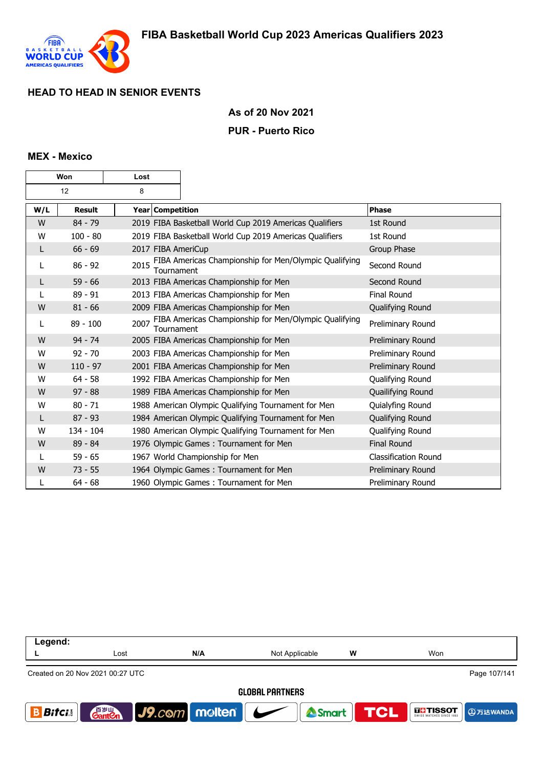

### **As of 20 Nov 2021**

#### **PUR - Puerto Rico**

#### **MEX - Mexico**

| Won |               | Lost |                                                                     |                             |
|-----|---------------|------|---------------------------------------------------------------------|-----------------------------|
| 12  |               | 8    |                                                                     |                             |
| W/L | <b>Result</b> |      | Year Competition                                                    | <b>Phase</b>                |
| W   | $84 - 79$     |      | 2019 FIBA Basketball World Cup 2019 Americas Qualifiers             | 1st Round                   |
| W   | $100 - 80$    |      | 2019 FIBA Basketball World Cup 2019 Americas Qualifiers             | 1st Round                   |
| L   | $66 - 69$     |      | 2017 FIBA AmeriCup                                                  | Group Phase                 |
| L   | $86 - 92$     | 2015 | FIBA Americas Championship for Men/Olympic Qualifying<br>Tournament | Second Round                |
| L   | $59 - 66$     |      | 2013 FIBA Americas Championship for Men                             | Second Round                |
| L   | $89 - 91$     |      | 2013 FIBA Americas Championship for Men                             | <b>Final Round</b>          |
| W   | $81 - 66$     |      | 2009 FIBA Americas Championship for Men                             | Qualifying Round            |
| L   | $89 - 100$    | 2007 | FIBA Americas Championship for Men/Olympic Qualifying<br>Tournament | Preliminary Round           |
| W   | $94 - 74$     |      | 2005 FIBA Americas Championship for Men                             | Preliminary Round           |
| W   | $92 - 70$     |      | 2003 FIBA Americas Championship for Men                             | Preliminary Round           |
| W   | $110 - 97$    |      | 2001 FIBA Americas Championship for Men                             | Preliminary Round           |
| W   | $64 - 58$     |      | 1992 FIBA Americas Championship for Men                             | Qualifying Round            |
| W   | $97 - 88$     |      | 1989 FIBA Americas Championship for Men                             | Quailifying Round           |
| W   | $80 - 71$     |      | 1988 American Olympic Qualifying Tournament for Men                 | Quialyfing Round            |
| L   | $87 - 93$     |      | 1984 American Olympic Qualifying Tournament for Men                 | Qualifying Round            |
| W   | $134 - 104$   |      | 1980 American Olympic Qualifying Tournament for Men                 | Qualifying Round            |
| W   | 89 - 84       |      | 1976 Olympic Games: Tournament for Men                              | <b>Final Round</b>          |
|     | $59 - 65$     |      | 1967 World Championship for Men                                     | <b>Classification Round</b> |
| W   | $73 - 55$     |      | 1964 Olympic Games: Tournament for Men                              | Preliminary Round           |
|     | $64 - 68$     |      | 1960 Olympic Games: Tournament for Men                              | Preliminary Round           |

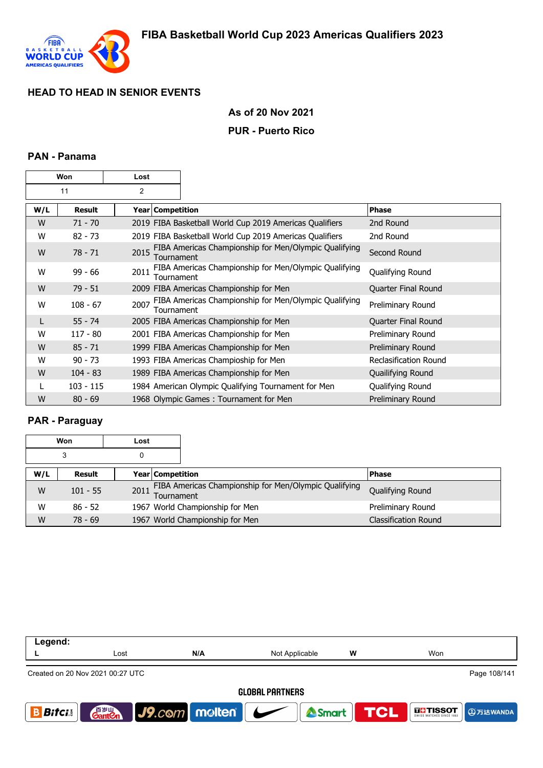

## **As of 20 Nov 2021**

### **PUR - Puerto Rico**

### **PAN - Panama**

| Won |               | Lost |                    |                                                         |                              |
|-----|---------------|------|--------------------|---------------------------------------------------------|------------------------------|
| 11  |               | 2    |                    |                                                         |                              |
| W/L | <b>Result</b> |      | Year   Competition |                                                         | <b>Phase</b>                 |
| W   | $71 - 70$     |      |                    | 2019 FIBA Basketball World Cup 2019 Americas Qualifiers | 2nd Round                    |
| W   | $82 - 73$     |      |                    | 2019 FIBA Basketball World Cup 2019 Americas Qualifiers | 2nd Round                    |
| W   | $78 - 71$     | 2015 | Tournament         | FIBA Americas Championship for Men/Olympic Qualifying   | Second Round                 |
| w   | $99 - 66$     | 2011 | Tournament         | FIBA Americas Championship for Men/Olympic Qualifying   | Qualifying Round             |
| W   | $79 - 51$     |      |                    | 2009 FIBA Americas Championship for Men                 | Quarter Final Round          |
| W   | $108 - 67$    | 2007 | Tournament         | FIBA Americas Championship for Men/Olympic Qualifying   | Preliminary Round            |
| L   | $55 - 74$     |      |                    | 2005 FIBA Americas Championship for Men                 | Quarter Final Round          |
| W   | $117 - 80$    |      |                    | 2001 FIBA Americas Championship for Men                 | Preliminary Round            |
| W   | $85 - 71$     |      |                    | 1999 FIBA Americas Championship for Men                 | Preliminary Round            |
| w   | $90 - 73$     |      |                    | 1993 FIBA Americas Champioship for Men                  | <b>Reclasification Round</b> |
| W   | $104 - 83$    |      |                    | 1989 FIBA Americas Championship for Men                 | Quailifying Round            |
|     | $103 - 115$   |      |                    | 1984 American Olympic Qualifying Tournament for Men     | Qualifying Round             |
| W   | $80 - 69$     |      |                    | 1968 Olympic Games: Tournament for Men                  | Preliminary Round            |

## **PAR - Paraguay**

| Won |            | Lost |                         |                                                       |                             |
|-----|------------|------|-------------------------|-------------------------------------------------------|-----------------------------|
| 3   |            | 0    |                         |                                                       |                             |
| W/L | Result     |      | <b>Year Competition</b> |                                                       | <b>Phase</b>                |
| W   | $101 - 55$ | 2011 | Tournament              | FIBA Americas Championship for Men/Olympic Qualifying | Qualifying Round            |
| W   | $86 - 52$  |      |                         | 1967 World Championship for Men                       | Preliminary Round           |
| W   | $78 - 69$  |      |                         | 1967 World Championship for Men                       | <b>Classification Round</b> |

| Legend:                                          |                                    |                      |                                            |   |                                             |  |
|--------------------------------------------------|------------------------------------|----------------------|--------------------------------------------|---|---------------------------------------------|--|
|                                                  | Lost                               | N/A                  | Not Applicable                             | W | Won                                         |  |
| Page 108/141<br>Created on 20 Nov 2021 00:27 UTC |                                    |                      |                                            |   |                                             |  |
| <b>GLOBAL PARTNERS</b>                           |                                    |                      |                                            |   |                                             |  |
| <b>Bifcis</b>                                    | 音 <sub>岁Ⅲ</sub><br>Gant <b>C</b> n | $ $ J9. $com$ molten | $\overline{\phantom{a}}$<br><b>A</b> Smart |   | <b>TCL</b><br><b>THE TISSOT</b><br>9万达WANDA |  |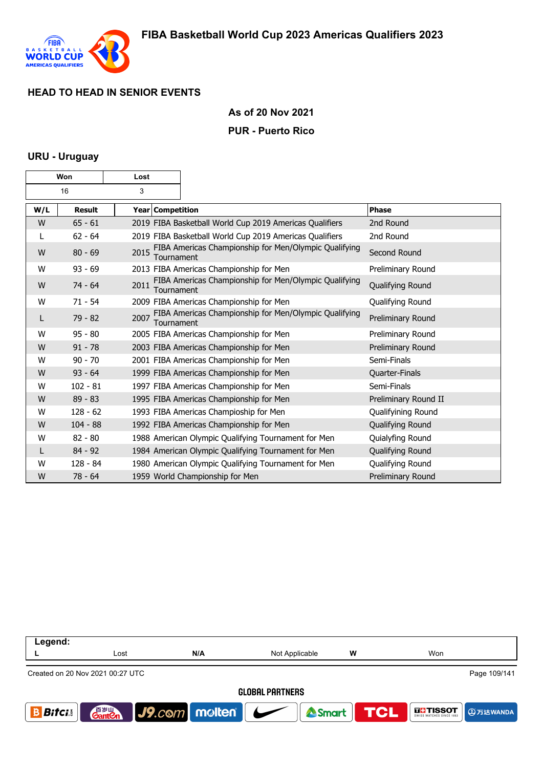

#### **As of 20 Nov 2021**

#### **PUR - Puerto Rico**

### **URU - Uruguay**

| Won |               | Lost                    |                                                         |                      |
|-----|---------------|-------------------------|---------------------------------------------------------|----------------------|
| 16  |               | 3                       |                                                         |                      |
| W/L | <b>Result</b> | <b>Year Competition</b> |                                                         | <b>Phase</b>         |
| W   | $65 - 61$     |                         | 2019 FIBA Basketball World Cup 2019 Americas Qualifiers | 2nd Round            |
|     | $62 - 64$     |                         | 2019 FIBA Basketball World Cup 2019 Americas Qualifiers | 2nd Round            |
| W   | $80 - 69$     | 2015<br>Tournament      | FIBA Americas Championship for Men/Olympic Qualifying   | Second Round         |
| W   | $93 - 69$     |                         | 2013 FIBA Americas Championship for Men                 | Preliminary Round    |
| W   | $74 - 64$     | 2011<br>Tournament      | FIBA Americas Championship for Men/Olympic Qualifying   | Qualifying Round     |
| W   | $71 - 54$     |                         | 2009 FIBA Americas Championship for Men                 | Qualifying Round     |
| L   | $79 - 82$     | 2007<br>Tournament      | FIBA Americas Championship for Men/Olympic Qualifying   | Preliminary Round    |
| W   | $95 - 80$     |                         | 2005 FIBA Americas Championship for Men                 | Preliminary Round    |
| W   | $91 - 78$     |                         | 2003 FIBA Americas Championship for Men                 | Preliminary Round    |
| W   | $90 - 70$     |                         | 2001 FIBA Americas Championship for Men                 | Semi-Finals          |
| W   | $93 - 64$     |                         | 1999 FIBA Americas Championship for Men                 | Quarter-Finals       |
| W   | $102 - 81$    |                         | 1997 FIBA Americas Championship for Men                 | Semi-Finals          |
| W   | $89 - 83$     |                         | 1995 FIBA Americas Championship for Men                 | Preliminary Round II |
| W   | $128 - 62$    |                         | 1993 FIBA Americas Champioship for Men                  | Qualifyining Round   |
| W   | $104 - 88$    |                         | 1992 FIBA Americas Championship for Men                 | Qualifying Round     |
| W   | $82 - 80$     |                         | 1988 American Olympic Qualifying Tournament for Men     | Quialyfing Round     |
| L   | $84 - 92$     |                         | 1984 American Olympic Qualifying Tournament for Men     | Qualifying Round     |
| W   | $128 - 84$    |                         | 1980 American Olympic Qualifying Tournament for Men     | Qualifying Round     |
| W   | $78 - 64$     |                         | 1959 World Championship for Men                         | Preliminary Round    |

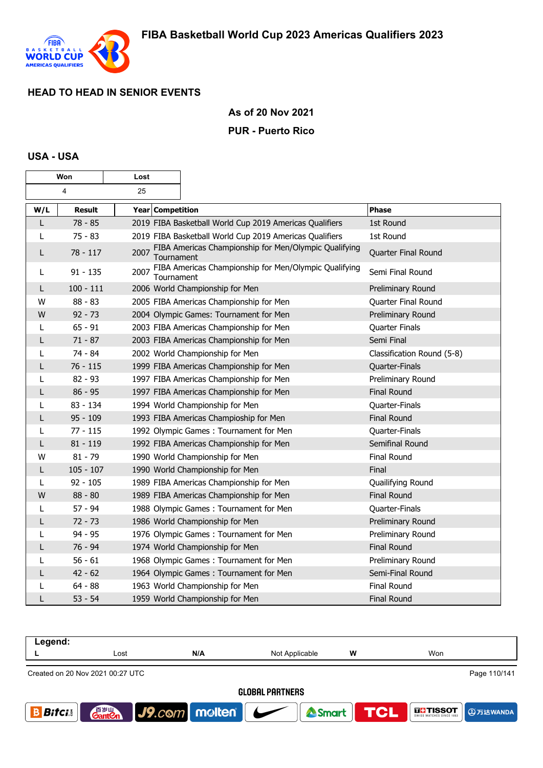

#### **As of 20 Nov 2021**

#### **PUR - Puerto Rico**

#### **USA - USA**

| Won |                | Lost                    |                                                         |                            |
|-----|----------------|-------------------------|---------------------------------------------------------|----------------------------|
|     | $\overline{4}$ | 25                      |                                                         |                            |
| W/L | <b>Result</b>  | <b>Year Competition</b> |                                                         | <b>Phase</b>               |
| L   | $78 - 85$      |                         | 2019 FIBA Basketball World Cup 2019 Americas Qualifiers | 1st Round                  |
| L   | $75 - 83$      |                         | 2019 FIBA Basketball World Cup 2019 Americas Qualifiers | 1st Round                  |
| L   | $78 - 117$     | 2007<br>Tournament      | FIBA Americas Championship for Men/Olympic Qualifying   | Quarter Final Round        |
| L   | $91 - 135$     | 2007<br>Tournament      | FIBA Americas Championship for Men/Olympic Qualifying   | Semi Final Round           |
| L   | $100 - 111$    |                         | 2006 World Championship for Men                         | Preliminary Round          |
| w   | $88 - 83$      |                         | 2005 FIBA Americas Championship for Men                 | Quarter Final Round        |
| W   | $92 - 73$      |                         | 2004 Olympic Games: Tournament for Men                  | Preliminary Round          |
| L   | $65 - 91$      |                         | 2003 FIBA Americas Championship for Men                 | Quarter Finals             |
| L   | $71 - 87$      |                         | 2003 FIBA Americas Championship for Men                 | Semi Final                 |
| L   | 74 - 84        |                         | 2002 World Championship for Men                         | Classification Round (5-8) |
| L   | $76 - 115$     |                         | 1999 FIBA Americas Championship for Men                 | Quarter-Finals             |
| L   | $82 - 93$      |                         | 1997 FIBA Americas Championship for Men                 | Preliminary Round          |
| L   | $86 - 95$      |                         | 1997 FIBA Americas Championship for Men                 | <b>Final Round</b>         |
| L   | 83 - 134       |                         | 1994 World Championship for Men                         | Quarter-Finals             |
| L   | $95 - 109$     |                         | 1993 FIBA Americas Champioship for Men                  | <b>Final Round</b>         |
| L   | $77 - 115$     |                         | 1992 Olympic Games: Tournament for Men                  | Quarter-Finals             |
| L   | $81 - 119$     |                         | 1992 FIBA Americas Championship for Men                 | Semifinal Round            |
| W   | $81 - 79$      |                         | 1990 World Championship for Men                         | <b>Final Round</b>         |
| L   | $105 - 107$    |                         | 1990 World Championship for Men                         | Final                      |
| L   | $92 - 105$     |                         | 1989 FIBA Americas Championship for Men                 | Quailifying Round          |
| W   | $88 - 80$      |                         | 1989 FIBA Americas Championship for Men                 | Final Round                |
| L   | 57 - 94        |                         | 1988 Olympic Games: Tournament for Men                  | Quarter-Finals             |
| L   | $72 - 73$      |                         | 1986 World Championship for Men                         | Preliminary Round          |
|     | $94 - 95$      |                         | 1976 Olympic Games: Tournament for Men                  | Preliminary Round          |
| L   | $76 - 94$      |                         | 1974 World Championship for Men                         | <b>Final Round</b>         |
|     | $56 - 61$      |                         | 1968 Olympic Games: Tournament for Men                  | Preliminary Round          |
| L   | $42 - 62$      |                         | 1964 Olympic Games: Tournament for Men                  | Semi-Final Round           |
|     | 64 - 88        |                         | 1963 World Championship for Men                         | Final Round                |
| L   | $53 - 54$      |                         | 1959 World Championship for Men                         | <b>Final Round</b>         |

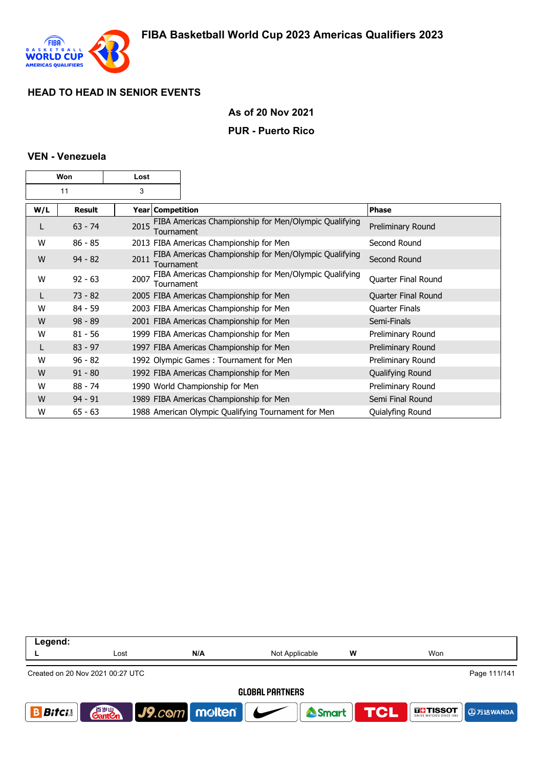

#### **As of 20 Nov 2021**

#### **PUR - Puerto Rico**

#### **VEN - Venezuela**

| Won |               | Lost |                    |                                                       |                       |
|-----|---------------|------|--------------------|-------------------------------------------------------|-----------------------|
| 11  |               | 3    |                    |                                                       |                       |
| W/L | <b>Result</b> |      | Year   Competition |                                                       | <b>Phase</b>          |
| L   | $63 - 74$     | 2015 | Tournament         | FIBA Americas Championship for Men/Olympic Qualifying | Preliminary Round     |
| W   | $86 - 85$     |      |                    | 2013 FIBA Americas Championship for Men               | Second Round          |
| W   | $94 - 82$     | 2011 | Tournament         | FIBA Americas Championship for Men/Olympic Qualifying | Second Round          |
| W   | $92 - 63$     | 2007 | Tournament         | FIBA Americas Championship for Men/Olympic Qualifying | Quarter Final Round   |
| L   | $73 - 82$     |      |                    | 2005 FIBA Americas Championship for Men               | Quarter Final Round   |
| W   | $84 - 59$     |      |                    | 2003 FIBA Americas Championship for Men               | <b>Quarter Finals</b> |
| W   | $98 - 89$     |      |                    | 2001 FIBA Americas Championship for Men               | Semi-Finals           |
| w   | $81 - 56$     |      |                    | 1999 FIBA Americas Championship for Men               | Preliminary Round     |
|     | $83 - 97$     |      |                    | 1997 FIBA Americas Championship for Men               | Preliminary Round     |
| w   | $96 - 82$     |      |                    | 1992 Olympic Games: Tournament for Men                | Preliminary Round     |
| W   | $91 - 80$     |      |                    | 1992 FIBA Americas Championship for Men               | Qualifying Round      |
| W   | $88 - 74$     |      |                    | 1990 World Championship for Men                       | Preliminary Round     |
| W   | $94 - 91$     |      |                    | 1989 FIBA Americas Championship for Men               | Semi Final Round      |
| W   | $65 - 63$     |      |                    | 1988 American Olympic Qualifying Tournament for Men   | Quialyfing Round      |

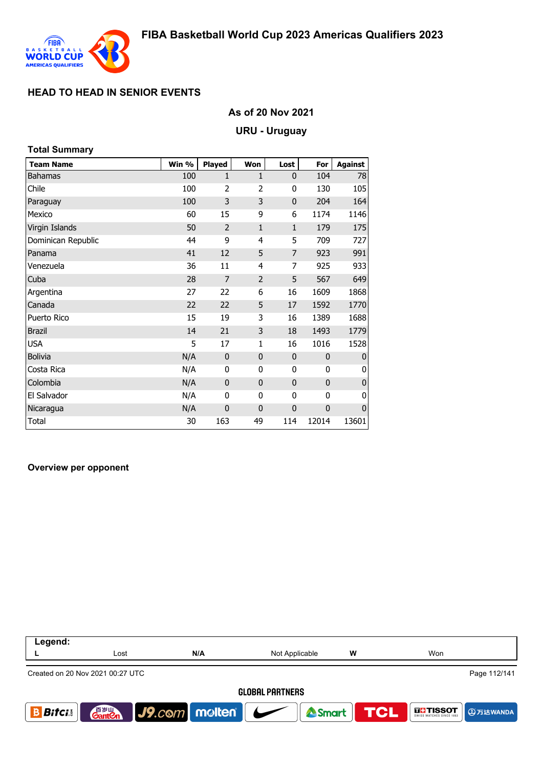

### **As of 20 Nov 2021**

#### **URU - Uruguay**

| <b>Total Summary</b> |       |                |                |                |             |                |
|----------------------|-------|----------------|----------------|----------------|-------------|----------------|
| <b>Team Name</b>     | Win % | <b>Played</b>  | Won            | Lost           | For         | <b>Against</b> |
| <b>Bahamas</b>       | 100   | 1              | 1              | $\mathbf{0}$   | 104         | 78             |
| Chile                | 100   | 2              | $\overline{2}$ | 0              | 130         | 105            |
| Paraguay             | 100   | 3              | 3              | $\mathbf 0$    | 204         | 164            |
| Mexico               | 60    | 15             | 9              | 6              | 1174        | 1146           |
| Virgin Islands       | 50    | $\overline{2}$ | $\mathbf{1}$   | $\mathbf{1}$   | 179         | 175            |
| Dominican Republic   | 44    | 9              | 4              | 5              | 709         | 727            |
| Panama               | 41    | 12             | 5              | $\overline{7}$ | 923         | 991            |
| Venezuela            | 36    | 11             | 4              | 7              | 925         | 933            |
| Cuba                 | 28    | $\overline{7}$ | $\overline{2}$ | 5              | 567         | 649            |
| Argentina            | 27    | 22             | 6              | 16             | 1609        | 1868           |
| Canada               | 22    | 22             | 5              | 17             | 1592        | 1770           |
| Puerto Rico          | 15    | 19             | 3              | 16             | 1389        | 1688           |
| <b>Brazil</b>        | 14    | 21             | 3              | 18             | 1493        | 1779           |
| <b>USA</b>           | 5     | 17             | $\mathbf{1}$   | 16             | 1016        | 1528           |
| <b>Bolivia</b>       | N/A   | $\mathbf 0$    | $\mathbf{0}$   | $\mathbf{0}$   | $\mathbf 0$ | $\mathbf{0}$   |
| Costa Rica           | N/A   | 0              | 0              | 0              | 0           | 0              |
| Colombia             | N/A   | $\mathbf 0$    | $\mathbf{0}$   | $\mathbf 0$    | $\mathbf 0$ | $\overline{0}$ |
| El Salvador          | N/A   | 0              | 0              | 0              | 0           | 0              |
| Nicaragua            | N/A   | $\mathbf 0$    | $\mathbf 0$    | $\mathbf 0$    | $\mathbf 0$ | $\pmb{0}$      |
| Total                | 30    | 163            | 49             | 114            | 12014       | 13601          |

#### **Overview per opponent**

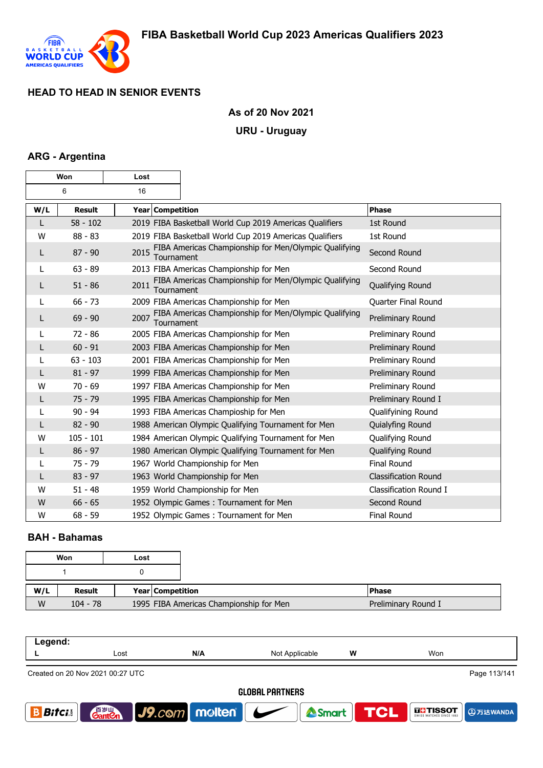

### **As of 20 Nov 2021**

#### **URU - Uruguay**

### **ARG - Argentina**

| Won |               | Lost               |                                                         |                             |
|-----|---------------|--------------------|---------------------------------------------------------|-----------------------------|
| 6   |               | 16                 |                                                         |                             |
| W/L | <b>Result</b> | Year Competition   |                                                         | <b>Phase</b>                |
| L   | $58 - 102$    |                    | 2019 FIBA Basketball World Cup 2019 Americas Qualifiers | 1st Round                   |
| W   | $88 - 83$     |                    | 2019 FIBA Basketball World Cup 2019 Americas Qualifiers | 1st Round                   |
| L   | $87 - 90$     | 2015<br>Tournament | FIBA Americas Championship for Men/Olympic Qualifying   | Second Round                |
| L   | $63 - 89$     |                    | 2013 FIBA Americas Championship for Men                 | Second Round                |
| L   | $51 - 86$     | 2011<br>Tournament | FIBA Americas Championship for Men/Olympic Qualifying   | Qualifying Round            |
| L   | $66 - 73$     |                    | 2009 FIBA Americas Championship for Men                 | Quarter Final Round         |
| L   | $69 - 90$     | 2007<br>Tournament | FIBA Americas Championship for Men/Olympic Qualifying   | Preliminary Round           |
| L   | $72 - 86$     |                    | 2005 FIBA Americas Championship for Men                 | Preliminary Round           |
| L   | $60 - 91$     |                    | 2003 FIBA Americas Championship for Men                 | Preliminary Round           |
|     | $63 - 103$    |                    | 2001 FIBA Americas Championship for Men                 | Preliminary Round           |
| L   | $81 - 97$     |                    | 1999 FIBA Americas Championship for Men                 | Preliminary Round           |
| w   | $70 - 69$     |                    | 1997 FIBA Americas Championship for Men                 | Preliminary Round           |
| L   | $75 - 79$     |                    | 1995 FIBA Americas Championship for Men                 | Preliminary Round I         |
|     | $90 - 94$     |                    | 1993 FIBA Americas Champioship for Men                  | Qualifyining Round          |
| L   | $82 - 90$     |                    | 1988 American Olympic Qualifying Tournament for Men     | Quialyfing Round            |
| W   | $105 - 101$   |                    | 1984 American Olympic Qualifying Tournament for Men     | Qualifying Round            |
| L   | $86 - 97$     |                    | 1980 American Olympic Qualifying Tournament for Men     | Qualifying Round            |
| L   | $75 - 79$     |                    | 1967 World Championship for Men                         | <b>Final Round</b>          |
| L   | $83 - 97$     |                    | 1963 World Championship for Men                         | <b>Classification Round</b> |
| W   | $51 - 48$     |                    | 1959 World Championship for Men                         | Classification Round I      |
| W   | $66 - 65$     |                    | 1952 Olympic Games: Tournament for Men                  | Second Round                |
| W   | $68 - 59$     |                    | 1952 Olympic Games: Tournament for Men                  | Final Round                 |

#### **BAH - Bahamas**

|     | Won        | Lost |                  |                                         |                     |
|-----|------------|------|------------------|-----------------------------------------|---------------------|
|     |            |      |                  |                                         |                     |
| W/L | Result     |      | Year Competition |                                         | <b>Phase</b>        |
| W   | $104 - 78$ |      |                  | 1995 FIBA Americas Championship for Men | Preliminary Round I |

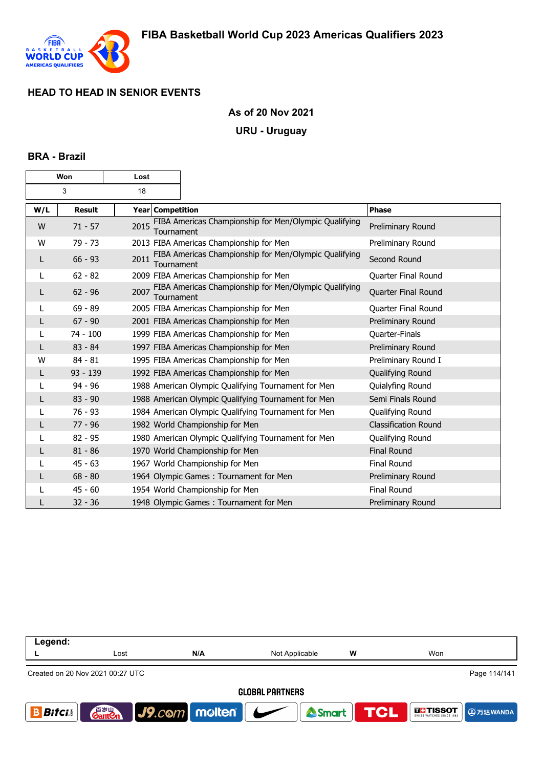

#### **As of 20 Nov 2021**

#### **URU - Uruguay**

#### **BRA - Brazil**

| Won     |               | Lost                    |                                                       |                             |
|---------|---------------|-------------------------|-------------------------------------------------------|-----------------------------|
| 3<br>18 |               |                         |                                                       |                             |
| W/L     | <b>Result</b> | <b>Year Competition</b> |                                                       | Phase                       |
| W       | $71 - 57$     | 2015<br>Tournament      | FIBA Americas Championship for Men/Olympic Qualifying | Preliminary Round           |
| W       | 79 - 73       |                         | 2013 FIBA Americas Championship for Men               | Preliminary Round           |
| L       | $66 - 93$     | 2011<br>Tournament      | FIBA Americas Championship for Men/Olympic Qualifying | Second Round                |
| L       | $62 - 82$     |                         | 2009 FIBA Americas Championship for Men               | Quarter Final Round         |
| L       | $62 - 96$     | 2007<br>Tournament      | FIBA Americas Championship for Men/Olympic Qualifying | Quarter Final Round         |
| L       | $69 - 89$     |                         | 2005 FIBA Americas Championship for Men               | Quarter Final Round         |
|         | $67 - 90$     |                         | 2001 FIBA Americas Championship for Men               | Preliminary Round           |
|         | $74 - 100$    |                         | 1999 FIBA Americas Championship for Men               | Quarter-Finals              |
| L       | $83 - 84$     |                         | 1997 FIBA Americas Championship for Men               | Preliminary Round           |
| W       | $84 - 81$     |                         | 1995 FIBA Americas Championship for Men               | Preliminary Round I         |
| L       | $93 - 139$    |                         | 1992 FIBA Americas Championship for Men               | Qualifying Round            |
|         | $94 - 96$     |                         | 1988 American Olympic Qualifying Tournament for Men   | Quialyfing Round            |
| L       | $83 - 90$     |                         | 1988 American Olympic Qualifying Tournament for Men   | Semi Finals Round           |
|         | $76 - 93$     |                         | 1984 American Olympic Qualifying Tournament for Men   | Qualifying Round            |
|         | $77 - 96$     |                         | 1982 World Championship for Men                       | <b>Classification Round</b> |
|         | $82 - 95$     |                         | 1980 American Olympic Qualifying Tournament for Men   | Qualifying Round            |
|         | $81 - 86$     |                         | 1970 World Championship for Men                       | <b>Final Round</b>          |
|         | $45 - 63$     |                         | 1967 World Championship for Men                       | Final Round                 |
|         | $68 - 80$     |                         | 1964 Olympic Games: Tournament for Men                | Preliminary Round           |
|         | $45 - 60$     |                         | 1954 World Championship for Men                       | Final Round                 |
|         | $32 - 36$     |                         | 1948 Olympic Games: Tournament for Men                | Preliminary Round           |

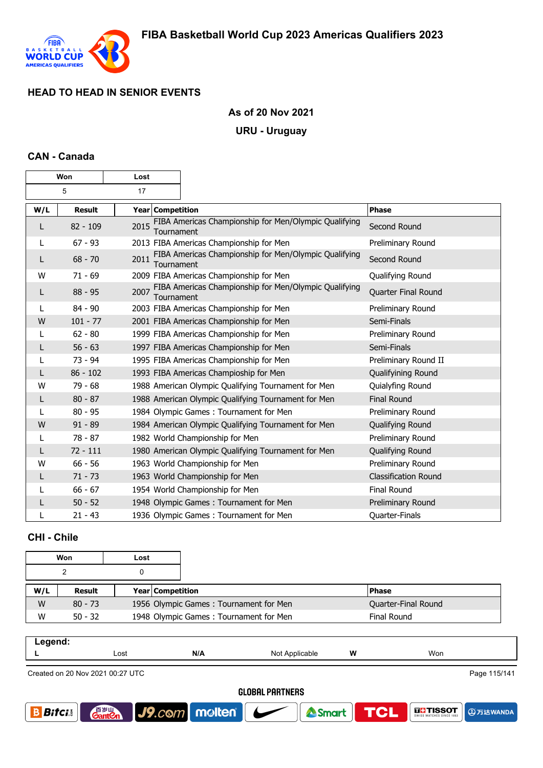

### **As of 20 Nov 2021**

#### **URU - Uruguay**

#### **CAN - Canada**

| Won |               | Lost               |                                                       |                             |
|-----|---------------|--------------------|-------------------------------------------------------|-----------------------------|
| 5   |               | 17                 |                                                       |                             |
| W/L | <b>Result</b> | Year Competition   |                                                       | <b>Phase</b>                |
| L   | $82 - 109$    | 2015<br>Tournament | FIBA Americas Championship for Men/Olympic Qualifying | Second Round                |
| L   | $67 - 93$     |                    | 2013 FIBA Americas Championship for Men               | Preliminary Round           |
| L   | $68 - 70$     | 2011<br>Tournament | FIBA Americas Championship for Men/Olympic Qualifying | Second Round                |
| W   | $71 - 69$     |                    | 2009 FIBA Americas Championship for Men               | Qualifying Round            |
| L   | $88 - 95$     | 2007<br>Tournament | FIBA Americas Championship for Men/Olympic Qualifying | Quarter Final Round         |
| L   | $84 - 90$     |                    | 2003 FIBA Americas Championship for Men               | Preliminary Round           |
| W   | $101 - 77$    |                    | 2001 FIBA Americas Championship for Men               | Semi-Finals                 |
| L   | $62 - 80$     |                    | 1999 FIBA Americas Championship for Men               | Preliminary Round           |
|     | $56 - 63$     |                    | 1997 FIBA Americas Championship for Men               | Semi-Finals                 |
|     | $73 - 94$     |                    | 1995 FIBA Americas Championship for Men               | Preliminary Round II        |
| L   | $86 - 102$    |                    | 1993 FIBA Americas Champioship for Men                | Qualifyining Round          |
| W   | $79 - 68$     |                    | 1988 American Olympic Qualifying Tournament for Men   | Quialyfing Round            |
| L   | $80 - 87$     |                    | 1988 American Olympic Qualifying Tournament for Men   | <b>Final Round</b>          |
| L   | $80 - 95$     |                    | 1984 Olympic Games: Tournament for Men                | Preliminary Round           |
| W   | $91 - 89$     |                    | 1984 American Olympic Qualifying Tournament for Men   | Qualifying Round            |
| L   | 78 - 87       |                    | 1982 World Championship for Men                       | Preliminary Round           |
| L   | $72 - 111$    |                    | 1980 American Olympic Qualifying Tournament for Men   | Qualifying Round            |
| W   | $66 - 56$     |                    | 1963 World Championship for Men                       | Preliminary Round           |
| L   | $71 - 73$     |                    | 1963 World Championship for Men                       | <b>Classification Round</b> |
|     | $66 - 67$     |                    | 1954 World Championship for Men                       | Final Round                 |
| L   | $50 - 52$     |                    | 1948 Olympic Games: Tournament for Men                | Preliminary Round           |
| L   | $21 - 43$     |                    | 1936 Olympic Games: Tournament for Men                | Quarter-Finals              |

# **CHI - Chile**

| Won |           | Lost |                                        |                     |
|-----|-----------|------|----------------------------------------|---------------------|
|     |           |      |                                        |                     |
| W/L | Result    |      | <b>Year Competition</b>                | <b>Phase</b>        |
| W   | $80 - 73$ |      | 1956 Olympic Games: Tournament for Men | Quarter-Final Round |
| W   | $50 - 32$ |      | 1948 Olympic Games: Tournament for Men | Final Round         |

| ----- |      |     |                                                                                                                                                     |   |            |  |
|-------|------|-----|-----------------------------------------------------------------------------------------------------------------------------------------------------|---|------------|--|
| --    | Lost | N/A | NI∩t<br>able<br>$\checkmark$<br>and the contract of the contract of the contract of the contract of the contract of the contract of the contract of | W | . .<br>Won |  |
|       |      |     |                                                                                                                                                     |   |            |  |

Created on 20 Nov 2021 00:27 UTC

Page 115/141

**@万达WANDA** 

**THE TISSOT** 

**TCL** 

<sup>2</sup>Smart

**GLOBAL PARTNERS** 

J9.com molten

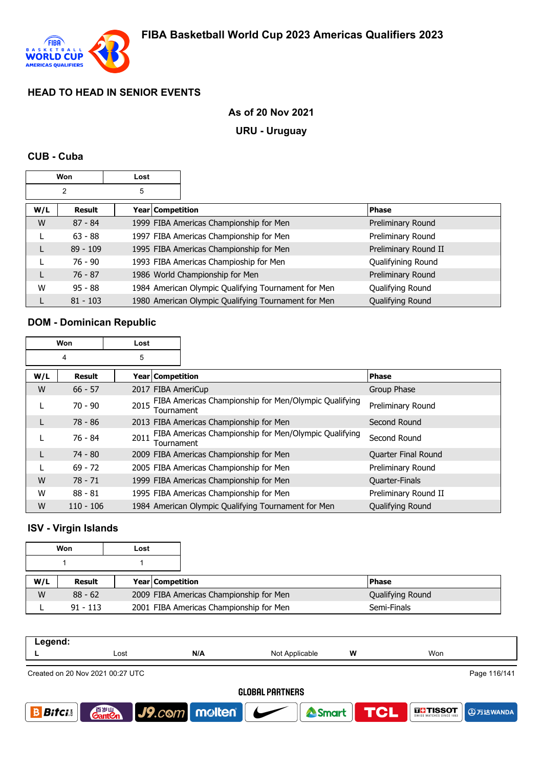

### **As of 20 Nov 2021**

#### **URU - Uruguay**

#### **CUB - Cuba**

| Won |               | Lost |                  |                                                     |                      |
|-----|---------------|------|------------------|-----------------------------------------------------|----------------------|
|     | 2             | 5    |                  |                                                     |                      |
| W/L | <b>Result</b> |      | Year Competition |                                                     | <b>Phase</b>         |
| W   | $87 - 84$     |      |                  | 1999 FIBA Americas Championship for Men             | Preliminary Round    |
|     | $63 - 88$     |      |                  | 1997 FIBA Americas Championship for Men             | Preliminary Round    |
|     | $89 - 109$    |      |                  | 1995 FIBA Americas Championship for Men             | Preliminary Round II |
|     | $76 - 90$     |      |                  | 1993 FIBA Americas Champioship for Men              | Qualifyining Round   |
|     | $76 - 87$     |      |                  | 1986 World Championship for Men                     | Preliminary Round    |
| W   | $95 - 88$     |      |                  | 1984 American Olympic Qualifying Tournament for Men | Qualifying Round     |
|     | $81 - 103$    |      |                  | 1980 American Olympic Qualifying Tournament for Men | Qualifying Round     |

#### **DOM - Dominican Republic**

| Won |             | Lost |                                                                            |                            |
|-----|-------------|------|----------------------------------------------------------------------------|----------------------------|
| 4   |             | 5    |                                                                            |                            |
| W/L | Result      |      | Year Competition                                                           | Phase                      |
| W   | $66 - 57$   |      | 2017 FIBA AmeriCup                                                         | Group Phase                |
| L   | $70 - 90$   | 2015 | FIBA Americas Championship for Men/Olympic Qualifying<br><b>Tournament</b> | Preliminary Round          |
| L   | 78 - 86     |      | 2013 FIBA Americas Championship for Men                                    | Second Round               |
| L   | 76 - 84     | 2011 | FIBA Americas Championship for Men/Olympic Qualifying<br><b>Tournament</b> | Second Round               |
|     | $74 - 80$   |      | 2009 FIBA Americas Championship for Men                                    | <b>Quarter Final Round</b> |
|     | $69 - 72$   |      | 2005 FIBA Americas Championship for Men                                    | Preliminary Round          |
| W   | $78 - 71$   |      | 1999 FIBA Americas Championship for Men                                    | Quarter-Finals             |
| W   | $88 - 81$   |      | 1995 FIBA Americas Championship for Men                                    | Preliminary Round II       |
| W   | $110 - 106$ |      | 1984 American Olympic Qualifying Tournament for Men                        | Qualifying Round           |

### **ISV - Virgin Islands**

| Won |            | Lost |                         |                                         |              |                  |
|-----|------------|------|-------------------------|-----------------------------------------|--------------|------------------|
|     |            |      |                         |                                         |              |                  |
| W/L | Result     |      | <b>Year Competition</b> |                                         | <b>Phase</b> |                  |
| W   | $88 - 62$  |      |                         | 2009 FIBA Americas Championship for Men |              | Qualifying Round |
|     | $91 - 113$ |      |                         | 2001 FIBA Americas Championship for Men |              | Semi-Finals      |

| .<br>-----<br>- - - |      |     |                           |   |     |
|---------------------|------|-----|---------------------------|---|-----|
| -                   | Lost | N/A | Nnt<br>Applicable<br>ט שו | W | Won |
|                     |      |     |                           |   |     |

Created on 20 Nov 2021 00:27 UTC

Page 116/141

**4万达WANDA** 

**THE TISSOT** 

#### **GLOBAL PARTNERS**

<sup>2</sup>Smart

**TCL** 

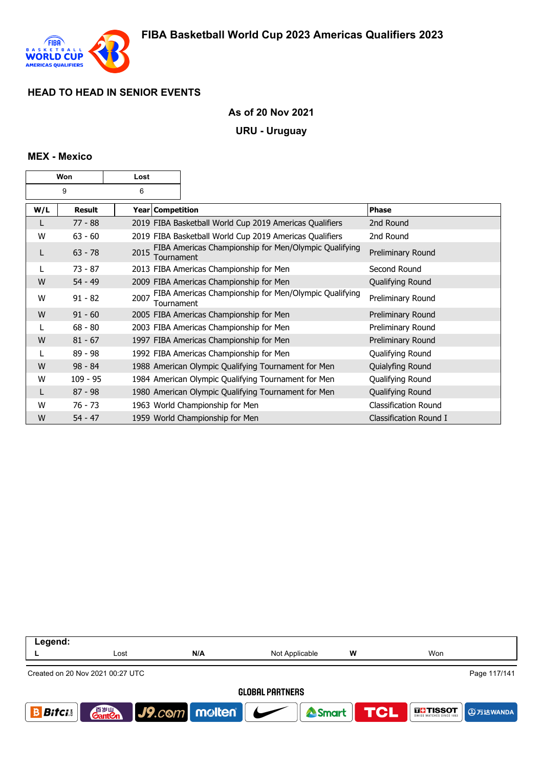

#### **As of 20 Nov 2021**

#### **URU - Uruguay**

#### **MEX - Mexico**

| Won |            | Lost |                                                                     |                             |
|-----|------------|------|---------------------------------------------------------------------|-----------------------------|
|     | 9          | 6    |                                                                     |                             |
| W/L | Result     |      | Year Competition                                                    | Phase                       |
|     | $77 - 88$  |      | 2019 FIBA Basketball World Cup 2019 Americas Qualifiers             | 2nd Round                   |
| W   | $63 - 60$  |      | 2019 FIBA Basketball World Cup 2019 Americas Qualifiers             | 2nd Round                   |
| L   | $63 - 78$  | 2015 | FIBA Americas Championship for Men/Olympic Qualifying<br>Tournament | Preliminary Round           |
|     | $73 - 87$  |      | 2013 FIBA Americas Championship for Men                             | Second Round                |
| W   | $54 - 49$  |      | 2009 FIBA Americas Championship for Men                             | Qualifying Round            |
| W   | $91 - 82$  | 2007 | FIBA Americas Championship for Men/Olympic Qualifying<br>Tournament | Preliminary Round           |
| W   | $91 - 60$  |      | 2005 FIBA Americas Championship for Men                             | Preliminary Round           |
|     | $68 - 80$  |      | 2003 FIBA Americas Championship for Men                             | Preliminary Round           |
| W   | $81 - 67$  |      | 1997 FIBA Americas Championship for Men                             | Preliminary Round           |
|     | 89 - 98    |      | 1992 FIBA Americas Championship for Men                             | Qualifying Round            |
| W   | $98 - 84$  |      | 1988 American Olympic Qualifying Tournament for Men                 | Quialyfing Round            |
| W   | $109 - 95$ |      | 1984 American Olympic Qualifying Tournament for Men                 | Qualifying Round            |
|     | $87 - 98$  |      | 1980 American Olympic Qualifying Tournament for Men                 | Qualifying Round            |
| W   | $76 - 73$  |      | 1963 World Championship for Men                                     | <b>Classification Round</b> |
| W   | $54 - 47$  |      | 1959 World Championship for Men                                     | Classification Round I      |

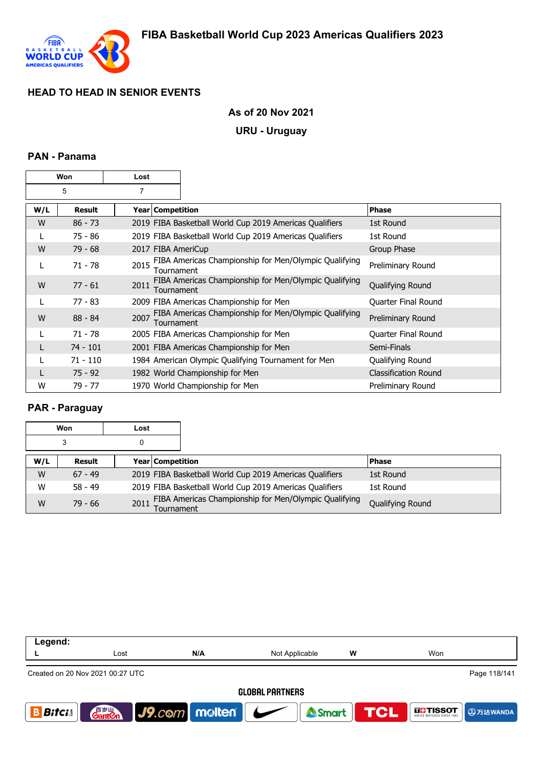

#### **As of 20 Nov 2021**

#### **URU - Uruguay**

### **PAN - Panama**

| Won |               | Lost           |                    |                                                         |                             |
|-----|---------------|----------------|--------------------|---------------------------------------------------------|-----------------------------|
| 5   |               | $\overline{7}$ |                    |                                                         |                             |
| W/L | <b>Result</b> |                | Year   Competition |                                                         | <b>Phase</b>                |
| W   | $86 - 73$     |                |                    | 2019 FIBA Basketball World Cup 2019 Americas Qualifiers | 1st Round                   |
|     | 75 - 86       |                |                    | 2019 FIBA Basketball World Cup 2019 Americas Qualifiers | 1st Round                   |
| W   | $79 - 68$     |                |                    | 2017 FIBA AmeriCup                                      | Group Phase                 |
|     | 71 - 78       | 2015           | Tournament         | FIBA Americas Championship for Men/Olympic Qualifying   | Preliminary Round           |
| W   | $77 - 61$     | 2011           | Tournament         | FIBA Americas Championship for Men/Olympic Qualifying   | Qualifying Round            |
| L   | 77 - 83       |                |                    | 2009 FIBA Americas Championship for Men                 | <b>Quarter Final Round</b>  |
| W   | $88 - 84$     | 2007           | Tournament         | FIBA Americas Championship for Men/Olympic Qualifying   | Preliminary Round           |
|     | $71 - 78$     |                |                    | 2005 FIBA Americas Championship for Men                 | Quarter Final Round         |
|     | $74 - 101$    |                |                    | 2001 FIBA Americas Championship for Men                 | Semi-Finals                 |
|     | $71 - 110$    |                |                    | 1984 American Olympic Qualifying Tournament for Men     | Qualifying Round            |
|     | $75 - 92$     |                |                    | 1982 World Championship for Men                         | <b>Classification Round</b> |
| W   | 79 - 77       |                |                    | 1970 World Championship for Men                         | Preliminary Round           |

### **PAR - Paraguay**

|     | Won       | Lost |                         |                                                         |                  |
|-----|-----------|------|-------------------------|---------------------------------------------------------|------------------|
|     | 3         | 0    |                         |                                                         |                  |
| W/L | Result    |      | <b>Year Competition</b> |                                                         | <b>Phase</b>     |
| W   | $67 - 49$ |      |                         | 2019 FIBA Basketball World Cup 2019 Americas Qualifiers | 1st Round        |
| W   | $58 - 49$ |      |                         | 2019 FIBA Basketball World Cup 2019 Americas Qualifiers | 1st Round        |
| W   | $79 - 66$ | 2011 | Tournament              | FIBA Americas Championship for Men/Olympic Qualifying   | Qualifying Round |

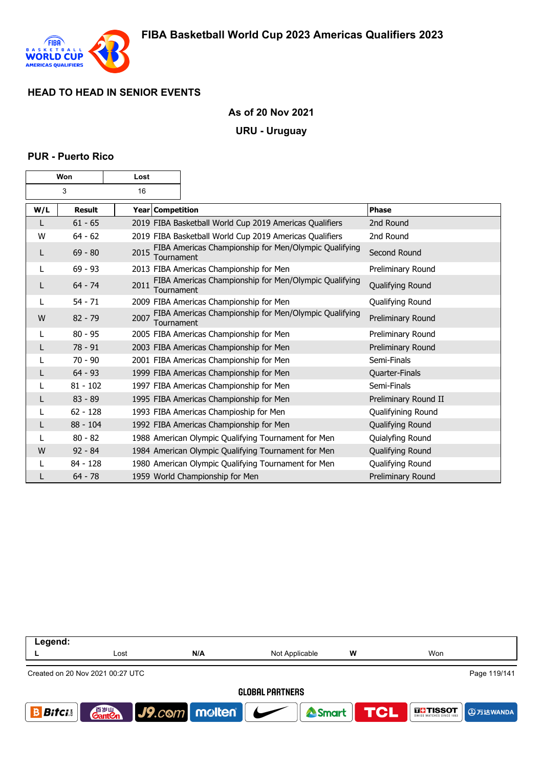

#### **As of 20 Nov 2021**

#### **URU - Uruguay**

#### **PUR - Puerto Rico**

| Won |               | Lost             |            |                                                         |                      |
|-----|---------------|------------------|------------|---------------------------------------------------------|----------------------|
| 3   |               | 16               |            |                                                         |                      |
| W/L | <b>Result</b> | Year Competition |            |                                                         | <b>Phase</b>         |
|     | $61 - 65$     |                  |            | 2019 FIBA Basketball World Cup 2019 Americas Qualifiers | 2nd Round            |
| W   | $64 - 62$     |                  |            | 2019 FIBA Basketball World Cup 2019 Americas Qualifiers | 2nd Round            |
| L   | $69 - 80$     | 2015             | Tournament | FIBA Americas Championship for Men/Olympic Qualifying   | Second Round         |
| L   | $69 - 93$     |                  |            | 2013 FIBA Americas Championship for Men                 | Preliminary Round    |
| L   | $64 - 74$     | 2011             | Tournament | FIBA Americas Championship for Men/Olympic Qualifying   | Qualifying Round     |
| L   | $54 - 71$     |                  |            | 2009 FIBA Americas Championship for Men                 | Qualifying Round     |
| W   | $82 - 79$     | 2007             | Tournament | FIBA Americas Championship for Men/Olympic Qualifying   | Preliminary Round    |
| L   | $80 - 95$     |                  |            | 2005 FIBA Americas Championship for Men                 | Preliminary Round    |
|     | $78 - 91$     |                  |            | 2003 FIBA Americas Championship for Men                 | Preliminary Round    |
|     | $70 - 90$     |                  |            | 2001 FIBA Americas Championship for Men                 | Semi-Finals          |
|     | $64 - 93$     |                  |            | 1999 FIBA Americas Championship for Men                 | Quarter-Finals       |
|     | $81 - 102$    |                  |            | 1997 FIBA Americas Championship for Men                 | Semi-Finals          |
| L   | $83 - 89$     |                  |            | 1995 FIBA Americas Championship for Men                 | Preliminary Round II |
|     | $62 - 128$    |                  |            | 1993 FIBA Americas Champioship for Men                  | Qualifyining Round   |
| L   | $88 - 104$    |                  |            | 1992 FIBA Americas Championship for Men                 | Qualifying Round     |
|     | $80 - 82$     |                  |            | 1988 American Olympic Qualifying Tournament for Men     | Quialyfing Round     |
| W   | $92 - 84$     |                  |            | 1984 American Olympic Qualifying Tournament for Men     | Qualifying Round     |
|     | $84 - 128$    |                  |            | 1980 American Olympic Qualifying Tournament for Men     | Qualifying Round     |
|     | $64 - 78$     |                  |            | 1959 World Championship for Men                         | Preliminary Round    |

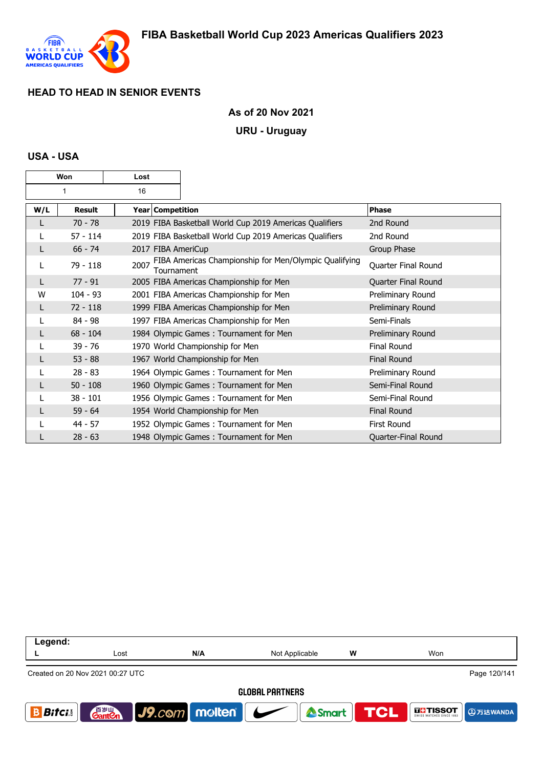

### **As of 20 Nov 2021**

#### **URU - Uruguay**

#### **USA - USA**

| Won |            | Lost |                    |                                                         |                     |
|-----|------------|------|--------------------|---------------------------------------------------------|---------------------|
| 1   |            | 16   |                    |                                                         |                     |
| W/L | Result     |      | Year   Competition |                                                         | Phase               |
|     | $70 - 78$  |      |                    | 2019 FIBA Basketball World Cup 2019 Americas Qualifiers | 2nd Round           |
|     | $57 - 114$ |      |                    | 2019 FIBA Basketball World Cup 2019 Americas Qualifiers | 2nd Round           |
| L   | $66 - 74$  |      |                    | 2017 FIBA AmeriCup                                      | Group Phase         |
|     | 79 - 118   | 2007 | Tournament         | FIBA Americas Championship for Men/Olympic Qualifying   | Quarter Final Round |
|     | $77 - 91$  |      |                    | 2005 FIBA Americas Championship for Men                 | Quarter Final Round |
| w   | $104 - 93$ |      |                    | 2001 FIBA Americas Championship for Men                 | Preliminary Round   |
| L   | $72 - 118$ |      |                    | 1999 FIBA Americas Championship for Men                 | Preliminary Round   |
|     | $84 - 98$  |      |                    | 1997 FIBA Americas Championship for Men                 | Semi-Finals         |
| L   | $68 - 104$ |      |                    | 1984 Olympic Games: Tournament for Men                  | Preliminary Round   |
|     | $39 - 76$  |      |                    | 1970 World Championship for Men                         | Final Round         |
|     | $53 - 88$  |      |                    | 1967 World Championship for Men                         | <b>Final Round</b>  |
|     | $28 - 83$  |      |                    | 1964 Olympic Games: Tournament for Men                  | Preliminary Round   |
|     | $50 - 108$ |      |                    | 1960 Olympic Games: Tournament for Men                  | Semi-Final Round    |
|     | $38 - 101$ |      |                    | 1956 Olympic Games: Tournament for Men                  | Semi-Final Round    |
|     | $59 - 64$  |      |                    | 1954 World Championship for Men                         | <b>Final Round</b>  |
|     | 44 - 57    |      |                    | 1952 Olympic Games: Tournament for Men                  | First Round         |
|     | $28 - 63$  |      |                    | 1948 Olympic Games: Tournament for Men                  | Quarter-Final Round |

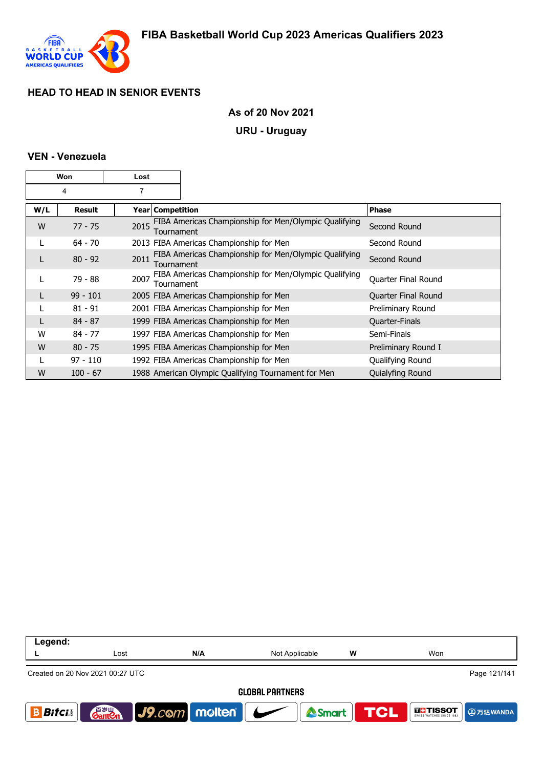

### **As of 20 Nov 2021**

#### **URU - Uruguay**

#### **VEN - Venezuela**

| Won |            | Lost               |                                                       |                     |
|-----|------------|--------------------|-------------------------------------------------------|---------------------|
| 4   |            | 7                  |                                                       |                     |
| W/L | Result     | Year   Competition |                                                       | <b>Phase</b>        |
| W   | $77 - 75$  | 2015<br>Tournament | FIBA Americas Championship for Men/Olympic Qualifying | Second Round        |
|     | $64 - 70$  |                    | 2013 FIBA Americas Championship for Men               | Second Round        |
|     | $80 - 92$  | 2011<br>Tournament | FIBA Americas Championship for Men/Olympic Qualifying | Second Round        |
|     | 79 - 88    | 2007<br>Tournament | FIBA Americas Championship for Men/Olympic Qualifying | Quarter Final Round |
|     | $99 - 101$ |                    | 2005 FIBA Americas Championship for Men               | Quarter Final Round |
|     | $81 - 91$  |                    | 2001 FIBA Americas Championship for Men               | Preliminary Round   |
|     | $84 - 87$  |                    | 1999 FIBA Americas Championship for Men               | Quarter-Finals      |
| W   | $84 - 77$  |                    | 1997 FIBA Americas Championship for Men               | Semi-Finals         |
| W   | $80 - 75$  |                    | 1995 FIBA Americas Championship for Men               | Preliminary Round I |
|     | $97 - 110$ |                    | 1992 FIBA Americas Championship for Men               | Qualifying Round    |
| W   | $100 - 67$ |                    | 1988 American Olympic Qualifying Tournament for Men   | Quialyfing Round    |

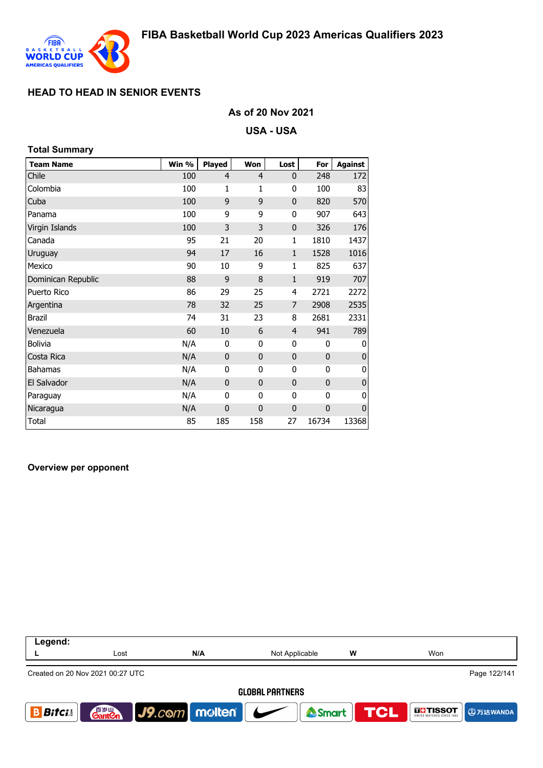

#### **As of 20 Nov 2021**

**USA - USA**

# **Team Name Win % Played Won Lost For Against** Chile 100 4 4 0 248 172 Colombia 100 1 1 0 100 83 Cuba 100 9 9 0 820 570 Panama 100 9 9 0 907 643 Virgin Islands 100 3 3 0 326 176 Canada 95 21 20 1 1810 1437 Uruguay 94 17 16 1 1528 1016 Mexico 90 10 9 1 825 637 Dominican Republic 88 9 8 1 919 707 Puerto Rico 86 29 25 4 2721 2272 Argentina 78 32 25 7 2908 2535 Brazil 74 31 23 8 2681 2331 Venezuela 60 10 6 4 941 789 Bolivia N/A 0 0 0 0 0 Costa Rica N/A 0 0 0 0 0 Bahamas N/A 0 0 0 0 0 El Salvador M/A 0 0 0 0 0 0 Paraguay N/A 0 0 0 0 0 Nicaragua **Nicaragua** N/A 0 0 0 0 0 Total 85 185 158 27 16734 13368 **Total Summary**

#### **Overview per opponent**

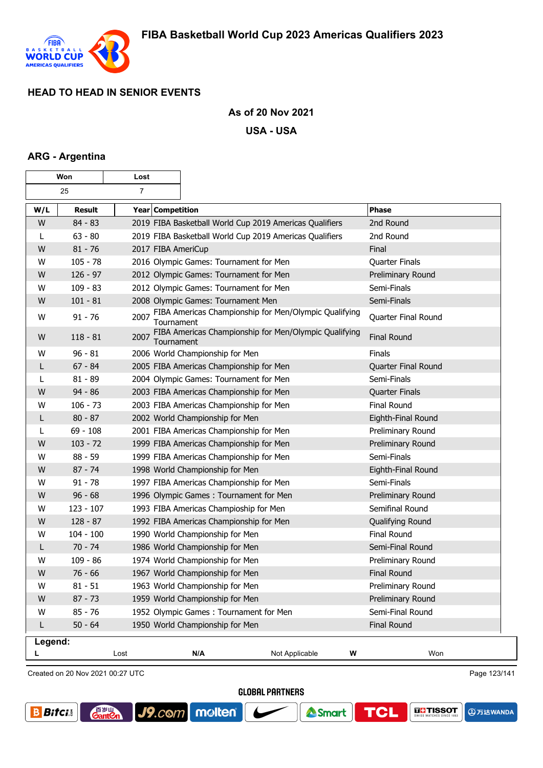

 $\overline{\phantom{a}}$ 

### **As of 20 Nov 2021**

**USA - USA**

#### **ARG - Argentina**

Г

| Won     |             | Lost               |                                                         |                                                       |                       |
|---------|-------------|--------------------|---------------------------------------------------------|-------------------------------------------------------|-----------------------|
|         | 25          | $\overline{7}$     |                                                         |                                                       |                       |
| W/L     | Result      | Year Competition   |                                                         |                                                       | <b>Phase</b>          |
| W       | $84 - 83$   |                    | 2019 FIBA Basketball World Cup 2019 Americas Qualifiers |                                                       | 2nd Round             |
| L       | $63 - 80$   |                    | 2019 FIBA Basketball World Cup 2019 Americas Qualifiers |                                                       | 2nd Round             |
| W       | $81 - 76$   | 2017 FIBA AmeriCup |                                                         |                                                       | Final                 |
| W       | $105 - 78$  |                    | 2016 Olympic Games: Tournament for Men                  |                                                       | Quarter Finals        |
| W       | $126 - 97$  |                    | 2012 Olympic Games: Tournament for Men                  |                                                       | Preliminary Round     |
| W       | $109 - 83$  |                    | 2012 Olympic Games: Tournament for Men                  |                                                       | Semi-Finals           |
| W       | $101 - 81$  |                    | 2008 Olympic Games: Tournament Men                      |                                                       | Semi-Finals           |
| W       | $91 - 76$   | 2007<br>Tournament |                                                         | FIBA Americas Championship for Men/Olympic Qualifying | Quarter Final Round   |
| W       | $118 - 81$  | 2007<br>Tournament |                                                         | FIBA Americas Championship for Men/Olympic Qualifying | <b>Final Round</b>    |
| W       | $96 - 81$   |                    | 2006 World Championship for Men                         |                                                       | Finals                |
| L       | $67 - 84$   |                    | 2005 FIBA Americas Championship for Men                 |                                                       | Quarter Final Round   |
| L       | $81 - 89$   |                    | 2004 Olympic Games: Tournament for Men                  |                                                       | Semi-Finals           |
| W       | $94 - 86$   |                    | 2003 FIBA Americas Championship for Men                 |                                                       | <b>Quarter Finals</b> |
| W       | $106 - 73$  |                    | 2003 FIBA Americas Championship for Men                 |                                                       | <b>Final Round</b>    |
| L       | $80 - 87$   |                    | 2002 World Championship for Men                         |                                                       | Eighth-Final Round    |
| L       | $69 - 108$  |                    | 2001 FIBA Americas Championship for Men                 |                                                       | Preliminary Round     |
| W       | $103 - 72$  |                    | 1999 FIBA Americas Championship for Men                 |                                                       | Preliminary Round     |
| W       | $88 - 59$   |                    | 1999 FIBA Americas Championship for Men                 |                                                       | Semi-Finals           |
| W       | $87 - 74$   |                    | 1998 World Championship for Men                         |                                                       | Eighth-Final Round    |
| W       | $91 - 78$   |                    | 1997 FIBA Americas Championship for Men                 |                                                       | Semi-Finals           |
| W       | $96 - 68$   |                    | 1996 Olympic Games: Tournament for Men                  |                                                       | Preliminary Round     |
| W       | $123 - 107$ |                    | 1993 FIBA Americas Champioship for Men                  |                                                       | Semifinal Round       |
| W       | $128 - 87$  |                    | 1992 FIBA Americas Championship for Men                 |                                                       | Qualifying Round      |
| W       | $104 - 100$ |                    | 1990 World Championship for Men                         |                                                       | Final Round           |
| L       | $70 - 74$   |                    | 1986 World Championship for Men                         |                                                       | Semi-Final Round      |
| W       | $109 - 86$  |                    | 1974 World Championship for Men                         |                                                       | Preliminary Round     |
| W       | $76 - 66$   |                    | 1967 World Championship for Men                         |                                                       | <b>Final Round</b>    |
| W       | $81 - 51$   |                    | 1963 World Championship for Men                         |                                                       | Preliminary Round     |
| W       | $87 - 73$   |                    | 1959 World Championship for Men                         |                                                       | Preliminary Round     |
| W       | $85 - 76$   |                    | 1952 Olympic Games: Tournament for Men                  |                                                       | Semi-Final Round      |
| L       | $50 - 64$   |                    | 1950 World Championship for Men                         |                                                       | <b>Final Round</b>    |
| Legend: |             |                    |                                                         |                                                       |                       |
|         |             | Lost               | N/A                                                     | Not Applicable<br>W                                   | Won                   |

Created on 20 Nov 2021 00:27 UTC

**GantOn** 

Page 123/141

**@万达WANDA** 

**GLI TISSOT** 

**TCL** 

**GLOBAL PARTNERS** 



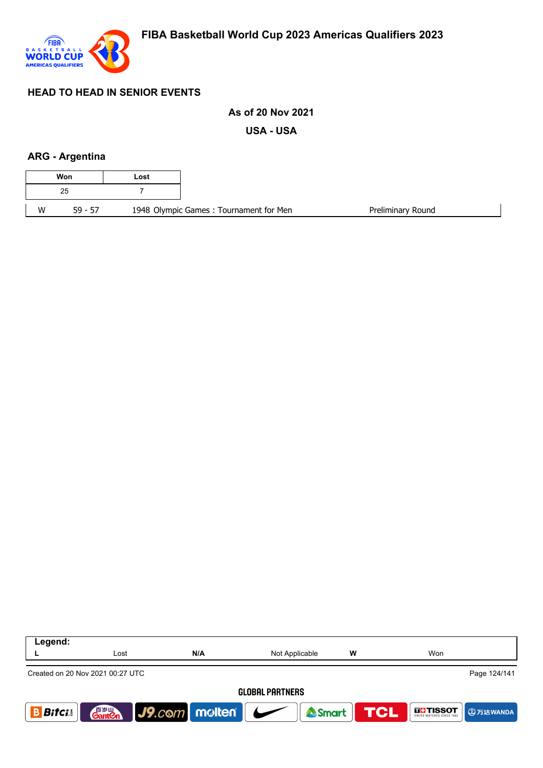

### **As of 20 Nov 2021**

**USA - USA**

### **ARG - Argentina**

| Lost |                                        |
|------|----------------------------------------|
|      |                                        |
|      | 1948 Olympic Games: Tournament for Men |

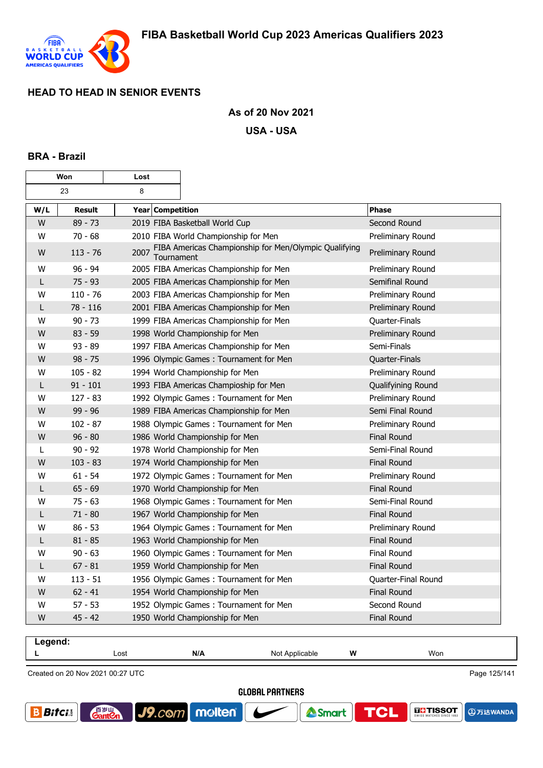

**GantOn** 

**B** Bitcis

 $J9$ . $com$ 

molten®

### **As of 20 Nov 2021**

**USA - USA**

#### **BRA - Brazil**

г

| Won |               | Lost               |                                                       |                     |
|-----|---------------|--------------------|-------------------------------------------------------|---------------------|
|     | 23            | 8                  |                                                       |                     |
| W/L | <b>Result</b> | Year Competition   |                                                       | Phase               |
| W   | $89 - 73$     |                    | 2019 FIBA Basketball World Cup                        | Second Round        |
| W   | $70 - 68$     |                    | 2010 FIBA World Championship for Men                  | Preliminary Round   |
| W   | $113 - 76$    | 2007<br>Tournament | FIBA Americas Championship for Men/Olympic Qualifying | Preliminary Round   |
| W   | $96 - 94$     |                    | 2005 FIBA Americas Championship for Men               | Preliminary Round   |
| L   | $75 - 93$     |                    | 2005 FIBA Americas Championship for Men               | Semifinal Round     |
| W   | $110 - 76$    |                    | 2003 FIBA Americas Championship for Men               | Preliminary Round   |
| L   | $78 - 116$    |                    | 2001 FIBA Americas Championship for Men               | Preliminary Round   |
| W   | $90 - 73$     |                    | 1999 FIBA Americas Championship for Men               | Quarter-Finals      |
| W   | $83 - 59$     |                    | 1998 World Championship for Men                       | Preliminary Round   |
| W   | $93 - 89$     |                    | 1997 FIBA Americas Championship for Men               | Semi-Finals         |
| W   | $98 - 75$     |                    | 1996 Olympic Games: Tournament for Men                | Quarter-Finals      |
| W   | $105 - 82$    |                    | 1994 World Championship for Men                       | Preliminary Round   |
| L   | $91 - 101$    |                    | 1993 FIBA Americas Champioship for Men                | Qualifyining Round  |
| w   | $127 - 83$    |                    | 1992 Olympic Games: Tournament for Men                | Preliminary Round   |
| W   | $99 - 96$     |                    | 1989 FIBA Americas Championship for Men               | Semi Final Round    |
| W   | 102 - 87      |                    | 1988 Olympic Games: Tournament for Men                | Preliminary Round   |
| W   | $96 - 80$     |                    | 1986 World Championship for Men                       | <b>Final Round</b>  |
| L   | $90 - 92$     |                    | 1978 World Championship for Men                       | Semi-Final Round    |
| W   | $103 - 83$    |                    | 1974 World Championship for Men                       | Final Round         |
| W   | $61 - 54$     |                    | 1972 Olympic Games: Tournament for Men                | Preliminary Round   |
| L   | $65 - 69$     |                    | 1970 World Championship for Men                       | <b>Final Round</b>  |
| W   | $75 - 63$     |                    | 1968 Olympic Games: Tournament for Men                | Semi-Final Round    |
| L   | $71 - 80$     |                    | 1967 World Championship for Men                       | <b>Final Round</b>  |
| W   | $86 - 53$     |                    | 1964 Olympic Games: Tournament for Men                | Preliminary Round   |
| L   | $81 - 85$     |                    | 1963 World Championship for Men                       | <b>Final Round</b>  |
| W   | $90 - 63$     |                    | 1960 Olympic Games: Tournament for Men                | <b>Final Round</b>  |
| L   | $67 - 81$     |                    | 1959 World Championship for Men                       | <b>Final Round</b>  |
| W   | $113 - 51$    |                    | 1956 Olympic Games: Tournament for Men                | Quarter-Final Round |
| W   | $62 - 41$     |                    | 1954 World Championship for Men                       | <b>Final Round</b>  |
| W   | 57 - 53       |                    | 1952 Olympic Games: Tournament for Men                | Second Round        |
| W   | $45 - 42$     |                    | 1950 World Championship for Men                       | <b>Final Round</b>  |



**THE TISSOT** 

**@万达WANDA** 

**TCL** 

Smart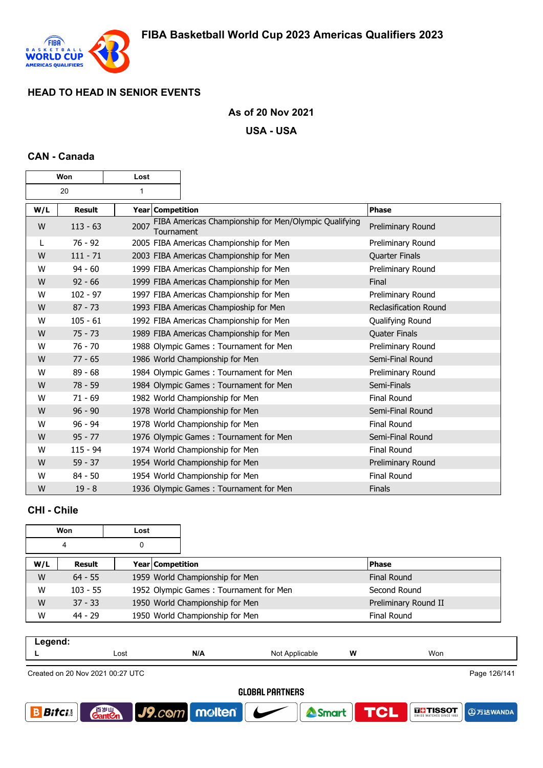

 $\mathbf \tau$ 

h

#### **As of 20 Nov 2021**

**USA - USA**

#### **CAN - Canada**

г

| Won |               | Lost               |                                                       |                              |
|-----|---------------|--------------------|-------------------------------------------------------|------------------------------|
| 20  |               | $\mathbf{1}$       |                                                       |                              |
| W/L | <b>Result</b> | Year Competition   |                                                       | <b>Phase</b>                 |
| W   | $113 - 63$    | 2007<br>Tournament | FIBA Americas Championship for Men/Olympic Qualifying | Preliminary Round            |
| L   | $76 - 92$     |                    | 2005 FIBA Americas Championship for Men               | Preliminary Round            |
| W   | $111 - 71$    |                    | 2003 FIBA Americas Championship for Men               | Quarter Finals               |
| W   | $94 - 60$     |                    | 1999 FIBA Americas Championship for Men               | Preliminary Round            |
| W   | $92 - 66$     |                    | 1999 FIBA Americas Championship for Men               | Final                        |
| W   | $102 - 97$    |                    | 1997 FIBA Americas Championship for Men               | Preliminary Round            |
| W   | $87 - 73$     |                    | 1993 FIBA Americas Champioship for Men                | <b>Reclasification Round</b> |
| W   | $105 - 61$    |                    | 1992 FIBA Americas Championship for Men               | Qualifying Round             |
| W   | $75 - 73$     |                    | 1989 FIBA Americas Championship for Men               | <b>Quater Finals</b>         |
| W   | $76 - 70$     |                    | 1988 Olympic Games: Tournament for Men                | Preliminary Round            |
| W   | $77 - 65$     |                    | 1986 World Championship for Men                       | Semi-Final Round             |
| W   | $89 - 68$     |                    | 1984 Olympic Games: Tournament for Men                | Preliminary Round            |
| W   | $78 - 59$     |                    | 1984 Olympic Games: Tournament for Men                | Semi-Finals                  |
| W   | $71 - 69$     |                    | 1982 World Championship for Men                       | <b>Final Round</b>           |
| W   | $96 - 90$     |                    | 1978 World Championship for Men                       | Semi-Final Round             |
| W   | $96 - 94$     |                    | 1978 World Championship for Men                       | Final Round                  |
| W   | $95 - 77$     |                    | 1976 Olympic Games: Tournament for Men                | Semi-Final Round             |
| W   | $115 - 94$    |                    | 1974 World Championship for Men                       | Final Round                  |
| W   | $59 - 37$     |                    | 1954 World Championship for Men                       | Preliminary Round            |
| W   | $84 - 50$     |                    | 1954 World Championship for Men                       | Final Round                  |
| W   | $19 - 8$      |                    | 1936 Olympic Games: Tournament for Men                | Finals                       |

## **CHI - Chile**

|     | Won        | Lost |                  |                                        |  |                      |
|-----|------------|------|------------------|----------------------------------------|--|----------------------|
|     | 4          |      |                  |                                        |  |                      |
| W/L | Result     |      | Year Competition |                                        |  | <b>Phase</b>         |
| W   | $64 - 55$  |      |                  | 1959 World Championship for Men        |  | <b>Final Round</b>   |
| W   | $103 - 55$ |      |                  | 1952 Olympic Games: Tournament for Men |  | Second Round         |
| W   | $37 - 33$  |      |                  | 1950 World Championship for Men        |  | Preliminary Round II |
| W   | $44 - 29$  |      |                  | 1950 World Championship for Men        |  | <b>Final Round</b>   |

| . |      |     |                  |   |     |
|---|------|-----|------------------|---|-----|
|   | Lost | N/A | Applicable<br>N0 | W | Won |
|   |      |     |                  |   |     |

Created on 20 Nov 2021 00:27 UTC

Page 126/141

**A**万达WANDA

**THE TISSOT** 

**TCL** 

<sup>2</sup>Smart

**GLOBAL PARTNERS** 

J9.com molten

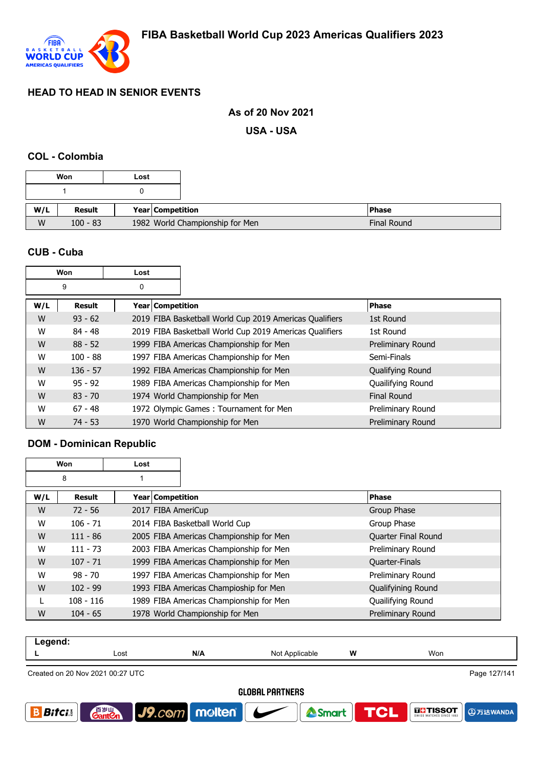

#### **As of 20 Nov 2021**

**USA - USA**

#### **COL - Colombia**

|     | Won           | Lost |                                 |
|-----|---------------|------|---------------------------------|
|     |               |      |                                 |
|     |               |      |                                 |
| W/L | <b>Result</b> |      | Year   Competition              |
| W   | $100 - 83$    |      | 1982 World Championship for Men |

#### **CUB - Cuba**

| Won |            | Lost             |                                                         |                    |
|-----|------------|------------------|---------------------------------------------------------|--------------------|
|     | 9          | 0                |                                                         |                    |
| W/L | Result     | Year Competition |                                                         | <b>Phase</b>       |
| W   | $93 - 62$  |                  | 2019 FIBA Basketball World Cup 2019 Americas Qualifiers | 1st Round          |
| W   | $84 - 48$  |                  | 2019 FIBA Basketball World Cup 2019 Americas Qualifiers | 1st Round          |
| W   | $88 - 52$  |                  | 1999 FIBA Americas Championship for Men                 | Preliminary Round  |
| W   | $100 - 88$ |                  | 1997 FIBA Americas Championship for Men                 | Semi-Finals        |
| W   | $136 - 57$ |                  | 1992 FIBA Americas Championship for Men                 | Qualifying Round   |
| W   | $95 - 92$  |                  | 1989 FIBA Americas Championship for Men                 | Quailifying Round  |
| W   | $83 - 70$  |                  | 1974 World Championship for Men                         | <b>Final Round</b> |
| W   | $67 - 48$  |                  | 1972 Olympic Games: Tournament for Men                  | Preliminary Round  |
| W   | $74 - 53$  |                  | 1970 World Championship for Men                         | Preliminary Round  |

### **DOM - Dominican Republic**

|     | Won         | Lost               |                                         |                       |
|-----|-------------|--------------------|-----------------------------------------|-----------------------|
|     | 8           |                    |                                         |                       |
| W/L | Result      | Year Competition   |                                         | <b>Phase</b>          |
| W   | $72 - 56$   | 2017 FIBA AmeriCup |                                         | Group Phase           |
| W   | $106 - 71$  |                    | 2014 FIBA Basketball World Cup          | Group Phase           |
| W   | $111 - 86$  |                    | 2005 FIBA Americas Championship for Men | Quarter Final Round   |
| W   | $111 - 73$  |                    | 2003 FIBA Americas Championship for Men | Preliminary Round     |
| W   | $107 - 71$  |                    | 1999 FIBA Americas Championship for Men | <b>Quarter-Finals</b> |
| W   | $98 - 70$   |                    | 1997 FIBA Americas Championship for Men | Preliminary Round     |
| W   | $102 - 99$  |                    | 1993 FIBA Americas Champioship for Men  | Qualifyining Round    |
|     | $108 - 116$ |                    | 1989 FIBA Americas Championship for Men | Quailifying Round     |
| W   | $104 - 65$  |                    | 1978 World Championship for Men         | Preliminary Round     |

| .<br>nu.<br>- 9 - |      |     |              |   |     |
|-------------------|------|-----|--------------|---|-----|
| _                 | Lost | N/A | הוח<br>11011 | W | Won |
|                   |      |     |              |   |     |

Created on 20 Nov 2021 00:27 UTC

**GLOBAL PARTNERS** 

<sup>2</sup>Smart

J9.com molten



Page 127/141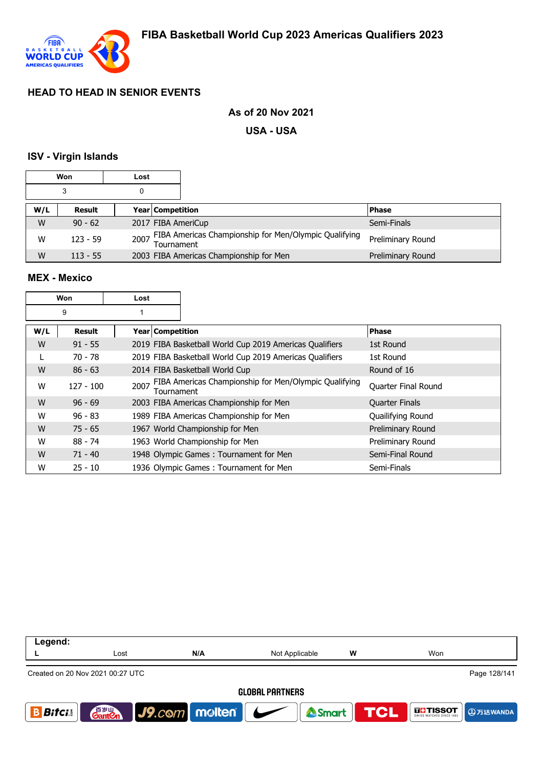

#### **As of 20 Nov 2021**

**USA - USA**

#### **ISV - Virgin Islands**

|     | Won           | Lost |                    |                                                       |                   |
|-----|---------------|------|--------------------|-------------------------------------------------------|-------------------|
|     | 3             |      |                    |                                                       |                   |
| W/L | <b>Result</b> |      | Year   Competition |                                                       | <b>Phase</b>      |
| W   | $90 - 62$     |      | 2017 FIBA AmeriCup |                                                       | Semi-Finals       |
| W   | $123 - 59$    | 2007 | Tournament         | FIBA Americas Championship for Men/Olympic Qualifying | Preliminary Round |
| W   | $113 - 55$    |      |                    | 2003 FIBA Americas Championship for Men               | Preliminary Round |

#### **MEX - Mexico**

|     | Won         | Lost               |                                                         |                       |
|-----|-------------|--------------------|---------------------------------------------------------|-----------------------|
|     | 9           |                    |                                                         |                       |
| W/L | Result      | Year   Competition |                                                         | <b>Phase</b>          |
| W   | $91 - 55$   |                    | 2019 FIBA Basketball World Cup 2019 Americas Qualifiers | 1st Round             |
| L   | $70 - 78$   |                    | 2019 FIBA Basketball World Cup 2019 Americas Qualifiers | 1st Round             |
| W   | $86 - 63$   |                    | 2014 FIBA Basketball World Cup                          | Round of 16           |
| W   | $127 - 100$ | 2007<br>Tournament | FIBA Americas Championship for Men/Olympic Qualifying   | Quarter Final Round   |
| W   | $96 - 69$   |                    | 2003 FIBA Americas Championship for Men                 | <b>Quarter Finals</b> |
| W   | $96 - 83$   |                    | 1989 FIBA Americas Championship for Men                 | Quailifying Round     |
| W   | $75 - 65$   |                    | 1967 World Championship for Men                         | Preliminary Round     |
| W   | $88 - 74$   |                    | 1963 World Championship for Men                         | Preliminary Round     |
| W   | $71 - 40$   |                    | 1948 Olympic Games: Tournament for Men                  | Semi-Final Round      |
| W   | $25 - 10$   |                    | 1936 Olympic Games: Tournament for Men                  | Semi-Finals           |

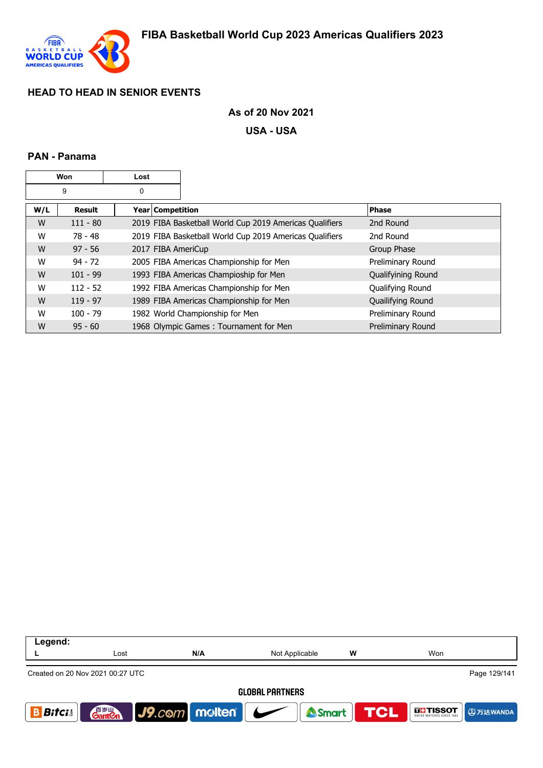

### **As of 20 Nov 2021**

**USA - USA**

### **PAN - Panama**

|     | Won        | Lost               |                                                         |                    |
|-----|------------|--------------------|---------------------------------------------------------|--------------------|
|     | 9          | 0                  |                                                         |                    |
| W/L | Result     | Year   Competition |                                                         | <b>Phase</b>       |
| W   | $111 - 80$ |                    | 2019 FIBA Basketball World Cup 2019 Americas Qualifiers | 2nd Round          |
| W   | 78 - 48    |                    | 2019 FIBA Basketball World Cup 2019 Americas Qualifiers | 2nd Round          |
| W   | $97 - 56$  |                    | 2017 FIBA AmeriCup                                      | Group Phase        |
| W   | $94 - 72$  |                    | 2005 FIBA Americas Championship for Men                 | Preliminary Round  |
| W   | $101 - 99$ |                    | 1993 FIBA Americas Champioship for Men                  | Qualifyining Round |
| W   | $112 - 52$ |                    | 1992 FIBA Americas Championship for Men                 | Qualifying Round   |
| W   | $119 - 97$ |                    | 1989 FIBA Americas Championship for Men                 | Quailifying Round  |
| W   | $100 - 79$ |                    | 1982 World Championship for Men                         | Preliminary Round  |
| W   | $95 - 60$  |                    | 1968 Olympic Games: Tournament for Men                  | Preliminary Round  |

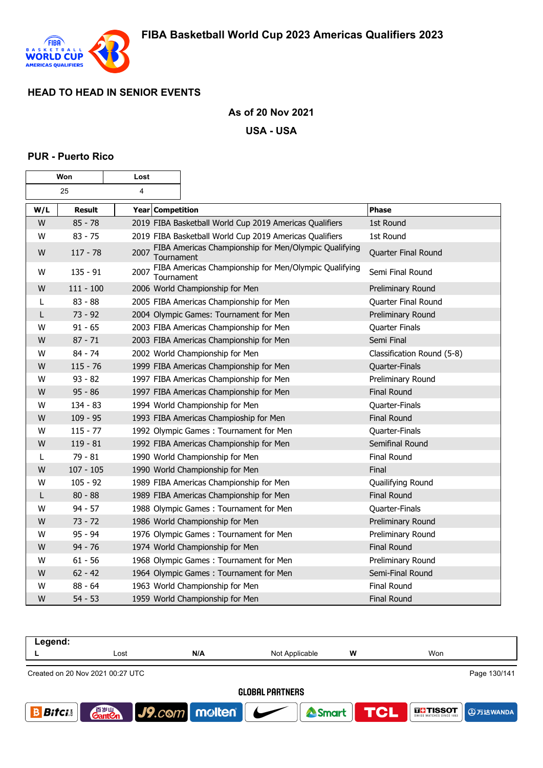

### **As of 20 Nov 2021**

**USA - USA**

#### **PUR - Puerto Rico**

| Won |               | Lost               |                                                         |                            |
|-----|---------------|--------------------|---------------------------------------------------------|----------------------------|
|     | 25            | $\overline{4}$     |                                                         |                            |
| W/L | <b>Result</b> | Year Competition   |                                                         | <b>Phase</b>               |
| W   | $85 - 78$     |                    | 2019 FIBA Basketball World Cup 2019 Americas Qualifiers | 1st Round                  |
| W   | $83 - 75$     |                    | 2019 FIBA Basketball World Cup 2019 Americas Qualifiers | 1st Round                  |
| W   | $117 - 78$    | 2007<br>Tournament | FIBA Americas Championship for Men/Olympic Qualifying   | Quarter Final Round        |
| W   | $135 - 91$    | 2007<br>Tournament | FIBA Americas Championship for Men/Olympic Qualifying   | Semi Final Round           |
| W   | $111 - 100$   |                    | 2006 World Championship for Men                         | Preliminary Round          |
| L   | $83 - 88$     |                    | 2005 FIBA Americas Championship for Men                 | Quarter Final Round        |
| L   | $73 - 92$     |                    | 2004 Olympic Games: Tournament for Men                  | Preliminary Round          |
| W   | $91 - 65$     |                    | 2003 FIBA Americas Championship for Men                 | Quarter Finals             |
| W   | $87 - 71$     |                    | 2003 FIBA Americas Championship for Men                 | Semi Final                 |
| W   | $84 - 74$     |                    | 2002 World Championship for Men                         | Classification Round (5-8) |
| W   | $115 - 76$    |                    | 1999 FIBA Americas Championship for Men                 | Quarter-Finals             |
| W   | $93 - 82$     |                    | 1997 FIBA Americas Championship for Men                 | Preliminary Round          |
| W   | $95 - 86$     |                    | 1997 FIBA Americas Championship for Men                 | <b>Final Round</b>         |
| W   | $134 - 83$    |                    | 1994 World Championship for Men                         | Quarter-Finals             |
| W   | $109 - 95$    |                    | 1993 FIBA Americas Champioship for Men                  | <b>Final Round</b>         |
| W   | $115 - 77$    |                    | 1992 Olympic Games: Tournament for Men                  | Quarter-Finals             |
| W   | $119 - 81$    |                    | 1992 FIBA Americas Championship for Men                 | Semifinal Round            |
| L   | $79 - 81$     |                    | 1990 World Championship for Men                         | <b>Final Round</b>         |
| W   | $107 - 105$   |                    | 1990 World Championship for Men                         | Final                      |
| W   | $105 - 92$    |                    | 1989 FIBA Americas Championship for Men                 | Quailifying Round          |
| L   | $80 - 88$     |                    | 1989 FIBA Americas Championship for Men                 | <b>Final Round</b>         |
| w   | $94 - 57$     |                    | 1988 Olympic Games: Tournament for Men                  | Quarter-Finals             |
| W   | $73 - 72$     |                    | 1986 World Championship for Men                         | Preliminary Round          |
| W   | $95 - 94$     |                    | 1976 Olympic Games: Tournament for Men                  | Preliminary Round          |
| W   | $94 - 76$     |                    | 1974 World Championship for Men                         | <b>Final Round</b>         |
| w   | $61 - 56$     |                    | 1968 Olympic Games: Tournament for Men                  | Preliminary Round          |
| W   | $62 - 42$     |                    | 1964 Olympic Games: Tournament for Men                  | Semi-Final Round           |
| W   | $88 - 64$     |                    | 1963 World Championship for Men                         | <b>Final Round</b>         |
| W   | $54 - 53$     |                    | 1959 World Championship for Men                         | <b>Final Round</b>         |

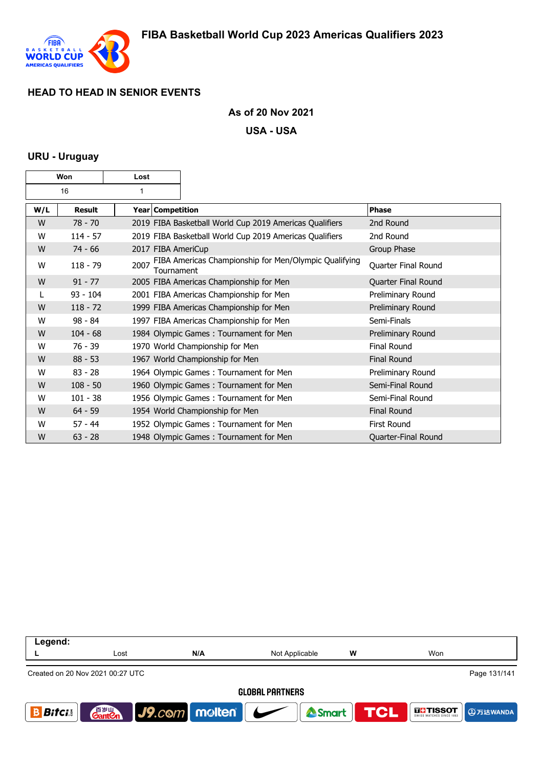

### **As of 20 Nov 2021**

#### **USA - USA**

#### **URU - Uruguay**

| Won |               | Lost               |                                                         |                     |
|-----|---------------|--------------------|---------------------------------------------------------|---------------------|
| 16  |               | 1                  |                                                         |                     |
| W/L | <b>Result</b> | Year Competition   |                                                         | Phase               |
| W   | $78 - 70$     |                    | 2019 FIBA Basketball World Cup 2019 Americas Qualifiers | 2nd Round           |
| W   | $114 - 57$    |                    | 2019 FIBA Basketball World Cup 2019 Americas Qualifiers | 2nd Round           |
| W   | $74 - 66$     | 2017 FIBA AmeriCup |                                                         | Group Phase         |
| W   | $118 - 79$    | 2007<br>Tournament | FIBA Americas Championship for Men/Olympic Qualifying   | Quarter Final Round |
| W   | $91 - 77$     |                    | 2005 FIBA Americas Championship for Men                 | Quarter Final Round |
|     | $93 - 104$    |                    | 2001 FIBA Americas Championship for Men                 | Preliminary Round   |
| W   | $118 - 72$    |                    | 1999 FIBA Americas Championship for Men                 | Preliminary Round   |
| W   | $98 - 84$     |                    | 1997 FIBA Americas Championship for Men                 | Semi-Finals         |
| W   | $104 - 68$    |                    | 1984 Olympic Games: Tournament for Men                  | Preliminary Round   |
| W   | $76 - 39$     |                    | 1970 World Championship for Men                         | <b>Final Round</b>  |
| W   | $88 - 53$     |                    | 1967 World Championship for Men                         | <b>Final Round</b>  |
| W   | $83 - 28$     |                    | 1964 Olympic Games: Tournament for Men                  | Preliminary Round   |
| W   | $108 - 50$    |                    | 1960 Olympic Games: Tournament for Men                  | Semi-Final Round    |
| W   | $101 - 38$    |                    | 1956 Olympic Games: Tournament for Men                  | Semi-Final Round    |
| W   | $64 - 59$     |                    | 1954 World Championship for Men                         | <b>Final Round</b>  |
| W   | $57 - 44$     |                    | 1952 Olympic Games: Tournament for Men                  | <b>First Round</b>  |
| W   | $63 - 28$     |                    | 1948 Olympic Games: Tournament for Men                  | Quarter-Final Round |

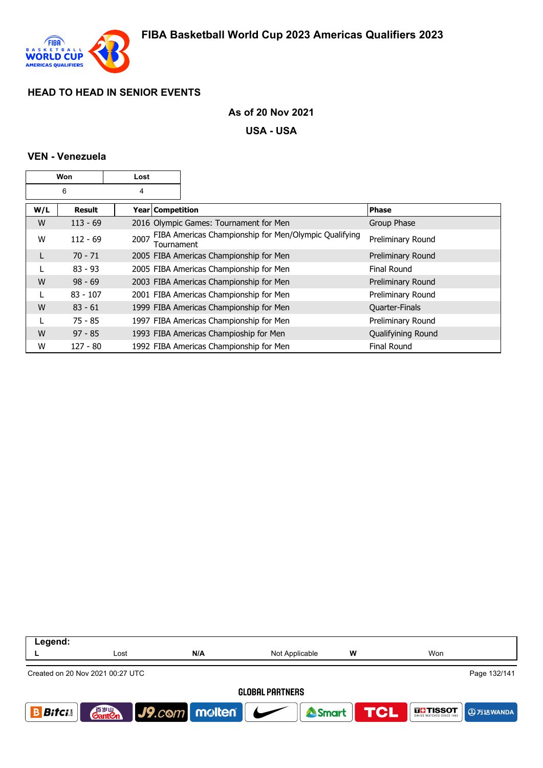

### **As of 20 Nov 2021**

**USA - USA**

### **VEN - Venezuela**

| Won |               | Lost               |                                                       |                       |
|-----|---------------|--------------------|-------------------------------------------------------|-----------------------|
|     | 6             | 4                  |                                                       |                       |
| W/L | <b>Result</b> | Year   Competition |                                                       | <b>Phase</b>          |
| W   | $113 - 69$    |                    | 2016 Olympic Games: Tournament for Men                | Group Phase           |
| W   | $112 - 69$    | 2007<br>Tournament | FIBA Americas Championship for Men/Olympic Qualifying | Preliminary Round     |
|     | $70 - 71$     |                    | 2005 FIBA Americas Championship for Men               | Preliminary Round     |
|     | $83 - 93$     |                    | 2005 FIBA Americas Championship for Men               | Final Round           |
| W   | $98 - 69$     |                    | 2003 FIBA Americas Championship for Men               | Preliminary Round     |
|     | $83 - 107$    |                    | 2001 FIBA Americas Championship for Men               | Preliminary Round     |
| W   | $83 - 61$     |                    | 1999 FIBA Americas Championship for Men               | <b>Quarter-Finals</b> |
|     | $75 - 85$     |                    | 1997 FIBA Americas Championship for Men               | Preliminary Round     |
| W   | $97 - 85$     |                    | 1993 FIBA Americas Champioship for Men                | Qualifyining Round    |
| W   | $127 - 80$    |                    | 1992 FIBA Americas Championship for Men               | <b>Final Round</b>    |

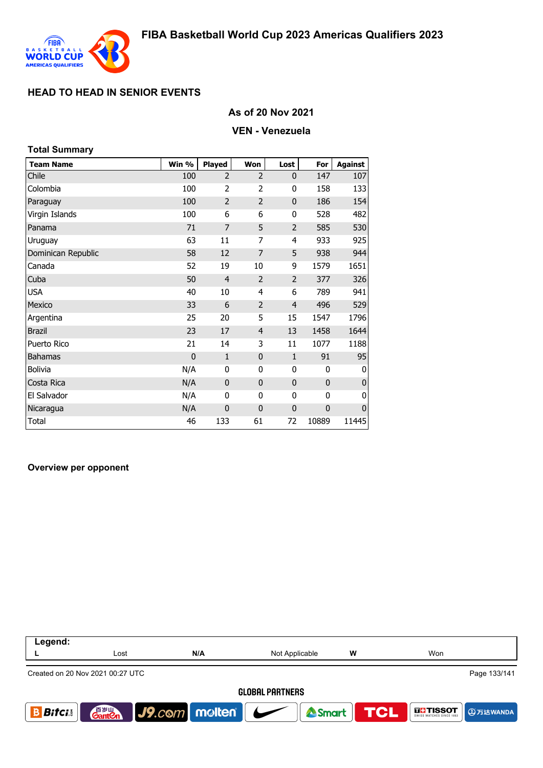

#### **As of 20 Nov 2021**

#### **VEN - Venezuela**

| <b>Total Summary</b> |                |                |                |                |              |                |
|----------------------|----------------|----------------|----------------|----------------|--------------|----------------|
| <b>Team Name</b>     | Win %          | <b>Played</b>  | Won            | Lost           | For          | <b>Against</b> |
| Chile                | 100            | 2              | 2              | $\mathbf 0$    | 147          | 107            |
| Colombia             | 100            | 2              | $\overline{2}$ | 0              | 158          | 133            |
| Paraguay             | 100            | $\overline{2}$ | $\overline{2}$ | $\mathbf{0}$   | 186          | 154            |
| Virgin Islands       | 100            | 6              | 6              | 0              | 528          | 482            |
| Panama               | 71             | $\overline{7}$ | 5              | $\overline{2}$ | 585          | 530            |
| Uruguay              | 63             | 11             | 7              | 4              | 933          | 925            |
| Dominican Republic   | 58             | 12             | 7              | 5              | 938          | 944            |
| Canada               | 52             | 19             | 10             | 9              | 1579         | 1651           |
| Cuba                 | 50             | $\overline{4}$ | $\overline{2}$ | $\overline{2}$ | 377          | 326            |
| <b>USA</b>           | 40             | 10             | 4              | 6              | 789          | 941            |
| Mexico               | 33             | 6              | $\overline{2}$ | $\overline{4}$ | 496          | 529            |
| Argentina            | 25             | 20             | 5              | 15             | 1547         | 1796           |
| <b>Brazil</b>        | 23             | 17             | $\overline{4}$ | 13             | 1458         | 1644           |
| Puerto Rico          | 21             | 14             | 3              | 11             | 1077         | 1188           |
| <b>Bahamas</b>       | $\overline{0}$ | $\mathbf{1}$   | $\mathbf{0}$   | $\mathbf{1}$   | 91           | 95             |
| Bolivia              | N/A            | 0              | 0              | 0              | 0            | 0              |
| Costa Rica           | N/A            | $\mathbf 0$    | $\mathbf{0}$   | $\mathbf{0}$   | $\mathbf{0}$ | 0              |
| El Salvador          | N/A            | 0              | 0              | 0              | 0            | 0              |
| Nicaragua            | N/A            | $\mathbf 0$    | 0              | $\mathbf 0$    | $\mathbf 0$  | $\pmb{0}$      |
| <b>Total</b>         | 46             | 133            | 61             | 72             | 10889        | 11445          |

#### **Overview per opponent**

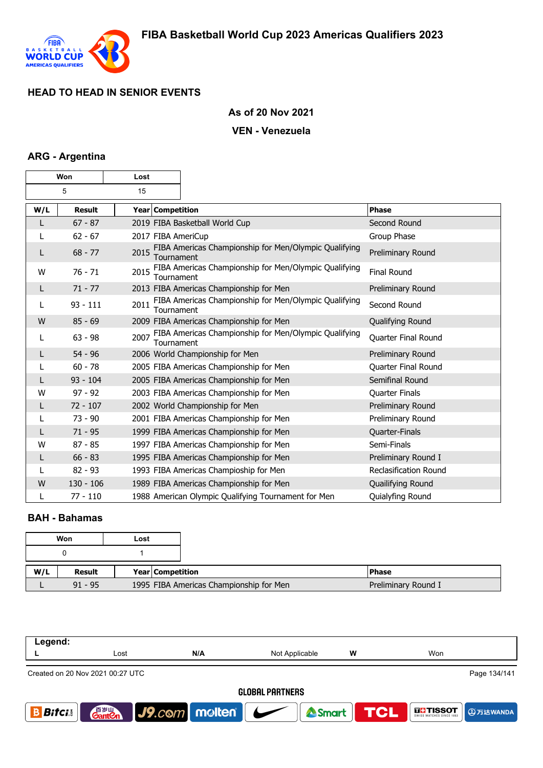

### **As of 20 Nov 2021**

#### **VEN - Venezuela**

### **ARG - Argentina**

| Won |               | Lost               |                                                       |                              |
|-----|---------------|--------------------|-------------------------------------------------------|------------------------------|
|     | 5             | 15                 |                                                       |                              |
| W/L | <b>Result</b> | Year Competition   |                                                       | <b>Phase</b>                 |
| L   | $67 - 87$     |                    | 2019 FIBA Basketball World Cup                        | Second Round                 |
| L   | $62 - 67$     | 2017 FIBA AmeriCup |                                                       | Group Phase                  |
| L   | $68 - 77$     | 2015<br>Tournament | FIBA Americas Championship for Men/Olympic Qualifying | Preliminary Round            |
| W   | $76 - 71$     | 2015<br>Tournament | FIBA Americas Championship for Men/Olympic Qualifying | <b>Final Round</b>           |
| L   | $71 - 77$     |                    | 2013 FIBA Americas Championship for Men               | Preliminary Round            |
| L   | $93 - 111$    | 2011<br>Tournament | FIBA Americas Championship for Men/Olympic Qualifying | Second Round                 |
| W   | $85 - 69$     |                    | 2009 FIBA Americas Championship for Men               | Qualifying Round             |
| L   | $63 - 98$     | 2007<br>Tournament | FIBA Americas Championship for Men/Olympic Qualifying | Quarter Final Round          |
| L   | $54 - 96$     |                    | 2006 World Championship for Men                       | Preliminary Round            |
|     | $60 - 78$     |                    | 2005 FIBA Americas Championship for Men               | Quarter Final Round          |
| L   | $93 - 104$    |                    | 2005 FIBA Americas Championship for Men               | Semifinal Round              |
| w   | $97 - 92$     |                    | 2003 FIBA Americas Championship for Men               | Quarter Finals               |
| L   | $72 - 107$    |                    | 2002 World Championship for Men                       | Preliminary Round            |
|     | $73 - 90$     |                    | 2001 FIBA Americas Championship for Men               | Preliminary Round            |
| L   | $71 - 95$     |                    | 1999 FIBA Americas Championship for Men               | Quarter-Finals               |
| W   | $87 - 85$     |                    | 1997 FIBA Americas Championship for Men               | Semi-Finals                  |
| L   | $66 - 83$     |                    | 1995 FIBA Americas Championship for Men               | Preliminary Round I          |
| L   | $82 - 93$     |                    | 1993 FIBA Americas Champioship for Men                | <b>Reclasification Round</b> |
| W   | $130 - 106$   |                    | 1989 FIBA Americas Championship for Men               | Quailifying Round            |
| L   | $77 - 110$    |                    | 1988 American Olympic Qualifying Tournament for Men   | Quialyfing Round             |

### **BAH - Bahamas**

|     | Won       | Lost |                                         |
|-----|-----------|------|-----------------------------------------|
|     |           |      |                                         |
|     | Result    |      | Year Competition                        |
| W/L | $91 - 95$ |      | 1995 FIBA Americas Championship for Men |

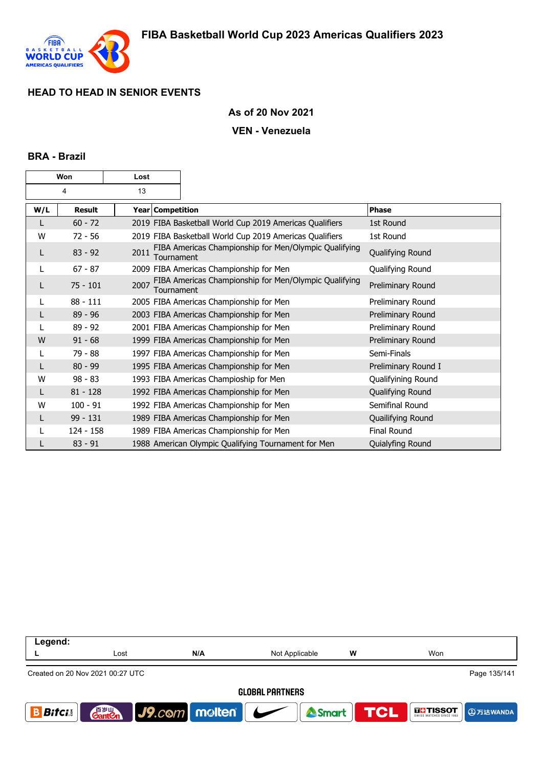

#### **As of 20 Nov 2021**

#### **VEN - Venezuela**

#### **BRA - Brazil**

| Won |               | Lost |                  |                                                         |                     |
|-----|---------------|------|------------------|---------------------------------------------------------|---------------------|
|     | 4             | 13   |                  |                                                         |                     |
| W/L | <b>Result</b> |      | Year Competition |                                                         | <b>Phase</b>        |
|     | $60 - 72$     |      |                  | 2019 FIBA Basketball World Cup 2019 Americas Qualifiers | 1st Round           |
| W   | $72 - 56$     |      |                  | 2019 FIBA Basketball World Cup 2019 Americas Qualifiers | 1st Round           |
| L   | $83 - 92$     | 2011 | Tournament       | FIBA Americas Championship for Men/Olympic Qualifying   | Qualifying Round    |
| L   | $67 - 87$     |      |                  | 2009 FIBA Americas Championship for Men                 | Qualifying Round    |
|     | $75 - 101$    | 2007 | Tournament       | FIBA Americas Championship for Men/Olympic Qualifying   | Preliminary Round   |
| L   | $88 - 111$    |      |                  | 2005 FIBA Americas Championship for Men                 | Preliminary Round   |
|     | $89 - 96$     |      |                  | 2003 FIBA Americas Championship for Men                 | Preliminary Round   |
|     | $89 - 92$     |      |                  | 2001 FIBA Americas Championship for Men                 | Preliminary Round   |
| W   | $91 - 68$     |      |                  | 1999 FIBA Americas Championship for Men                 | Preliminary Round   |
| L   | 79 - 88       |      |                  | 1997 FIBA Americas Championship for Men                 | Semi-Finals         |
| L   | $80 - 99$     |      |                  | 1995 FIBA Americas Championship for Men                 | Preliminary Round I |
| W   | $98 - 83$     |      |                  | 1993 FIBA Americas Champioship for Men                  | Qualifyining Round  |
| L   | $81 - 128$    |      |                  | 1992 FIBA Americas Championship for Men                 | Qualifying Round    |
| W   | $100 - 91$    |      |                  | 1992 FIBA Americas Championship for Men                 | Semifinal Round     |
|     | $99 - 131$    |      |                  | 1989 FIBA Americas Championship for Men                 | Quailifying Round   |
|     | $124 - 158$   |      |                  | 1989 FIBA Americas Championship for Men                 | <b>Final Round</b>  |
|     | $83 - 91$     |      |                  | 1988 American Olympic Qualifying Tournament for Men     | Quialyfing Round    |

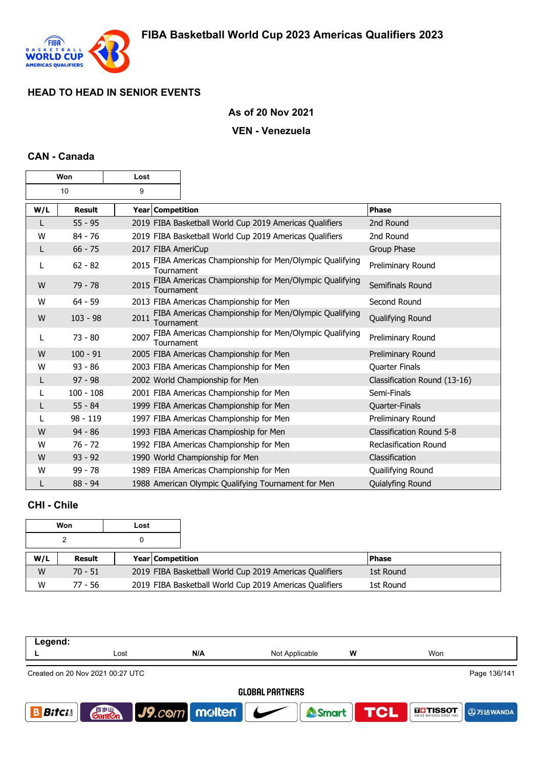

## **As of 20 Nov 2021**

### **VEN - Venezuela**

### **CAN - Canada**

| Won |               | Lost |                  |                                                         |                              |
|-----|---------------|------|------------------|---------------------------------------------------------|------------------------------|
|     | 10            | 9    |                  |                                                         |                              |
| W/L | <b>Result</b> |      | Year Competition |                                                         | Phase                        |
|     | $55 - 95$     |      |                  | 2019 FIBA Basketball World Cup 2019 Americas Qualifiers | 2nd Round                    |
| W   | $84 - 76$     |      |                  | 2019 FIBA Basketball World Cup 2019 Americas Qualifiers | 2nd Round                    |
| L   | $66 - 75$     |      |                  | 2017 FIBA AmeriCup                                      | Group Phase                  |
| L   | $62 - 82$     | 2015 | Tournament       | FIBA Americas Championship for Men/Olympic Qualifying   | Preliminary Round            |
| W   | $79 - 78$     | 2015 | Tournament       | FIBA Americas Championship for Men/Olympic Qualifying   | Semifinals Round             |
| W   | $64 - 59$     |      |                  | 2013 FIBA Americas Championship for Men                 | Second Round                 |
| W   | $103 - 98$    | 2011 | Tournament       | FIBA Americas Championship for Men/Olympic Qualifying   | Qualifying Round             |
| L   | $73 - 80$     | 2007 | Tournament       | FIBA Americas Championship for Men/Olympic Qualifying   | Preliminary Round            |
| W   | $100 - 91$    |      |                  | 2005 FIBA Americas Championship for Men                 | Preliminary Round            |
| W   | $93 - 86$     |      |                  | 2003 FIBA Americas Championship for Men                 | Quarter Finals               |
| L   | $97 - 98$     |      |                  | 2002 World Championship for Men                         | Classification Round (13-16) |
|     | $100 - 108$   |      |                  | 2001 FIBA Americas Championship for Men                 | Semi-Finals                  |
| L   | $55 - 84$     |      |                  | 1999 FIBA Americas Championship for Men                 | Quarter-Finals               |
|     | 98 - 119      |      |                  | 1997 FIBA Americas Championship for Men                 | Preliminary Round            |
| W   | $94 - 86$     |      |                  | 1993 FIBA Americas Champioship for Men                  | Classification Round 5-8     |
| W   | $76 - 72$     |      |                  | 1992 FIBA Americas Championship for Men                 | <b>Reclasification Round</b> |
| W   | $93 - 92$     |      |                  | 1990 World Championship for Men                         | Classification               |
| W   | $99 - 78$     |      |                  | 1989 FIBA Americas Championship for Men                 | Quailifying Round            |
|     | $88 - 94$     |      |                  | 1988 American Olympic Qualifying Tournament for Men     | Quialyfing Round             |

# **CHI - Chile**

|     | Won       | Lost |                         |                                                         |           |
|-----|-----------|------|-------------------------|---------------------------------------------------------|-----------|
|     |           |      |                         |                                                         |           |
| W/L | Result    |      | <b>Year Competition</b> |                                                         | l Phase   |
| W   | $70 - 51$ |      |                         | 2019 FIBA Basketball World Cup 2019 Americas Qualifiers | 1st Round |
| W   | 77 - 56   |      |                         | 2019 FIBA Basketball World Cup 2019 Americas Qualifiers | 1st Round |

| Legend:                                          |                                    |                                 |                |   |                                 |  |  |  |
|--------------------------------------------------|------------------------------------|---------------------------------|----------------|---|---------------------------------|--|--|--|
|                                                  | Lost                               | N/A                             | Not Applicable | W | Won                             |  |  |  |
| Page 136/141<br>Created on 20 Nov 2021 00:27 UTC |                                    |                                 |                |   |                                 |  |  |  |
| <b>GLOBAL PARTNERS</b>                           |                                    |                                 |                |   |                                 |  |  |  |
| Bitci.                                           | 音 <sub>罗山</sub><br>Gant <b>C</b> n | $ $ J9. $com$ molten $ $ $\sim$ | <b>A</b> Smart |   | <b>TCL</b><br><b>THE TISSOT</b> |  |  |  |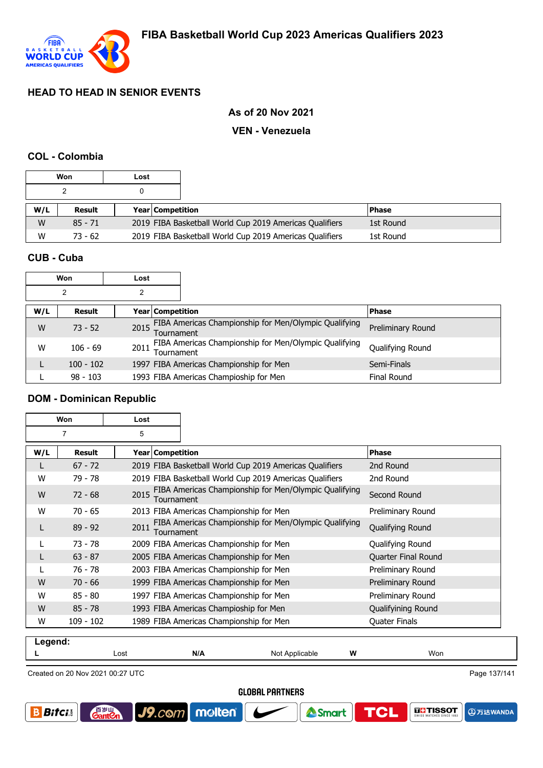

### **As of 20 Nov 2021**

#### **VEN - Venezuela**

#### **COL - Colombia**

|     | Won       | Lost |                         |                                                         |              |  |
|-----|-----------|------|-------------------------|---------------------------------------------------------|--------------|--|
|     |           |      |                         |                                                         |              |  |
| W/L | Result    |      | <b>Year Competition</b> |                                                         | <b>Phase</b> |  |
| W   | $85 - 71$ |      |                         | 2019 FIBA Basketball World Cup 2019 Americas Qualifiers | 1st Round    |  |
| W   | $73 - 62$ |      |                         | 2019 FIBA Basketball World Cup 2019 Americas Qualifiers | 1st Round    |  |

### **CUB - Cuba**

| Won<br>Lost |                |      |                  |                                                       |                   |
|-------------|----------------|------|------------------|-------------------------------------------------------|-------------------|
|             | $\overline{2}$ | 2    |                  |                                                       |                   |
| W/L         | Result         |      | Year Competition |                                                       | <b>Phase</b>      |
| W           | $73 - 52$      | 2015 | Tournament       | FIBA Americas Championship for Men/Olympic Qualifying | Preliminary Round |
| w           | $106 - 69$     | 2011 | Tournament       | FIBA Americas Championship for Men/Olympic Qualifying | Qualifying Round  |
|             | $100 - 102$    |      |                  | 1997 FIBA Americas Championship for Men               | Semi-Finals       |
|             | $98 - 103$     |      |                  | 1993 FIBA Americas Champioship for Men                | Final Round       |

### **DOM - Dominican Republic**

| Won<br>Lost |             |                    |                                                         |                      |
|-------------|-------------|--------------------|---------------------------------------------------------|----------------------|
|             | 7           | 5                  |                                                         |                      |
| W/L         | Result      | Year   Competition |                                                         | Phase                |
| L           | $67 - 72$   |                    | 2019 FIBA Basketball World Cup 2019 Americas Qualifiers | 2nd Round            |
| W           | 79 - 78     |                    | 2019 FIBA Basketball World Cup 2019 Americas Qualifiers | 2nd Round            |
| W           | $72 - 68$   | 2015<br>Tournament | FIBA Americas Championship for Men/Olympic Qualifying   | Second Round         |
| W           | $70 - 65$   |                    | 2013 FIBA Americas Championship for Men                 | Preliminary Round    |
|             | $89 - 92$   | 2011<br>Tournament | FIBA Americas Championship for Men/Olympic Qualifying   | Qualifying Round     |
|             | $73 - 78$   |                    | 2009 FIBA Americas Championship for Men                 | Qualifying Round     |
|             | $63 - 87$   |                    | 2005 FIBA Americas Championship for Men                 | Quarter Final Round  |
|             | 76 - 78     |                    | 2003 FIBA Americas Championship for Men                 | Preliminary Round    |
| W           | $70 - 66$   |                    | 1999 FIBA Americas Championship for Men                 | Preliminary Round    |
| W           | $85 - 80$   |                    | 1997 FIBA Americas Championship for Men                 | Preliminary Round    |
| W           | $85 - 78$   |                    | 1993 FIBA Americas Champioship for Men                  | Qualifyining Round   |
| W           | $109 - 102$ |                    | 1989 FIBA Americas Championship for Men                 | <b>Quater Finals</b> |

| Legend: |                                  |     |                |   |              |  |  |  |
|---------|----------------------------------|-----|----------------|---|--------------|--|--|--|
| --      | Lost                             | N/A | Not Applicable | W | Won          |  |  |  |
|         |                                  |     |                |   |              |  |  |  |
|         | Created on 20 Nov 2021 00:27 UTC |     |                |   | Page 137/141 |  |  |  |

Created on 20 Nov 2021 00:27 UTC

**Gant C** 

J9.com molten

**GLOBAL PARTNERS** 

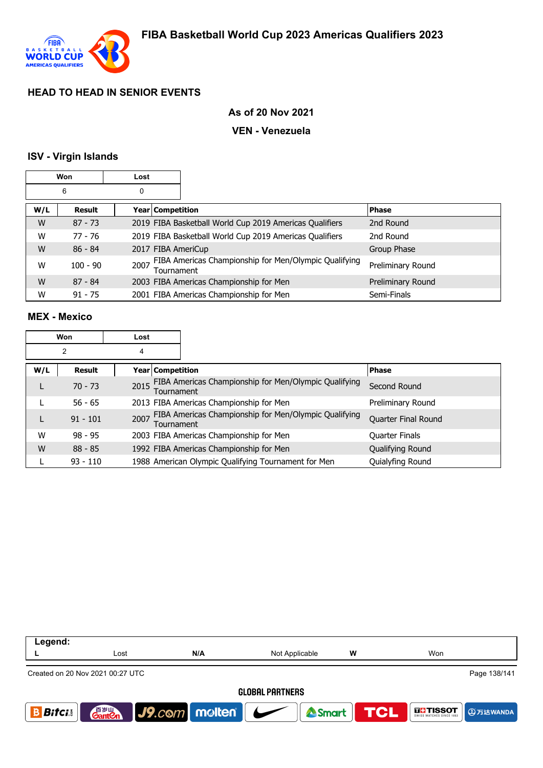

### **As of 20 Nov 2021**

#### **VEN - Venezuela**

#### **ISV - Virgin Islands**

|     | Won           | Lost |                    |                                                         |                   |
|-----|---------------|------|--------------------|---------------------------------------------------------|-------------------|
|     | 6             | 0    |                    |                                                         |                   |
| W/L | <b>Result</b> |      | Year Competition   |                                                         | <b>Phase</b>      |
| W   | $87 - 73$     |      |                    | 2019 FIBA Basketball World Cup 2019 Americas Qualifiers | 2nd Round         |
| W   | $77 - 76$     |      |                    | 2019 FIBA Basketball World Cup 2019 Americas Qualifiers | 2nd Round         |
| W   | $86 - 84$     |      | 2017 FIBA AmeriCup |                                                         | Group Phase       |
| W   | $100 - 90$    | 2007 | Tournament         | FIBA Americas Championship for Men/Olympic Qualifying   | Preliminary Round |
| W   | $87 - 84$     |      |                    | 2003 FIBA Americas Championship for Men                 | Preliminary Round |
| W   | $91 - 75$     |      |                    | 2001 FIBA Americas Championship for Men                 | Semi-Finals       |

#### **MEX - Mexico**

| Won |            | Lost                    |                                                       |                     |
|-----|------------|-------------------------|-------------------------------------------------------|---------------------|
| 2   |            | 4                       |                                                       |                     |
| W/L | Result     | <b>Year Competition</b> |                                                       | <b>Phase</b>        |
|     | $70 - 73$  | 2015<br>Tournament      | FIBA Americas Championship for Men/Olympic Qualifying | Second Round        |
|     | $56 - 65$  |                         | 2013 FIBA Americas Championship for Men               | Preliminary Round   |
|     | $91 - 101$ | 2007<br>Tournament      | FIBA Americas Championship for Men/Olympic Qualifying | Quarter Final Round |
| W   | $98 - 95$  |                         | 2003 FIBA Americas Championship for Men               | Quarter Finals      |
| W   | $88 - 85$  |                         | 1992 FIBA Americas Championship for Men               | Qualifying Round    |
|     | $93 - 110$ |                         | 1988 American Olympic Qualifying Tournament for Men   | Quialyfing Round    |

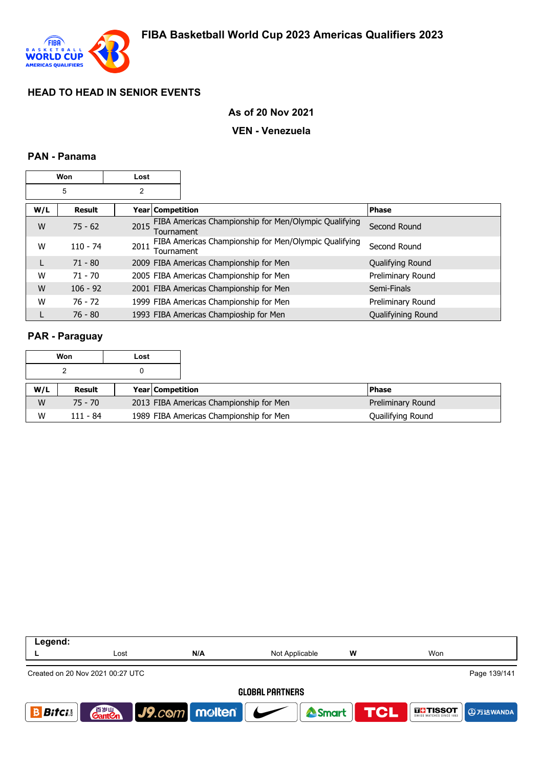

### **As of 20 Nov 2021**

#### **VEN - Venezuela**

#### **PAN - Panama**

| Won |                                          | Lost |                                                                     |                    |
|-----|------------------------------------------|------|---------------------------------------------------------------------|--------------------|
| 5   |                                          | 2    |                                                                     |                    |
| W/L | <b>Result</b><br><b>Year Competition</b> |      |                                                                     | <b>Phase</b>       |
| W   | $75 - 62$                                | 2015 | FIBA Americas Championship for Men/Olympic Qualifying<br>Tournament | Second Round       |
| W   | $110 - 74$                               | 2011 | FIBA Americas Championship for Men/Olympic Qualifying<br>Tournament | Second Round       |
| L   | $71 - 80$                                |      | 2009 FIBA Americas Championship for Men                             | Qualifying Round   |
| W   | $71 - 70$                                |      | 2005 FIBA Americas Championship for Men                             | Preliminary Round  |
| W   | $106 - 92$                               |      | 2001 FIBA Americas Championship for Men                             | Semi-Finals        |
| W   | $76 - 72$                                |      | 1999 FIBA Americas Championship for Men                             | Preliminary Round  |
|     | $76 - 80$                                |      | 1993 FIBA Americas Champioship for Men                              | Qualifyining Round |

### **PAR - Paraguay**

| Won |          | Lost |                                         |                   |
|-----|----------|------|-----------------------------------------|-------------------|
|     |          |      |                                         |                   |
| W/L | Result   |      | <b>Year Competition</b>                 | <b>Phase</b>      |
| W   | 75 - 70  |      | 2013 FIBA Americas Championship for Men | Preliminary Round |
| W   | 111 - 84 |      | 1989 FIBA Americas Championship for Men | Quailifying Round |

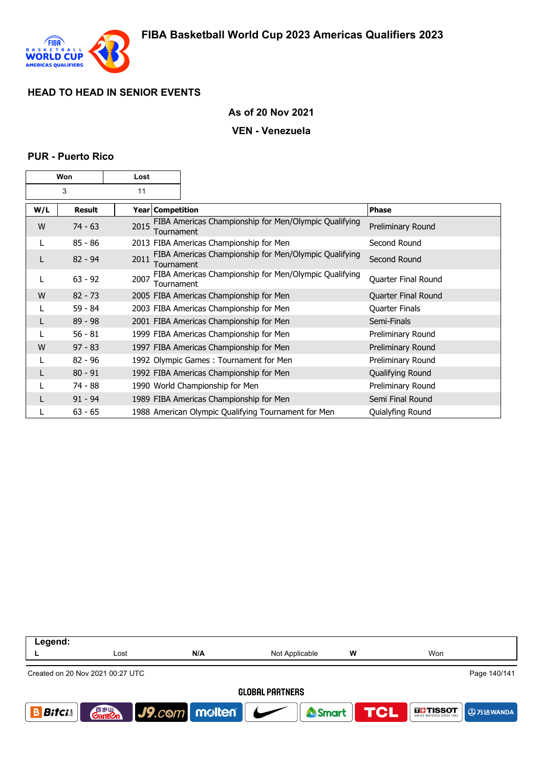

#### **As of 20 Nov 2021**

#### **VEN - Venezuela**

#### **PUR - Puerto Rico**

| Won |           | Lost |                                                                     |                       |
|-----|-----------|------|---------------------------------------------------------------------|-----------------------|
| 3   |           | 11   |                                                                     |                       |
| W/L | Result    |      | Year   Competition                                                  | <b>Phase</b>          |
| W   | $74 - 63$ | 2015 | FIBA Americas Championship for Men/Olympic Qualifying<br>Tournament | Preliminary Round     |
|     | $85 - 86$ |      | 2013 FIBA Americas Championship for Men                             | Second Round          |
|     | $82 - 94$ | 2011 | FIBA Americas Championship for Men/Olympic Qualifying<br>Tournament | Second Round          |
| L   | $63 - 92$ | 2007 | FIBA Americas Championship for Men/Olympic Qualifying<br>Tournament | Quarter Final Round   |
| W   | $82 - 73$ |      | 2005 FIBA Americas Championship for Men                             | Quarter Final Round   |
|     | $59 - 84$ |      | 2003 FIBA Americas Championship for Men                             | <b>Quarter Finals</b> |
|     | $89 - 98$ |      | 2001 FIBA Americas Championship for Men                             | Semi-Finals           |
|     | $56 - 81$ |      | 1999 FIBA Americas Championship for Men                             | Preliminary Round     |
| W   | $97 - 83$ |      | 1997 FIBA Americas Championship for Men                             | Preliminary Round     |
| L   | $82 - 96$ |      | 1992 Olympic Games: Tournament for Men                              | Preliminary Round     |
|     | $80 - 91$ |      | 1992 FIBA Americas Championship for Men                             | Qualifying Round      |
|     | 74 - 88   |      | 1990 World Championship for Men                                     | Preliminary Round     |
|     | $91 - 94$ |      | 1989 FIBA Americas Championship for Men                             | Semi Final Round      |
|     | $63 - 65$ |      | 1988 American Olympic Qualifying Tournament for Men                 | Quialyfing Round      |